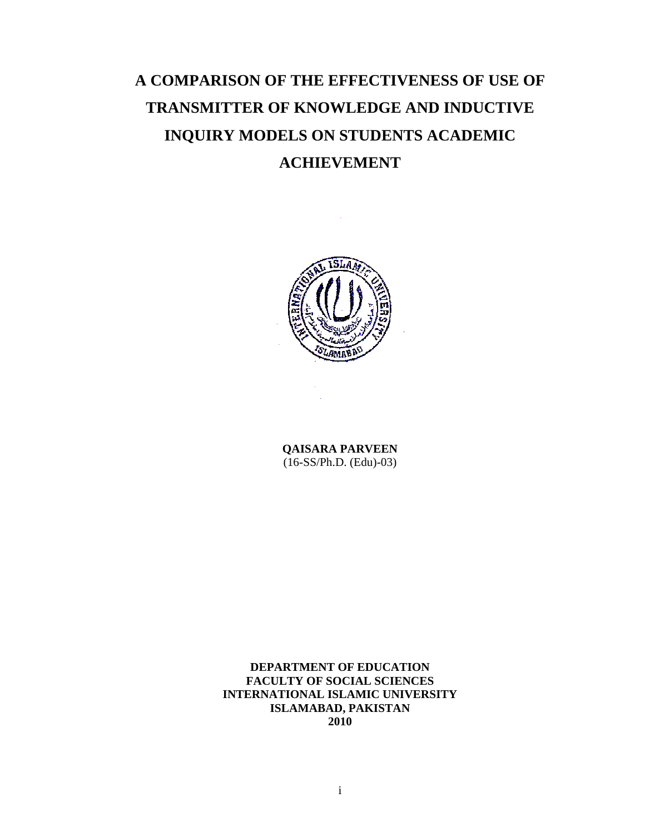# **A COMPARISON OF THE EFFECTIVENESS OF USE OF TRANSMITTER OF KNOWLEDGE AND INDUCTIVE INQUIRY MODELS ON STUDENTS ACADEMIC ACHIEVEMENT**



**QAISARA PARVEEN**  (16-SS/Ph.D. (Edu)-03)

**DEPARTMENT OF EDUCATION FACULTY OF SOCIAL SCIENCES INTERNATIONAL ISLAMIC UNIVERSITY ISLAMABAD, PAKISTAN 2010**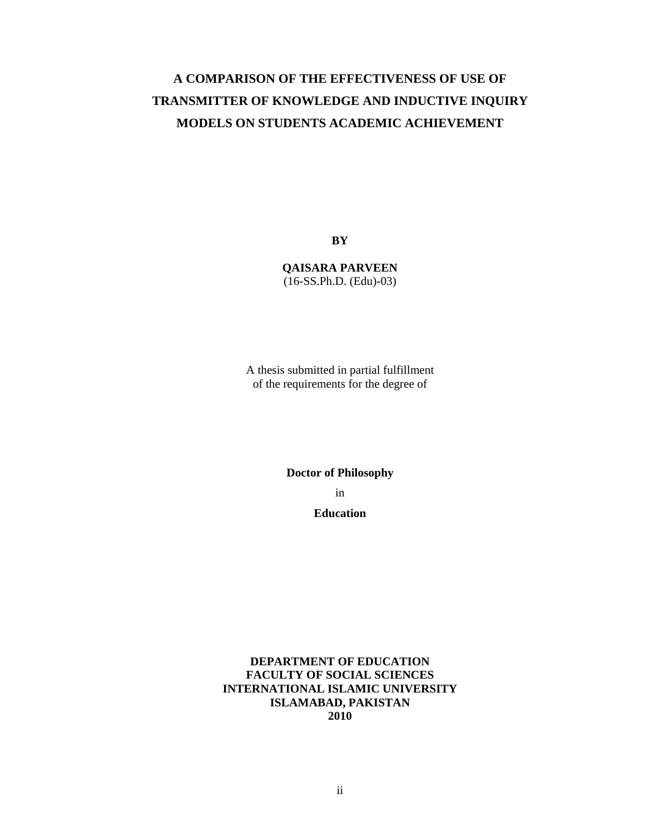# **A COMPARISON OF THE EFFECTIVENESS OF USE OF TRANSMITTER OF KNOWLEDGE AND INDUCTIVE INQUIRY MODELS ON STUDENTS ACADEMIC ACHIEVEMENT**

**BY** 

**QAISARA PARVEEN**  (16-SS.Ph.D. (Edu)-03)

A thesis submitted in partial fulfillment of the requirements for the degree of

> **Doctor of Philosophy**  in **Education**

**DEPARTMENT OF EDUCATION FACULTY OF SOCIAL SCIENCES INTERNATIONAL ISLAMIC UNIVERSITY ISLAMABAD, PAKISTAN 2010**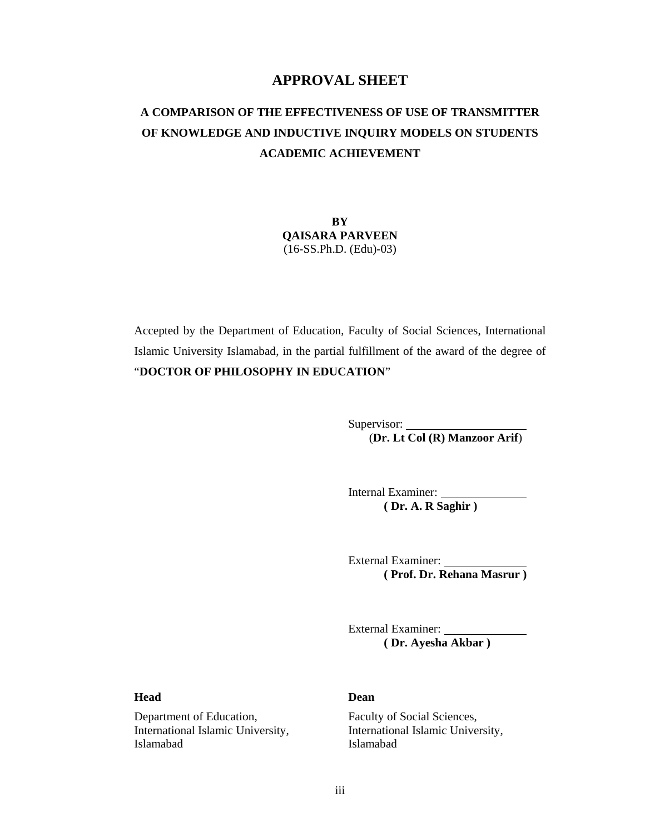# **APPROVAL SHEET**

# **A COMPARISON OF THE EFFECTIVENESS OF USE OF TRANSMITTER OF KNOWLEDGE AND INDUCTIVE INQUIRY MODELS ON STUDENTS ACADEMIC ACHIEVEMENT**

**BY QAISARA PARVEEN**  (16-SS.Ph.D. (Edu)-03)

Accepted by the Department of Education, Faculty of Social Sciences, International Islamic University Islamabad, in the partial fulfillment of the award of the degree of "**DOCTOR OF PHILOSOPHY IN EDUCATION**"

> Supervisor: (**Dr. Lt Col (R) Manzoor Arif**)

Internal Examiner: **( Dr. A. R Saghir )** 

External Examiner: **( Prof. Dr. Rehana Masrur )** 

External Examiner: **( Dr. Ayesha Akbar )** 

Department of Education, Faculty of Social Sciences, Islamabad Islamabad

#### **Head Dean**

International Islamic University, International Islamic University,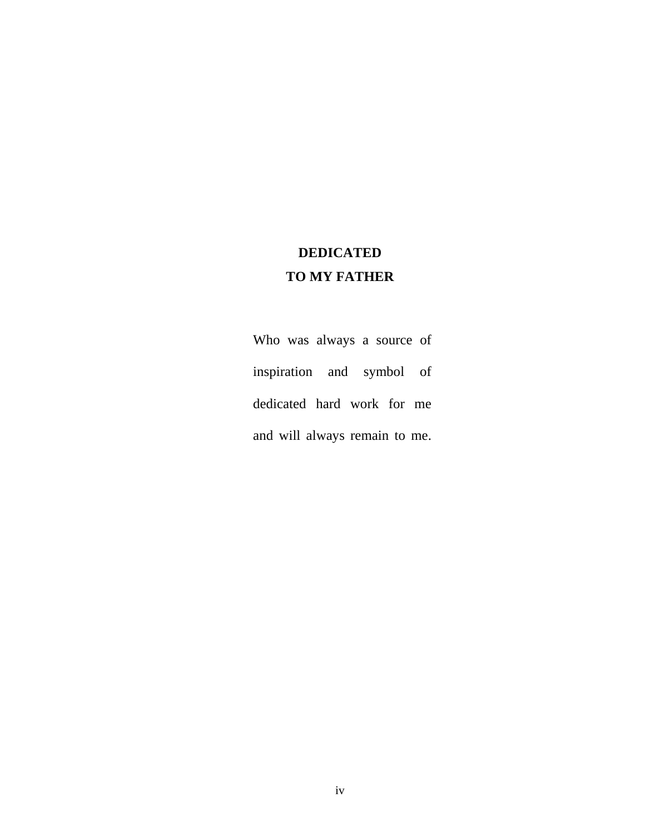# **DEDICATED TO MY FATHER**

Who was always a source of inspiration and symbol of dedicated hard work for me and will always remain to me.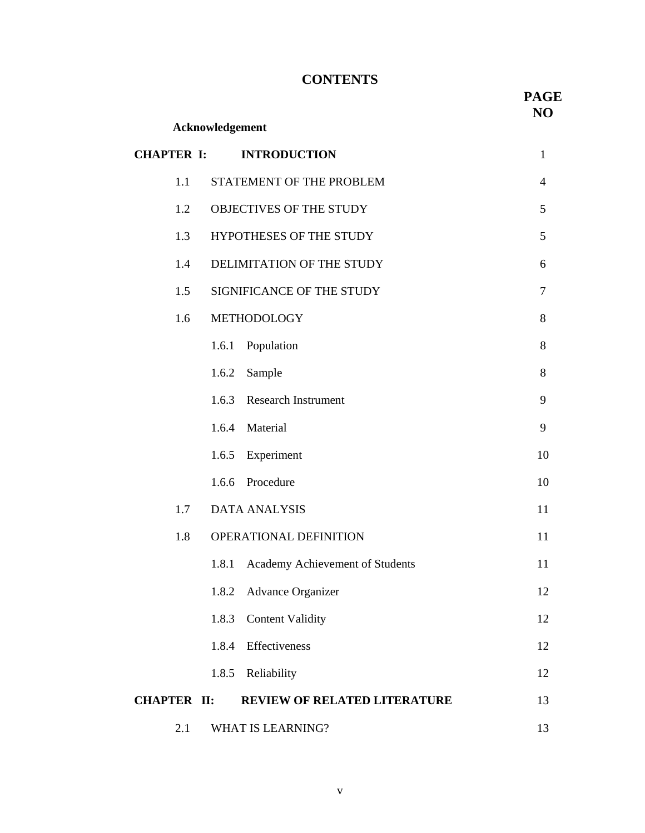# **CONTENTS**

 **PAGE NO** 

| Acknowledgement    |                                          |                |
|--------------------|------------------------------------------|----------------|
| <b>CHAPTER I:</b>  | <b>INTRODUCTION</b>                      | $\mathbf{1}$   |
| 1.1                | STATEMENT OF THE PROBLEM                 | $\overline{4}$ |
| 1.2                | OBJECTIVES OF THE STUDY                  | 5              |
| 1.3                | HYPOTHESES OF THE STUDY                  | 5              |
| 1.4                | DELIMITATION OF THE STUDY                | 6              |
| 1.5                | SIGNIFICANCE OF THE STUDY                | 7              |
| 1.6                | METHODOLOGY                              | 8              |
|                    | 1.6.1<br>Population                      | 8              |
|                    | 1.6.2<br>Sample                          | 8              |
|                    | 1.6.3<br><b>Research Instrument</b>      | 9              |
|                    | 1.6.4 Material                           | 9              |
|                    | 1.6.5 Experiment                         | 10             |
|                    | 1.6.6<br>Procedure                       | 10             |
| 1.7                | <b>DATA ANALYSIS</b>                     | 11             |
| 1.8                | OPERATIONAL DEFINITION                   | 11             |
|                    | Academy Achievement of Students<br>1.8.1 | 11             |
|                    | 1.8.2 Advance Organizer                  | 12             |
|                    | 1.8.3 Content Validity                   | 12             |
|                    | 1.8.4<br>Effectiveness                   | 12             |
|                    | 1.8.5 Reliability                        | 12             |
| <b>CHAPTER II:</b> | REVIEW OF RELATED LITERATURE             | 13             |
| 2.1                | WHAT IS LEARNING?                        | 13             |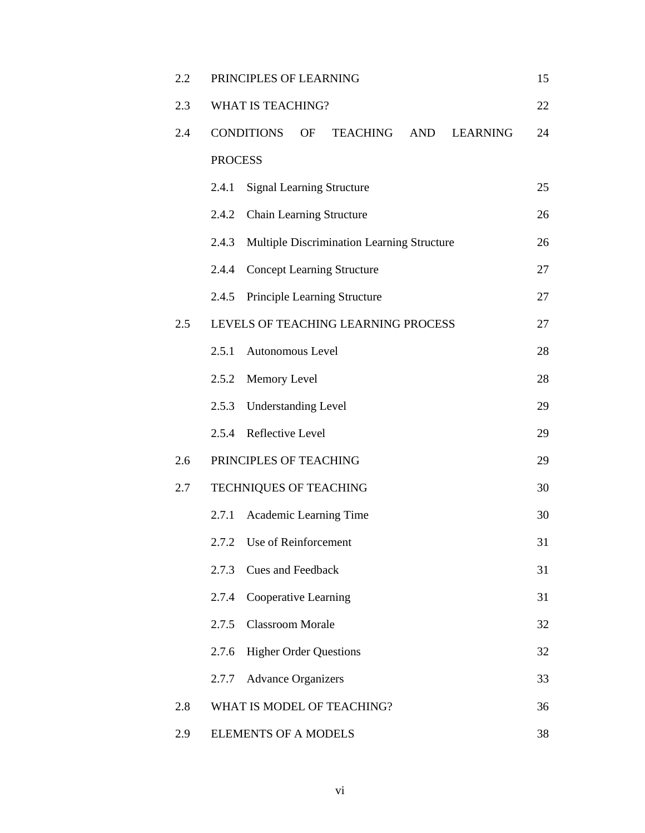| 2.2 | PRINCIPLES OF LEARNING<br>15                        |    |  |  |
|-----|-----------------------------------------------------|----|--|--|
| 2.3 | WHAT IS TEACHING?                                   |    |  |  |
| 2.4 | CONDITIONS<br>OF<br>TEACHING<br>AND LEARNING        | 24 |  |  |
|     | <b>PROCESS</b>                                      |    |  |  |
|     | <b>Signal Learning Structure</b><br>2.4.1           | 25 |  |  |
|     | Chain Learning Structure<br>2.4.2                   | 26 |  |  |
|     | Multiple Discrimination Learning Structure<br>2.4.3 |    |  |  |
|     | <b>Concept Learning Structure</b><br>2.4.4          | 27 |  |  |
|     | 2.4.5 Principle Learning Structure                  | 27 |  |  |
| 2.5 | LEVELS OF TEACHING LEARNING PROCESS                 | 27 |  |  |
|     | 2.5.1<br>Autonomous Level                           | 28 |  |  |
|     | Memory Level<br>2.5.2                               | 28 |  |  |
|     | <b>Understanding Level</b><br>2.5.3                 | 29 |  |  |
|     | Reflective Level<br>2.5.4                           | 29 |  |  |
| 2.6 | PRINCIPLES OF TEACHING<br>29                        |    |  |  |
| 2.7 | TECHNIQUES OF TEACHING<br>30                        |    |  |  |
|     | Academic Learning Time<br>2.7.1                     | 30 |  |  |
|     | 2.7.2 Use of Reinforcement                          | 31 |  |  |
|     | <b>Cues and Feedback</b><br>2.7.3                   | 31 |  |  |
|     | Cooperative Learning<br>2.7.4                       | 31 |  |  |
|     | <b>Classroom Morale</b><br>2.7.5                    | 32 |  |  |
|     | <b>Higher Order Questions</b><br>2.7.6              | 32 |  |  |
|     | <b>Advance Organizers</b><br>2.7.7                  | 33 |  |  |
| 2.8 | WHAT IS MODEL OF TEACHING?                          | 36 |  |  |
| 2.9 | <b>ELEMENTS OF A MODELS</b>                         | 38 |  |  |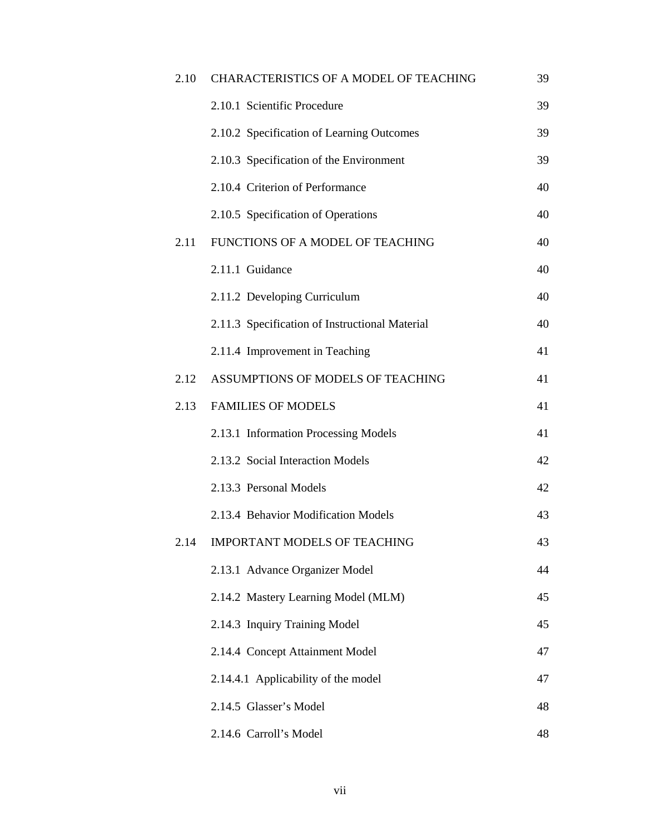| 2.10 | CHARACTERISTICS OF A MODEL OF TEACHING         | 39 |
|------|------------------------------------------------|----|
|      | 2.10.1 Scientific Procedure                    | 39 |
|      | 2.10.2 Specification of Learning Outcomes      | 39 |
|      | 2.10.3 Specification of the Environment        | 39 |
|      | 2.10.4 Criterion of Performance                | 40 |
|      | 2.10.5 Specification of Operations             | 40 |
| 2.11 | FUNCTIONS OF A MODEL OF TEACHING               | 40 |
|      | 2.11.1 Guidance                                | 40 |
|      | 2.11.2 Developing Curriculum                   | 40 |
|      | 2.11.3 Specification of Instructional Material | 40 |
|      | 2.11.4 Improvement in Teaching                 | 41 |
| 2.12 | ASSUMPTIONS OF MODELS OF TEACHING              | 41 |
| 2.13 | <b>FAMILIES OF MODELS</b>                      | 41 |
|      | 2.13.1 Information Processing Models           | 41 |
|      | 2.13.2 Social Interaction Models               | 42 |
|      | 2.13.3 Personal Models                         | 42 |
|      | 2.13.4 Behavior Modification Models            | 43 |
|      | 2.14 IMPORTANT MODELS OF TEACHING              | 43 |
|      | 2.13.1 Advance Organizer Model                 | 44 |
|      | 2.14.2 Mastery Learning Model (MLM)            | 45 |
|      | 2.14.3 Inquiry Training Model                  | 45 |
|      | 2.14.4 Concept Attainment Model                | 47 |
|      | 2.14.4.1 Applicability of the model            | 47 |
|      | 2.14.5 Glasser's Model                         | 48 |
|      | 2.14.6 Carroll's Model                         | 48 |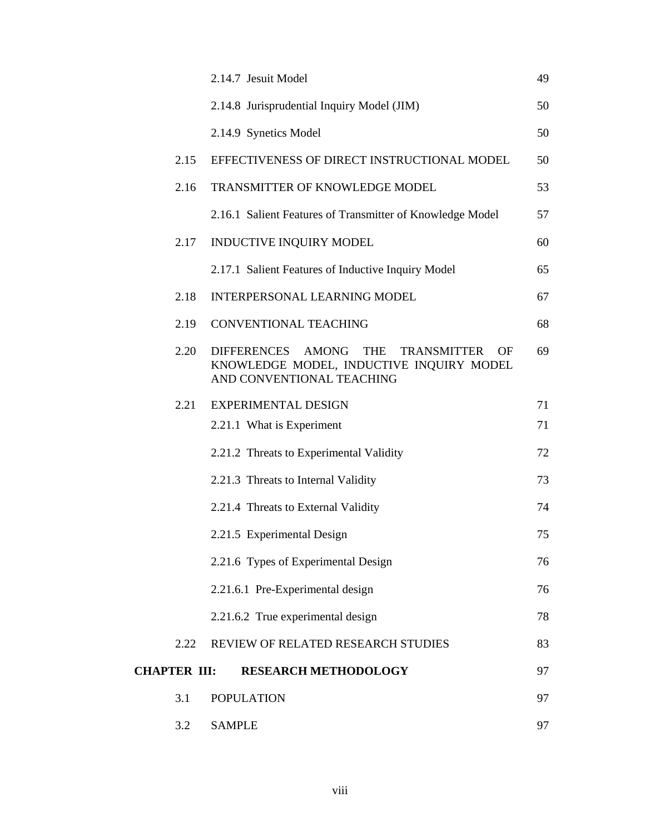|                     | 2.14.7 Jesuit Model                                                                                                                                   | 49 |
|---------------------|-------------------------------------------------------------------------------------------------------------------------------------------------------|----|
|                     | 2.14.8 Jurisprudential Inquiry Model (JIM)                                                                                                            | 50 |
|                     | 2.14.9 Synetics Model                                                                                                                                 | 50 |
| 2.15                | EFFECTIVENESS OF DIRECT INSTRUCTIONAL MODEL                                                                                                           | 50 |
| 2.16                | TRANSMITTER OF KNOWLEDGE MODEL                                                                                                                        | 53 |
|                     | 2.16.1 Salient Features of Transmitter of Knowledge Model                                                                                             | 57 |
| 2.17                | INDUCTIVE INQUIRY MODEL                                                                                                                               | 60 |
|                     | 2.17.1 Salient Features of Inductive Inquiry Model                                                                                                    | 65 |
| 2.18                | INTERPERSONAL LEARNING MODEL                                                                                                                          | 67 |
| 2.19                | <b>CONVENTIONAL TEACHING</b>                                                                                                                          | 68 |
| 2.20                | <b>DIFFERENCES</b><br>AMONG<br><b>THE</b><br><b>TRANSMITTER</b><br><b>OF</b><br>KNOWLEDGE MODEL, INDUCTIVE INQUIRY MODEL<br>AND CONVENTIONAL TEACHING | 69 |
| 2.21                | <b>EXPERIMENTAL DESIGN</b>                                                                                                                            | 71 |
|                     | 2.21.1 What is Experiment                                                                                                                             | 71 |
|                     | 2.21.2 Threats to Experimental Validity                                                                                                               | 72 |
|                     | 2.21.3 Threats to Internal Validity                                                                                                                   | 73 |
|                     | 2.21.4 Threats to External Validity                                                                                                                   | 74 |
|                     | 2.21.5 Experimental Design                                                                                                                            | 75 |
|                     | 2.21.6 Types of Experimental Design                                                                                                                   | 76 |
|                     | 2.21.6.1 Pre-Experimental design                                                                                                                      | 76 |
|                     | 2.21.6.2 True experimental design                                                                                                                     | 78 |
| 2.22                | REVIEW OF RELATED RESEARCH STUDIES                                                                                                                    | 83 |
| <b>CHAPTER III:</b> | <b>RESEARCH METHODOLOGY</b>                                                                                                                           | 97 |
| 3.1                 | <b>POPULATION</b>                                                                                                                                     | 97 |
| 3.2                 | <b>SAMPLE</b>                                                                                                                                         | 97 |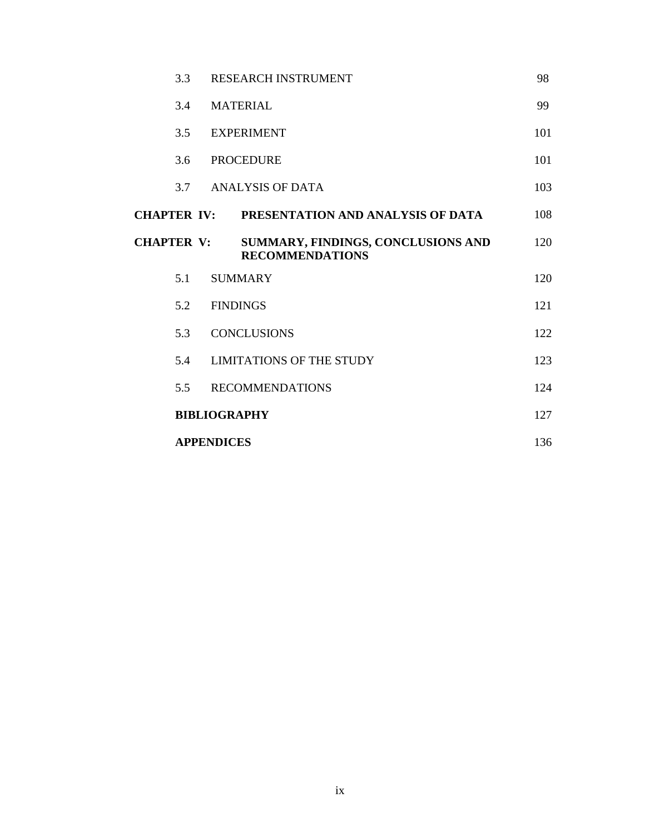|                    | 3.3 | RESEARCH INSTRUMENT                                          | 98  |
|--------------------|-----|--------------------------------------------------------------|-----|
|                    | 3.4 | <b>MATERIAL</b>                                              | 99  |
|                    | 3.5 | <b>EXPERIMENT</b>                                            | 101 |
|                    | 3.6 | <b>PROCEDURE</b>                                             | 101 |
|                    | 3.7 | ANALYSIS OF DATA                                             | 103 |
| <b>CHAPTER IV:</b> |     | PRESENTATION AND ANALYSIS OF DATA                            | 108 |
| <b>CHAPTER V:</b>  |     | SUMMARY, FINDINGS, CONCLUSIONS AND<br><b>RECOMMENDATIONS</b> | 120 |
|                    | 5.1 | <b>SUMMARY</b>                                               | 120 |
|                    | 5.2 | <b>FINDINGS</b>                                              | 121 |
|                    | 5.3 | <b>CONCLUSIONS</b>                                           | 122 |
|                    | 5.4 | <b>LIMITATIONS OF THE STUDY</b>                              | 123 |
|                    | 5.5 | <b>RECOMMENDATIONS</b>                                       | 124 |
|                    |     | <b>BIBLIOGRAPHY</b>                                          | 127 |
|                    |     | <b>APPENDICES</b>                                            | 136 |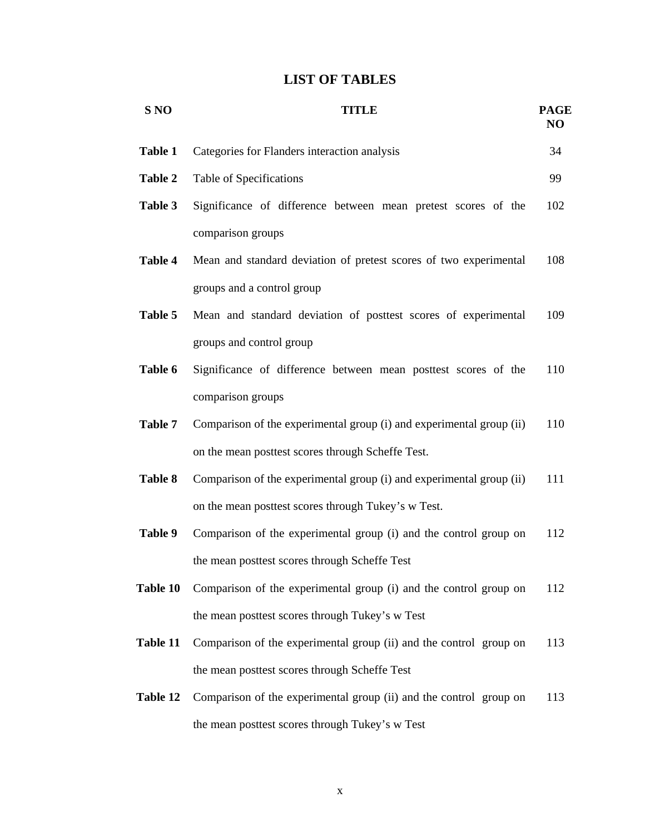# **LIST OF TABLES**

| S <sub>NO</sub> | TITLE                                                                | <b>PAGE</b><br>N <sub>O</sub> |
|-----------------|----------------------------------------------------------------------|-------------------------------|
| Table 1         | Categories for Flanders interaction analysis                         | 34                            |
| Table 2         | Table of Specifications                                              | 99                            |
| Table 3         | Significance of difference between mean pretest scores of the        | 102                           |
|                 | comparison groups                                                    |                               |
| Table 4         | Mean and standard deviation of pretest scores of two experimental    | 108                           |
|                 | groups and a control group                                           |                               |
| Table 5         | Mean and standard deviation of posttest scores of experimental       | 109                           |
|                 | groups and control group                                             |                               |
| Table 6         | Significance of difference between mean posttest scores of the       | 110                           |
|                 | comparison groups                                                    |                               |
| Table 7         | Comparison of the experimental group (i) and experimental group (ii) | 110                           |
|                 | on the mean posttest scores through Scheffe Test.                    |                               |
| Table 8         | Comparison of the experimental group (i) and experimental group (ii) | 111                           |
|                 | on the mean posttest scores through Tukey's w Test.                  |                               |
| Table 9         | Comparison of the experimental group (i) and the control group on    | 112                           |
|                 | the mean posttest scores through Scheffe Test                        |                               |
| Table 10        | Comparison of the experimental group (i) and the control group on    | 112                           |
|                 | the mean posttest scores through Tukey's w Test                      |                               |
| Table 11        | Comparison of the experimental group (ii) and the control group on   | 113                           |
|                 | the mean posttest scores through Scheffe Test                        |                               |
| Table 12        | Comparison of the experimental group (ii) and the control group on   | 113                           |
|                 | the mean posttest scores through Tukey's w Test                      |                               |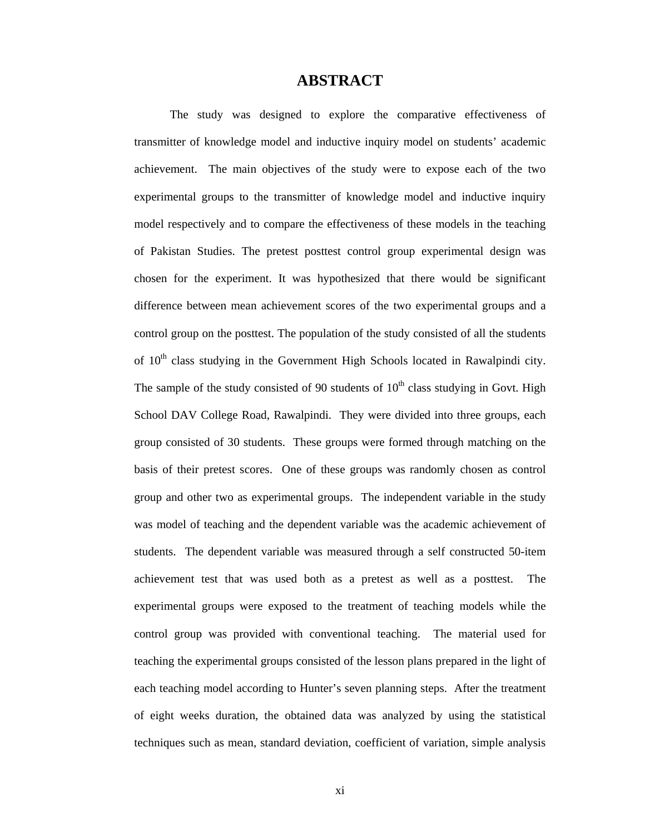### **ABSTRACT**

The study was designed to explore the comparative effectiveness of transmitter of knowledge model and inductive inquiry model on students' academic achievement. The main objectives of the study were to expose each of the two experimental groups to the transmitter of knowledge model and inductive inquiry model respectively and to compare the effectiveness of these models in the teaching of Pakistan Studies. The pretest posttest control group experimental design was chosen for the experiment. It was hypothesized that there would be significant difference between mean achievement scores of the two experimental groups and a control group on the posttest. The population of the study consisted of all the students of  $10<sup>th</sup>$  class studying in the Government High Schools located in Rawalpindi city. The sample of the study consisted of 90 students of  $10<sup>th</sup>$  class studying in Govt. High School DAV College Road, Rawalpindi. They were divided into three groups, each group consisted of 30 students. These groups were formed through matching on the basis of their pretest scores. One of these groups was randomly chosen as control group and other two as experimental groups. The independent variable in the study was model of teaching and the dependent variable was the academic achievement of students. The dependent variable was measured through a self constructed 50-item achievement test that was used both as a pretest as well as a posttest. The experimental groups were exposed to the treatment of teaching models while the control group was provided with conventional teaching. The material used for teaching the experimental groups consisted of the lesson plans prepared in the light of each teaching model according to Hunter's seven planning steps. After the treatment of eight weeks duration, the obtained data was analyzed by using the statistical techniques such as mean, standard deviation, coefficient of variation, simple analysis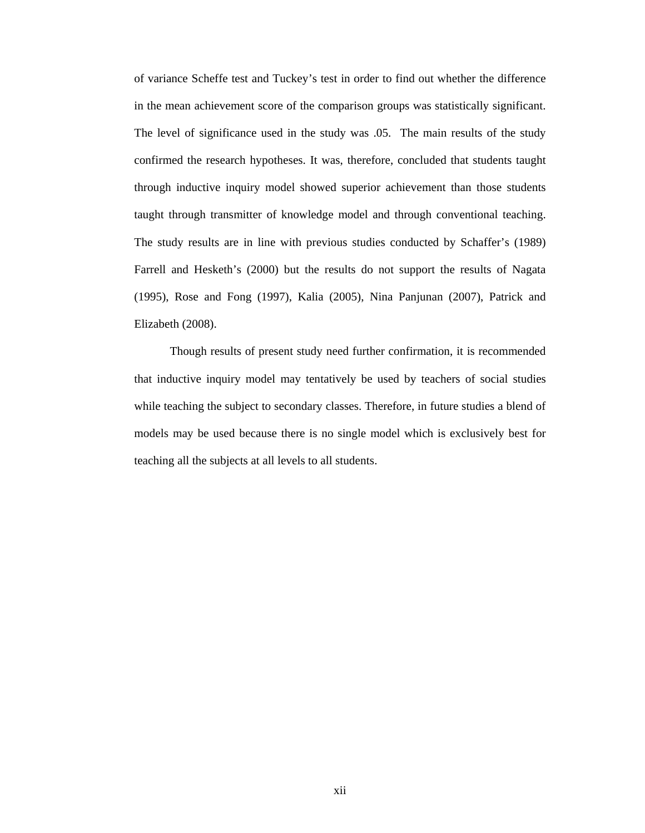of variance Scheffe test and Tuckey's test in order to find out whether the difference in the mean achievement score of the comparison groups was statistically significant. The level of significance used in the study was .05. The main results of the study confirmed the research hypotheses. It was, therefore, concluded that students taught through inductive inquiry model showed superior achievement than those students taught through transmitter of knowledge model and through conventional teaching. The study results are in line with previous studies conducted by Schaffer's (1989) Farrell and Hesketh's (2000) but the results do not support the results of Nagata (1995), Rose and Fong (1997), Kalia (2005), Nina Panjunan (2007), Patrick and Elizabeth (2008).

 Though results of present study need further confirmation, it is recommended that inductive inquiry model may tentatively be used by teachers of social studies while teaching the subject to secondary classes. Therefore, in future studies a blend of models may be used because there is no single model which is exclusively best for teaching all the subjects at all levels to all students.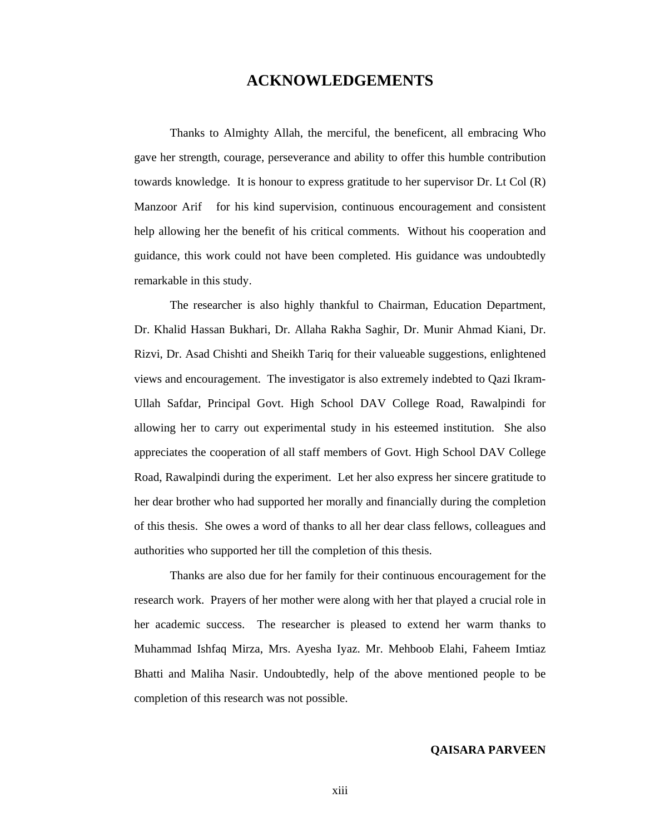## **ACKNOWLEDGEMENTS**

Thanks to Almighty Allah, the merciful, the beneficent, all embracing Who gave her strength, courage, perseverance and ability to offer this humble contribution towards knowledge. It is honour to express gratitude to her supervisor Dr. Lt Col (R) Manzoor Arif for his kind supervision, continuous encouragement and consistent help allowing her the benefit of his critical comments. Without his cooperation and guidance, this work could not have been completed. His guidance was undoubtedly remarkable in this study.

The researcher is also highly thankful to Chairman, Education Department, Dr. Khalid Hassan Bukhari, Dr. Allaha Rakha Saghir, Dr. Munir Ahmad Kiani, Dr. Rizvi, Dr. Asad Chishti and Sheikh Tariq for their valueable suggestions, enlightened views and encouragement. The investigator is also extremely indebted to Qazi Ikram-Ullah Safdar, Principal Govt. High School DAV College Road, Rawalpindi for allowing her to carry out experimental study in his esteemed institution. She also appreciates the cooperation of all staff members of Govt. High School DAV College Road, Rawalpindi during the experiment. Let her also express her sincere gratitude to her dear brother who had supported her morally and financially during the completion of this thesis. She owes a word of thanks to all her dear class fellows, colleagues and authorities who supported her till the completion of this thesis.

 Thanks are also due for her family for their continuous encouragement for the research work. Prayers of her mother were along with her that played a crucial role in her academic success. The researcher is pleased to extend her warm thanks to Muhammad Ishfaq Mirza, Mrs. Ayesha Iyaz. Mr. Mehboob Elahi, Faheem Imtiaz Bhatti and Maliha Nasir. Undoubtedly, help of the above mentioned people to be completion of this research was not possible.

**QAISARA PARVEEN**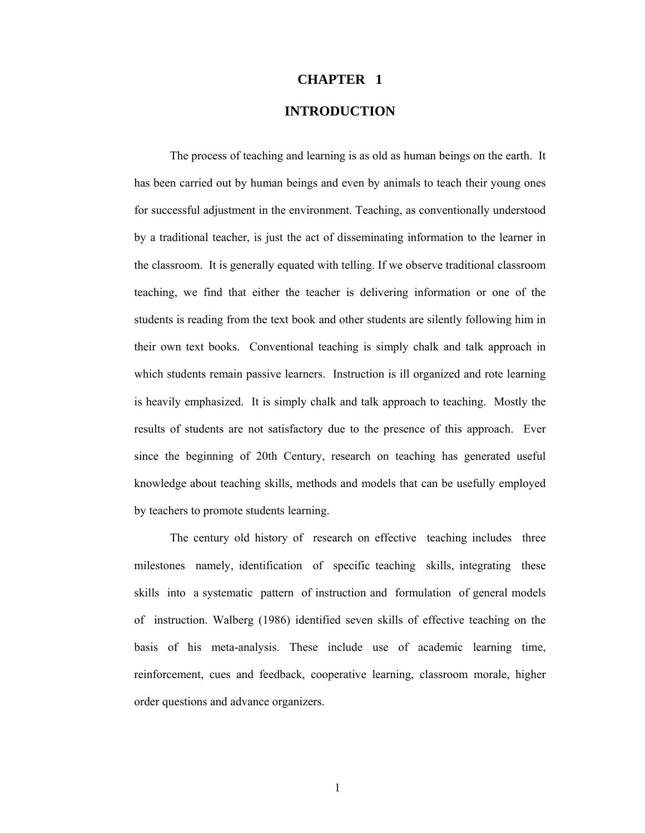#### **CHAPTER 1**

### **INTRODUCTION**

The process of teaching and learning is as old as human beings on the earth. It has been carried out by human beings and even by animals to teach their young ones for successful adjustment in the environment. Teaching, as conventionally understood by a traditional teacher, is just the act of disseminating information to the learner in the classroom. It is generally equated with telling. If we observe traditional classroom teaching, we find that either the teacher is delivering information or one of the students is reading from the text book and other students are silently following him in their own text books. Conventional teaching is simply chalk and talk approach in which students remain passive learners. Instruction is ill organized and rote learning is heavily emphasized. It is simply chalk and talk approach to teaching. Mostly the results of students are not satisfactory due to the presence of this approach. Ever since the beginning of 20th Century, research on teaching has generated useful knowledge about teaching skills, methods and models that can be usefully employed by teachers to promote students learning.

The century old history of research on effective teaching includes three milestones namely, identification of specific teaching skills, integrating these skills into a systematic pattern of instruction and formulation of general models of instruction. Walberg (1986) identified seven skills of effective teaching on the basis of his meta-analysis. These include use of academic learning time, reinforcement, cues and feedback, cooperative learning, classroom morale, higher order questions and advance organizers.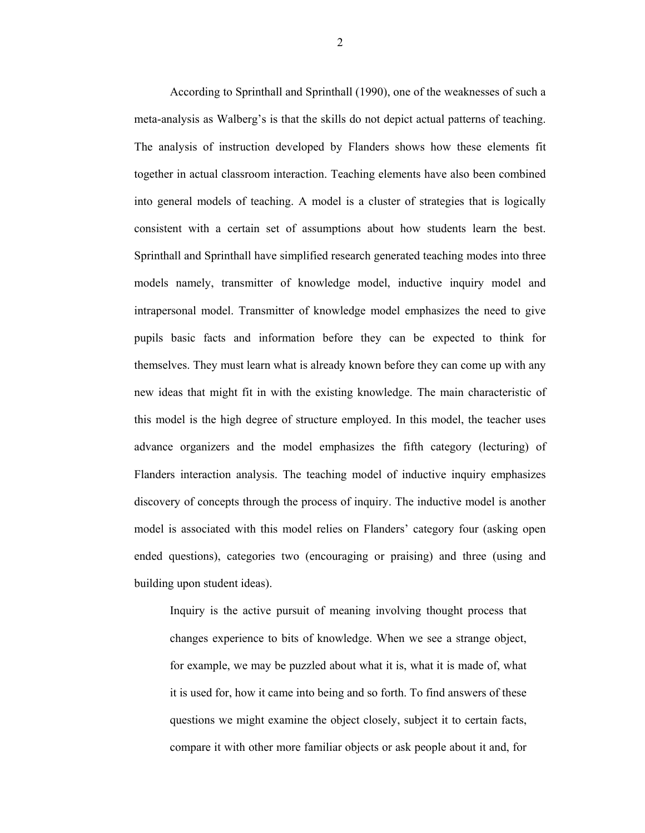According to Sprinthall and Sprinthall (1990), one of the weaknesses of such a meta-analysis as Walberg's is that the skills do not depict actual patterns of teaching. The analysis of instruction developed by Flanders shows how these elements fit together in actual classroom interaction. Teaching elements have also been combined into general models of teaching. A model is a cluster of strategies that is logically consistent with a certain set of assumptions about how students learn the best. Sprinthall and Sprinthall have simplified research generated teaching modes into three models namely, transmitter of knowledge model, inductive inquiry model and intrapersonal model. Transmitter of knowledge model emphasizes the need to give pupils basic facts and information before they can be expected to think for themselves. They must learn what is already known before they can come up with any new ideas that might fit in with the existing knowledge. The main characteristic of this model is the high degree of structure employed. In this model, the teacher uses advance organizers and the model emphasizes the fifth category (lecturing) of Flanders interaction analysis. The teaching model of inductive inquiry emphasizes discovery of concepts through the process of inquiry. The inductive model is another model is associated with this model relies on Flanders' category four (asking open ended questions), categories two (encouraging or praising) and three (using and building upon student ideas).

Inquiry is the active pursuit of meaning involving thought process that changes experience to bits of knowledge. When we see a strange object, for example, we may be puzzled about what it is, what it is made of, what it is used for, how it came into being and so forth. To find answers of these questions we might examine the object closely, subject it to certain facts, compare it with other more familiar objects or ask people about it and, for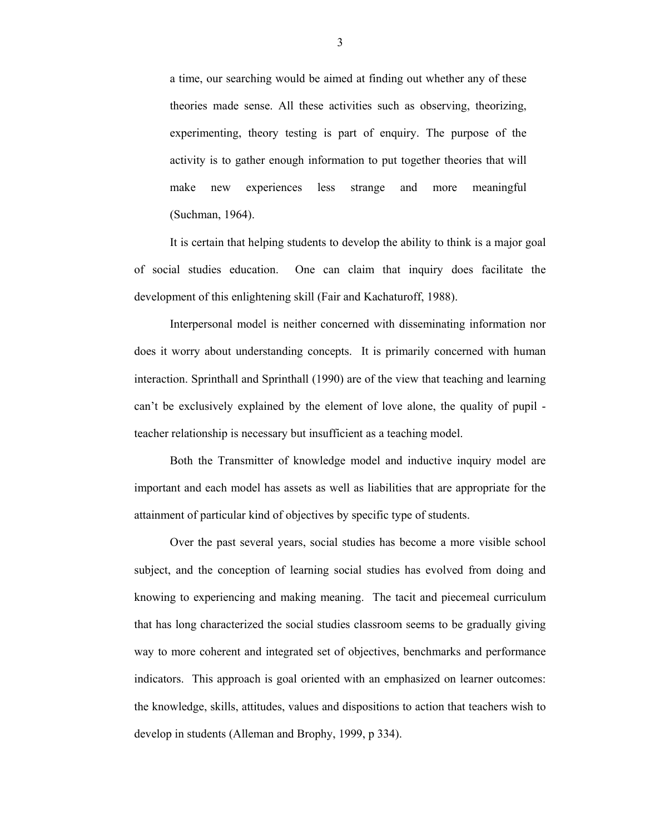a time, our searching would be aimed at finding out whether any of these theories made sense. All these activities such as observing, theorizing, experimenting, theory testing is part of enquiry. The purpose of the activity is to gather enough information to put together theories that will make new experiences less strange and more meaningful (Suchman, 1964).

It is certain that helping students to develop the ability to think is a major goal of social studies education. One can claim that inquiry does facilitate the development of this enlightening skill (Fair and Kachaturoff, 1988).

Interpersonal model is neither concerned with disseminating information nor does it worry about understanding concepts. It is primarily concerned with human interaction. Sprinthall and Sprinthall (1990) are of the view that teaching and learning can't be exclusively explained by the element of love alone, the quality of pupil teacher relationship is necessary but insufficient as a teaching model.

Both the Transmitter of knowledge model and inductive inquiry model are important and each model has assets as well as liabilities that are appropriate for the attainment of particular kind of objectives by specific type of students.

Over the past several years, social studies has become a more visible school subject, and the conception of learning social studies has evolved from doing and knowing to experiencing and making meaning. The tacit and piecemeal curriculum that has long characterized the social studies classroom seems to be gradually giving way to more coherent and integrated set of objectives, benchmarks and performance indicators. This approach is goal oriented with an emphasized on learner outcomes: the knowledge, skills, attitudes, values and dispositions to action that teachers wish to develop in students (Alleman and Brophy, 1999, p 334).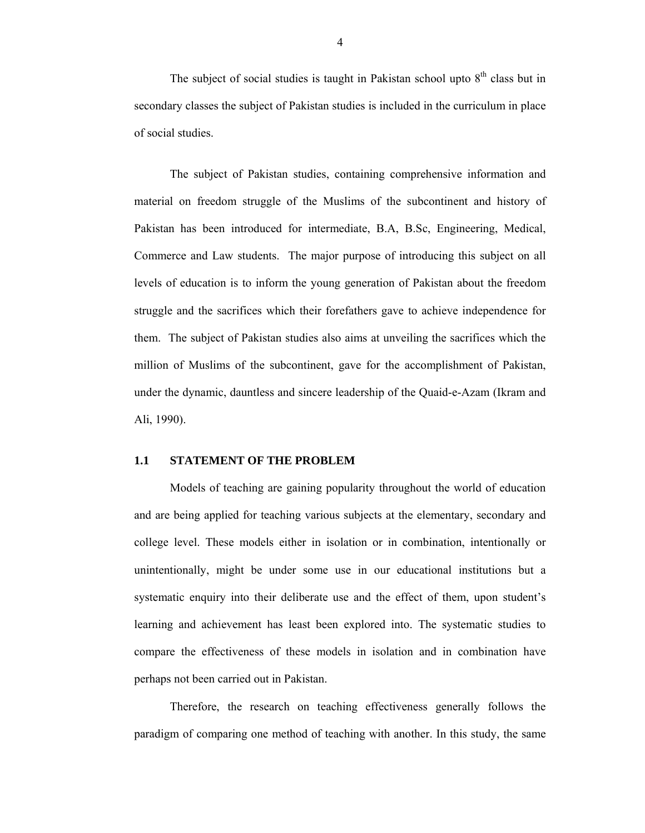The subject of social studies is taught in Pakistan school upto  $8<sup>th</sup>$  class but in secondary classes the subject of Pakistan studies is included in the curriculum in place of social studies.

The subject of Pakistan studies, containing comprehensive information and material on freedom struggle of the Muslims of the subcontinent and history of Pakistan has been introduced for intermediate, B.A, B.Sc, Engineering, Medical, Commerce and Law students. The major purpose of introducing this subject on all levels of education is to inform the young generation of Pakistan about the freedom struggle and the sacrifices which their forefathers gave to achieve independence for them. The subject of Pakistan studies also aims at unveiling the sacrifices which the million of Muslims of the subcontinent, gave for the accomplishment of Pakistan, under the dynamic, dauntless and sincere leadership of the Quaid-e-Azam (Ikram and Ali, 1990).

#### **1.1 STATEMENT OF THE PROBLEM**

Models of teaching are gaining popularity throughout the world of education and are being applied for teaching various subjects at the elementary, secondary and college level. These models either in isolation or in combination, intentionally or unintentionally, might be under some use in our educational institutions but a systematic enquiry into their deliberate use and the effect of them, upon student's learning and achievement has least been explored into. The systematic studies to compare the effectiveness of these models in isolation and in combination have perhaps not been carried out in Pakistan.

Therefore, the research on teaching effectiveness generally follows the paradigm of comparing one method of teaching with another. In this study, the same

4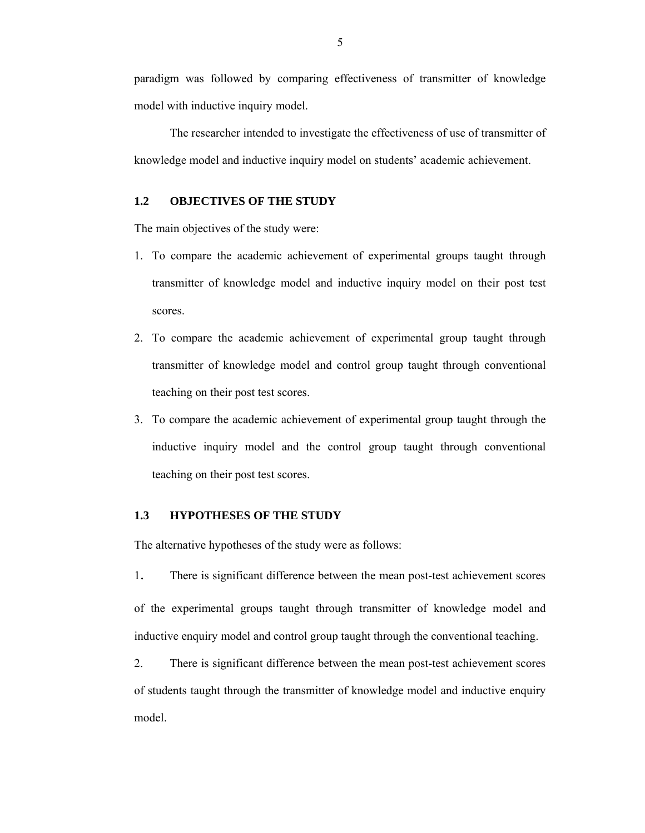paradigm was followed by comparing effectiveness of transmitter of knowledge model with inductive inquiry model.

The researcher intended to investigate the effectiveness of use of transmitter of knowledge model and inductive inquiry model on students' academic achievement.

#### **1.2 OBJECTIVES OF THE STUDY**

The main objectives of the study were:

- 1. To compare the academic achievement of experimental groups taught through transmitter of knowledge model and inductive inquiry model on their post test scores.
- 2. To compare the academic achievement of experimental group taught through transmitter of knowledge model and control group taught through conventional teaching on their post test scores.
- 3. To compare the academic achievement of experimental group taught through the inductive inquiry model and the control group taught through conventional teaching on their post test scores.

#### **1.3 HYPOTHESES OF THE STUDY**

The alternative hypotheses of the study were as follows:

1. There is significant difference between the mean post-test achievement scores of the experimental groups taught through transmitter of knowledge model and inductive enquiry model and control group taught through the conventional teaching.

2. There is significant difference between the mean post-test achievement scores of students taught through the transmitter of knowledge model and inductive enquiry model.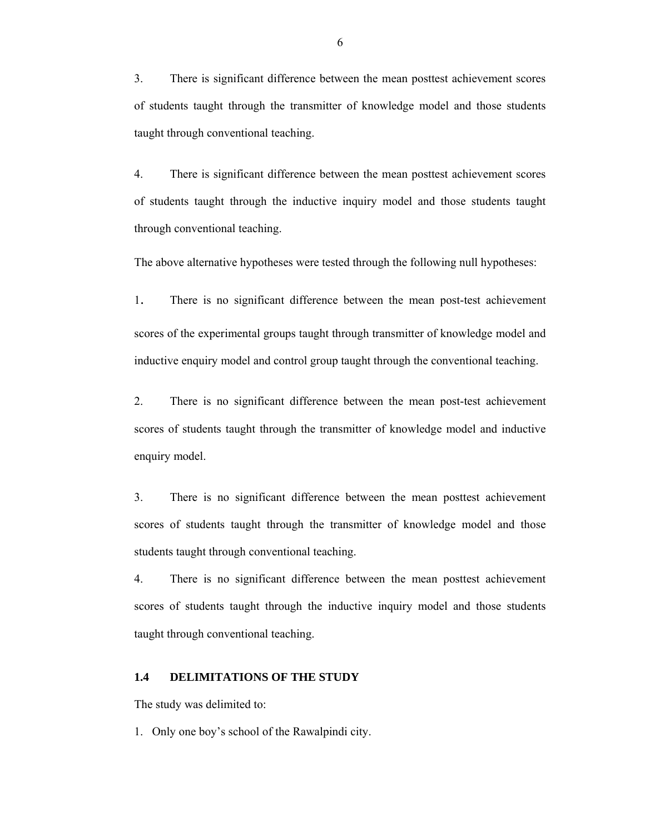3. There is significant difference between the mean posttest achievement scores of students taught through the transmitter of knowledge model and those students taught through conventional teaching.

4. There is significant difference between the mean posttest achievement scores of students taught through the inductive inquiry model and those students taught through conventional teaching.

The above alternative hypotheses were tested through the following null hypotheses:

1. There is no significant difference between the mean post-test achievement scores of the experimental groups taught through transmitter of knowledge model and inductive enquiry model and control group taught through the conventional teaching.

2. There is no significant difference between the mean post-test achievement scores of students taught through the transmitter of knowledge model and inductive enquiry model.

3. There is no significant difference between the mean posttest achievement scores of students taught through the transmitter of knowledge model and those students taught through conventional teaching.

4. There is no significant difference between the mean posttest achievement scores of students taught through the inductive inquiry model and those students taught through conventional teaching.

#### **1.4 DELIMITATIONS OF THE STUDY**

The study was delimited to:

1. Only one boy's school of the Rawalpindi city.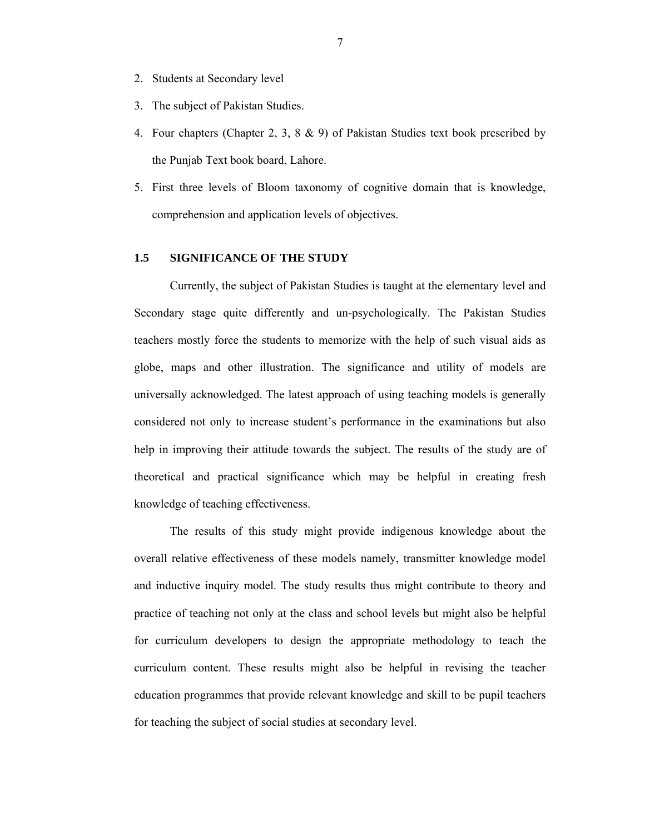- 2. Students at Secondary level
- 3. The subject of Pakistan Studies.
- 4. Four chapters (Chapter 2, 3, 8 & 9) of Pakistan Studies text book prescribed by the Punjab Text book board, Lahore.
- 5. First three levels of Bloom taxonomy of cognitive domain that is knowledge, comprehension and application levels of objectives.

#### **1.5 SIGNIFICANCE OF THE STUDY**

 Currently, the subject of Pakistan Studies is taught at the elementary level and Secondary stage quite differently and un-psychologically. The Pakistan Studies teachers mostly force the students to memorize with the help of such visual aids as globe, maps and other illustration. The significance and utility of models are universally acknowledged. The latest approach of using teaching models is generally considered not only to increase student's performance in the examinations but also help in improving their attitude towards the subject. The results of the study are of theoretical and practical significance which may be helpful in creating fresh knowledge of teaching effectiveness.

The results of this study might provide indigenous knowledge about the overall relative effectiveness of these models namely, transmitter knowledge model and inductive inquiry model. The study results thus might contribute to theory and practice of teaching not only at the class and school levels but might also be helpful for curriculum developers to design the appropriate methodology to teach the curriculum content. These results might also be helpful in revising the teacher education programmes that provide relevant knowledge and skill to be pupil teachers for teaching the subject of social studies at secondary level.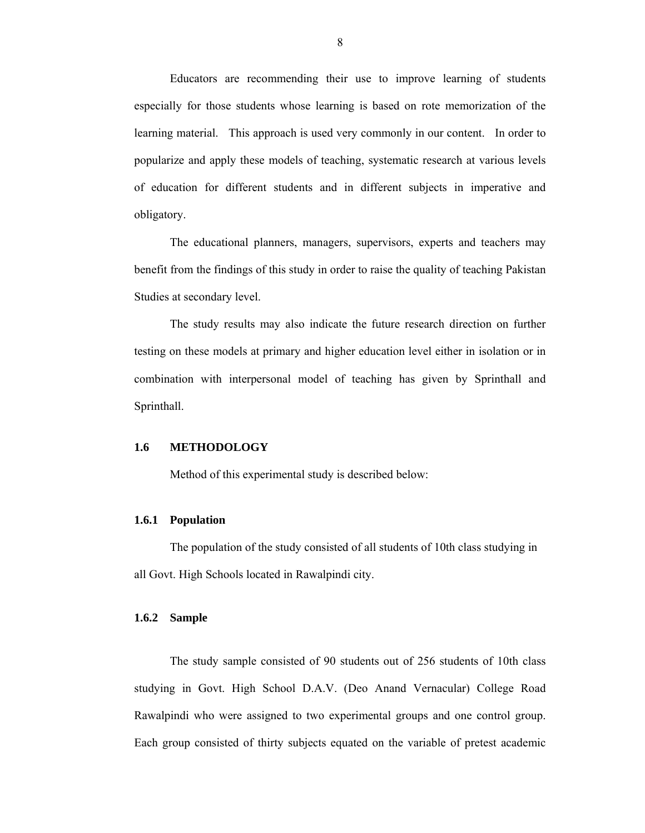Educators are recommending their use to improve learning of students especially for those students whose learning is based on rote memorization of the learning material. This approach is used very commonly in our content. In order to popularize and apply these models of teaching, systematic research at various levels of education for different students and in different subjects in imperative and obligatory.

 The educational planners, managers, supervisors, experts and teachers may benefit from the findings of this study in order to raise the quality of teaching Pakistan Studies at secondary level.

 The study results may also indicate the future research direction on further testing on these models at primary and higher education level either in isolation or in combination with interpersonal model of teaching has given by Sprinthall and Sprinthall.

#### **1.6 METHODOLOGY**

Method of this experimental study is described below:

#### **1.6.1 Population**

The population of the study consisted of all students of 10th class studying in all Govt. High Schools located in Rawalpindi city.

#### **1.6.2 Sample**

The study sample consisted of 90 students out of 256 students of 10th class studying in Govt. High School D.A.V. (Deo Anand Vernacular) College Road Rawalpindi who were assigned to two experimental groups and one control group. Each group consisted of thirty subjects equated on the variable of pretest academic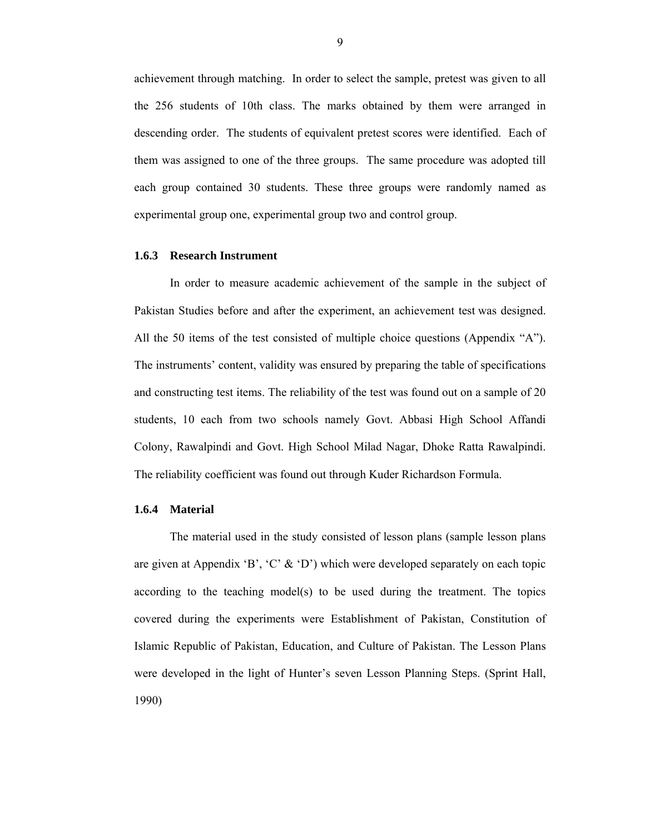achievement through matching. In order to select the sample, pretest was given to all the 256 students of 10th class. The marks obtained by them were arranged in descending order. The students of equivalent pretest scores were identified. Each of them was assigned to one of the three groups. The same procedure was adopted till each group contained 30 students. These three groups were randomly named as experimental group one, experimental group two and control group.

#### **1.6.3 Research Instrument**

 In order to measure academic achievement of the sample in the subject of Pakistan Studies before and after the experiment, an achievement test was designed. All the 50 items of the test consisted of multiple choice questions (Appendix "A"). The instruments' content, validity was ensured by preparing the table of specifications and constructing test items. The reliability of the test was found out on a sample of 20 students, 10 each from two schools namely Govt. Abbasi High School Affandi Colony, Rawalpindi and Govt. High School Milad Nagar, Dhoke Ratta Rawalpindi. The reliability coefficient was found out through Kuder Richardson Formula.

#### **1.6.4 Material**

 The material used in the study consisted of lesson plans (sample lesson plans are given at Appendix 'B', 'C'  $\&$  'D') which were developed separately on each topic according to the teaching model(s) to be used during the treatment. The topics covered during the experiments were Establishment of Pakistan, Constitution of Islamic Republic of Pakistan, Education, and Culture of Pakistan. The Lesson Plans were developed in the light of Hunter's seven Lesson Planning Steps. (Sprint Hall, 1990)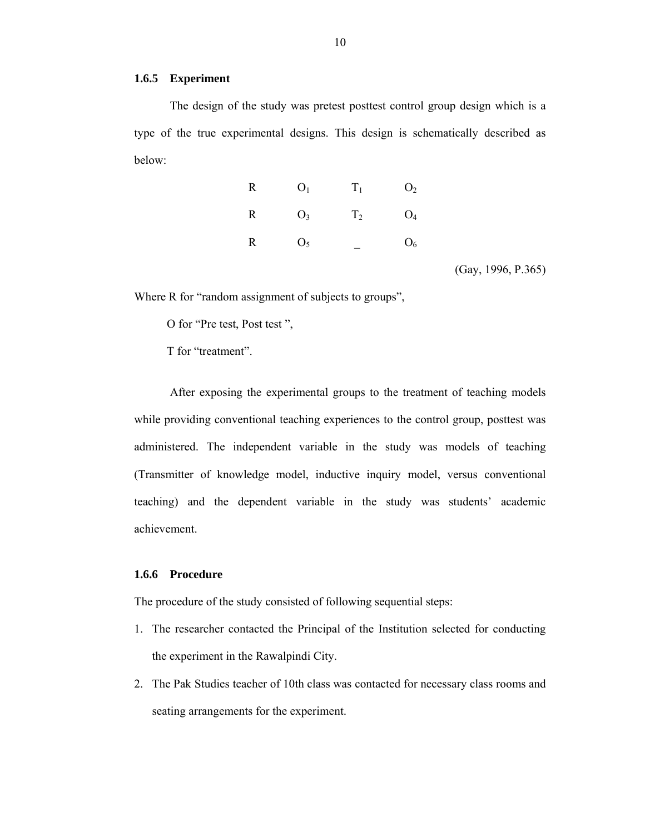#### **1.6.5 Experiment**

 The design of the study was pretest posttest control group design which is a type of the true experimental designs. This design is schematically described as below:

| $\mathbb{R}$ | O <sub>1</sub> | $T_1$ | O <sub>2</sub> |
|--------------|----------------|-------|----------------|
| $\mathbf R$  | $O_3$          | $T_2$ | $\mathrm{O}_4$ |
| $\mathbb{R}$ | O <sub>5</sub> |       | O <sub>6</sub> |

(Gay, 1996, P.365)

Where R for "random assignment of subjects to groups",

O for "Pre test, Post test ",

T for "treatment".

After exposing the experimental groups to the treatment of teaching models while providing conventional teaching experiences to the control group, posttest was administered. The independent variable in the study was models of teaching (Transmitter of knowledge model, inductive inquiry model, versus conventional teaching) and the dependent variable in the study was students' academic achievement.

#### **1.6.6 Procedure**

The procedure of the study consisted of following sequential steps:

- 1. The researcher contacted the Principal of the Institution selected for conducting the experiment in the Rawalpindi City.
- 2. The Pak Studies teacher of 10th class was contacted for necessary class rooms and seating arrangements for the experiment.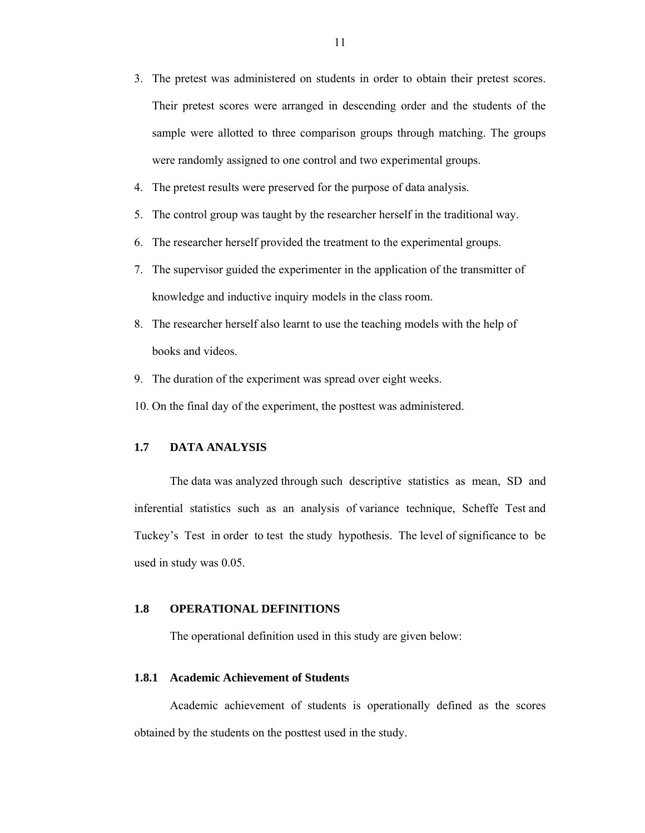- 3. The pretest was administered on students in order to obtain their pretest scores. Their pretest scores were arranged in descending order and the students of the sample were allotted to three comparison groups through matching. The groups were randomly assigned to one control and two experimental groups.
- 4. The pretest results were preserved for the purpose of data analysis.
- 5. The control group was taught by the researcher herself in the traditional way.
- 6. The researcher herself provided the treatment to the experimental groups.
- 7. The supervisor guided the experimenter in the application of the transmitter of knowledge and inductive inquiry models in the class room.
- 8. The researcher herself also learnt to use the teaching models with the help of books and videos.
- 9. The duration of the experiment was spread over eight weeks.
- 10. On the final day of the experiment, the posttest was administered.

#### **1.7 DATA ANALYSIS**

The data was analyzed through such descriptive statistics as mean, SD and inferential statistics such as an analysis of variance technique, Scheffe Test and Tuckey's Test in order to test the study hypothesis. The level of significance to be used in study was 0.05.

#### **1.8 OPERATIONAL DEFINITIONS**

The operational definition used in this study are given below:

#### **1.8.1 Academic Achievement of Students**

 Academic achievement of students is operationally defined as the scores obtained by the students on the posttest used in the study.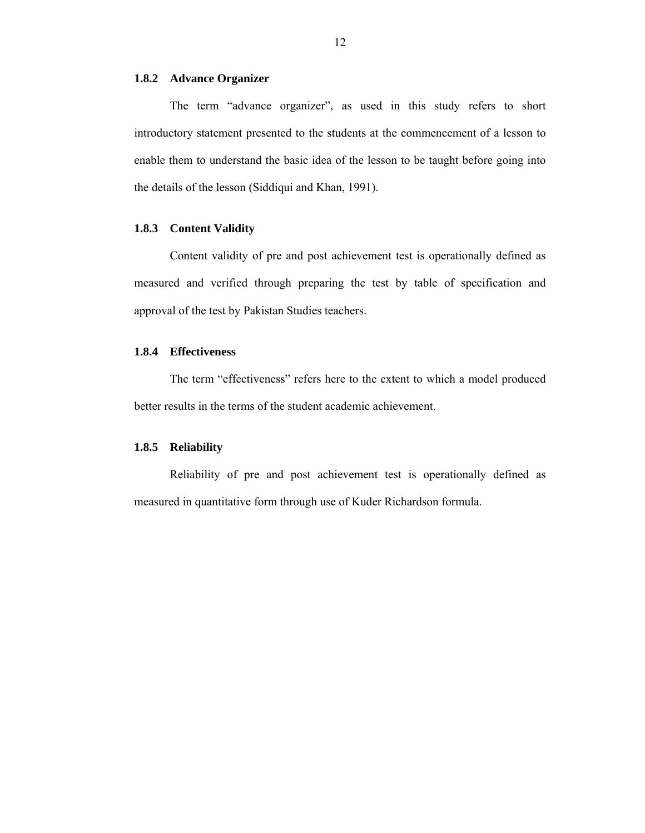#### **1.8.2 Advance Organizer**

The term "advance organizer", as used in this study refers to short introductory statement presented to the students at the commencement of a lesson to enable them to understand the basic idea of the lesson to be taught before going into the details of the lesson (Siddiqui and Khan, 1991).

#### **1.8.3 Content Validity**

Content validity of pre and post achievement test is operationally defined as measured and verified through preparing the test by table of specification and approval of the test by Pakistan Studies teachers.

#### **1.8.4 Effectiveness**

The term "effectiveness" refers here to the extent to which a model produced better results in the terms of the student academic achievement.

#### **1.8.5 Reliability**

 Reliability of pre and post achievement test is operationally defined as measured in quantitative form through use of Kuder Richardson formula.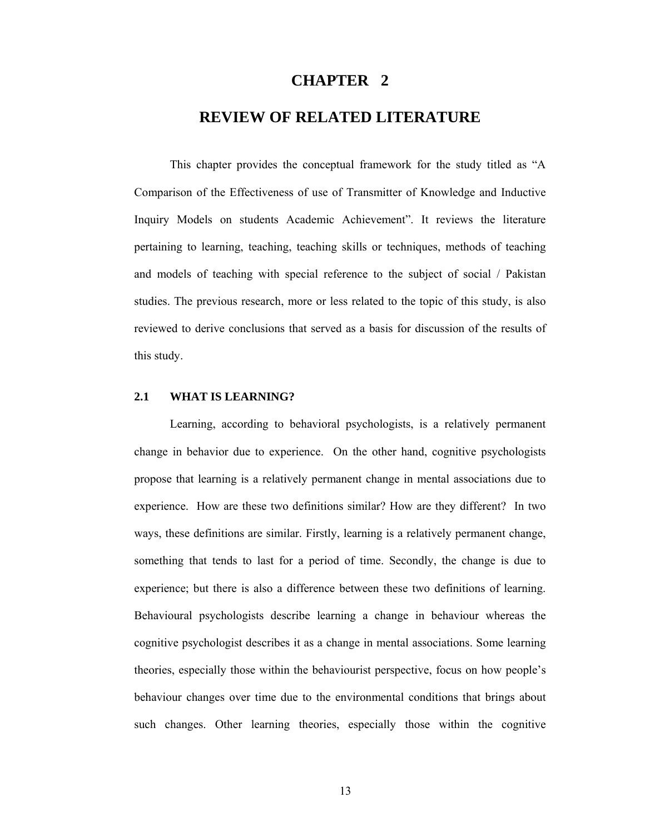### **CHAPTER 2**

# **REVIEW OF RELATED LITERATURE**

This chapter provides the conceptual framework for the study titled as "A Comparison of the Effectiveness of use of Transmitter of Knowledge and Inductive Inquiry Models on students Academic Achievement". It reviews the literature pertaining to learning, teaching, teaching skills or techniques, methods of teaching and models of teaching with special reference to the subject of social / Pakistan studies. The previous research, more or less related to the topic of this study, is also reviewed to derive conclusions that served as a basis for discussion of the results of this study.

#### **2.1 WHAT IS LEARNING?**

Learning, according to behavioral psychologists, is a relatively permanent change in behavior due to experience. On the other hand, cognitive psychologists propose that learning is a relatively permanent change in mental associations due to experience. How are these two definitions similar? How are they different? In two ways, these definitions are similar. Firstly, learning is a relatively permanent change, something that tends to last for a period of time. Secondly, the change is due to experience; but there is also a difference between these two definitions of learning. Behavioural psychologists describe learning a change in behaviour whereas the cognitive psychologist describes it as a change in mental associations. Some learning theories, especially those within the behaviourist perspective, focus on how people's behaviour changes over time due to the environmental conditions that brings about such changes. Other learning theories, especially those within the cognitive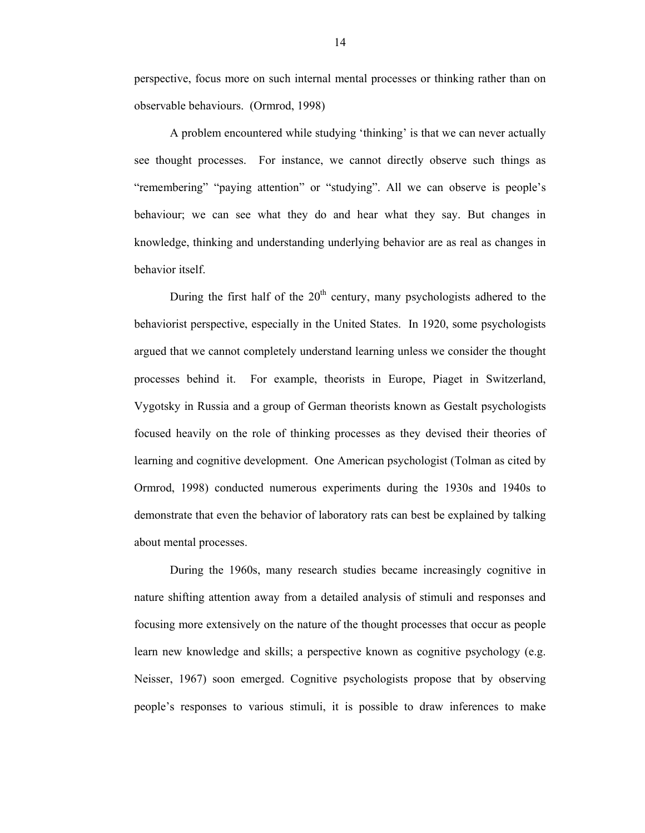perspective, focus more on such internal mental processes or thinking rather than on observable behaviours. (Ormrod, 1998)

 A problem encountered while studying 'thinking' is that we can never actually see thought processes. For instance, we cannot directly observe such things as "remembering" "paying attention" or "studying". All we can observe is people's behaviour; we can see what they do and hear what they say. But changes in knowledge, thinking and understanding underlying behavior are as real as changes in behavior itself.

During the first half of the  $20<sup>th</sup>$  century, many psychologists adhered to the behaviorist perspective, especially in the United States. In 1920, some psychologists argued that we cannot completely understand learning unless we consider the thought processes behind it. For example, theorists in Europe, Piaget in Switzerland, Vygotsky in Russia and a group of German theorists known as Gestalt psychologists focused heavily on the role of thinking processes as they devised their theories of learning and cognitive development. One American psychologist (Tolman as cited by Ormrod, 1998) conducted numerous experiments during the 1930s and 1940s to demonstrate that even the behavior of laboratory rats can best be explained by talking about mental processes.

During the 1960s, many research studies became increasingly cognitive in nature shifting attention away from a detailed analysis of stimuli and responses and focusing more extensively on the nature of the thought processes that occur as people learn new knowledge and skills; a perspective known as cognitive psychology (e.g. Neisser, 1967) soon emerged. Cognitive psychologists propose that by observing people's responses to various stimuli, it is possible to draw inferences to make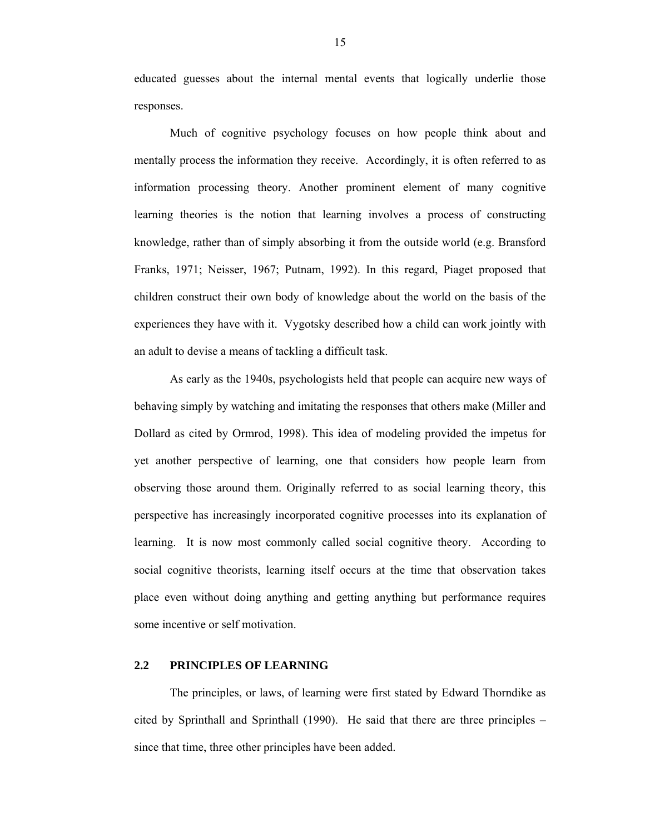educated guesses about the internal mental events that logically underlie those responses.

Much of cognitive psychology focuses on how people think about and mentally process the information they receive. Accordingly, it is often referred to as information processing theory. Another prominent element of many cognitive learning theories is the notion that learning involves a process of constructing knowledge, rather than of simply absorbing it from the outside world (e.g. Bransford Franks, 1971; Neisser, 1967; Putnam, 1992). In this regard, Piaget proposed that children construct their own body of knowledge about the world on the basis of the experiences they have with it. Vygotsky described how a child can work jointly with an adult to devise a means of tackling a difficult task.

As early as the 1940s, psychologists held that people can acquire new ways of behaving simply by watching and imitating the responses that others make (Miller and Dollard as cited by Ormrod, 1998). This idea of modeling provided the impetus for yet another perspective of learning, one that considers how people learn from observing those around them. Originally referred to as social learning theory, this perspective has increasingly incorporated cognitive processes into its explanation of learning. It is now most commonly called social cognitive theory. According to social cognitive theorists, learning itself occurs at the time that observation takes place even without doing anything and getting anything but performance requires some incentive or self motivation.

### **2.2 PRINCIPLES OF LEARNING**

The principles, or laws, of learning were first stated by Edward Thorndike as cited by Sprinthall and Sprinthall (1990). He said that there are three principles – since that time, three other principles have been added.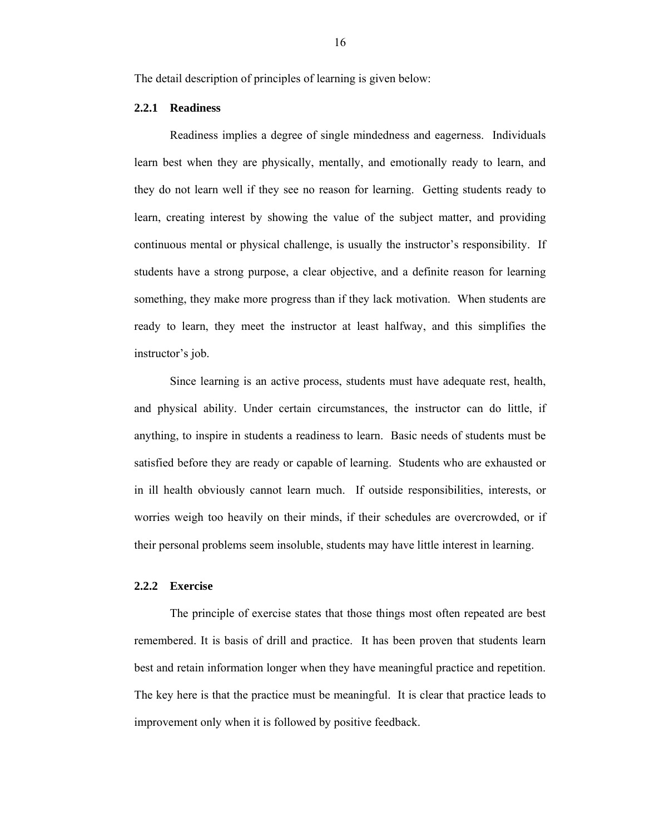The detail description of principles of learning is given below:

#### **2.2.1 Readiness**

Readiness implies a degree of single mindedness and eagerness. Individuals learn best when they are physically, mentally, and emotionally ready to learn, and they do not learn well if they see no reason for learning. Getting students ready to learn, creating interest by showing the value of the subject matter, and providing continuous mental or physical challenge, is usually the instructor's responsibility. If students have a strong purpose, a clear objective, and a definite reason for learning something, they make more progress than if they lack motivation. When students are ready to learn, they meet the instructor at least halfway, and this simplifies the instructor's job.

Since learning is an active process, students must have adequate rest, health, and physical ability. Under certain circumstances, the instructor can do little, if anything, to inspire in students a readiness to learn. Basic needs of students must be satisfied before they are ready or capable of learning. Students who are exhausted or in ill health obviously cannot learn much. If outside responsibilities, interests, or worries weigh too heavily on their minds, if their schedules are overcrowded, or if their personal problems seem insoluble, students may have little interest in learning.

#### **2.2.2 Exercise**

The principle of exercise states that those things most often repeated are best remembered. It is basis of drill and practice. It has been proven that students learn best and retain information longer when they have meaningful practice and repetition. The key here is that the practice must be meaningful. It is clear that practice leads to improvement only when it is followed by positive feedback.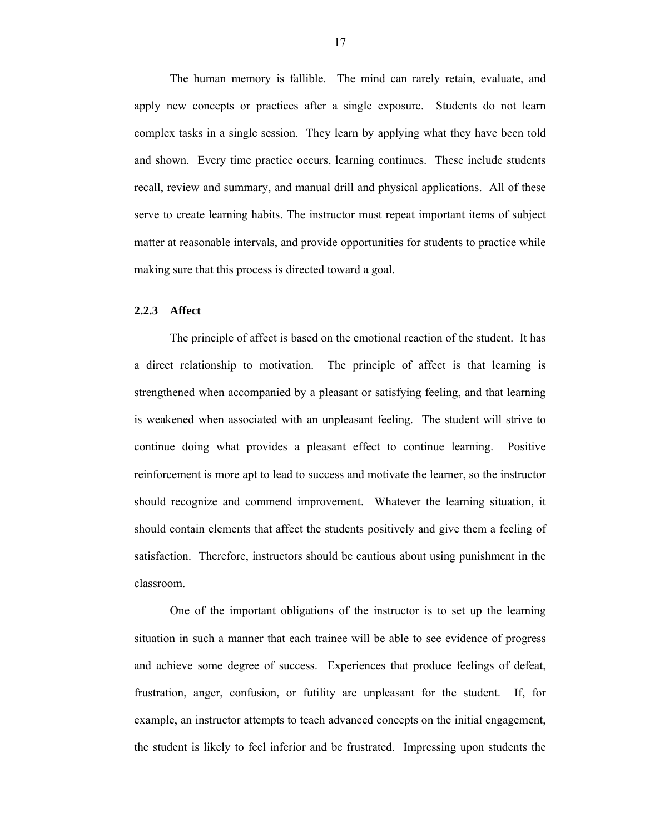The human memory is fallible. The mind can rarely retain, evaluate, and apply new concepts or practices after a single exposure. Students do not learn complex tasks in a single session. They learn by applying what they have been told and shown. Every time practice occurs, learning continues. These include students recall, review and summary, and manual drill and physical applications. All of these serve to create learning habits. The instructor must repeat important items of subject matter at reasonable intervals, and provide opportunities for students to practice while making sure that this process is directed toward a goal.

#### **2.2.3 Affect**

The principle of affect is based on the emotional reaction of the student. It has a direct relationship to motivation. The principle of affect is that learning is strengthened when accompanied by a pleasant or satisfying feeling, and that learning is weakened when associated with an unpleasant feeling. The student will strive to continue doing what provides a pleasant effect to continue learning. Positive reinforcement is more apt to lead to success and motivate the learner, so the instructor should recognize and commend improvement. Whatever the learning situation, it should contain elements that affect the students positively and give them a feeling of satisfaction. Therefore, instructors should be cautious about using punishment in the classroom.

One of the important obligations of the instructor is to set up the learning situation in such a manner that each trainee will be able to see evidence of progress and achieve some degree of success. Experiences that produce feelings of defeat, frustration, anger, confusion, or futility are unpleasant for the student. If, for example, an instructor attempts to teach advanced concepts on the initial engagement, the student is likely to feel inferior and be frustrated. Impressing upon students the

17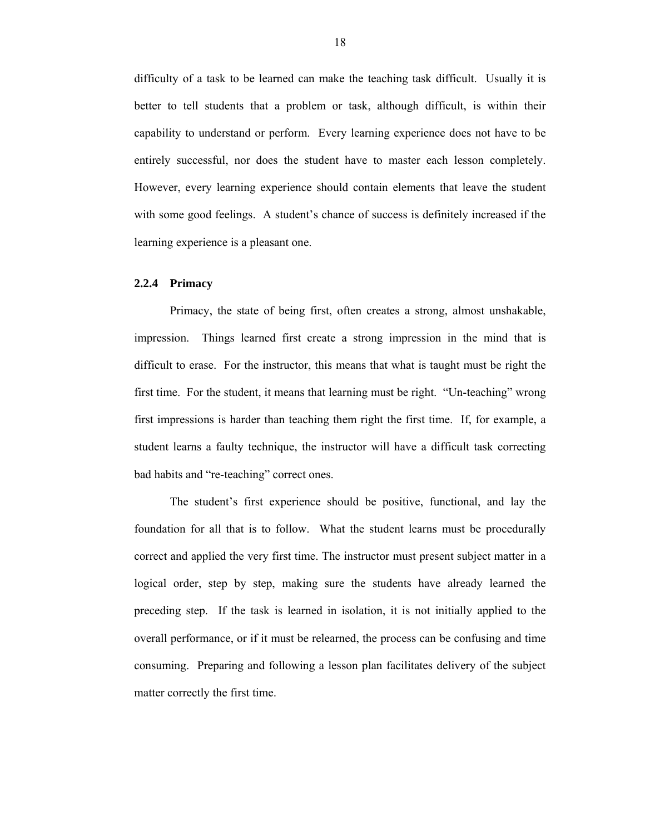difficulty of a task to be learned can make the teaching task difficult. Usually it is better to tell students that a problem or task, although difficult, is within their capability to understand or perform. Every learning experience does not have to be entirely successful, nor does the student have to master each lesson completely. However, every learning experience should contain elements that leave the student with some good feelings. A student's chance of success is definitely increased if the learning experience is a pleasant one.

#### **2.2.4 Primacy**

 Primacy, the state of being first, often creates a strong, almost unshakable, impression. Things learned first create a strong impression in the mind that is difficult to erase. For the instructor, this means that what is taught must be right the first time. For the student, it means that learning must be right. "Un-teaching" wrong first impressions is harder than teaching them right the first time. If, for example, a student learns a faulty technique, the instructor will have a difficult task correcting bad habits and "re-teaching" correct ones.

The student's first experience should be positive, functional, and lay the foundation for all that is to follow. What the student learns must be procedurally correct and applied the very first time. The instructor must present subject matter in a logical order, step by step, making sure the students have already learned the preceding step. If the task is learned in isolation, it is not initially applied to the overall performance, or if it must be relearned, the process can be confusing and time consuming. Preparing and following a lesson plan facilitates delivery of the subject matter correctly the first time.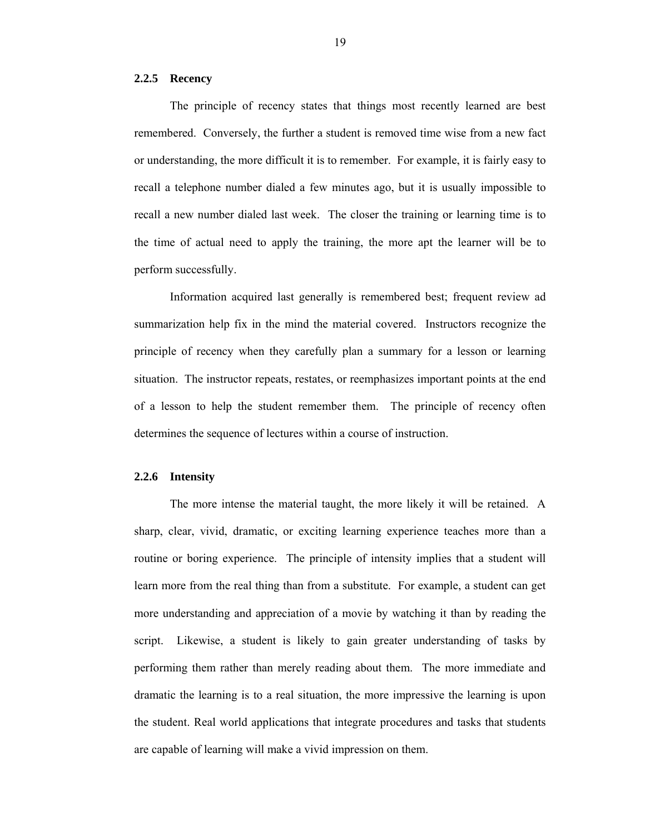#### **2.2.5 Recency**

 The principle of recency states that things most recently learned are best remembered. Conversely, the further a student is removed time wise from a new fact or understanding, the more difficult it is to remember. For example, it is fairly easy to recall a telephone number dialed a few minutes ago, but it is usually impossible to recall a new number dialed last week. The closer the training or learning time is to the time of actual need to apply the training, the more apt the learner will be to perform successfully.

 Information acquired last generally is remembered best; frequent review ad summarization help fix in the mind the material covered. Instructors recognize the principle of recency when they carefully plan a summary for a lesson or learning situation. The instructor repeats, restates, or reemphasizes important points at the end of a lesson to help the student remember them. The principle of recency often determines the sequence of lectures within a course of instruction.

#### **2.2.6 Intensity**

 The more intense the material taught, the more likely it will be retained. A sharp, clear, vivid, dramatic, or exciting learning experience teaches more than a routine or boring experience. The principle of intensity implies that a student will learn more from the real thing than from a substitute. For example, a student can get more understanding and appreciation of a movie by watching it than by reading the script. Likewise, a student is likely to gain greater understanding of tasks by performing them rather than merely reading about them. The more immediate and dramatic the learning is to a real situation, the more impressive the learning is upon the student. Real world applications that integrate procedures and tasks that students are capable of learning will make a vivid impression on them.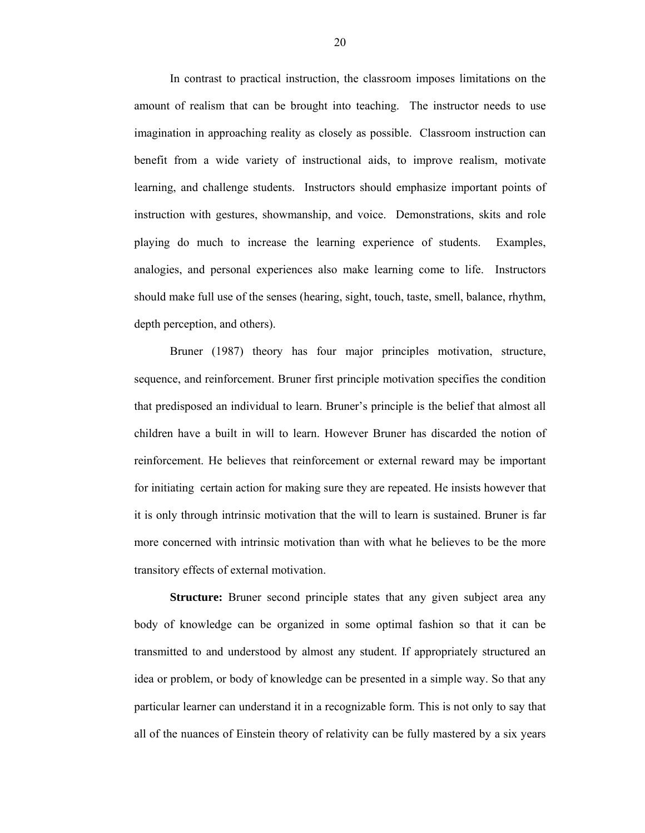In contrast to practical instruction, the classroom imposes limitations on the amount of realism that can be brought into teaching. The instructor needs to use imagination in approaching reality as closely as possible. Classroom instruction can benefit from a wide variety of instructional aids, to improve realism, motivate learning, and challenge students. Instructors should emphasize important points of instruction with gestures, showmanship, and voice. Demonstrations, skits and role playing do much to increase the learning experience of students. Examples, analogies, and personal experiences also make learning come to life. Instructors should make full use of the senses (hearing, sight, touch, taste, smell, balance, rhythm, depth perception, and others).

Bruner (1987) theory has four major principles motivation, structure, sequence, and reinforcement. Bruner first principle motivation specifies the condition that predisposed an individual to learn. Bruner's principle is the belief that almost all children have a built in will to learn. However Bruner has discarded the notion of reinforcement. He believes that reinforcement or external reward may be important for initiating certain action for making sure they are repeated. He insists however that it is only through intrinsic motivation that the will to learn is sustained. Bruner is far more concerned with intrinsic motivation than with what he believes to be the more transitory effects of external motivation.

**Structure:** Bruner second principle states that any given subject area any body of knowledge can be organized in some optimal fashion so that it can be transmitted to and understood by almost any student. If appropriately structured an idea or problem, or body of knowledge can be presented in a simple way. So that any particular learner can understand it in a recognizable form. This is not only to say that all of the nuances of Einstein theory of relativity can be fully mastered by a six years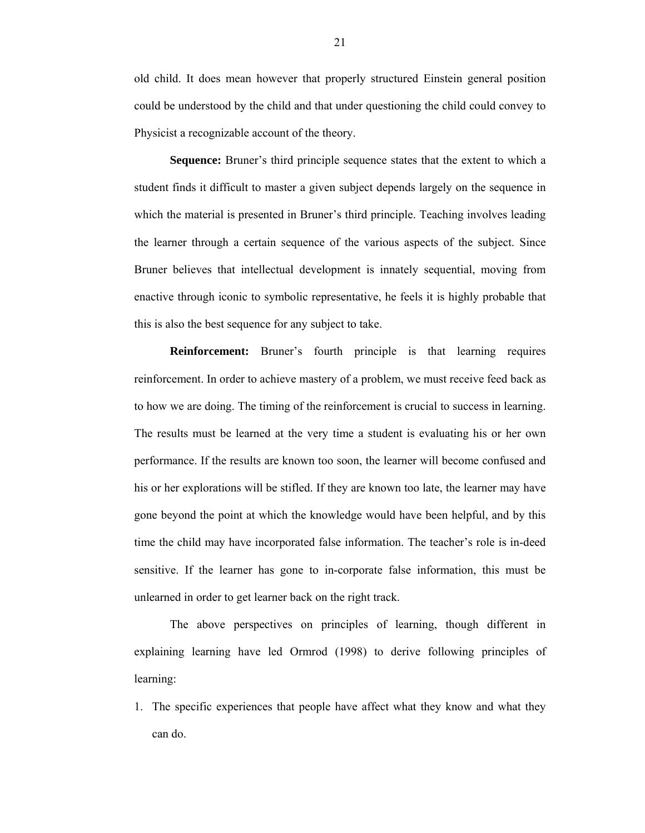old child. It does mean however that properly structured Einstein general position could be understood by the child and that under questioning the child could convey to Physicist a recognizable account of the theory.

**Sequence:** Bruner's third principle sequence states that the extent to which a student finds it difficult to master a given subject depends largely on the sequence in which the material is presented in Bruner's third principle. Teaching involves leading the learner through a certain sequence of the various aspects of the subject. Since Bruner believes that intellectual development is innately sequential, moving from enactive through iconic to symbolic representative, he feels it is highly probable that this is also the best sequence for any subject to take.

**Reinforcement:** Bruner's fourth principle is that learning requires reinforcement. In order to achieve mastery of a problem, we must receive feed back as to how we are doing. The timing of the reinforcement is crucial to success in learning. The results must be learned at the very time a student is evaluating his or her own performance. If the results are known too soon, the learner will become confused and his or her explorations will be stifled. If they are known too late, the learner may have gone beyond the point at which the knowledge would have been helpful, and by this time the child may have incorporated false information. The teacher's role is in-deed sensitive. If the learner has gone to in-corporate false information, this must be unlearned in order to get learner back on the right track.

The above perspectives on principles of learning, though different in explaining learning have led Ormrod (1998) to derive following principles of learning:

1. The specific experiences that people have affect what they know and what they can do.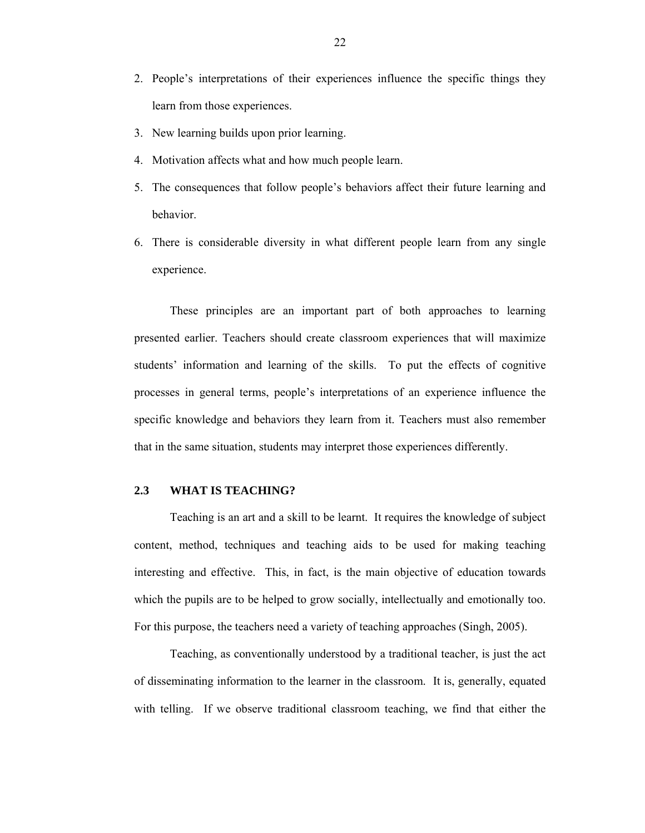- 2. People's interpretations of their experiences influence the specific things they learn from those experiences.
- 3. New learning builds upon prior learning.
- 4. Motivation affects what and how much people learn.
- 5. The consequences that follow people's behaviors affect their future learning and behavior.
- 6. There is considerable diversity in what different people learn from any single experience.

These principles are an important part of both approaches to learning presented earlier. Teachers should create classroom experiences that will maximize students' information and learning of the skills. To put the effects of cognitive processes in general terms, people's interpretations of an experience influence the specific knowledge and behaviors they learn from it. Teachers must also remember that in the same situation, students may interpret those experiences differently.

#### **2.3 WHAT IS TEACHING?**

Teaching is an art and a skill to be learnt. It requires the knowledge of subject content, method, techniques and teaching aids to be used for making teaching interesting and effective. This, in fact, is the main objective of education towards which the pupils are to be helped to grow socially, intellectually and emotionally too. For this purpose, the teachers need a variety of teaching approaches (Singh, 2005).

Teaching, as conventionally understood by a traditional teacher, is just the act of disseminating information to the learner in the classroom. It is, generally, equated with telling. If we observe traditional classroom teaching, we find that either the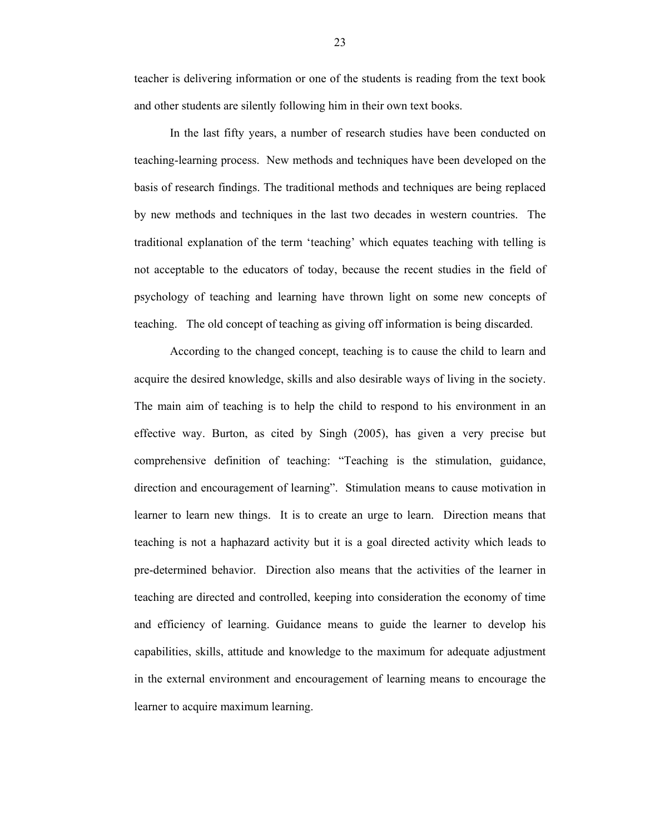teacher is delivering information or one of the students is reading from the text book and other students are silently following him in their own text books.

 In the last fifty years, a number of research studies have been conducted on teaching-learning process. New methods and techniques have been developed on the basis of research findings. The traditional methods and techniques are being replaced by new methods and techniques in the last two decades in western countries. The traditional explanation of the term 'teaching' which equates teaching with telling is not acceptable to the educators of today, because the recent studies in the field of psychology of teaching and learning have thrown light on some new concepts of teaching. The old concept of teaching as giving off information is being discarded.

 According to the changed concept, teaching is to cause the child to learn and acquire the desired knowledge, skills and also desirable ways of living in the society. The main aim of teaching is to help the child to respond to his environment in an effective way. Burton, as cited by Singh (2005), has given a very precise but comprehensive definition of teaching: "Teaching is the stimulation, guidance, direction and encouragement of learning". Stimulation means to cause motivation in learner to learn new things. It is to create an urge to learn. Direction means that teaching is not a haphazard activity but it is a goal directed activity which leads to pre-determined behavior. Direction also means that the activities of the learner in teaching are directed and controlled, keeping into consideration the economy of time and efficiency of learning. Guidance means to guide the learner to develop his capabilities, skills, attitude and knowledge to the maximum for adequate adjustment in the external environment and encouragement of learning means to encourage the learner to acquire maximum learning.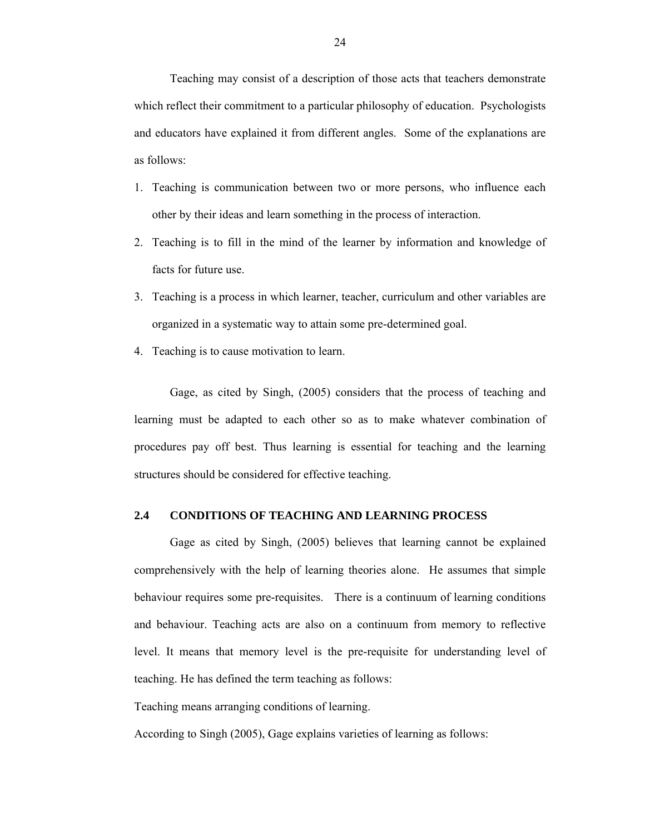Teaching may consist of a description of those acts that teachers demonstrate which reflect their commitment to a particular philosophy of education. Psychologists and educators have explained it from different angles. Some of the explanations are as follows:

- 1. Teaching is communication between two or more persons, who influence each other by their ideas and learn something in the process of interaction.
- 2. Teaching is to fill in the mind of the learner by information and knowledge of facts for future use.
- 3. Teaching is a process in which learner, teacher, curriculum and other variables are organized in a systematic way to attain some pre-determined goal.
- 4. Teaching is to cause motivation to learn.

 Gage, as cited by Singh, (2005) considers that the process of teaching and learning must be adapted to each other so as to make whatever combination of procedures pay off best. Thus learning is essential for teaching and the learning structures should be considered for effective teaching.

# **2.4 CONDITIONS OF TEACHING AND LEARNING PROCESS**

Gage as cited by Singh, (2005) believes that learning cannot be explained comprehensively with the help of learning theories alone. He assumes that simple behaviour requires some pre-requisites. There is a continuum of learning conditions and behaviour. Teaching acts are also on a continuum from memory to reflective level. It means that memory level is the pre-requisite for understanding level of teaching. He has defined the term teaching as follows:

Teaching means arranging conditions of learning.

According to Singh (2005), Gage explains varieties of learning as follows: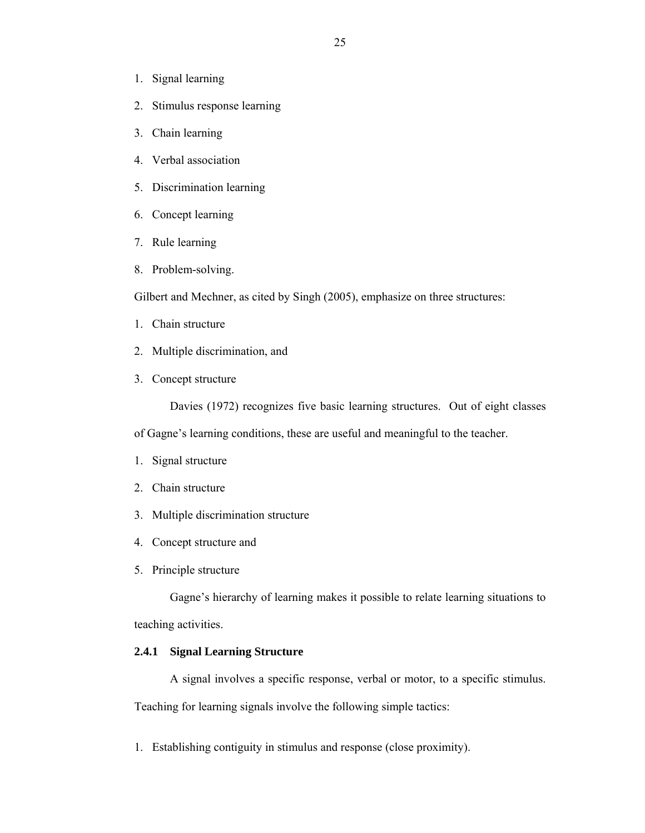- 1. Signal learning
- 2. Stimulus response learning
- 3. Chain learning
- 4. Verbal association
- 5. Discrimination learning
- 6. Concept learning
- 7. Rule learning
- 8. Problem-solving.

Gilbert and Mechner, as cited by Singh (2005), emphasize on three structures:

- 1. Chain structure
- 2. Multiple discrimination, and
- 3. Concept structure

Davies (1972) recognizes five basic learning structures. Out of eight classes

of Gagne's learning conditions, these are useful and meaningful to the teacher.

- 1. Signal structure
- 2. Chain structure
- 3. Multiple discrimination structure
- 4. Concept structure and
- 5. Principle structure

 Gagne's hierarchy of learning makes it possible to relate learning situations to teaching activities.

# **2.4.1 Signal Learning Structure**

A signal involves a specific response, verbal or motor, to a specific stimulus. Teaching for learning signals involve the following simple tactics:

1. Establishing contiguity in stimulus and response (close proximity).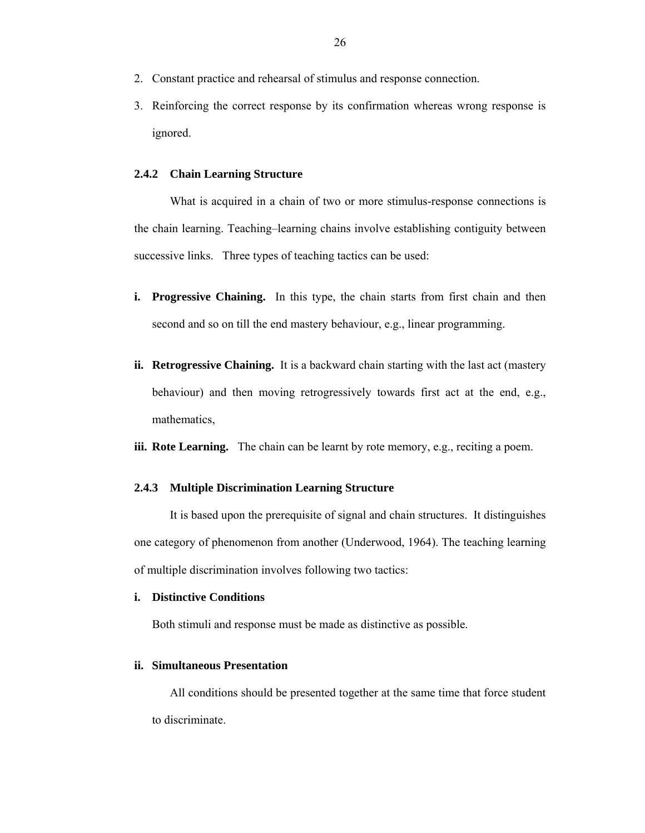- 2. Constant practice and rehearsal of stimulus and response connection.
- 3. Reinforcing the correct response by its confirmation whereas wrong response is ignored.

# **2.4.2 Chain Learning Structure**

What is acquired in a chain of two or more stimulus-response connections is the chain learning. Teaching–learning chains involve establishing contiguity between successive links. Three types of teaching tactics can be used:

- **i. Progressive Chaining.** In this type, the chain starts from first chain and then second and so on till the end mastery behaviour, e.g., linear programming.
- **ii. Retrogressive Chaining.** It is a backward chain starting with the last act (mastery behaviour) and then moving retrogressively towards first act at the end, e.g., mathematics,
- **iii. Rote Learning.** The chain can be learnt by rote memory, e.g., reciting a poem.

## **2.4.3 Multiple Discrimination Learning Structure**

It is based upon the prerequisite of signal and chain structures. It distinguishes one category of phenomenon from another (Underwood, 1964). The teaching learning of multiple discrimination involves following two tactics:

# **i. Distinctive Conditions**

Both stimuli and response must be made as distinctive as possible.

# **ii. Simultaneous Presentation**

 All conditions should be presented together at the same time that force student to discriminate.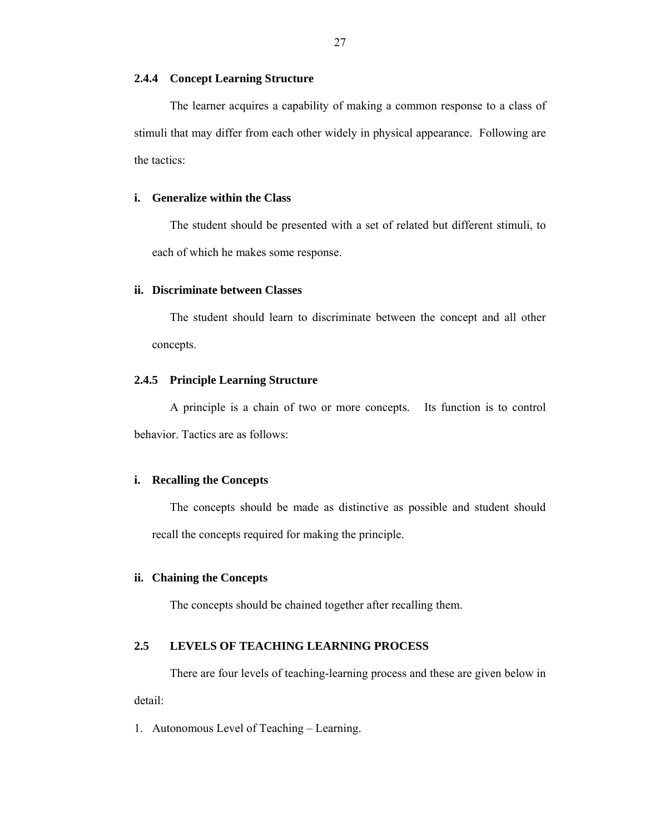## **2.4.4 Concept Learning Structure**

The learner acquires a capability of making a common response to a class of stimuli that may differ from each other widely in physical appearance. Following are the tactics:

# **i. Generalize within the Class**

 The student should be presented with a set of related but different stimuli, to each of which he makes some response.

# **ii. Discriminate between Classes**

 The student should learn to discriminate between the concept and all other concepts.

## **2.4.5 Principle Learning Structure**

A principle is a chain of two or more concepts. Its function is to control behavior. Tactics are as follows:

# **i. Recalling the Concepts**

The concepts should be made as distinctive as possible and student should recall the concepts required for making the principle.

# **ii. Chaining the Concepts**

The concepts should be chained together after recalling them.

# **2.5 LEVELS OF TEACHING LEARNING PROCESS**

There are four levels of teaching-learning process and these are given below in detail:

1. Autonomous Level of Teaching – Learning.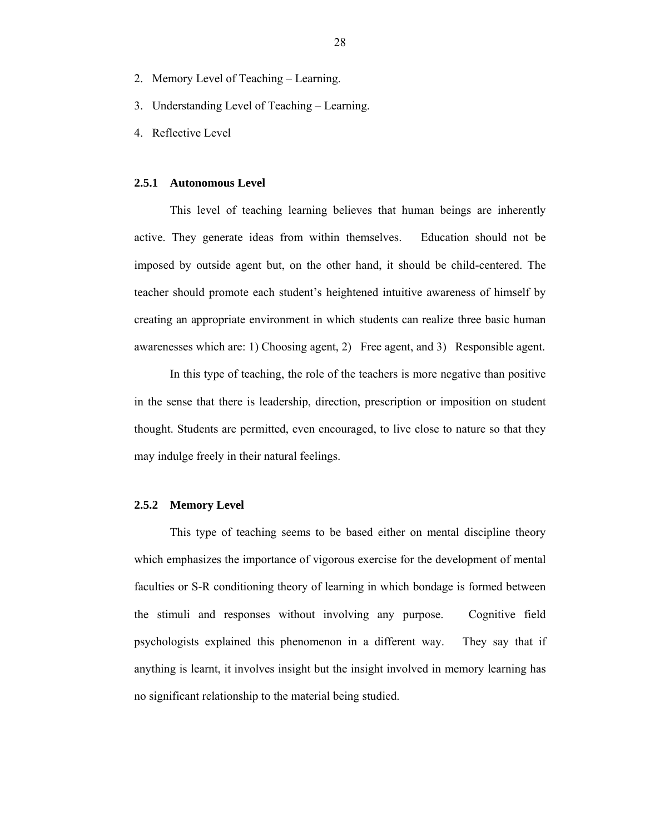- 2. Memory Level of Teaching Learning.
- 3. Understanding Level of Teaching Learning.
- 4. Reflective Level

## **2.5.1 Autonomous Level**

This level of teaching learning believes that human beings are inherently active. They generate ideas from within themselves. Education should not be imposed by outside agent but, on the other hand, it should be child-centered. The teacher should promote each student's heightened intuitive awareness of himself by creating an appropriate environment in which students can realize three basic human awarenesses which are: 1) Choosing agent, 2) Free agent, and 3) Responsible agent.

In this type of teaching, the role of the teachers is more negative than positive in the sense that there is leadership, direction, prescription or imposition on student thought. Students are permitted, even encouraged, to live close to nature so that they may indulge freely in their natural feelings.

#### **2.5.2 Memory Level**

This type of teaching seems to be based either on mental discipline theory which emphasizes the importance of vigorous exercise for the development of mental faculties or S-R conditioning theory of learning in which bondage is formed between the stimuli and responses without involving any purpose. Cognitive field psychologists explained this phenomenon in a different way. They say that if anything is learnt, it involves insight but the insight involved in memory learning has no significant relationship to the material being studied.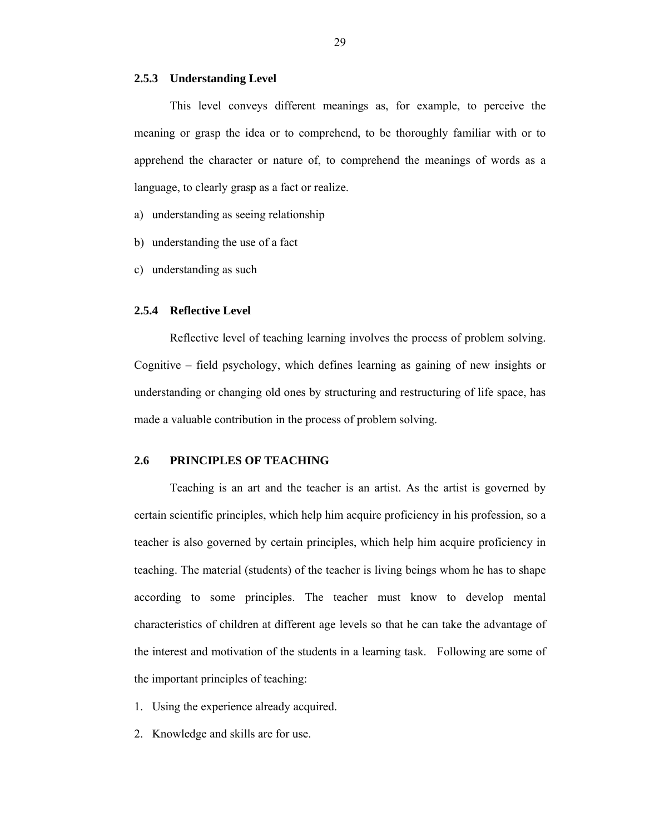#### **2.5.3 Understanding Level**

This level conveys different meanings as, for example, to perceive the meaning or grasp the idea or to comprehend, to be thoroughly familiar with or to apprehend the character or nature of, to comprehend the meanings of words as a language, to clearly grasp as a fact or realize.

a) understanding as seeing relationship

b) understanding the use of a fact

c) understanding as such

## **2.5.4 Reflective Level**

Reflective level of teaching learning involves the process of problem solving. Cognitive – field psychology, which defines learning as gaining of new insights or understanding or changing old ones by structuring and restructuring of life space, has made a valuable contribution in the process of problem solving.

## **2.6 PRINCIPLES OF TEACHING**

Teaching is an art and the teacher is an artist. As the artist is governed by certain scientific principles, which help him acquire proficiency in his profession, so a teacher is also governed by certain principles, which help him acquire proficiency in teaching. The material (students) of the teacher is living beings whom he has to shape according to some principles. The teacher must know to develop mental characteristics of children at different age levels so that he can take the advantage of the interest and motivation of the students in a learning task. Following are some of the important principles of teaching:

- 1. Using the experience already acquired.
- 2. Knowledge and skills are for use.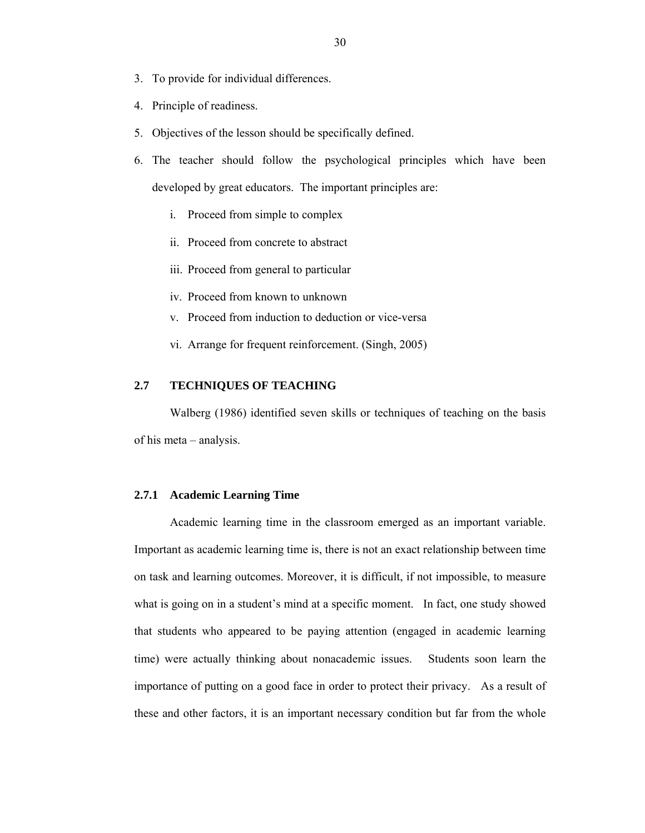- 3. To provide for individual differences.
- 4. Principle of readiness.
- 5. Objectives of the lesson should be specifically defined.
- 6. The teacher should follow the psychological principles which have been developed by great educators. The important principles are:
	- i. Proceed from simple to complex
	- ii. Proceed from concrete to abstract
	- iii. Proceed from general to particular
	- iv. Proceed from known to unknown
	- v. Proceed from induction to deduction or vice-versa
	- vi. Arrange for frequent reinforcement. (Singh, 2005)

# **2.7 TECHNIQUES OF TEACHING**

Walberg (1986) identified seven skills or techniques of teaching on the basis of his meta – analysis.

# **2.7.1 Academic Learning Time**

Academic learning time in the classroom emerged as an important variable. Important as academic learning time is, there is not an exact relationship between time on task and learning outcomes. Moreover, it is difficult, if not impossible, to measure what is going on in a student's mind at a specific moment. In fact, one study showed that students who appeared to be paying attention (engaged in academic learning time) were actually thinking about nonacademic issues. Students soon learn the importance of putting on a good face in order to protect their privacy. As a result of these and other factors, it is an important necessary condition but far from the whole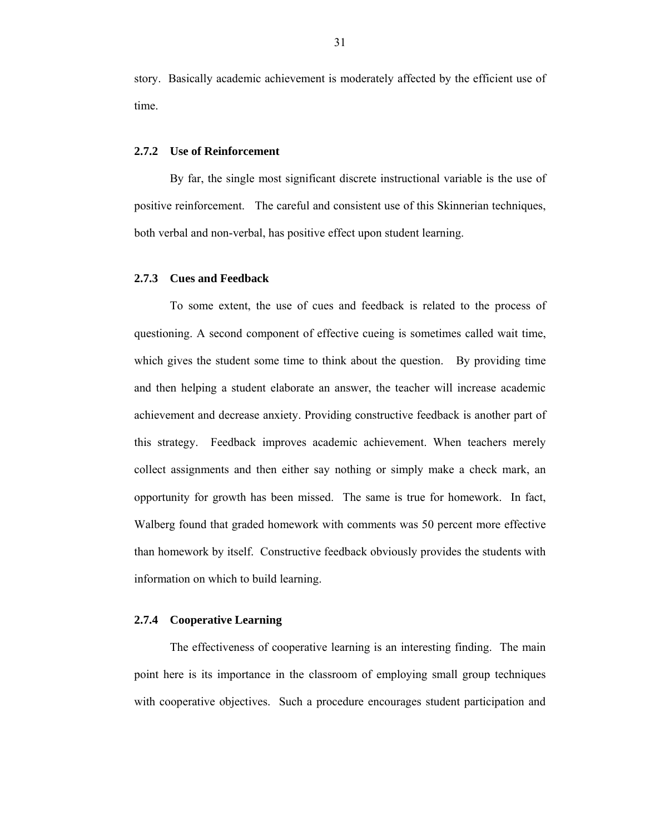story. Basically academic achievement is moderately affected by the efficient use of time.

## **2.7.2 Use of Reinforcement**

By far, the single most significant discrete instructional variable is the use of positive reinforcement. The careful and consistent use of this Skinnerian techniques, both verbal and non-verbal, has positive effect upon student learning.

## **2.7.3 Cues and Feedback**

To some extent, the use of cues and feedback is related to the process of questioning. A second component of effective cueing is sometimes called wait time, which gives the student some time to think about the question. By providing time and then helping a student elaborate an answer, the teacher will increase academic achievement and decrease anxiety. Providing constructive feedback is another part of this strategy. Feedback improves academic achievement. When teachers merely collect assignments and then either say nothing or simply make a check mark, an opportunity for growth has been missed. The same is true for homework. In fact, Walberg found that graded homework with comments was 50 percent more effective than homework by itself. Constructive feedback obviously provides the students with information on which to build learning.

## **2.7.4 Cooperative Learning**

The effectiveness of cooperative learning is an interesting finding. The main point here is its importance in the classroom of employing small group techniques with cooperative objectives. Such a procedure encourages student participation and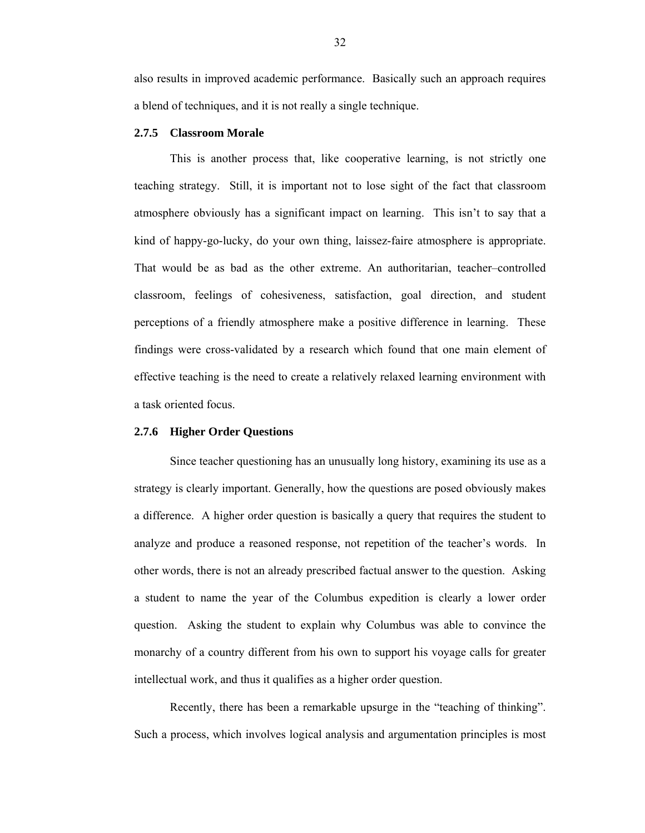also results in improved academic performance. Basically such an approach requires a blend of techniques, and it is not really a single technique.

## **2.7.5 Classroom Morale**

This is another process that, like cooperative learning, is not strictly one teaching strategy. Still, it is important not to lose sight of the fact that classroom atmosphere obviously has a significant impact on learning. This isn't to say that a kind of happy-go-lucky, do your own thing, laissez-faire atmosphere is appropriate. That would be as bad as the other extreme. An authoritarian, teacher–controlled classroom, feelings of cohesiveness, satisfaction, goal direction, and student perceptions of a friendly atmosphere make a positive difference in learning. These findings were cross-validated by a research which found that one main element of effective teaching is the need to create a relatively relaxed learning environment with a task oriented focus.

## **2.7.6 Higher Order Questions**

Since teacher questioning has an unusually long history, examining its use as a strategy is clearly important. Generally, how the questions are posed obviously makes a difference. A higher order question is basically a query that requires the student to analyze and produce a reasoned response, not repetition of the teacher's words. In other words, there is not an already prescribed factual answer to the question. Asking a student to name the year of the Columbus expedition is clearly a lower order question. Asking the student to explain why Columbus was able to convince the monarchy of a country different from his own to support his voyage calls for greater intellectual work, and thus it qualifies as a higher order question.

Recently, there has been a remarkable upsurge in the "teaching of thinking". Such a process, which involves logical analysis and argumentation principles is most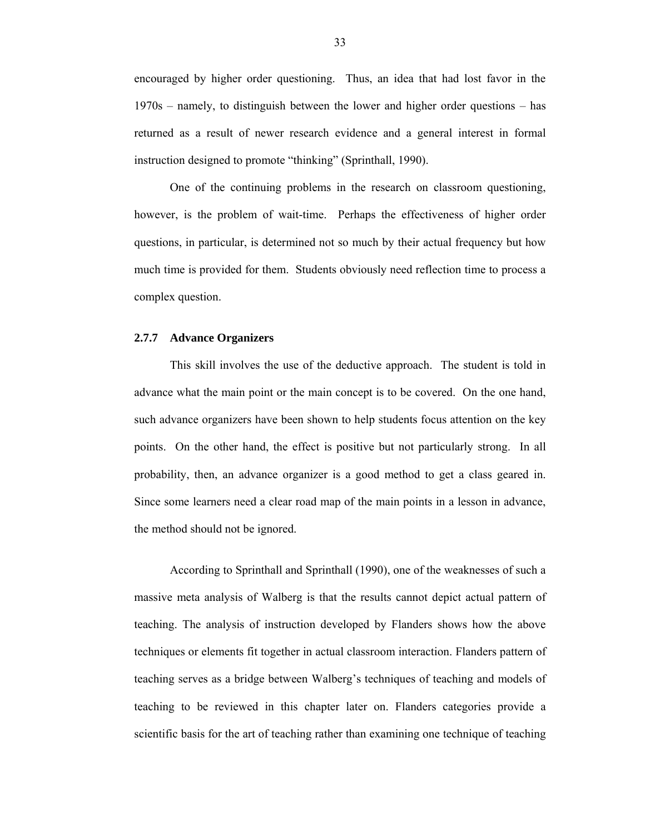encouraged by higher order questioning. Thus, an idea that had lost favor in the 1970s – namely, to distinguish between the lower and higher order questions – has returned as a result of newer research evidence and a general interest in formal instruction designed to promote "thinking" (Sprinthall, 1990).

One of the continuing problems in the research on classroom questioning, however, is the problem of wait-time. Perhaps the effectiveness of higher order questions, in particular, is determined not so much by their actual frequency but how much time is provided for them. Students obviously need reflection time to process a complex question.

#### **2.7.7 Advance Organizers**

This skill involves the use of the deductive approach. The student is told in advance what the main point or the main concept is to be covered. On the one hand, such advance organizers have been shown to help students focus attention on the key points. On the other hand, the effect is positive but not particularly strong. In all probability, then, an advance organizer is a good method to get a class geared in. Since some learners need a clear road map of the main points in a lesson in advance, the method should not be ignored.

According to Sprinthall and Sprinthall (1990), one of the weaknesses of such a massive meta analysis of Walberg is that the results cannot depict actual pattern of teaching. The analysis of instruction developed by Flanders shows how the above techniques or elements fit together in actual classroom interaction. Flanders pattern of teaching serves as a bridge between Walberg's techniques of teaching and models of teaching to be reviewed in this chapter later on. Flanders categories provide a scientific basis for the art of teaching rather than examining one technique of teaching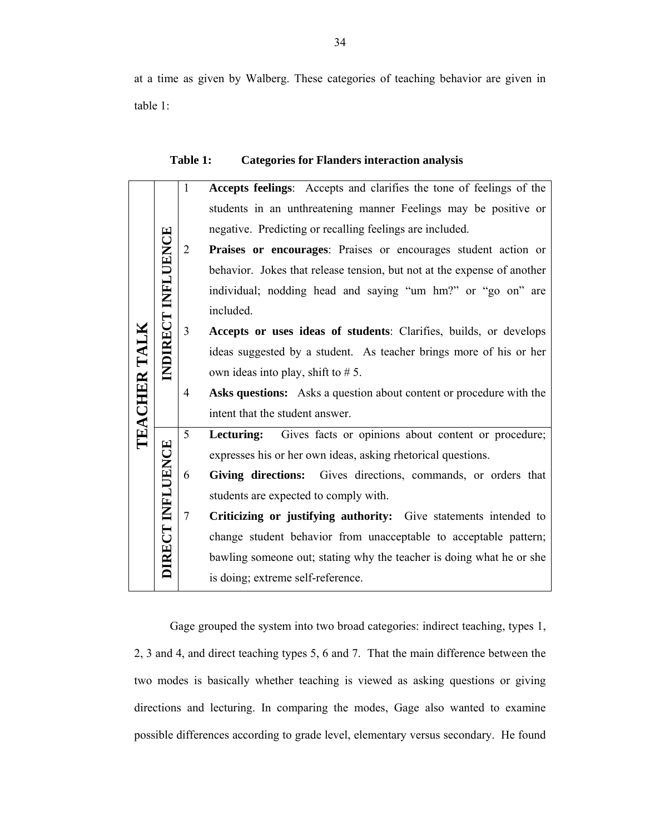at a time as given by Walberg. These categories of teaching behavior are given in table 1:

|             |                         | $\mathbf{1}$   | Accepts feelings: Accepts and clarifies the tone of feelings of the        |
|-------------|-------------------------|----------------|----------------------------------------------------------------------------|
| TEACHER TAI | NDIRECT INFLUENCE       |                | students in an unthreatening manner Feelings may be positive or            |
|             |                         |                | negative. Predicting or recalling feelings are included.                   |
|             |                         | $\overline{2}$ | Praises or encourages: Praises or encourages student action or             |
|             |                         |                | behavior. Jokes that release tension, but not at the expense of another    |
|             |                         |                | individual; nodding head and saying "um hm?" or "go on" are                |
|             |                         |                | included.                                                                  |
|             |                         | 3              | Accepts or uses ideas of students: Clarifies, builds, or develops          |
|             |                         |                | ideas suggested by a student. As teacher brings more of his or her         |
|             |                         |                | own ideas into play, shift to $# 5$ .                                      |
|             |                         | 4              | <b>Asks questions:</b> Asks a question about content or procedure with the |
|             |                         |                | intent that the student answer.                                            |
|             | <b>DIRECT INFLUENCE</b> | 5              | Lecturing: Gives facts or opinions about content or procedure;             |
|             |                         |                | expresses his or her own ideas, asking rhetorical questions.               |
|             |                         | 6              | Giving directions: Gives directions, commands, or orders that              |
|             |                         |                | students are expected to comply with.                                      |
|             |                         | 7              | Criticizing or justifying authority: Give statements intended to           |
|             |                         |                |                                                                            |
|             |                         |                | change student behavior from unacceptable to acceptable pattern;           |
|             |                         |                | bawling someone out; stating why the teacher is doing what he or she       |

# **Table 1: Categories for Flanders interaction analysis**

Gage grouped the system into two broad categories: indirect teaching, types 1, 2, 3 and 4, and direct teaching types 5, 6 and 7. That the main difference between the two modes is basically whether teaching is viewed as asking questions or giving directions and lecturing. In comparing the modes, Gage also wanted to examine possible differences according to grade level, elementary versus secondary. He found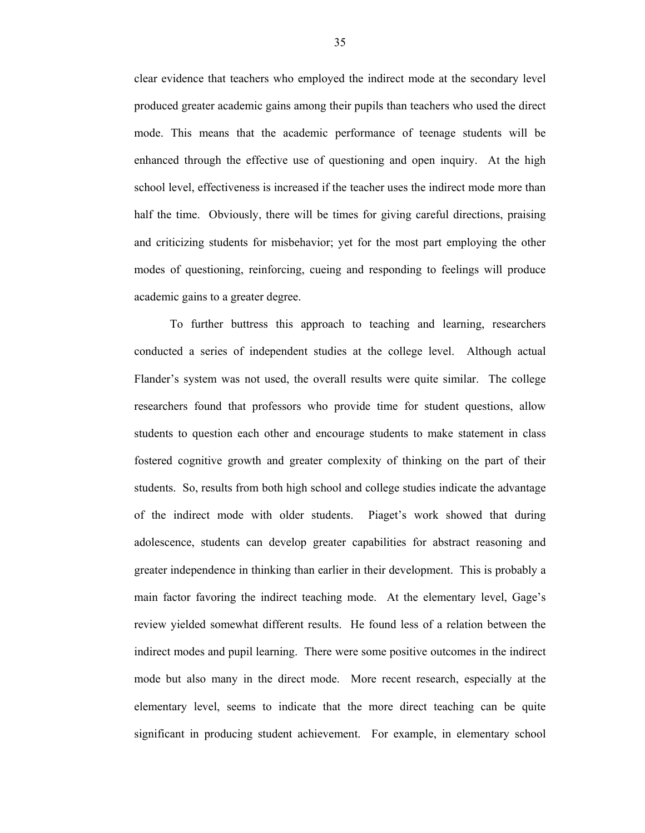clear evidence that teachers who employed the indirect mode at the secondary level produced greater academic gains among their pupils than teachers who used the direct mode. This means that the academic performance of teenage students will be enhanced through the effective use of questioning and open inquiry. At the high school level, effectiveness is increased if the teacher uses the indirect mode more than half the time. Obviously, there will be times for giving careful directions, praising and criticizing students for misbehavior; yet for the most part employing the other modes of questioning, reinforcing, cueing and responding to feelings will produce academic gains to a greater degree.

To further buttress this approach to teaching and learning, researchers conducted a series of independent studies at the college level. Although actual Flander's system was not used, the overall results were quite similar. The college researchers found that professors who provide time for student questions, allow students to question each other and encourage students to make statement in class fostered cognitive growth and greater complexity of thinking on the part of their students. So, results from both high school and college studies indicate the advantage of the indirect mode with older students. Piaget's work showed that during adolescence, students can develop greater capabilities for abstract reasoning and greater independence in thinking than earlier in their development. This is probably a main factor favoring the indirect teaching mode. At the elementary level, Gage's review yielded somewhat different results. He found less of a relation between the indirect modes and pupil learning. There were some positive outcomes in the indirect mode but also many in the direct mode. More recent research, especially at the elementary level, seems to indicate that the more direct teaching can be quite significant in producing student achievement. For example, in elementary school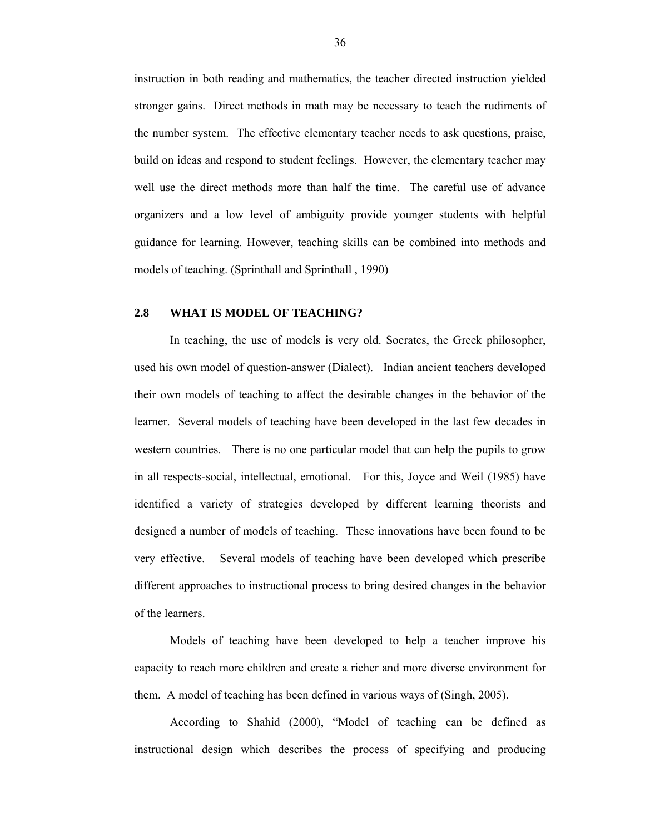instruction in both reading and mathematics, the teacher directed instruction yielded stronger gains. Direct methods in math may be necessary to teach the rudiments of the number system. The effective elementary teacher needs to ask questions, praise, build on ideas and respond to student feelings. However, the elementary teacher may well use the direct methods more than half the time. The careful use of advance organizers and a low level of ambiguity provide younger students with helpful guidance for learning. However, teaching skills can be combined into methods and models of teaching. (Sprinthall and Sprinthall , 1990)

## **2.8 WHAT IS MODEL OF TEACHING?**

 In teaching, the use of models is very old. Socrates, the Greek philosopher, used his own model of question-answer (Dialect). Indian ancient teachers developed their own models of teaching to affect the desirable changes in the behavior of the learner. Several models of teaching have been developed in the last few decades in western countries. There is no one particular model that can help the pupils to grow in all respects-social, intellectual, emotional. For this, Joyce and Weil (1985) have identified a variety of strategies developed by different learning theorists and designed a number of models of teaching. These innovations have been found to be very effective. Several models of teaching have been developed which prescribe different approaches to instructional process to bring desired changes in the behavior of the learners.

 Models of teaching have been developed to help a teacher improve his capacity to reach more children and create a richer and more diverse environment for them. A model of teaching has been defined in various ways of (Singh, 2005).

 According to Shahid (2000), "Model of teaching can be defined as instructional design which describes the process of specifying and producing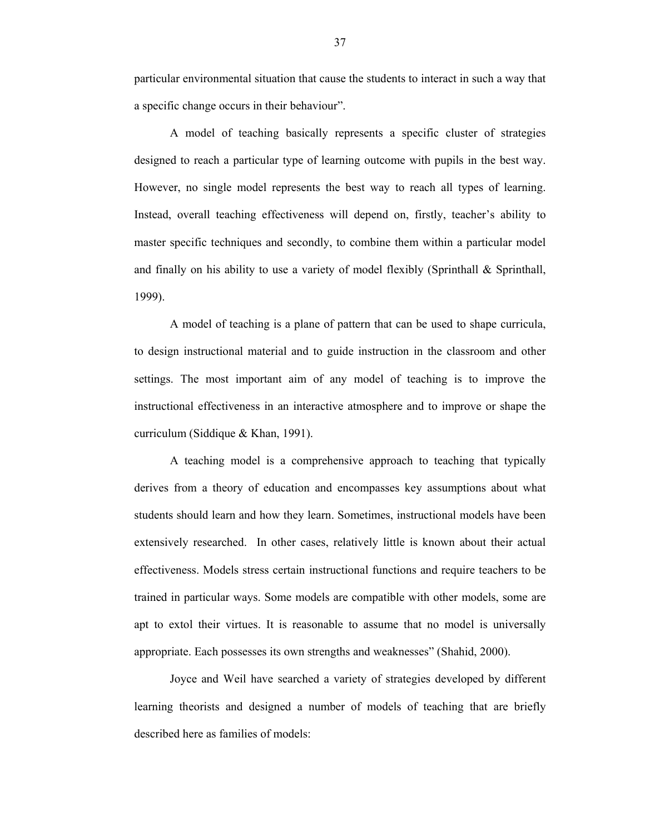particular environmental situation that cause the students to interact in such a way that a specific change occurs in their behaviour".

 A model of teaching basically represents a specific cluster of strategies designed to reach a particular type of learning outcome with pupils in the best way. However, no single model represents the best way to reach all types of learning. Instead, overall teaching effectiveness will depend on, firstly, teacher's ability to master specific techniques and secondly, to combine them within a particular model and finally on his ability to use a variety of model flexibly (Sprinthall  $\&$  Sprinthall, 1999).

 A model of teaching is a plane of pattern that can be used to shape curricula, to design instructional material and to guide instruction in the classroom and other settings. The most important aim of any model of teaching is to improve the instructional effectiveness in an interactive atmosphere and to improve or shape the curriculum (Siddique & Khan, 1991).

A teaching model is a comprehensive approach to teaching that typically derives from a theory of education and encompasses key assumptions about what students should learn and how they learn. Sometimes, instructional models have been extensively researched. In other cases, relatively little is known about their actual effectiveness. Models stress certain instructional functions and require teachers to be trained in particular ways. Some models are compatible with other models, some are apt to extol their virtues. It is reasonable to assume that no model is universally appropriate. Each possesses its own strengths and weaknesses" (Shahid, 2000).

Joyce and Weil have searched a variety of strategies developed by different learning theorists and designed a number of models of teaching that are briefly described here as families of models: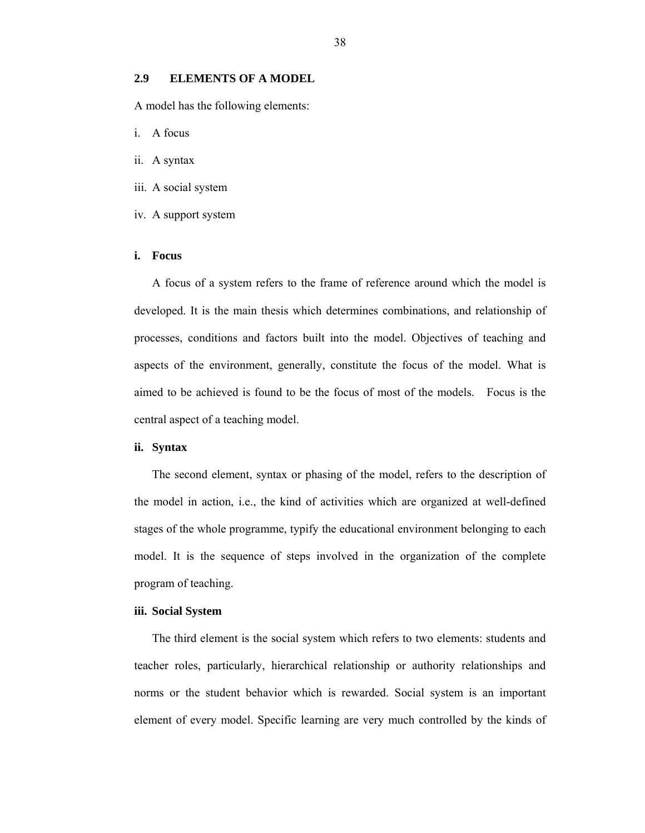## **2.9 ELEMENTS OF A MODEL**

A model has the following elements:

- i. A focus
- ii. A syntax
- iii. A social system
- iv. A support system

#### **i. Focus**

A focus of a system refers to the frame of reference around which the model is developed. It is the main thesis which determines combinations, and relationship of processes, conditions and factors built into the model. Objectives of teaching and aspects of the environment, generally, constitute the focus of the model. What is aimed to be achieved is found to be the focus of most of the models. Focus is the central aspect of a teaching model.

## **ii. Syntax**

The second element, syntax or phasing of the model, refers to the description of the model in action, i.e., the kind of activities which are organized at well-defined stages of the whole programme, typify the educational environment belonging to each model. It is the sequence of steps involved in the organization of the complete program of teaching.

## **iii. Social System**

The third element is the social system which refers to two elements: students and teacher roles, particularly, hierarchical relationship or authority relationships and norms or the student behavior which is rewarded. Social system is an important element of every model. Specific learning are very much controlled by the kinds of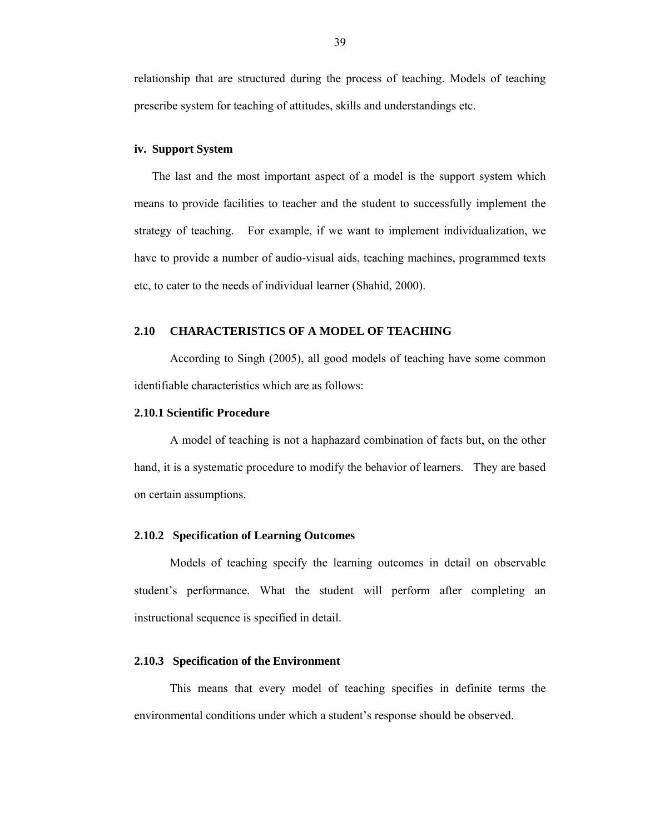relationship that are structured during the process of teaching. Models of teaching prescribe system for teaching of attitudes, skills and understandings etc.

#### **iv. Support System**

The last and the most important aspect of a model is the support system which means to provide facilities to teacher and the student to successfully implement the strategy of teaching. For example, if we want to implement individualization, we have to provide a number of audio-visual aids, teaching machines, programmed texts etc, to cater to the needs of individual learner (Shahid, 2000).

## **2.10 CHARACTERISTICS OF A MODEL OF TEACHING**

 According to Singh (2005), all good models of teaching have some common identifiable characteristics which are as follows:

# **2.10.1 Scientific Procedure**

A model of teaching is not a haphazard combination of facts but, on the other hand, it is a systematic procedure to modify the behavior of learners. They are based on certain assumptions.

## **2.10.2 Specification of Learning Outcomes**

Models of teaching specify the learning outcomes in detail on observable student's performance. What the student will perform after completing an instructional sequence is specified in detail.

## **2.10.3 Specification of the Environment**

This means that every model of teaching specifies in definite terms the environmental conditions under which a student's response should be observed.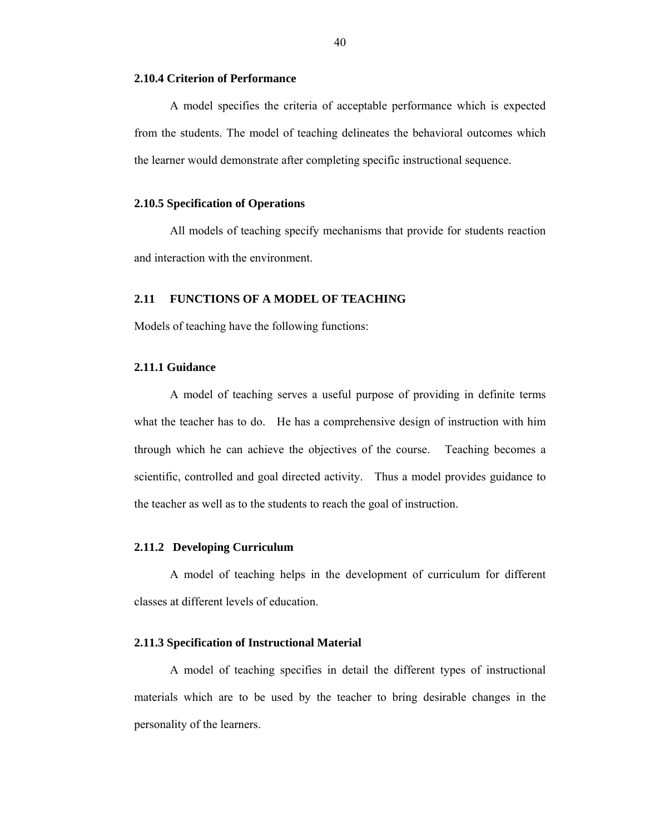## **2.10.4 Criterion of Performance**

A model specifies the criteria of acceptable performance which is expected from the students. The model of teaching delineates the behavioral outcomes which the learner would demonstrate after completing specific instructional sequence.

# **2.10.5 Specification of Operations**

All models of teaching specify mechanisms that provide for students reaction and interaction with the environment.

## **2.11 FUNCTIONS OF A MODEL OF TEACHING**

Models of teaching have the following functions:

# **2.11.1 Guidance**

A model of teaching serves a useful purpose of providing in definite terms what the teacher has to do. He has a comprehensive design of instruction with him through which he can achieve the objectives of the course. Teaching becomes a scientific, controlled and goal directed activity. Thus a model provides guidance to the teacher as well as to the students to reach the goal of instruction.

#### **2.11.2 Developing Curriculum**

 A model of teaching helps in the development of curriculum for different classes at different levels of education.

# **2.11.3 Specification of Instructional Material**

A model of teaching specifies in detail the different types of instructional materials which are to be used by the teacher to bring desirable changes in the personality of the learners.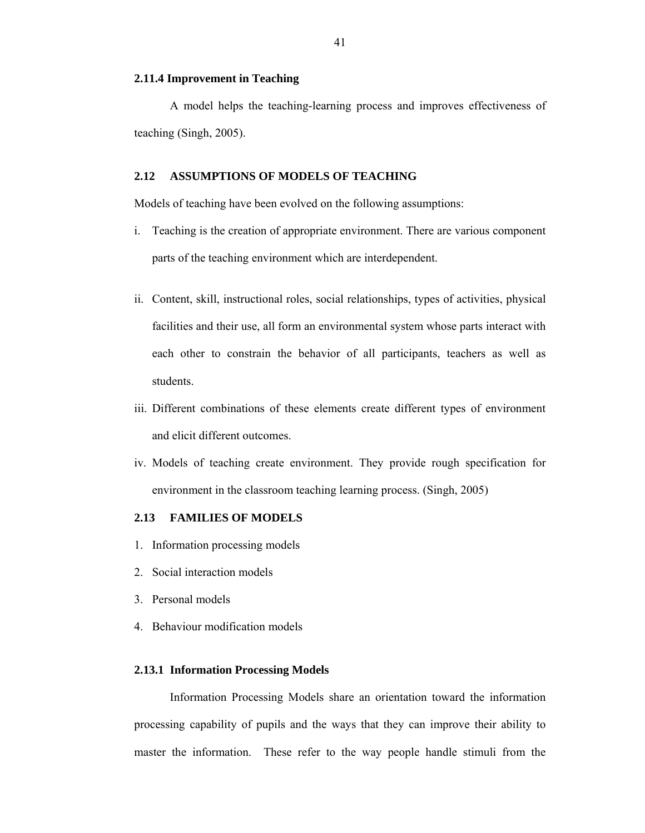#### **2.11.4 Improvement in Teaching**

 A model helps the teaching-learning process and improves effectiveness of teaching (Singh, 2005).

# **2.12 ASSUMPTIONS OF MODELS OF TEACHING**

Models of teaching have been evolved on the following assumptions:

- i. Teaching is the creation of appropriate environment. There are various component parts of the teaching environment which are interdependent.
- ii. Content, skill, instructional roles, social relationships, types of activities, physical facilities and their use, all form an environmental system whose parts interact with each other to constrain the behavior of all participants, teachers as well as students.
- iii. Different combinations of these elements create different types of environment and elicit different outcomes.
- iv. Models of teaching create environment. They provide rough specification for environment in the classroom teaching learning process. (Singh, 2005)

# **2.13 FAMILIES OF MODELS**

- 1. Information processing models
- 2. Social interaction models
- 3. Personal models
- 4. Behaviour modification models

## **2.13.1 Information Processing Models**

Information Processing Models share an orientation toward the information processing capability of pupils and the ways that they can improve their ability to master the information. These refer to the way people handle stimuli from the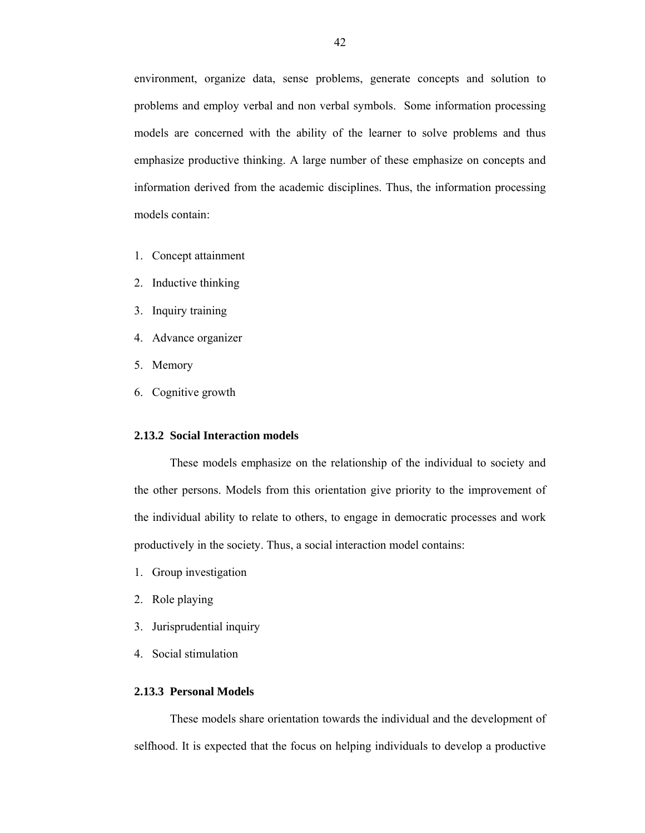environment, organize data, sense problems, generate concepts and solution to problems and employ verbal and non verbal symbols. Some information processing models are concerned with the ability of the learner to solve problems and thus emphasize productive thinking. A large number of these emphasize on concepts and information derived from the academic disciplines. Thus, the information processing models contain:

- 1. Concept attainment
- 2. Inductive thinking
- 3. Inquiry training
- 4. Advance organizer
- 5. Memory
- 6. Cognitive growth

# **2.13.2 Social Interaction models**

These models emphasize on the relationship of the individual to society and the other persons. Models from this orientation give priority to the improvement of the individual ability to relate to others, to engage in democratic processes and work productively in the society. Thus, a social interaction model contains:

- 1. Group investigation
- 2. Role playing
- 3. Jurisprudential inquiry
- 4. Social stimulation

## **2.13.3 Personal Models**

These models share orientation towards the individual and the development of selfhood. It is expected that the focus on helping individuals to develop a productive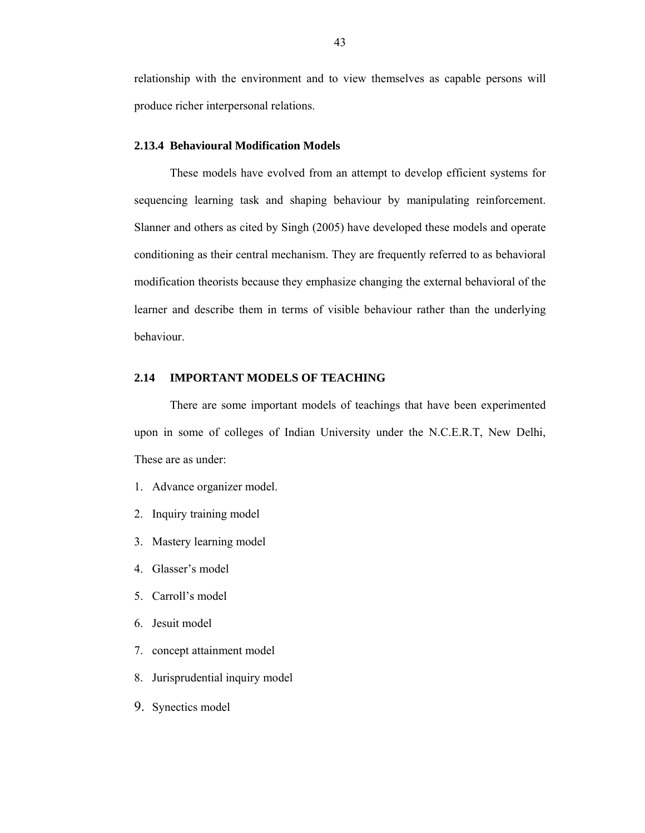relationship with the environment and to view themselves as capable persons will produce richer interpersonal relations.

# **2.13.4 Behavioural Modification Models**

These models have evolved from an attempt to develop efficient systems for sequencing learning task and shaping behaviour by manipulating reinforcement. Slanner and others as cited by Singh (2005) have developed these models and operate conditioning as their central mechanism. They are frequently referred to as behavioral modification theorists because they emphasize changing the external behavioral of the learner and describe them in terms of visible behaviour rather than the underlying behaviour.

# **2.14 IMPORTANT MODELS OF TEACHING**

 There are some important models of teachings that have been experimented upon in some of colleges of Indian University under the N.C.E.R.T, New Delhi, These are as under:

- 1. Advance organizer model.
- 2. Inquiry training model
- 3. Mastery learning model
- 4. Glasser's model
- 5. Carroll's model
- 6. Jesuit model
- 7. concept attainment model
- 8. Jurisprudential inquiry model
- 9. Synectics model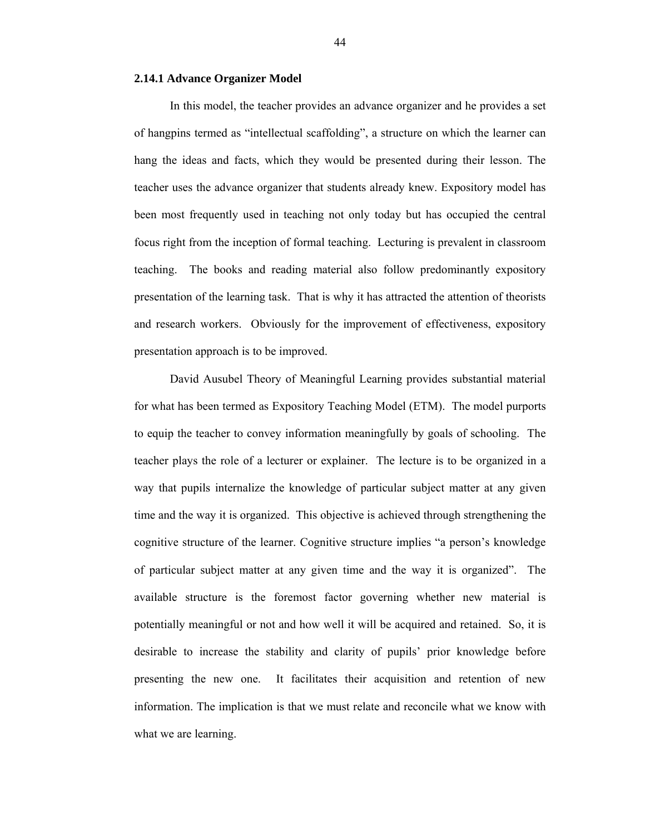#### **2.14.1 Advance Organizer Model**

In this model, the teacher provides an advance organizer and he provides a set of hangpins termed as "intellectual scaffolding", a structure on which the learner can hang the ideas and facts, which they would be presented during their lesson. The teacher uses the advance organizer that students already knew. Expository model has been most frequently used in teaching not only today but has occupied the central focus right from the inception of formal teaching. Lecturing is prevalent in classroom teaching. The books and reading material also follow predominantly expository presentation of the learning task. That is why it has attracted the attention of theorists and research workers. Obviously for the improvement of effectiveness, expository presentation approach is to be improved.

David Ausubel Theory of Meaningful Learning provides substantial material for what has been termed as Expository Teaching Model (ETM). The model purports to equip the teacher to convey information meaningfully by goals of schooling. The teacher plays the role of a lecturer or explainer. The lecture is to be organized in a way that pupils internalize the knowledge of particular subject matter at any given time and the way it is organized. This objective is achieved through strengthening the cognitive structure of the learner. Cognitive structure implies "a person's knowledge of particular subject matter at any given time and the way it is organized". The available structure is the foremost factor governing whether new material is potentially meaningful or not and how well it will be acquired and retained. So, it is desirable to increase the stability and clarity of pupils' prior knowledge before presenting the new one. It facilitates their acquisition and retention of new information. The implication is that we must relate and reconcile what we know with what we are learning.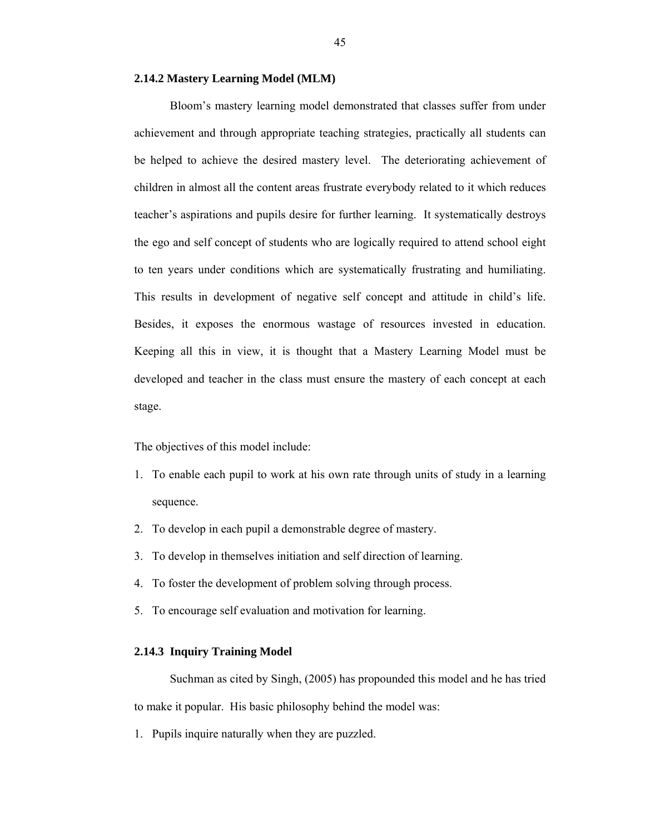## **2.14.2 Mastery Learning Model (MLM)**

Bloom's mastery learning model demonstrated that classes suffer from under achievement and through appropriate teaching strategies, practically all students can be helped to achieve the desired mastery level. The deteriorating achievement of children in almost all the content areas frustrate everybody related to it which reduces teacher's aspirations and pupils desire for further learning. It systematically destroys the ego and self concept of students who are logically required to attend school eight to ten years under conditions which are systematically frustrating and humiliating. This results in development of negative self concept and attitude in child's life. Besides, it exposes the enormous wastage of resources invested in education. Keeping all this in view, it is thought that a Mastery Learning Model must be developed and teacher in the class must ensure the mastery of each concept at each stage.

The objectives of this model include:

- 1. To enable each pupil to work at his own rate through units of study in a learning sequence.
- 2. To develop in each pupil a demonstrable degree of mastery.
- 3. To develop in themselves initiation and self direction of learning.
- 4. To foster the development of problem solving through process.
- 5. To encourage self evaluation and motivation for learning.

#### **2.14.3 Inquiry Training Model**

Suchman as cited by Singh, (2005) has propounded this model and he has tried to make it popular. His basic philosophy behind the model was:

1. Pupils inquire naturally when they are puzzled.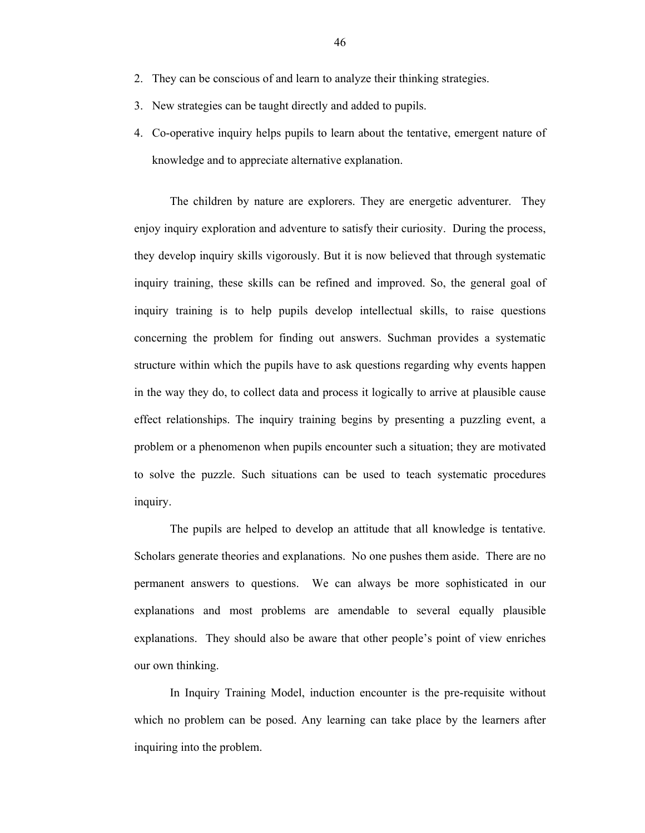- 2. They can be conscious of and learn to analyze their thinking strategies.
- 3. New strategies can be taught directly and added to pupils.
- 4. Co-operative inquiry helps pupils to learn about the tentative, emergent nature of knowledge and to appreciate alternative explanation.

The children by nature are explorers. They are energetic adventurer. They enjoy inquiry exploration and adventure to satisfy their curiosity. During the process, they develop inquiry skills vigorously. But it is now believed that through systematic inquiry training, these skills can be refined and improved. So, the general goal of inquiry training is to help pupils develop intellectual skills, to raise questions concerning the problem for finding out answers. Suchman provides a systematic structure within which the pupils have to ask questions regarding why events happen in the way they do, to collect data and process it logically to arrive at plausible cause effect relationships. The inquiry training begins by presenting a puzzling event, a problem or a phenomenon when pupils encounter such a situation; they are motivated to solve the puzzle. Such situations can be used to teach systematic procedures inquiry.

The pupils are helped to develop an attitude that all knowledge is tentative. Scholars generate theories and explanations. No one pushes them aside. There are no permanent answers to questions. We can always be more sophisticated in our explanations and most problems are amendable to several equally plausible explanations. They should also be aware that other people's point of view enriches our own thinking.

In Inquiry Training Model, induction encounter is the pre-requisite without which no problem can be posed. Any learning can take place by the learners after inquiring into the problem.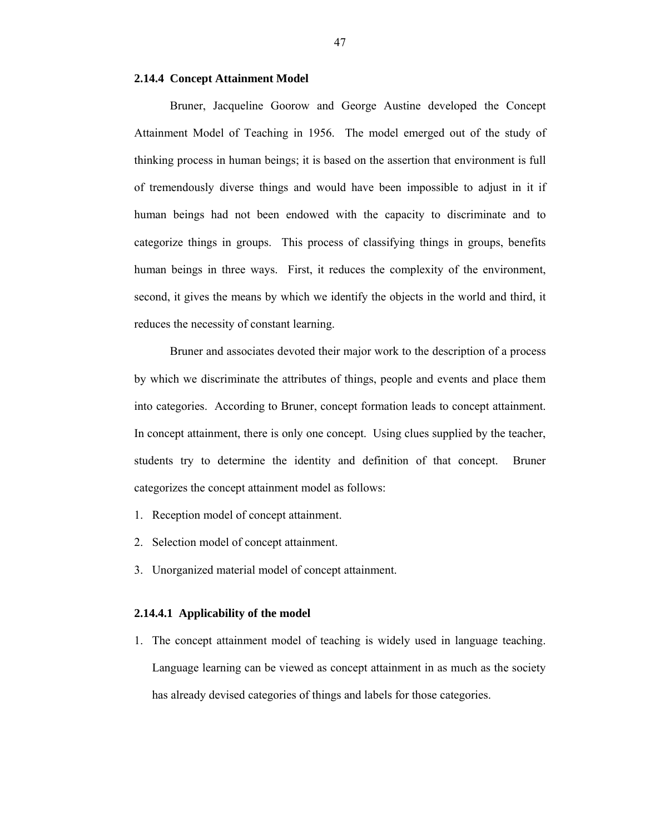#### **2.14.4 Concept Attainment Model**

Bruner, Jacqueline Goorow and George Austine developed the Concept Attainment Model of Teaching in 1956. The model emerged out of the study of thinking process in human beings; it is based on the assertion that environment is full of tremendously diverse things and would have been impossible to adjust in it if human beings had not been endowed with the capacity to discriminate and to categorize things in groups. This process of classifying things in groups, benefits human beings in three ways. First, it reduces the complexity of the environment, second, it gives the means by which we identify the objects in the world and third, it reduces the necessity of constant learning.

Bruner and associates devoted their major work to the description of a process by which we discriminate the attributes of things, people and events and place them into categories. According to Bruner, concept formation leads to concept attainment. In concept attainment, there is only one concept. Using clues supplied by the teacher, students try to determine the identity and definition of that concept. Bruner categorizes the concept attainment model as follows:

- 1. Reception model of concept attainment.
- 2. Selection model of concept attainment.
- 3. Unorganized material model of concept attainment.

# **2.14.4.1 Applicability of the model**

1. The concept attainment model of teaching is widely used in language teaching. Language learning can be viewed as concept attainment in as much as the society has already devised categories of things and labels for those categories.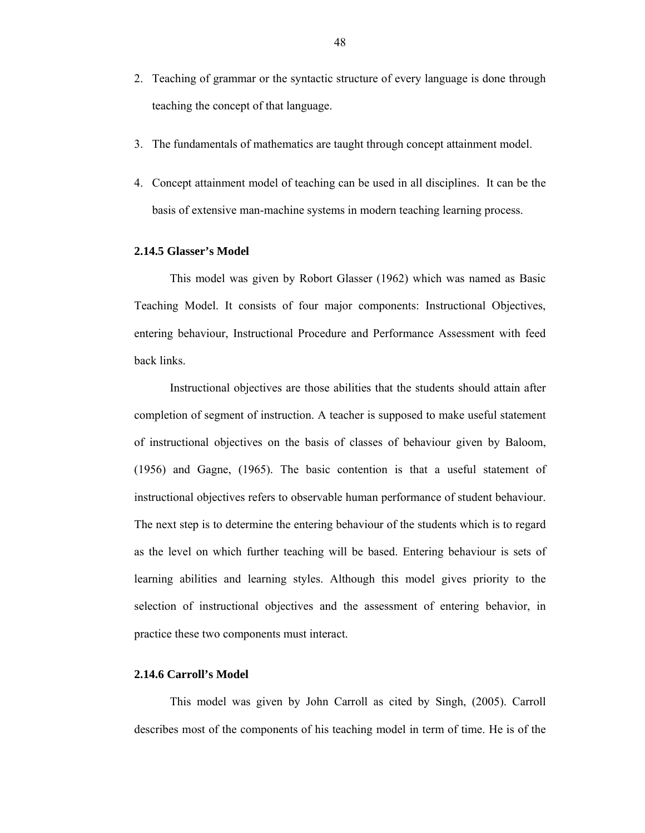- 2. Teaching of grammar or the syntactic structure of every language is done through teaching the concept of that language.
- 3. The fundamentals of mathematics are taught through concept attainment model.
- 4. Concept attainment model of teaching can be used in all disciplines. It can be the basis of extensive man-machine systems in modern teaching learning process.

# **2.14.5 Glasser's Model**

This model was given by Robort Glasser (1962) which was named as Basic Teaching Model. It consists of four major components: Instructional Objectives, entering behaviour, Instructional Procedure and Performance Assessment with feed back links.

Instructional objectives are those abilities that the students should attain after completion of segment of instruction. A teacher is supposed to make useful statement of instructional objectives on the basis of classes of behaviour given by Baloom, (1956) and Gagne, (1965). The basic contention is that a useful statement of instructional objectives refers to observable human performance of student behaviour. The next step is to determine the entering behaviour of the students which is to regard as the level on which further teaching will be based. Entering behaviour is sets of learning abilities and learning styles. Although this model gives priority to the selection of instructional objectives and the assessment of entering behavior, in practice these two components must interact.

#### **2.14.6 Carroll's Model**

This model was given by John Carroll as cited by Singh, (2005). Carroll describes most of the components of his teaching model in term of time. He is of the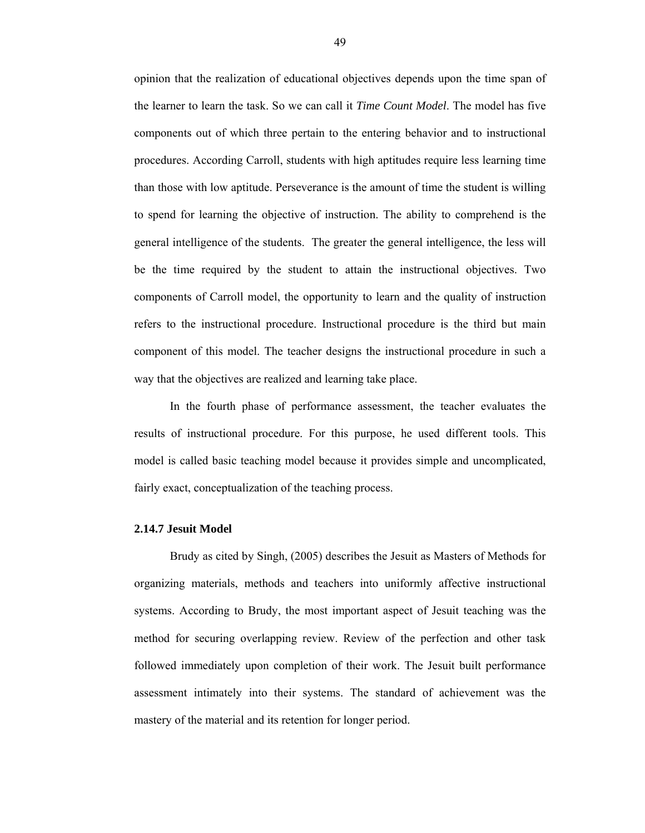opinion that the realization of educational objectives depends upon the time span of the learner to learn the task. So we can call it *Time Count Model*. The model has five components out of which three pertain to the entering behavior and to instructional procedures. According Carroll, students with high aptitudes require less learning time than those with low aptitude. Perseverance is the amount of time the student is willing to spend for learning the objective of instruction. The ability to comprehend is the general intelligence of the students. The greater the general intelligence, the less will be the time required by the student to attain the instructional objectives. Two components of Carroll model, the opportunity to learn and the quality of instruction refers to the instructional procedure. Instructional procedure is the third but main component of this model. The teacher designs the instructional procedure in such a way that the objectives are realized and learning take place.

In the fourth phase of performance assessment, the teacher evaluates the results of instructional procedure. For this purpose, he used different tools. This model is called basic teaching model because it provides simple and uncomplicated, fairly exact, conceptualization of the teaching process.

#### **2.14.7 Jesuit Model**

Brudy as cited by Singh, (2005) describes the Jesuit as Masters of Methods for organizing materials, methods and teachers into uniformly affective instructional systems. According to Brudy, the most important aspect of Jesuit teaching was the method for securing overlapping review. Review of the perfection and other task followed immediately upon completion of their work. The Jesuit built performance assessment intimately into their systems. The standard of achievement was the mastery of the material and its retention for longer period.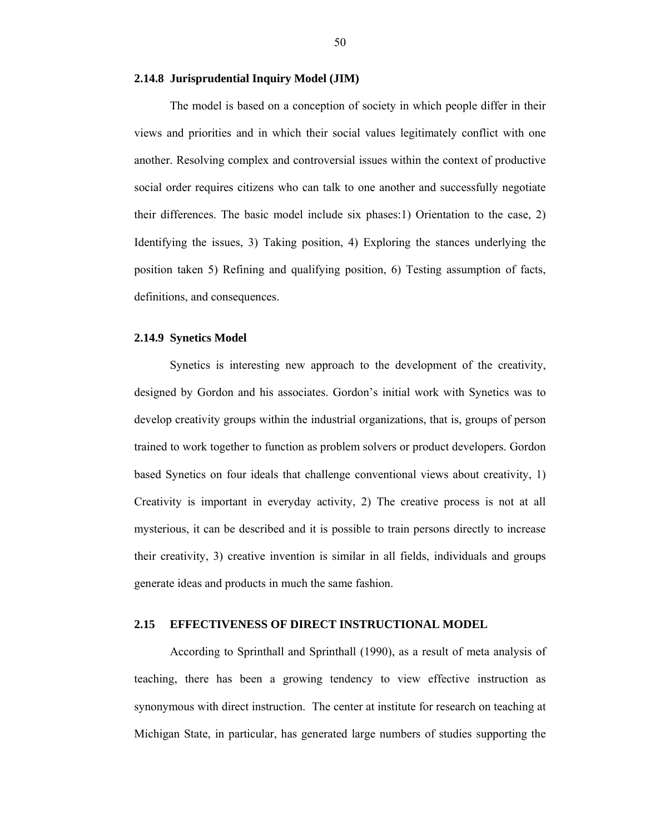## **2.14.8 Jurisprudential Inquiry Model (JIM)**

The model is based on a conception of society in which people differ in their views and priorities and in which their social values legitimately conflict with one another. Resolving complex and controversial issues within the context of productive social order requires citizens who can talk to one another and successfully negotiate their differences. The basic model include six phases:1) Orientation to the case, 2) Identifying the issues, 3) Taking position, 4) Exploring the stances underlying the position taken 5) Refining and qualifying position, 6) Testing assumption of facts, definitions, and consequences.

## **2.14.9 Synetics Model**

Synetics is interesting new approach to the development of the creativity, designed by Gordon and his associates. Gordon's initial work with Synetics was to develop creativity groups within the industrial organizations, that is, groups of person trained to work together to function as problem solvers or product developers. Gordon based Synetics on four ideals that challenge conventional views about creativity, 1) Creativity is important in everyday activity, 2) The creative process is not at all mysterious, it can be described and it is possible to train persons directly to increase their creativity, 3) creative invention is similar in all fields, individuals and groups generate ideas and products in much the same fashion.

# **2.15 EFFECTIVENESS OF DIRECT INSTRUCTIONAL MODEL**

According to Sprinthall and Sprinthall (1990), as a result of meta analysis of teaching, there has been a growing tendency to view effective instruction as synonymous with direct instruction. The center at institute for research on teaching at Michigan State, in particular, has generated large numbers of studies supporting the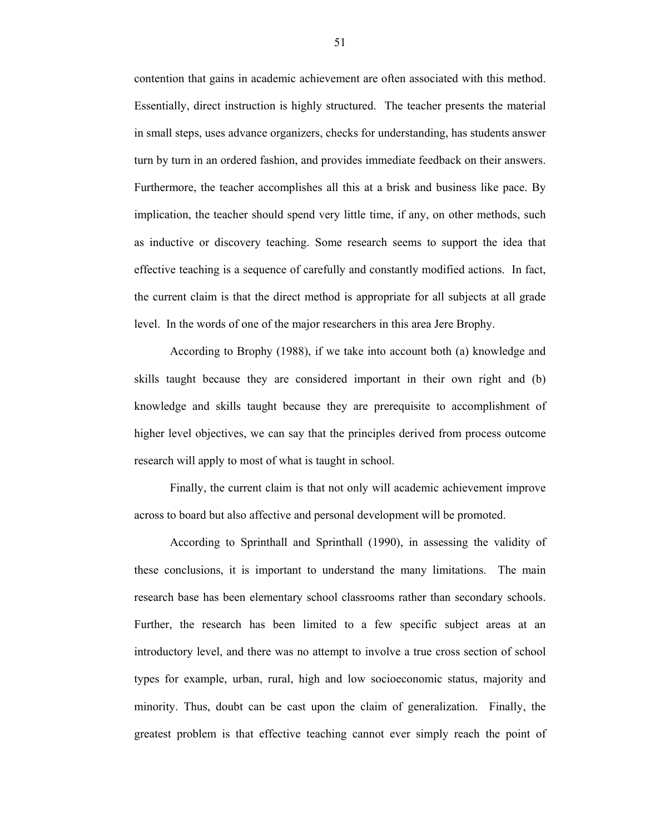contention that gains in academic achievement are often associated with this method. Essentially, direct instruction is highly structured. The teacher presents the material in small steps, uses advance organizers, checks for understanding, has students answer turn by turn in an ordered fashion, and provides immediate feedback on their answers. Furthermore, the teacher accomplishes all this at a brisk and business like pace. By implication, the teacher should spend very little time, if any, on other methods, such as inductive or discovery teaching. Some research seems to support the idea that effective teaching is a sequence of carefully and constantly modified actions. In fact, the current claim is that the direct method is appropriate for all subjects at all grade level. In the words of one of the major researchers in this area Jere Brophy.

According to Brophy (1988), if we take into account both (a) knowledge and skills taught because they are considered important in their own right and (b) knowledge and skills taught because they are prerequisite to accomplishment of higher level objectives, we can say that the principles derived from process outcome research will apply to most of what is taught in school.

Finally, the current claim is that not only will academic achievement improve across to board but also affective and personal development will be promoted.

According to Sprinthall and Sprinthall (1990), in assessing the validity of these conclusions, it is important to understand the many limitations. The main research base has been elementary school classrooms rather than secondary schools. Further, the research has been limited to a few specific subject areas at an introductory level, and there was no attempt to involve a true cross section of school types for example, urban, rural, high and low socioeconomic status, majority and minority. Thus, doubt can be cast upon the claim of generalization. Finally, the greatest problem is that effective teaching cannot ever simply reach the point of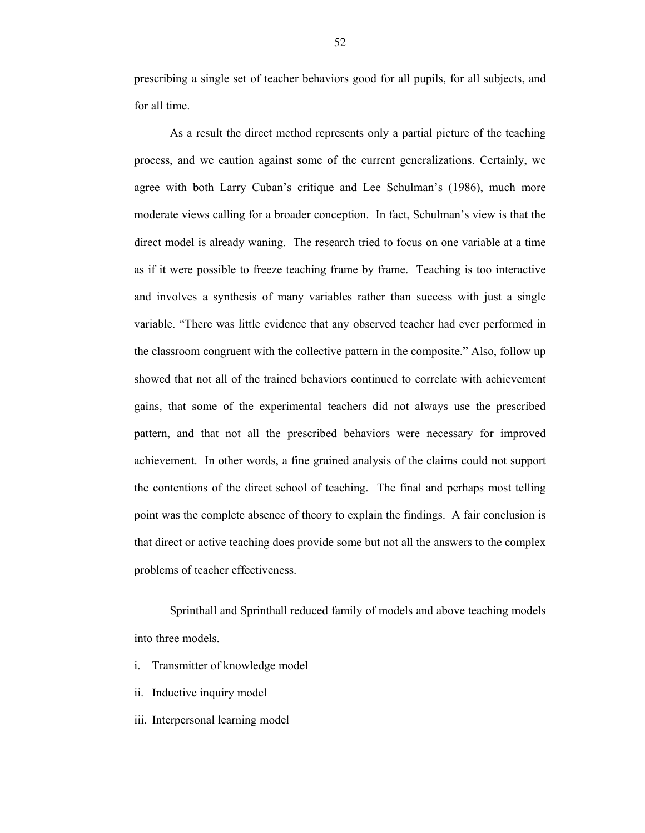prescribing a single set of teacher behaviors good for all pupils, for all subjects, and for all time.

As a result the direct method represents only a partial picture of the teaching process, and we caution against some of the current generalizations. Certainly, we agree with both Larry Cuban's critique and Lee Schulman's (1986), much more moderate views calling for a broader conception. In fact, Schulman's view is that the direct model is already waning. The research tried to focus on one variable at a time as if it were possible to freeze teaching frame by frame. Teaching is too interactive and involves a synthesis of many variables rather than success with just a single variable. "There was little evidence that any observed teacher had ever performed in the classroom congruent with the collective pattern in the composite." Also, follow up showed that not all of the trained behaviors continued to correlate with achievement gains, that some of the experimental teachers did not always use the prescribed pattern, and that not all the prescribed behaviors were necessary for improved achievement. In other words, a fine grained analysis of the claims could not support the contentions of the direct school of teaching. The final and perhaps most telling point was the complete absence of theory to explain the findings. A fair conclusion is that direct or active teaching does provide some but not all the answers to the complex problems of teacher effectiveness.

Sprinthall and Sprinthall reduced family of models and above teaching models into three models.

- i. Transmitter of knowledge model
- ii. Inductive inquiry model
- iii. Interpersonal learning model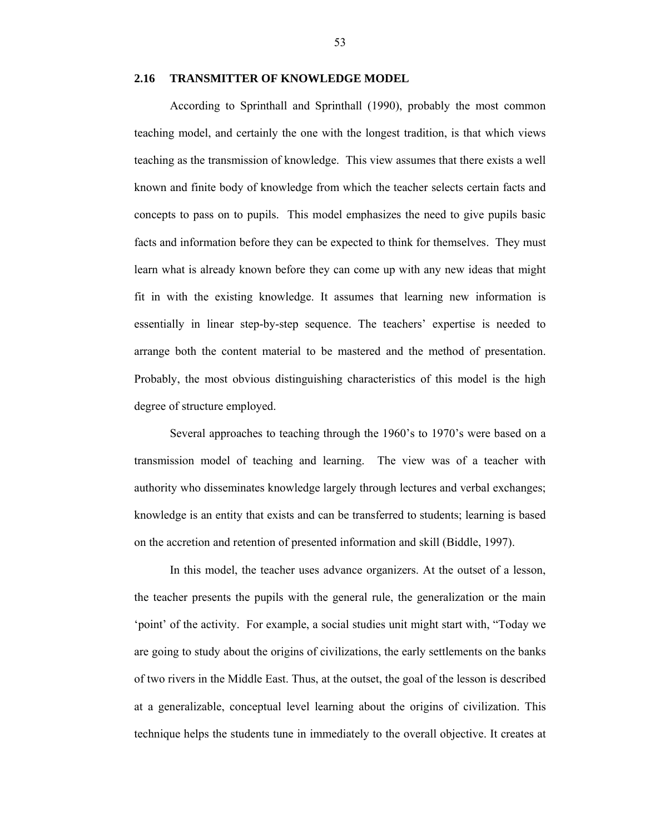#### **2.16 TRANSMITTER OF KNOWLEDGE MODEL**

According to Sprinthall and Sprinthall (1990), probably the most common teaching model, and certainly the one with the longest tradition, is that which views teaching as the transmission of knowledge. This view assumes that there exists a well known and finite body of knowledge from which the teacher selects certain facts and concepts to pass on to pupils. This model emphasizes the need to give pupils basic facts and information before they can be expected to think for themselves. They must learn what is already known before they can come up with any new ideas that might fit in with the existing knowledge. It assumes that learning new information is essentially in linear step-by-step sequence. The teachers' expertise is needed to arrange both the content material to be mastered and the method of presentation. Probably, the most obvious distinguishing characteristics of this model is the high degree of structure employed.

Several approaches to teaching through the 1960's to 1970's were based on a transmission model of teaching and learning. The view was of a teacher with authority who disseminates knowledge largely through lectures and verbal exchanges; knowledge is an entity that exists and can be transferred to students; learning is based on the accretion and retention of presented information and skill (Biddle, 1997).

In this model, the teacher uses advance organizers. At the outset of a lesson, the teacher presents the pupils with the general rule, the generalization or the main 'point' of the activity. For example, a social studies unit might start with, "Today we are going to study about the origins of civilizations, the early settlements on the banks of two rivers in the Middle East. Thus, at the outset, the goal of the lesson is described at a generalizable, conceptual level learning about the origins of civilization. This technique helps the students tune in immediately to the overall objective. It creates at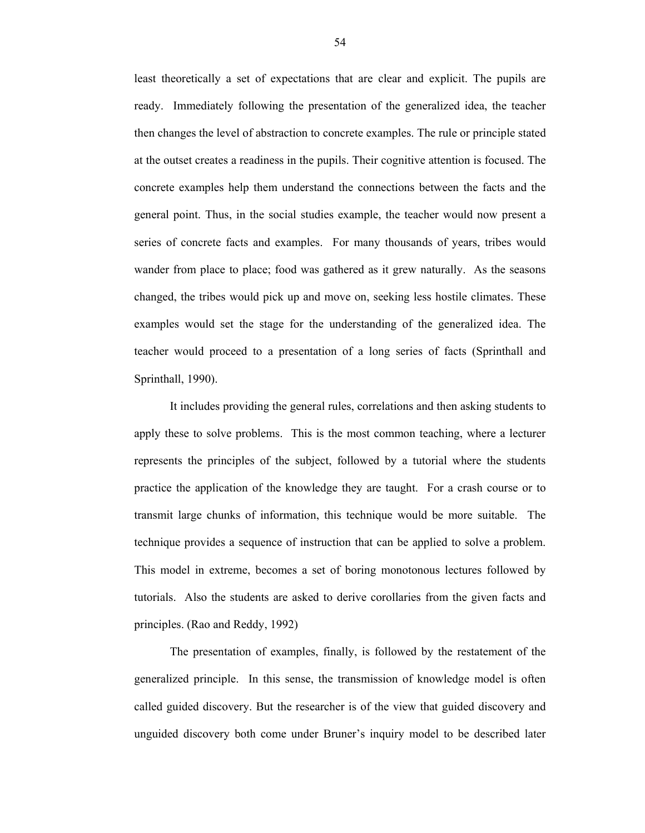least theoretically a set of expectations that are clear and explicit. The pupils are ready. Immediately following the presentation of the generalized idea, the teacher then changes the level of abstraction to concrete examples. The rule or principle stated at the outset creates a readiness in the pupils. Their cognitive attention is focused. The concrete examples help them understand the connections between the facts and the general point. Thus, in the social studies example, the teacher would now present a series of concrete facts and examples. For many thousands of years, tribes would wander from place to place; food was gathered as it grew naturally. As the seasons changed, the tribes would pick up and move on, seeking less hostile climates. These examples would set the stage for the understanding of the generalized idea. The teacher would proceed to a presentation of a long series of facts (Sprinthall and Sprinthall, 1990).

It includes providing the general rules, correlations and then asking students to apply these to solve problems. This is the most common teaching, where a lecturer represents the principles of the subject, followed by a tutorial where the students practice the application of the knowledge they are taught. For a crash course or to transmit large chunks of information, this technique would be more suitable. The technique provides a sequence of instruction that can be applied to solve a problem. This model in extreme, becomes a set of boring monotonous lectures followed by tutorials. Also the students are asked to derive corollaries from the given facts and principles. (Rao and Reddy, 1992)

The presentation of examples, finally, is followed by the restatement of the generalized principle. In this sense, the transmission of knowledge model is often called guided discovery. But the researcher is of the view that guided discovery and unguided discovery both come under Bruner's inquiry model to be described later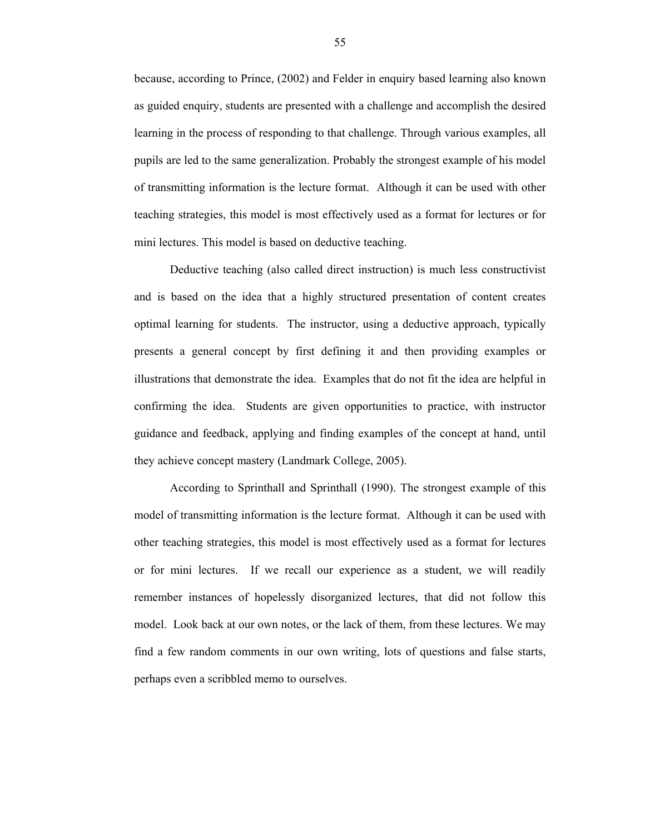because, according to Prince, (2002) and Felder in enquiry based learning also known as guided enquiry, students are presented with a challenge and accomplish the desired learning in the process of responding to that challenge. Through various examples, all pupils are led to the same generalization. Probably the strongest example of his model of transmitting information is the lecture format. Although it can be used with other teaching strategies, this model is most effectively used as a format for lectures or for mini lectures. This model is based on deductive teaching.

Deductive teaching (also called direct instruction) is much less constructivist and is based on the idea that a highly structured presentation of content creates optimal learning for students. The instructor, using a deductive approach, typically presents a general concept by first defining it and then providing examples or illustrations that demonstrate the idea. Examples that do not fit the idea are helpful in confirming the idea. Students are given opportunities to practice, with instructor guidance and feedback, applying and finding examples of the concept at hand, until they achieve concept mastery (Landmark College, 2005).

According to Sprinthall and Sprinthall (1990). The strongest example of this model of transmitting information is the lecture format. Although it can be used with other teaching strategies, this model is most effectively used as a format for lectures or for mini lectures. If we recall our experience as a student, we will readily remember instances of hopelessly disorganized lectures, that did not follow this model. Look back at our own notes, or the lack of them, from these lectures. We may find a few random comments in our own writing, lots of questions and false starts, perhaps even a scribbled memo to ourselves.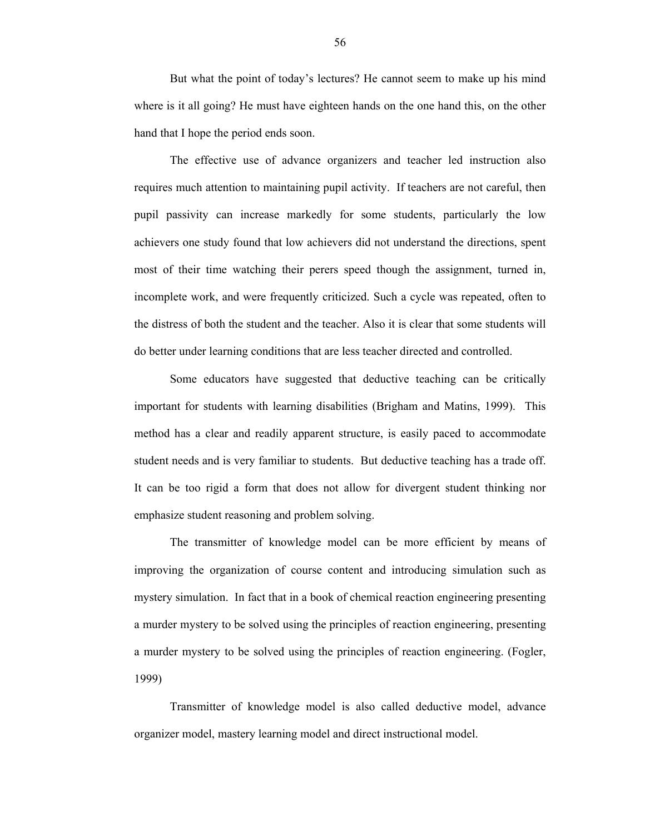But what the point of today's lectures? He cannot seem to make up his mind where is it all going? He must have eighteen hands on the one hand this, on the other hand that I hope the period ends soon.

The effective use of advance organizers and teacher led instruction also requires much attention to maintaining pupil activity. If teachers are not careful, then pupil passivity can increase markedly for some students, particularly the low achievers one study found that low achievers did not understand the directions, spent most of their time watching their perers speed though the assignment, turned in, incomplete work, and were frequently criticized. Such a cycle was repeated, often to the distress of both the student and the teacher. Also it is clear that some students will do better under learning conditions that are less teacher directed and controlled.

Some educators have suggested that deductive teaching can be critically important for students with learning disabilities (Brigham and Matins, 1999). This method has a clear and readily apparent structure, is easily paced to accommodate student needs and is very familiar to students. But deductive teaching has a trade off. It can be too rigid a form that does not allow for divergent student thinking nor emphasize student reasoning and problem solving.

The transmitter of knowledge model can be more efficient by means of improving the organization of course content and introducing simulation such as mystery simulation. In fact that in a book of chemical reaction engineering presenting a murder mystery to be solved using the principles of reaction engineering, presenting a murder mystery to be solved using the principles of reaction engineering. (Fogler, 1999)

Transmitter of knowledge model is also called deductive model, advance organizer model, mastery learning model and direct instructional model.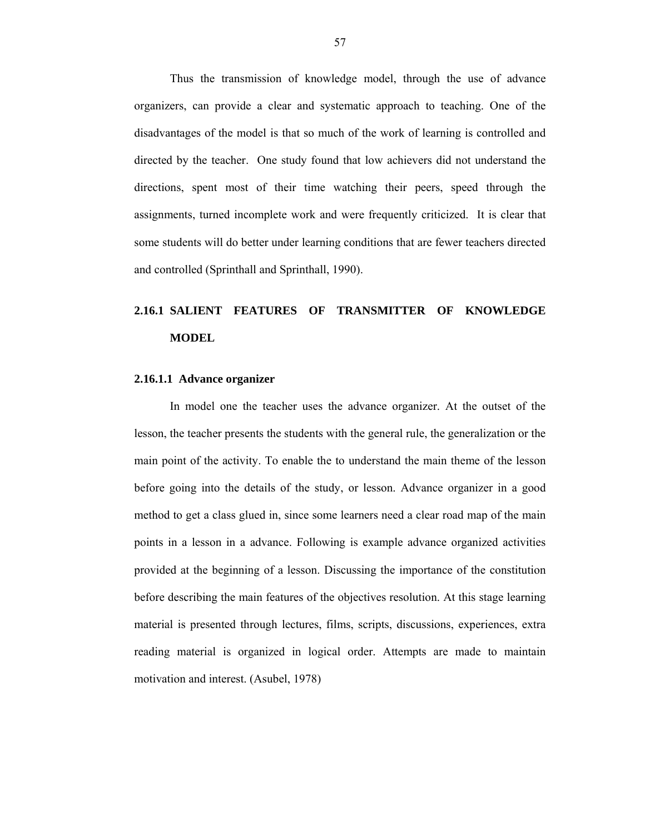Thus the transmission of knowledge model, through the use of advance organizers, can provide a clear and systematic approach to teaching. One of the disadvantages of the model is that so much of the work of learning is controlled and directed by the teacher. One study found that low achievers did not understand the directions, spent most of their time watching their peers, speed through the assignments, turned incomplete work and were frequently criticized. It is clear that some students will do better under learning conditions that are fewer teachers directed and controlled (Sprinthall and Sprinthall, 1990).

# **2.16.1 SALIENT FEATURES OF TRANSMITTER OF KNOWLEDGE MODEL**

## **2.16.1.1 Advance organizer**

In model one the teacher uses the advance organizer. At the outset of the lesson, the teacher presents the students with the general rule, the generalization or the main point of the activity. To enable the to understand the main theme of the lesson before going into the details of the study, or lesson. Advance organizer in a good method to get a class glued in, since some learners need a clear road map of the main points in a lesson in a advance. Following is example advance organized activities provided at the beginning of a lesson. Discussing the importance of the constitution before describing the main features of the objectives resolution. At this stage learning material is presented through lectures, films, scripts, discussions, experiences, extra reading material is organized in logical order. Attempts are made to maintain motivation and interest. (Asubel, 1978)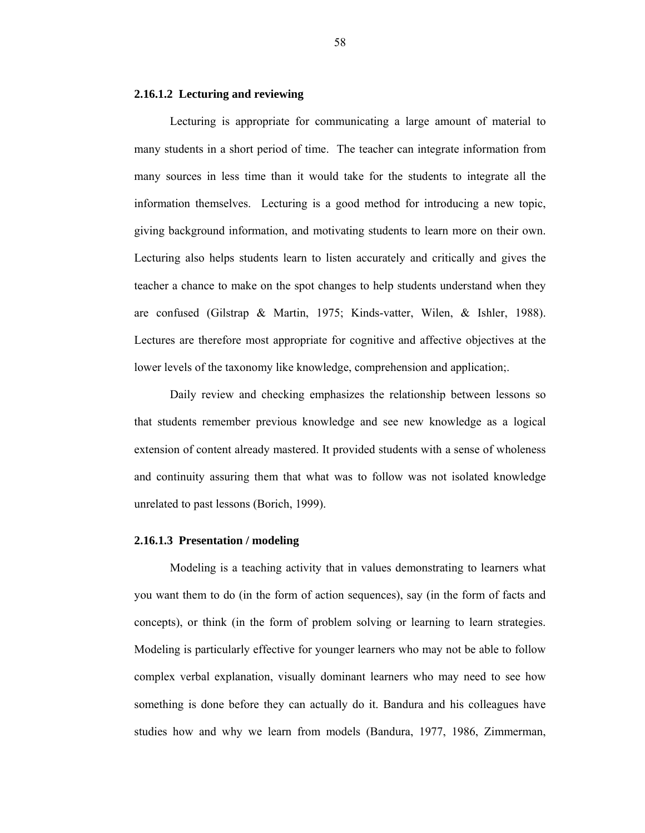## **2.16.1.2 Lecturing and reviewing**

Lecturing is appropriate for communicating a large amount of material to many students in a short period of time. The teacher can integrate information from many sources in less time than it would take for the students to integrate all the information themselves. Lecturing is a good method for introducing a new topic, giving background information, and motivating students to learn more on their own. Lecturing also helps students learn to listen accurately and critically and gives the teacher a chance to make on the spot changes to help students understand when they are confused (Gilstrap & Martin, 1975; Kinds-vatter, Wilen, & Ishler, 1988). Lectures are therefore most appropriate for cognitive and affective objectives at the lower levels of the taxonomy like knowledge, comprehension and application;.

Daily review and checking emphasizes the relationship between lessons so that students remember previous knowledge and see new knowledge as a logical extension of content already mastered. It provided students with a sense of wholeness and continuity assuring them that what was to follow was not isolated knowledge unrelated to past lessons (Borich, 1999).

#### **2.16.1.3 Presentation / modeling**

Modeling is a teaching activity that in values demonstrating to learners what you want them to do (in the form of action sequences), say (in the form of facts and concepts), or think (in the form of problem solving or learning to learn strategies. Modeling is particularly effective for younger learners who may not be able to follow complex verbal explanation, visually dominant learners who may need to see how something is done before they can actually do it. Bandura and his colleagues have studies how and why we learn from models (Bandura, 1977, 1986, Zimmerman,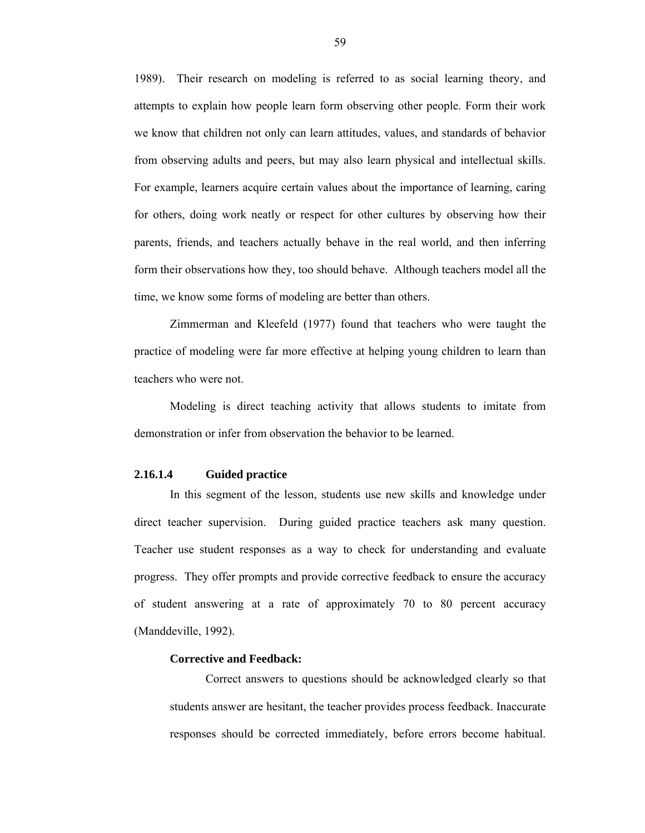1989). Their research on modeling is referred to as social learning theory, and attempts to explain how people learn form observing other people. Form their work we know that children not only can learn attitudes, values, and standards of behavior from observing adults and peers, but may also learn physical and intellectual skills. For example, learners acquire certain values about the importance of learning, caring for others, doing work neatly or respect for other cultures by observing how their parents, friends, and teachers actually behave in the real world, and then inferring form their observations how they, too should behave. Although teachers model all the time, we know some forms of modeling are better than others.

Zimmerman and Kleefeld (1977) found that teachers who were taught the practice of modeling were far more effective at helping young children to learn than teachers who were not.

Modeling is direct teaching activity that allows students to imitate from demonstration or infer from observation the behavior to be learned.

# **2.16.1.4 Guided practice**

In this segment of the lesson, students use new skills and knowledge under direct teacher supervision. During guided practice teachers ask many question. Teacher use student responses as a way to check for understanding and evaluate progress. They offer prompts and provide corrective feedback to ensure the accuracy of student answering at a rate of approximately 70 to 80 percent accuracy (Manddeville, 1992).

# **Corrective and Feedback:**

Correct answers to questions should be acknowledged clearly so that students answer are hesitant, the teacher provides process feedback. Inaccurate responses should be corrected immediately, before errors become habitual.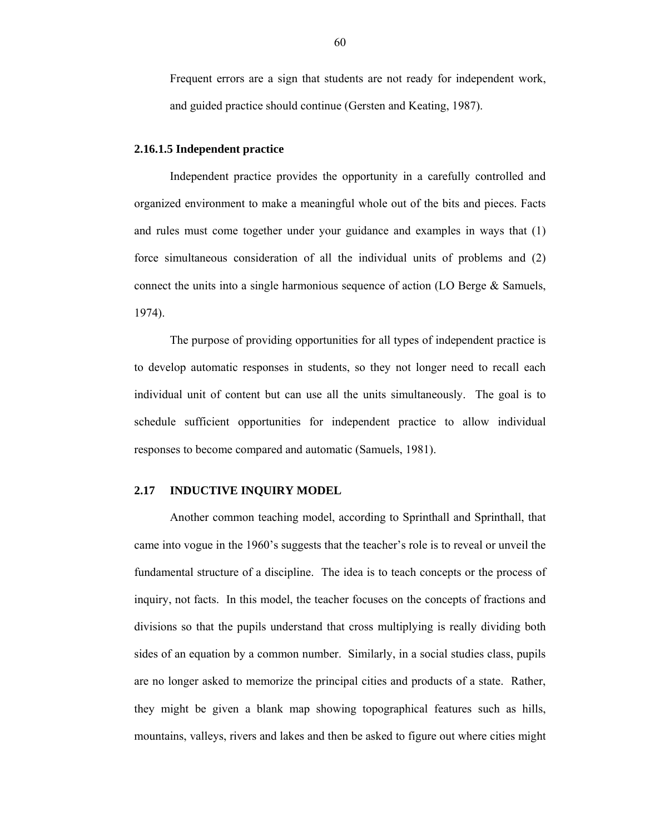Frequent errors are a sign that students are not ready for independent work, and guided practice should continue (Gersten and Keating, 1987).

#### **2.16.1.5 Independent practice**

Independent practice provides the opportunity in a carefully controlled and organized environment to make a meaningful whole out of the bits and pieces. Facts and rules must come together under your guidance and examples in ways that (1) force simultaneous consideration of all the individual units of problems and (2) connect the units into a single harmonious sequence of action (LO Berge & Samuels, 1974).

 The purpose of providing opportunities for all types of independent practice is to develop automatic responses in students, so they not longer need to recall each individual unit of content but can use all the units simultaneously. The goal is to schedule sufficient opportunities for independent practice to allow individual responses to become compared and automatic (Samuels, 1981).

#### **2.17 INDUCTIVE INQUIRY MODEL**

 Another common teaching model, according to Sprinthall and Sprinthall, that came into vogue in the 1960's suggests that the teacher's role is to reveal or unveil the fundamental structure of a discipline. The idea is to teach concepts or the process of inquiry, not facts. In this model, the teacher focuses on the concepts of fractions and divisions so that the pupils understand that cross multiplying is really dividing both sides of an equation by a common number. Similarly, in a social studies class, pupils are no longer asked to memorize the principal cities and products of a state. Rather, they might be given a blank map showing topographical features such as hills, mountains, valleys, rivers and lakes and then be asked to figure out where cities might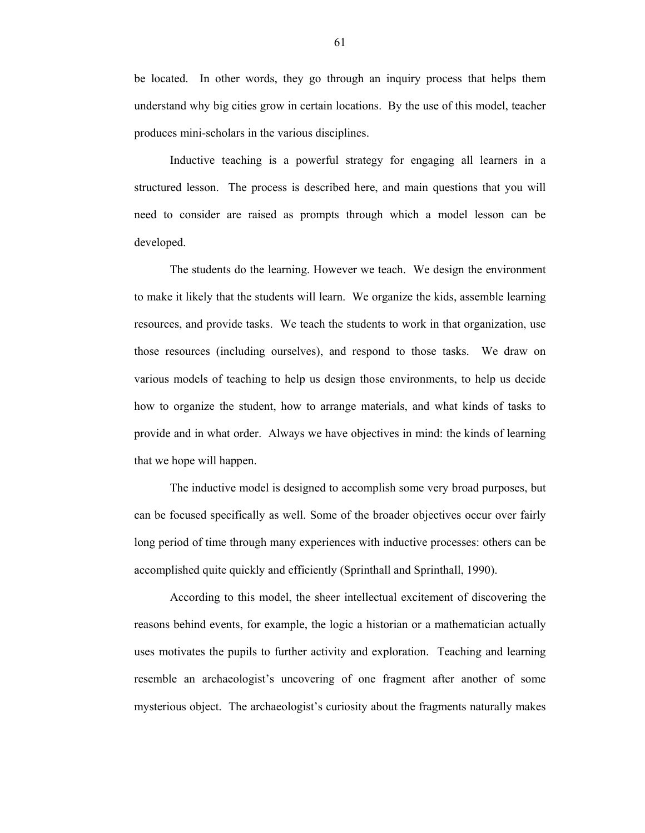be located. In other words, they go through an inquiry process that helps them understand why big cities grow in certain locations. By the use of this model, teacher produces mini-scholars in the various disciplines.

Inductive teaching is a powerful strategy for engaging all learners in a structured lesson. The process is described here, and main questions that you will need to consider are raised as prompts through which a model lesson can be developed.

The students do the learning. However we teach. We design the environment to make it likely that the students will learn. We organize the kids, assemble learning resources, and provide tasks. We teach the students to work in that organization, use those resources (including ourselves), and respond to those tasks. We draw on various models of teaching to help us design those environments, to help us decide how to organize the student, how to arrange materials, and what kinds of tasks to provide and in what order. Always we have objectives in mind: the kinds of learning that we hope will happen.

The inductive model is designed to accomplish some very broad purposes, but can be focused specifically as well. Some of the broader objectives occur over fairly long period of time through many experiences with inductive processes: others can be accomplished quite quickly and efficiently (Sprinthall and Sprinthall, 1990).

According to this model, the sheer intellectual excitement of discovering the reasons behind events, for example, the logic a historian or a mathematician actually uses motivates the pupils to further activity and exploration. Teaching and learning resemble an archaeologist's uncovering of one fragment after another of some mysterious object. The archaeologist's curiosity about the fragments naturally makes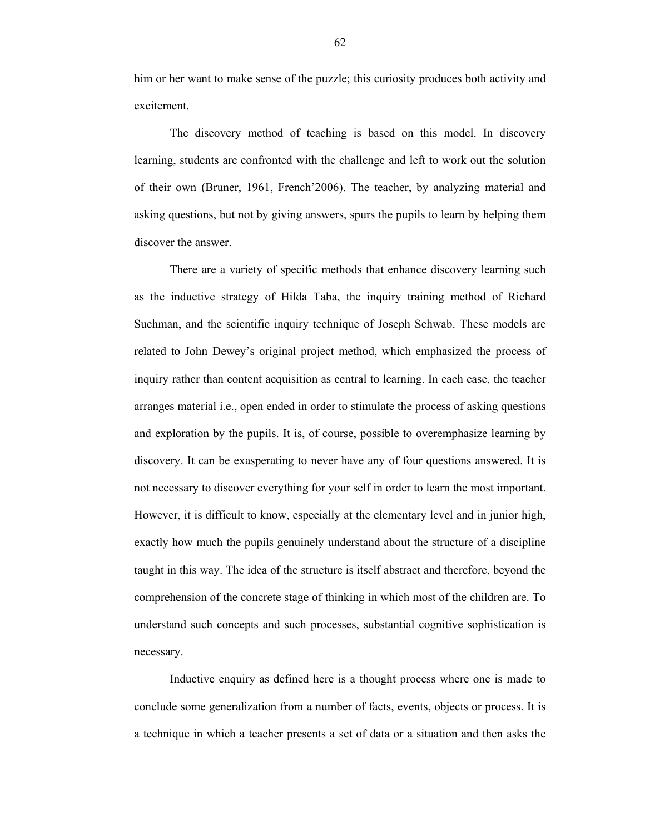him or her want to make sense of the puzzle; this curiosity produces both activity and excitement.

The discovery method of teaching is based on this model. In discovery learning, students are confronted with the challenge and left to work out the solution of their own (Bruner, 1961, French'2006). The teacher, by analyzing material and asking questions, but not by giving answers, spurs the pupils to learn by helping them discover the answer.

There are a variety of specific methods that enhance discovery learning such as the inductive strategy of Hilda Taba, the inquiry training method of Richard Suchman, and the scientific inquiry technique of Joseph Sehwab. These models are related to John Dewey's original project method, which emphasized the process of inquiry rather than content acquisition as central to learning. In each case, the teacher arranges material i.e., open ended in order to stimulate the process of asking questions and exploration by the pupils. It is, of course, possible to overemphasize learning by discovery. It can be exasperating to never have any of four questions answered. It is not necessary to discover everything for your self in order to learn the most important. However, it is difficult to know, especially at the elementary level and in junior high, exactly how much the pupils genuinely understand about the structure of a discipline taught in this way. The idea of the structure is itself abstract and therefore, beyond the comprehension of the concrete stage of thinking in which most of the children are. To understand such concepts and such processes, substantial cognitive sophistication is necessary.

Inductive enquiry as defined here is a thought process where one is made to conclude some generalization from a number of facts, events, objects or process. It is a technique in which a teacher presents a set of data or a situation and then asks the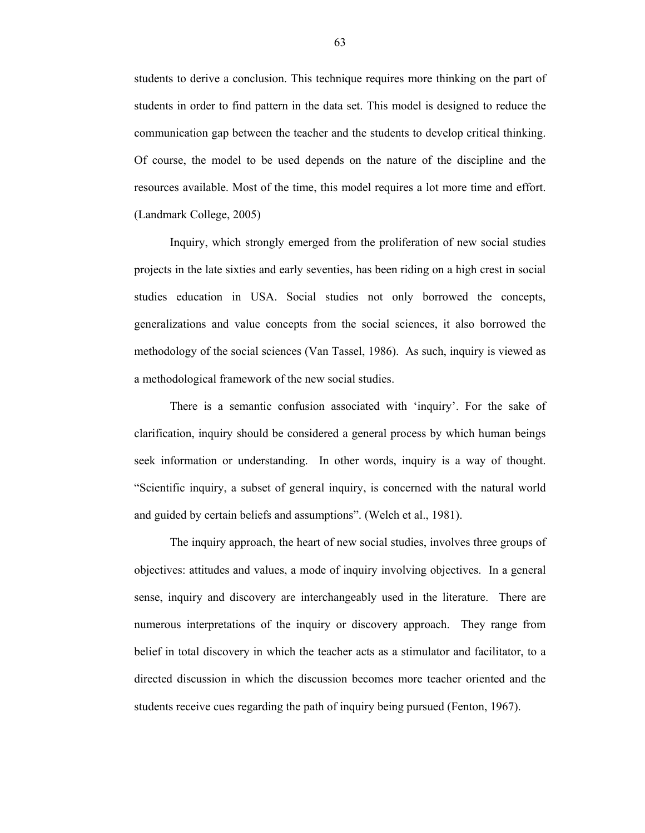students to derive a conclusion. This technique requires more thinking on the part of students in order to find pattern in the data set. This model is designed to reduce the communication gap between the teacher and the students to develop critical thinking. Of course, the model to be used depends on the nature of the discipline and the resources available. Most of the time, this model requires a lot more time and effort. (Landmark College, 2005)

Inquiry, which strongly emerged from the proliferation of new social studies projects in the late sixties and early seventies, has been riding on a high crest in social studies education in USA. Social studies not only borrowed the concepts, generalizations and value concepts from the social sciences, it also borrowed the methodology of the social sciences (Van Tassel, 1986). As such, inquiry is viewed as a methodological framework of the new social studies.

There is a semantic confusion associated with 'inquiry'. For the sake of clarification, inquiry should be considered a general process by which human beings seek information or understanding. In other words, inquiry is a way of thought. "Scientific inquiry, a subset of general inquiry, is concerned with the natural world and guided by certain beliefs and assumptions". (Welch et al., 1981).

The inquiry approach, the heart of new social studies, involves three groups of objectives: attitudes and values, a mode of inquiry involving objectives. In a general sense, inquiry and discovery are interchangeably used in the literature. There are numerous interpretations of the inquiry or discovery approach. They range from belief in total discovery in which the teacher acts as a stimulator and facilitator, to a directed discussion in which the discussion becomes more teacher oriented and the students receive cues regarding the path of inquiry being pursued (Fenton, 1967).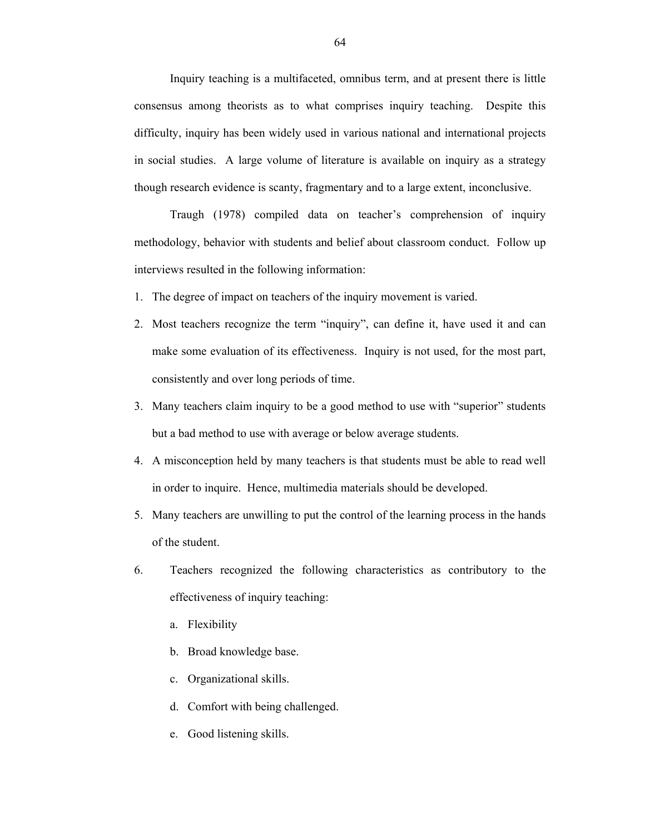Inquiry teaching is a multifaceted, omnibus term, and at present there is little consensus among theorists as to what comprises inquiry teaching. Despite this difficulty, inquiry has been widely used in various national and international projects in social studies. A large volume of literature is available on inquiry as a strategy though research evidence is scanty, fragmentary and to a large extent, inconclusive.

Traugh (1978) compiled data on teacher's comprehension of inquiry methodology, behavior with students and belief about classroom conduct. Follow up interviews resulted in the following information:

- 1. The degree of impact on teachers of the inquiry movement is varied.
- 2. Most teachers recognize the term "inquiry", can define it, have used it and can make some evaluation of its effectiveness. Inquiry is not used, for the most part, consistently and over long periods of time.
- 3. Many teachers claim inquiry to be a good method to use with "superior" students but a bad method to use with average or below average students.
- 4. A misconception held by many teachers is that students must be able to read well in order to inquire. Hence, multimedia materials should be developed.
- 5. Many teachers are unwilling to put the control of the learning process in the hands of the student.
- 6. Teachers recognized the following characteristics as contributory to the effectiveness of inquiry teaching:
	- a. Flexibility
	- b. Broad knowledge base.
	- c. Organizational skills.
	- d. Comfort with being challenged.
	- e. Good listening skills.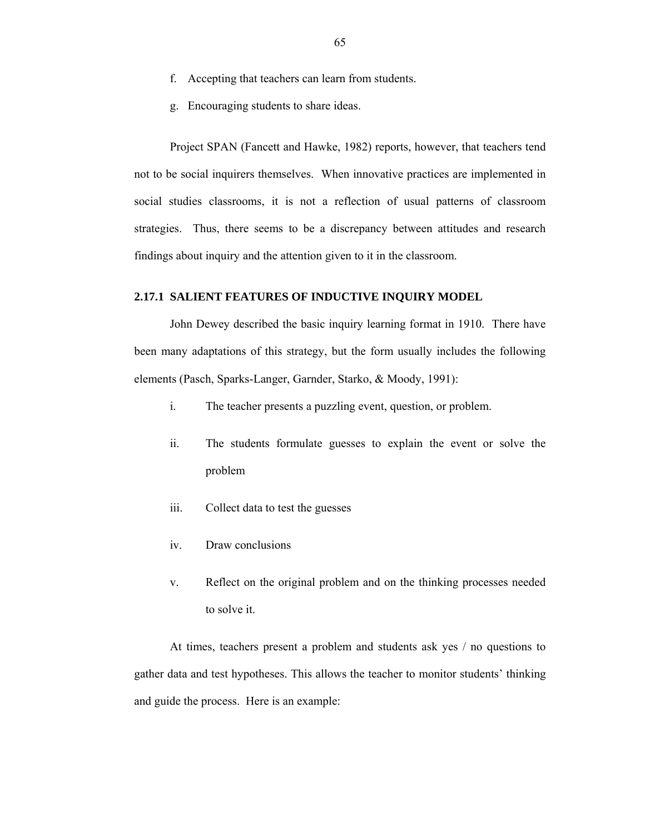- f. Accepting that teachers can learn from students.
- g. Encouraging students to share ideas.

Project SPAN (Fancett and Hawke, 1982) reports, however, that teachers tend not to be social inquirers themselves. When innovative practices are implemented in social studies classrooms, it is not a reflection of usual patterns of classroom strategies. Thus, there seems to be a discrepancy between attitudes and research findings about inquiry and the attention given to it in the classroom.

## **2.17.1 SALIENT FEATURES OF INDUCTIVE INQUIRY MODEL**

John Dewey described the basic inquiry learning format in 1910. There have been many adaptations of this strategy, but the form usually includes the following elements (Pasch, Sparks-Langer, Garnder, Starko, & Moody, 1991):

- i. The teacher presents a puzzling event, question, or problem.
- ii. The students formulate guesses to explain the event or solve the problem
- iii. Collect data to test the guesses
- iv. Draw conclusions
- v. Reflect on the original problem and on the thinking processes needed to solve it.

At times, teachers present a problem and students ask yes / no questions to gather data and test hypotheses. This allows the teacher to monitor students' thinking and guide the process. Here is an example: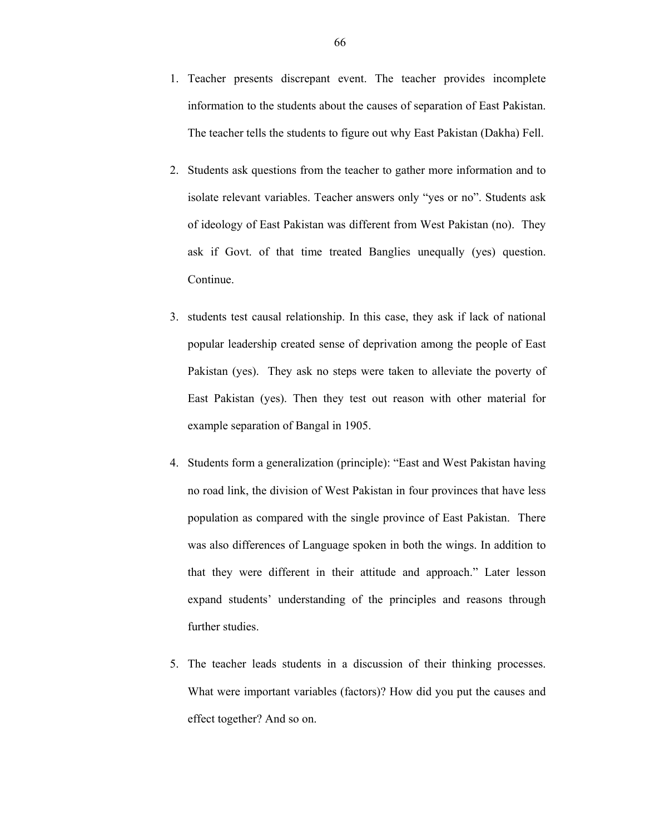- 1. Teacher presents discrepant event. The teacher provides incomplete information to the students about the causes of separation of East Pakistan. The teacher tells the students to figure out why East Pakistan (Dakha) Fell.
- 2. Students ask questions from the teacher to gather more information and to isolate relevant variables. Teacher answers only "yes or no". Students ask of ideology of East Pakistan was different from West Pakistan (no). They ask if Govt. of that time treated Banglies unequally (yes) question. Continue.
- 3. students test causal relationship. In this case, they ask if lack of national popular leadership created sense of deprivation among the people of East Pakistan (yes). They ask no steps were taken to alleviate the poverty of East Pakistan (yes). Then they test out reason with other material for example separation of Bangal in 1905.
- 4. Students form a generalization (principle): "East and West Pakistan having no road link, the division of West Pakistan in four provinces that have less population as compared with the single province of East Pakistan. There was also differences of Language spoken in both the wings. In addition to that they were different in their attitude and approach." Later lesson expand students' understanding of the principles and reasons through further studies.
- 5. The teacher leads students in a discussion of their thinking processes. What were important variables (factors)? How did you put the causes and effect together? And so on.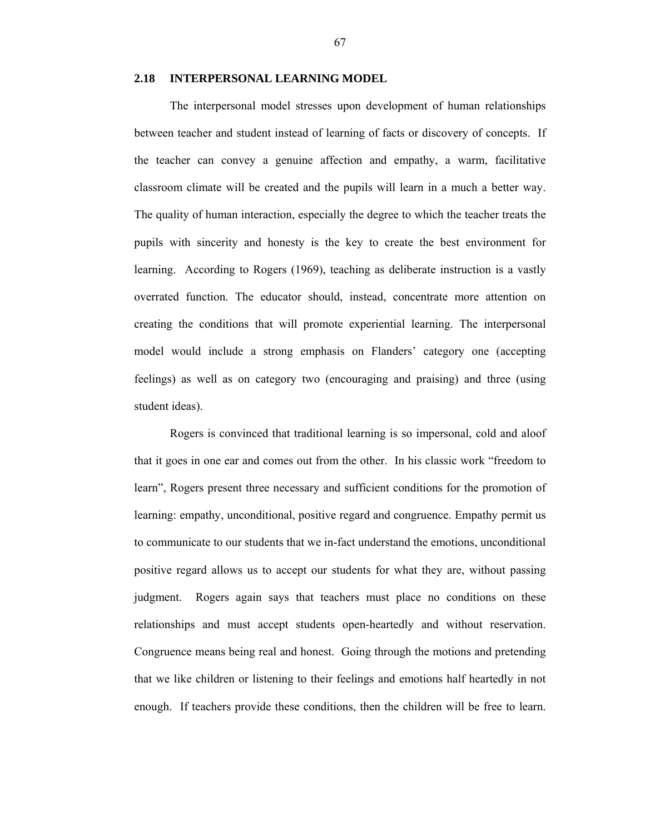#### **2.18 INTERPERSONAL LEARNING MODEL**

The interpersonal model stresses upon development of human relationships between teacher and student instead of learning of facts or discovery of concepts. If the teacher can convey a genuine affection and empathy, a warm, facilitative classroom climate will be created and the pupils will learn in a much a better way. The quality of human interaction, especially the degree to which the teacher treats the pupils with sincerity and honesty is the key to create the best environment for learning. According to Rogers (1969), teaching as deliberate instruction is a vastly overrated function. The educator should, instead, concentrate more attention on creating the conditions that will promote experiential learning. The interpersonal model would include a strong emphasis on Flanders' category one (accepting feelings) as well as on category two (encouraging and praising) and three (using student ideas).

Rogers is convinced that traditional learning is so impersonal, cold and aloof that it goes in one ear and comes out from the other. In his classic work "freedom to learn", Rogers present three necessary and sufficient conditions for the promotion of learning: empathy, unconditional, positive regard and congruence. Empathy permit us to communicate to our students that we in-fact understand the emotions, unconditional positive regard allows us to accept our students for what they are, without passing judgment. Rogers again says that teachers must place no conditions on these relationships and must accept students open-heartedly and without reservation. Congruence means being real and honest. Going through the motions and pretending that we like children or listening to their feelings and emotions half heartedly in not enough. If teachers provide these conditions, then the children will be free to learn.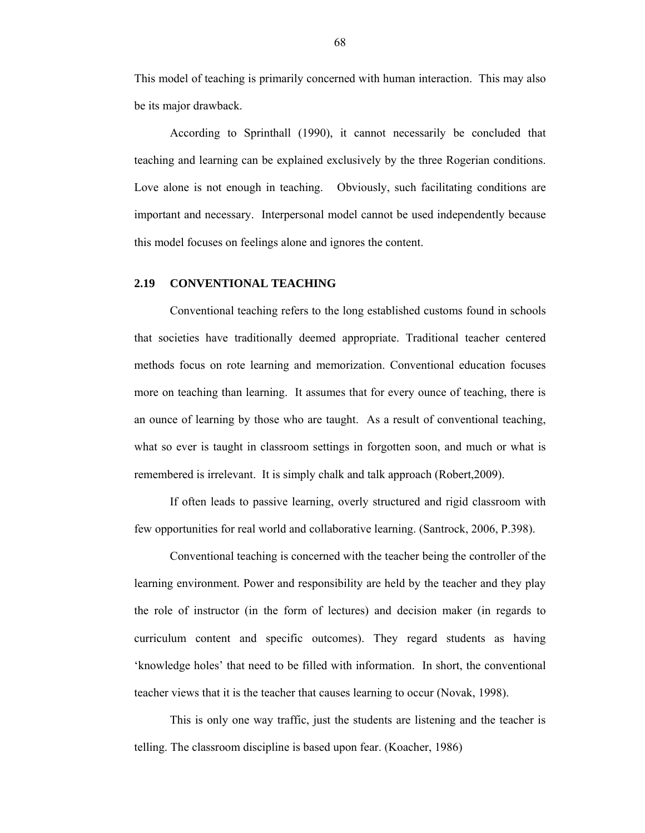This model of teaching is primarily concerned with human interaction. This may also be its major drawback.

According to Sprinthall (1990), it cannot necessarily be concluded that teaching and learning can be explained exclusively by the three Rogerian conditions. Love alone is not enough in teaching. Obviously, such facilitating conditions are important and necessary. Interpersonal model cannot be used independently because this model focuses on feelings alone and ignores the content.

## **2.19 CONVENTIONAL TEACHING**

Conventional teaching refers to the long established customs found in schools that societies have traditionally deemed appropriate. Traditional teacher centered methods focus on rote learning and memorization. Conventional education focuses more on teaching than learning. It assumes that for every ounce of teaching, there is an ounce of learning by those who are taught. As a result of conventional teaching, what so ever is taught in classroom settings in forgotten soon, and much or what is remembered is irrelevant. It is simply chalk and talk approach (Robert,2009).

If often leads to passive learning, overly structured and rigid classroom with few opportunities for real world and collaborative learning. (Santrock, 2006, P.398).

Conventional teaching is concerned with the teacher being the controller of the learning environment. Power and responsibility are held by the teacher and they play the role of instructor (in the form of lectures) and decision maker (in regards to curriculum content and specific outcomes). They regard students as having 'knowledge holes' that need to be filled with information. In short, the conventional teacher views that it is the teacher that causes learning to occur (Novak, 1998).

This is only one way traffic, just the students are listening and the teacher is telling. The classroom discipline is based upon fear. (Koacher, 1986)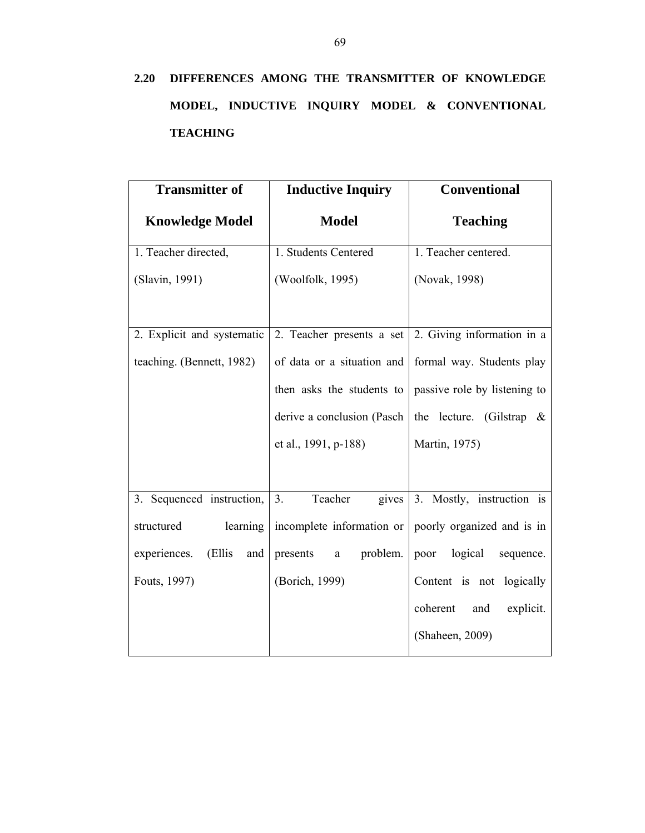# **2.20 DIFFERENCES AMONG THE TRANSMITTER OF KNOWLEDGE MODEL, INDUCTIVE INQUIRY MODEL & CONVENTIONAL TEACHING**

| <b>Transmitter of</b>         | <b>Inductive Inquiry</b>             | <b>Conventional</b>          |
|-------------------------------|--------------------------------------|------------------------------|
| <b>Knowledge Model</b>        | <b>Model</b>                         | <b>Teaching</b>              |
| 1. Teacher directed,          | 1. Students Centered                 | 1. Teacher centered.         |
| (Slavin, 1991)                | (Woolfolk, 1995)                     | (Novak, 1998)                |
|                               |                                      |                              |
| 2. Explicit and systematic    | 2. Teacher presents a set            | 2. Giving information in a   |
| teaching. (Bennett, 1982)     | of data or a situation and           | formal way. Students play    |
|                               | then asks the students to            | passive role by listening to |
|                               | derive a conclusion (Pasch           | the lecture. (Gilstrap $\&$  |
|                               | et al., 1991, p-188)                 | Martin, 1975)                |
|                               |                                      |                              |
| 3. Sequenced instruction,     | $\overline{3}$ .<br>Teacher<br>gives | 3. Mostly, instruction is    |
| structured<br>learning        | incomplete information or            | poorly organized and is in   |
| (Ellis<br>experiences.<br>and | problem.<br>presents<br>$\rm{a}$     | logical<br>poor<br>sequence. |
| Fouts, 1997)                  | (Borich, 1999)                       | Content is not logically     |
|                               |                                      | explicit.<br>coherent<br>and |
|                               |                                      | (Shaheen, 2009)              |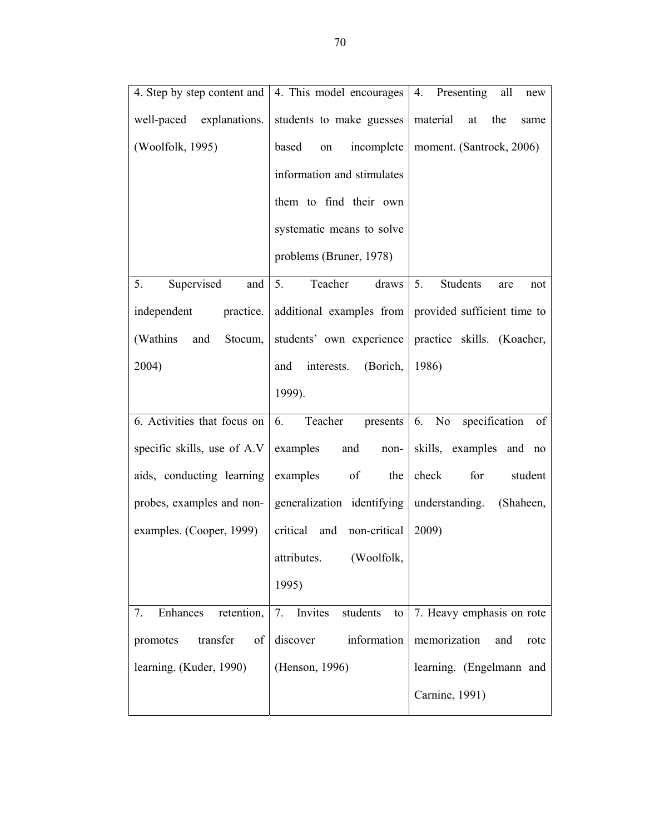| 4. Step by step content and  | 4. This model encourages        | 4. Presenting<br>all<br>new                          |
|------------------------------|---------------------------------|------------------------------------------------------|
| well-paced explanations.     | students to make guesses        | material<br>at<br>the<br>same                        |
| (Woolfolk, 1995)             | based<br>incomplete<br>on       | moment. (Santrock, 2006)                             |
|                              | information and stimulates      |                                                      |
|                              | them to find their own          |                                                      |
|                              | systematic means to solve       |                                                      |
|                              | problems (Bruner, 1978)         |                                                      |
| Supervised<br>5.<br>and      | 5.<br>Teacher<br>draws          | 5.<br>Students<br>are<br>not                         |
| independent<br>practice.     |                                 | additional examples from provided sufficient time to |
| (Wathins)<br>and<br>Stocum,  | students' own experience        | practice skills. (Koacher,                           |
| 2004)                        | and interests. (Borich,         | 1986)                                                |
|                              | 1999).                          |                                                      |
| 6. Activities that focus on  | Teacher<br>6.<br>presents       | specification<br>6. No<br>of                         |
| specific skills, use of A.V  | examples<br>and<br>non-         | skills, examples and no                              |
| aids, conducting learning    | examples of the                 | check<br>for<br>student                              |
| probes, examples and non-    | generalization identifying      | understanding.<br>(Shaheen,                          |
| examples. (Cooper, 1999)     | critical and non-critical       | 2009)                                                |
|                              | attributes. (Woolfolk,          |                                                      |
|                              | 1995)                           |                                                      |
| retention,<br>Enhances<br>7. | Invites<br>students<br>7.<br>to | 7. Heavy emphasis on rote                            |
| transfer<br>promotes<br>of   | discover<br>information         | memorization<br>and<br>rote                          |
| learning. (Kuder, 1990)      | (Henson, 1996)                  | learning. (Engelmann and                             |
|                              |                                 | Carnine, 1991)                                       |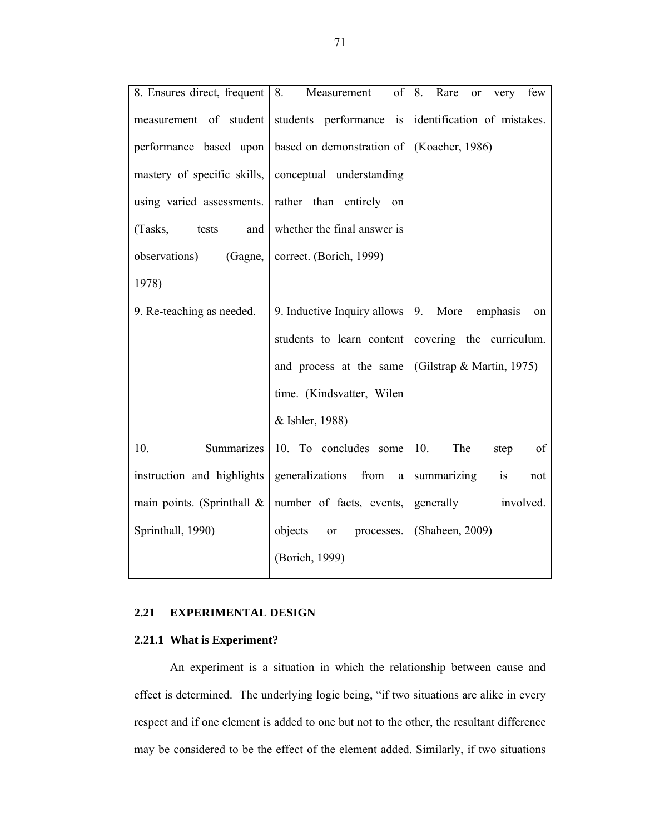| 8. Ensures direct, frequent | of<br>8.<br>Measurement      | 8.<br>Rare<br>few<br>or<br>very |
|-----------------------------|------------------------------|---------------------------------|
| measurement of student      | students performance is      | identification of mistakes.     |
| performance based upon      | based on demonstration of    | (Koacher, 1986)                 |
| mastery of specific skills, | conceptual understanding     |                                 |
| using varied assessments.   | rather than entirely on      |                                 |
| (Tasks,<br>tests<br>and     | whether the final answer is  |                                 |
| observations)<br>(Gagne,    | correct. (Borich, 1999)      |                                 |
| 1978)                       |                              |                                 |
| 9. Re-teaching as needed.   | 9. Inductive Inquiry allows  | 9.<br>More<br>emphasis<br>on    |
|                             | students to learn content    | covering the curriculum.        |
|                             | and process at the same      | (Gilstrap & Martin, 1975)       |
|                             | time. (Kindsvatter, Wilen    |                                 |
|                             | & Ishler, 1988)              |                                 |
| Summarizes<br>10.           | 10. To concludes some        | of<br>10.<br>The<br>step        |
| instruction and highlights  | generalizations<br>from<br>a | summarizing<br>is<br>not        |
| main points. (Sprinthall &  | number of facts, events,     | involved.<br>generally          |
| Sprinthall, 1990)           | objects<br>processes.<br>or  | (Shaheen, 2009)                 |
|                             | (Borich, 1999)               |                                 |

## **2.21 EXPERIMENTAL DESIGN**

## **2.21.1 What is Experiment?**

An experiment is a situation in which the relationship between cause and effect is determined. The underlying logic being, "if two situations are alike in every respect and if one element is added to one but not to the other, the resultant difference may be considered to be the effect of the element added. Similarly, if two situations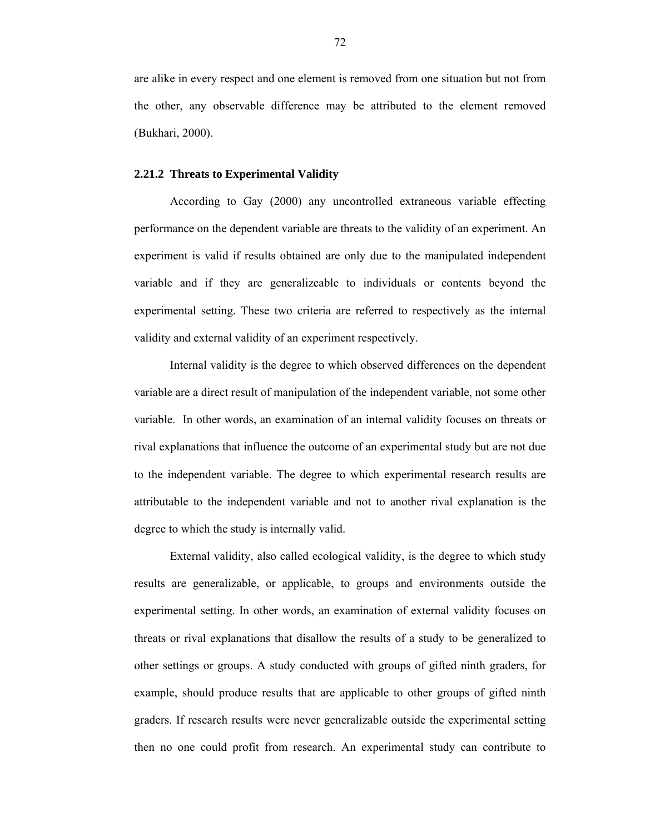are alike in every respect and one element is removed from one situation but not from the other, any observable difference may be attributed to the element removed (Bukhari, 2000).

#### **2.21.2 Threats to Experimental Validity**

 According to Gay (2000) any uncontrolled extraneous variable effecting performance on the dependent variable are threats to the validity of an experiment. An experiment is valid if results obtained are only due to the manipulated independent variable and if they are generalizeable to individuals or contents beyond the experimental setting. These two criteria are referred to respectively as the internal validity and external validity of an experiment respectively.

 Internal validity is the degree to which observed differences on the dependent variable are a direct result of manipulation of the independent variable, not some other variable. In other words, an examination of an internal validity focuses on threats or rival explanations that influence the outcome of an experimental study but are not due to the independent variable. The degree to which experimental research results are attributable to the independent variable and not to another rival explanation is the degree to which the study is internally valid.

 External validity, also called ecological validity, is the degree to which study results are generalizable, or applicable, to groups and environments outside the experimental setting. In other words, an examination of external validity focuses on threats or rival explanations that disallow the results of a study to be generalized to other settings or groups. A study conducted with groups of gifted ninth graders, for example, should produce results that are applicable to other groups of gifted ninth graders. If research results were never generalizable outside the experimental setting then no one could profit from research. An experimental study can contribute to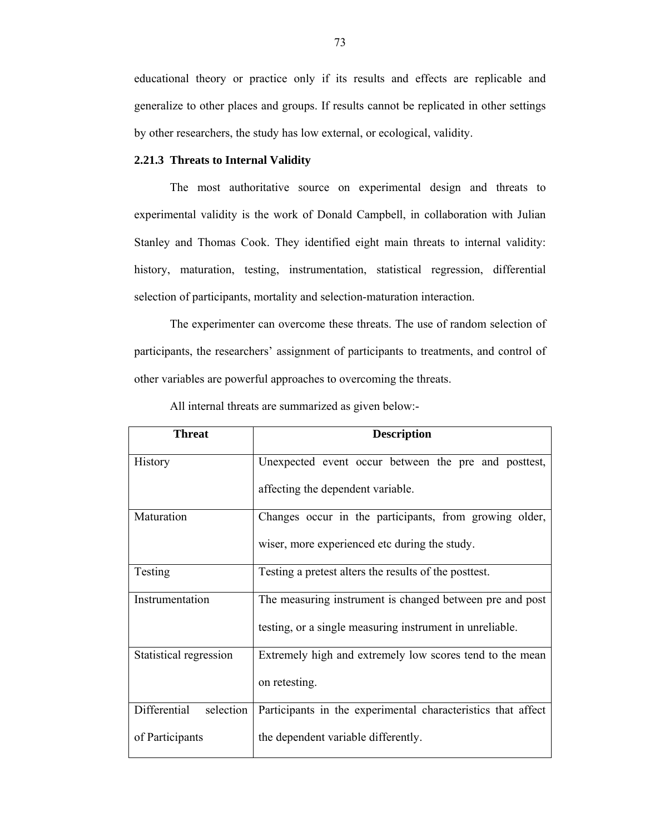educational theory or practice only if its results and effects are replicable and generalize to other places and groups. If results cannot be replicated in other settings by other researchers, the study has low external, or ecological, validity.

### **2.21.3 Threats to Internal Validity**

 The most authoritative source on experimental design and threats to experimental validity is the work of Donald Campbell, in collaboration with Julian Stanley and Thomas Cook. They identified eight main threats to internal validity: history, maturation, testing, instrumentation, statistical regression, differential selection of participants, mortality and selection-maturation interaction.

 The experimenter can overcome these threats. The use of random selection of participants, the researchers' assignment of participants to treatments, and control of other variables are powerful approaches to overcoming the threats.

| <b>Threat</b>             | <b>Description</b>                                           |
|---------------------------|--------------------------------------------------------------|
| <b>History</b>            | Unexpected event occur between the pre and posttest,         |
|                           | affecting the dependent variable.                            |
| Maturation                | Changes occur in the participants, from growing older,       |
|                           | wiser, more experienced etc during the study.                |
| Testing                   | Testing a pretest alters the results of the posttest.        |
| Instrumentation           | The measuring instrument is changed between pre and post     |
|                           | testing, or a single measuring instrument in unreliable.     |
| Statistical regression    | Extremely high and extremely low scores tend to the mean     |
|                           | on retesting.                                                |
| Differential<br>selection | Participants in the experimental characteristics that affect |
| of Participants           | the dependent variable differently.                          |

All internal threats are summarized as given below:-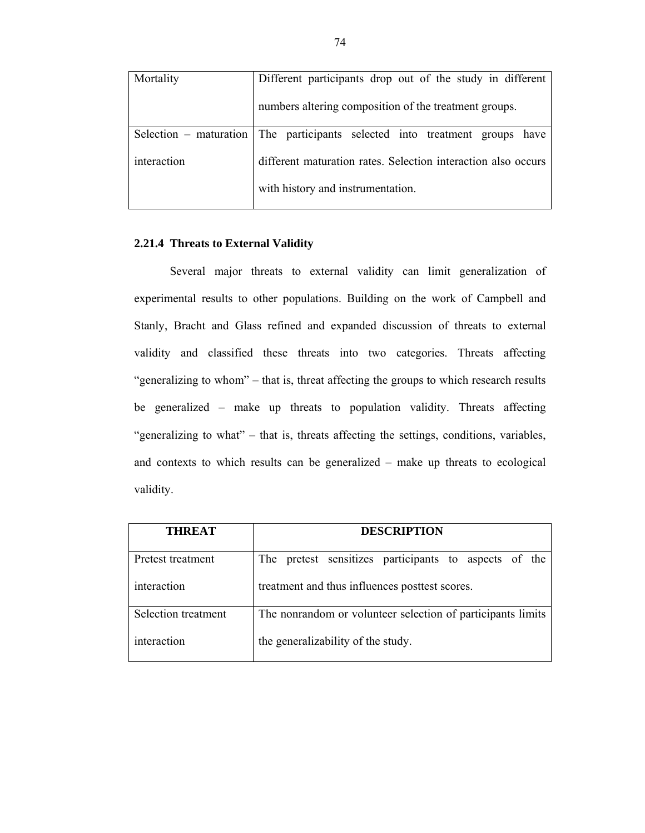| Mortality              | Different participants drop out of the study in different     |
|------------------------|---------------------------------------------------------------|
|                        | numbers altering composition of the treatment groups.         |
| Selection – maturation | The participants selected into treatment groups have          |
| interaction            | different maturation rates. Selection interaction also occurs |
|                        | with history and instrumentation.                             |

## **2.21.4 Threats to External Validity**

Several major threats to external validity can limit generalization of experimental results to other populations. Building on the work of Campbell and Stanly, Bracht and Glass refined and expanded discussion of threats to external validity and classified these threats into two categories. Threats affecting "generalizing to whom" – that is, threat affecting the groups to which research results be generalized – make up threats to population validity. Threats affecting "generalizing to what" – that is, threats affecting the settings, conditions, variables, and contexts to which results can be generalized – make up threats to ecological validity.

| <b>THREAT</b>       | <b>DESCRIPTION</b>                                          |
|---------------------|-------------------------------------------------------------|
| Pretest treatment   | The pretest sensitizes participants to aspects of the       |
| interaction         | treatment and thus influences posttest scores.              |
| Selection treatment | The nonrandom or volunteer selection of participants limits |
| interaction         | the generalizability of the study.                          |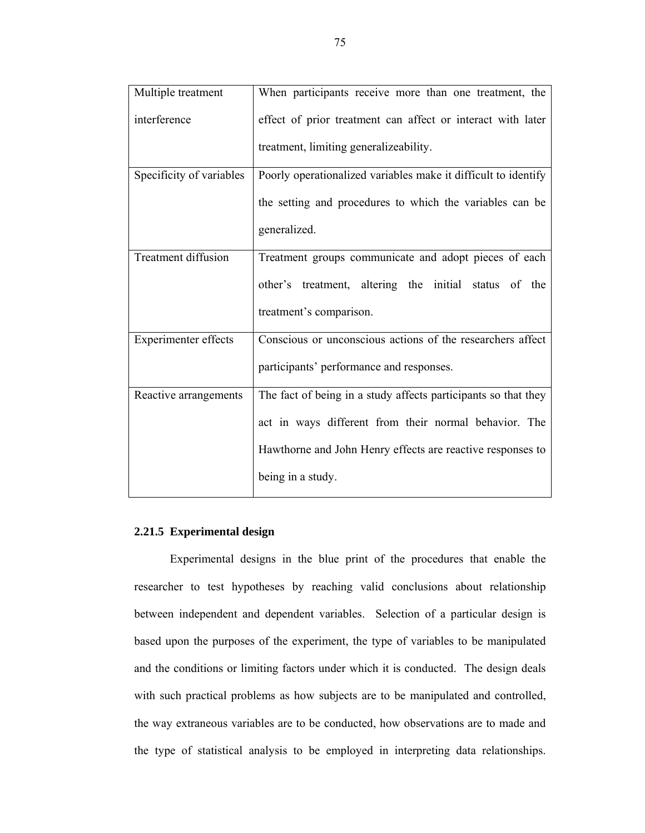| Multiple treatment         | When participants receive more than one treatment, the         |
|----------------------------|----------------------------------------------------------------|
| interference               | effect of prior treatment can affect or interact with later    |
|                            | treatment, limiting generalizeability.                         |
| Specificity of variables   | Poorly operationalized variables make it difficult to identify |
|                            | the setting and procedures to which the variables can be       |
|                            | generalized.                                                   |
| <b>Treatment diffusion</b> | Treatment groups communicate and adopt pieces of each          |
|                            | other's treatment, altering the initial status of the          |
|                            | treatment's comparison.                                        |
| Experimenter effects       | Conscious or unconscious actions of the researchers affect     |
|                            | participants' performance and responses.                       |
| Reactive arrangements      | The fact of being in a study affects participants so that they |
|                            | act in ways different from their normal behavior. The          |
|                            | Hawthorne and John Henry effects are reactive responses to     |
|                            | being in a study.                                              |

## **2.21.5 Experimental design**

Experimental designs in the blue print of the procedures that enable the researcher to test hypotheses by reaching valid conclusions about relationship between independent and dependent variables. Selection of a particular design is based upon the purposes of the experiment, the type of variables to be manipulated and the conditions or limiting factors under which it is conducted. The design deals with such practical problems as how subjects are to be manipulated and controlled, the way extraneous variables are to be conducted, how observations are to made and the type of statistical analysis to be employed in interpreting data relationships.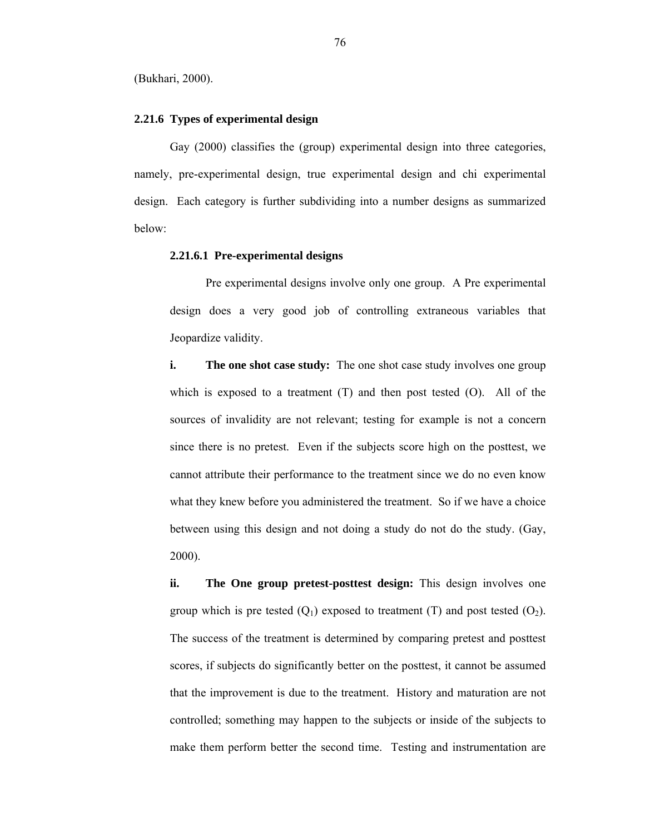(Bukhari, 2000).

## **2.21.6 Types of experimental design**

Gay (2000) classifies the (group) experimental design into three categories, namely, pre-experimental design, true experimental design and chi experimental design. Each category is further subdividing into a number designs as summarized below:

### **2.21.6.1 Pre-experimental designs**

Pre experimental designs involve only one group. A Pre experimental design does a very good job of controlling extraneous variables that Jeopardize validity.

**i.** The one shot case study: The one shot case study involves one group which is exposed to a treatment (T) and then post tested (O). All of the sources of invalidity are not relevant; testing for example is not a concern since there is no pretest. Even if the subjects score high on the posttest, we cannot attribute their performance to the treatment since we do no even know what they knew before you administered the treatment. So if we have a choice between using this design and not doing a study do not do the study. (Gay, 2000).

**ii. The One group pretest-posttest design:** This design involves one group which is pre tested  $(Q_1)$  exposed to treatment  $(T)$  and post tested  $(Q_2)$ . The success of the treatment is determined by comparing pretest and posttest scores, if subjects do significantly better on the posttest, it cannot be assumed that the improvement is due to the treatment. History and maturation are not controlled; something may happen to the subjects or inside of the subjects to make them perform better the second time. Testing and instrumentation are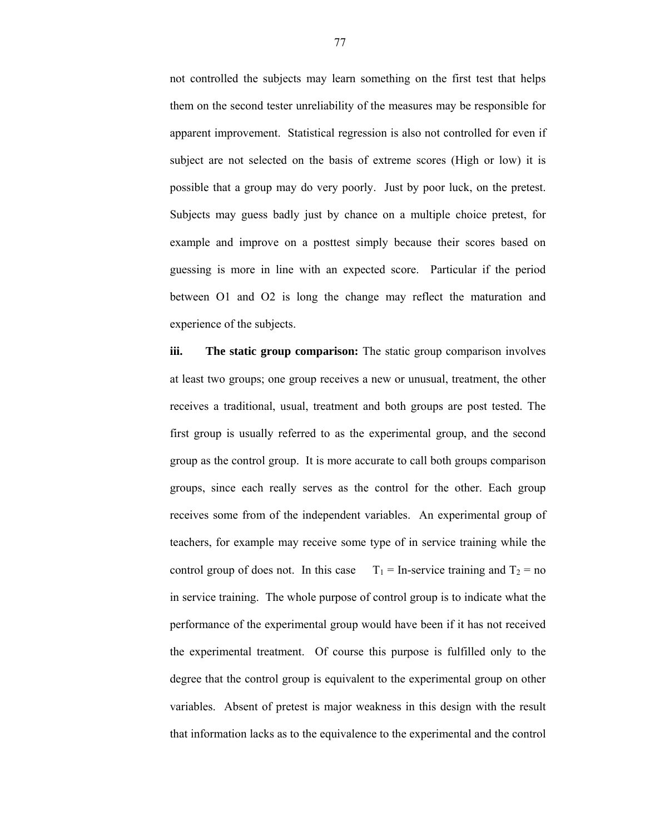not controlled the subjects may learn something on the first test that helps them on the second tester unreliability of the measures may be responsible for apparent improvement. Statistical regression is also not controlled for even if subject are not selected on the basis of extreme scores (High or low) it is possible that a group may do very poorly. Just by poor luck, on the pretest. Subjects may guess badly just by chance on a multiple choice pretest, for example and improve on a posttest simply because their scores based on guessing is more in line with an expected score. Particular if the period between O1 and O2 is long the change may reflect the maturation and experience of the subjects.

**iii. The static group comparison:** The static group comparison involves at least two groups; one group receives a new or unusual, treatment, the other receives a traditional, usual, treatment and both groups are post tested. The first group is usually referred to as the experimental group, and the second group as the control group. It is more accurate to call both groups comparison groups, since each really serves as the control for the other. Each group receives some from of the independent variables. An experimental group of teachers, for example may receive some type of in service training while the control group of does not. In this case  $T_1 = \text{In-service training and } T_2 = \text{no}$ in service training. The whole purpose of control group is to indicate what the performance of the experimental group would have been if it has not received the experimental treatment. Of course this purpose is fulfilled only to the degree that the control group is equivalent to the experimental group on other variables. Absent of pretest is major weakness in this design with the result that information lacks as to the equivalence to the experimental and the control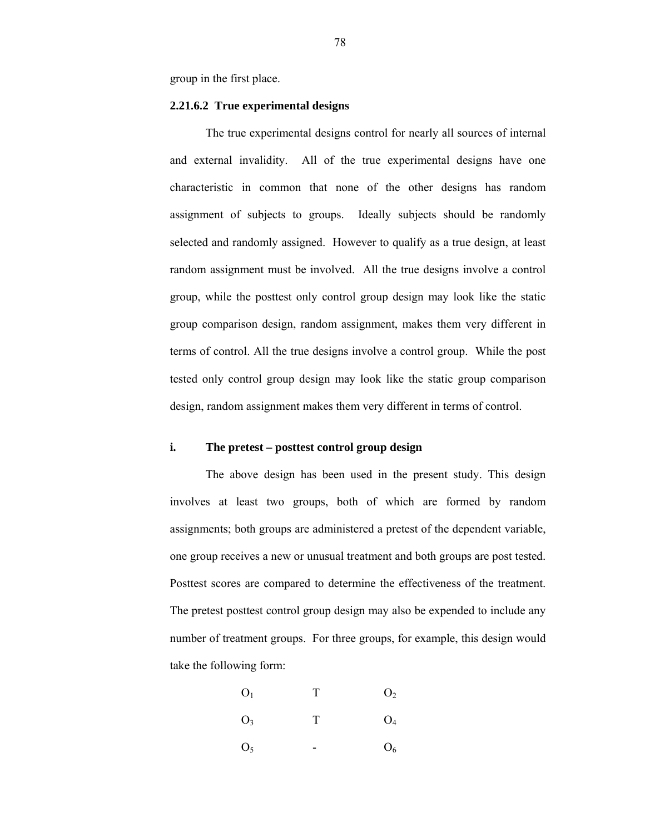group in the first place.

### **2.21.6.2 True experimental designs**

The true experimental designs control for nearly all sources of internal and external invalidity. All of the true experimental designs have one characteristic in common that none of the other designs has random assignment of subjects to groups. Ideally subjects should be randomly selected and randomly assigned. However to qualify as a true design, at least random assignment must be involved. All the true designs involve a control group, while the posttest only control group design may look like the static group comparison design, random assignment, makes them very different in terms of control. All the true designs involve a control group. While the post tested only control group design may look like the static group comparison design, random assignment makes them very different in terms of control.

## **i. The pretest – posttest control group design**

The above design has been used in the present study. This design involves at least two groups, both of which are formed by random assignments; both groups are administered a pretest of the dependent variable, one group receives a new or unusual treatment and both groups are post tested. Posttest scores are compared to determine the effectiveness of the treatment. The pretest posttest control group design may also be expended to include any number of treatment groups. For three groups, for example, this design would take the following form:

$$
\begin{array}{ccc}\nO_1 & & T & & O_2 \\
O_3 & & T & & O_4\n\end{array}
$$

 $O_5$  -  $O_6$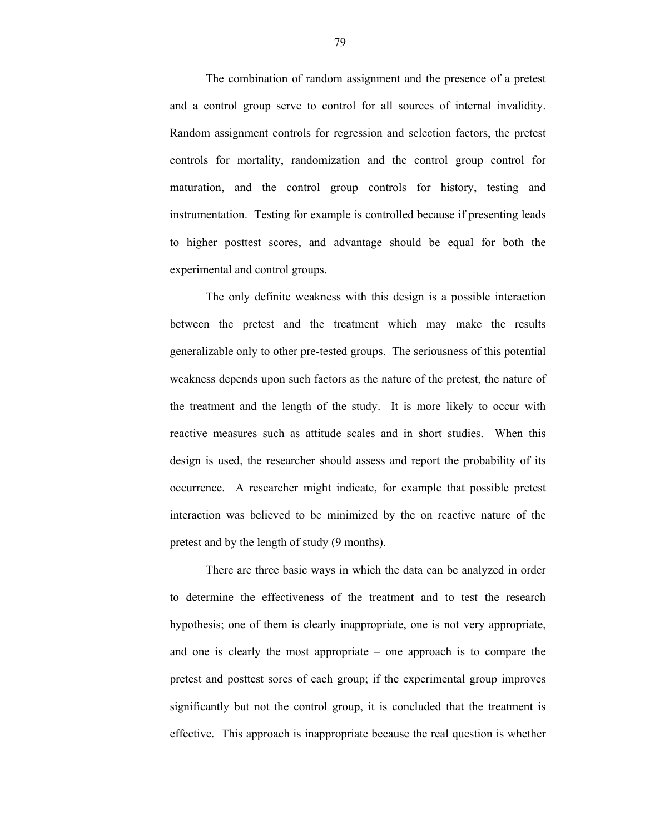The combination of random assignment and the presence of a pretest and a control group serve to control for all sources of internal invalidity. Random assignment controls for regression and selection factors, the pretest controls for mortality, randomization and the control group control for maturation, and the control group controls for history, testing and instrumentation. Testing for example is controlled because if presenting leads to higher posttest scores, and advantage should be equal for both the experimental and control groups.

The only definite weakness with this design is a possible interaction between the pretest and the treatment which may make the results generalizable only to other pre-tested groups. The seriousness of this potential weakness depends upon such factors as the nature of the pretest, the nature of the treatment and the length of the study. It is more likely to occur with reactive measures such as attitude scales and in short studies. When this design is used, the researcher should assess and report the probability of its occurrence. A researcher might indicate, for example that possible pretest interaction was believed to be minimized by the on reactive nature of the pretest and by the length of study (9 months).

There are three basic ways in which the data can be analyzed in order to determine the effectiveness of the treatment and to test the research hypothesis; one of them is clearly inappropriate, one is not very appropriate, and one is clearly the most appropriate – one approach is to compare the pretest and posttest sores of each group; if the experimental group improves significantly but not the control group, it is concluded that the treatment is effective. This approach is inappropriate because the real question is whether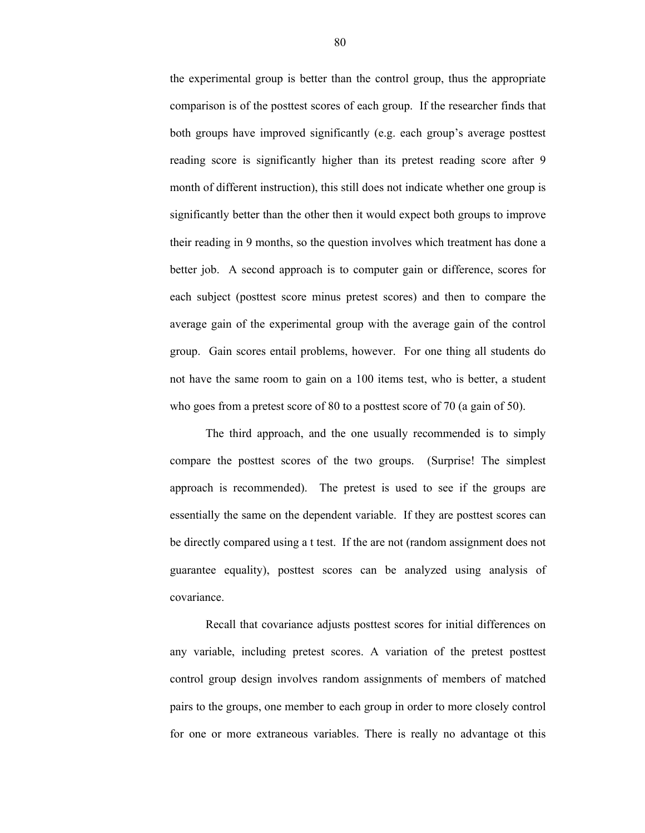the experimental group is better than the control group, thus the appropriate comparison is of the posttest scores of each group. If the researcher finds that both groups have improved significantly (e.g. each group's average posttest reading score is significantly higher than its pretest reading score after 9 month of different instruction), this still does not indicate whether one group is significantly better than the other then it would expect both groups to improve their reading in 9 months, so the question involves which treatment has done a better job. A second approach is to computer gain or difference, scores for each subject (posttest score minus pretest scores) and then to compare the average gain of the experimental group with the average gain of the control group. Gain scores entail problems, however. For one thing all students do not have the same room to gain on a 100 items test, who is better, a student who goes from a pretest score of 80 to a posttest score of 70 (a gain of 50).

The third approach, and the one usually recommended is to simply compare the posttest scores of the two groups. (Surprise! The simplest approach is recommended). The pretest is used to see if the groups are essentially the same on the dependent variable. If they are posttest scores can be directly compared using a t test. If the are not (random assignment does not guarantee equality), posttest scores can be analyzed using analysis of covariance.

Recall that covariance adjusts posttest scores for initial differences on any variable, including pretest scores. A variation of the pretest posttest control group design involves random assignments of members of matched pairs to the groups, one member to each group in order to more closely control for one or more extraneous variables. There is really no advantage ot this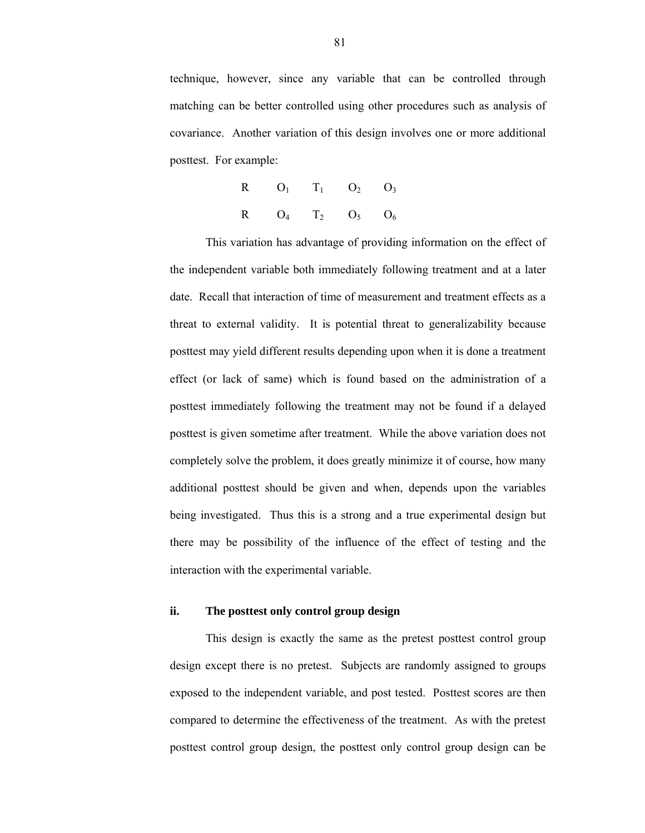technique, however, since any variable that can be controlled through matching can be better controlled using other procedures such as analysis of covariance. Another variation of this design involves one or more additional posttest. For example:

> R  $O_1$   $T_1$   $O_2$   $O_3$  $R$  O<sub>4</sub> T<sub>2</sub> O<sub>5</sub> O<sub>6</sub>

This variation has advantage of providing information on the effect of the independent variable both immediately following treatment and at a later date. Recall that interaction of time of measurement and treatment effects as a threat to external validity. It is potential threat to generalizability because posttest may yield different results depending upon when it is done a treatment effect (or lack of same) which is found based on the administration of a posttest immediately following the treatment may not be found if a delayed posttest is given sometime after treatment. While the above variation does not completely solve the problem, it does greatly minimize it of course, how many additional posttest should be given and when, depends upon the variables being investigated. Thus this is a strong and a true experimental design but there may be possibility of the influence of the effect of testing and the interaction with the experimental variable.

## **ii. The posttest only control group design**

This design is exactly the same as the pretest posttest control group design except there is no pretest. Subjects are randomly assigned to groups exposed to the independent variable, and post tested. Posttest scores are then compared to determine the effectiveness of the treatment. As with the pretest posttest control group design, the posttest only control group design can be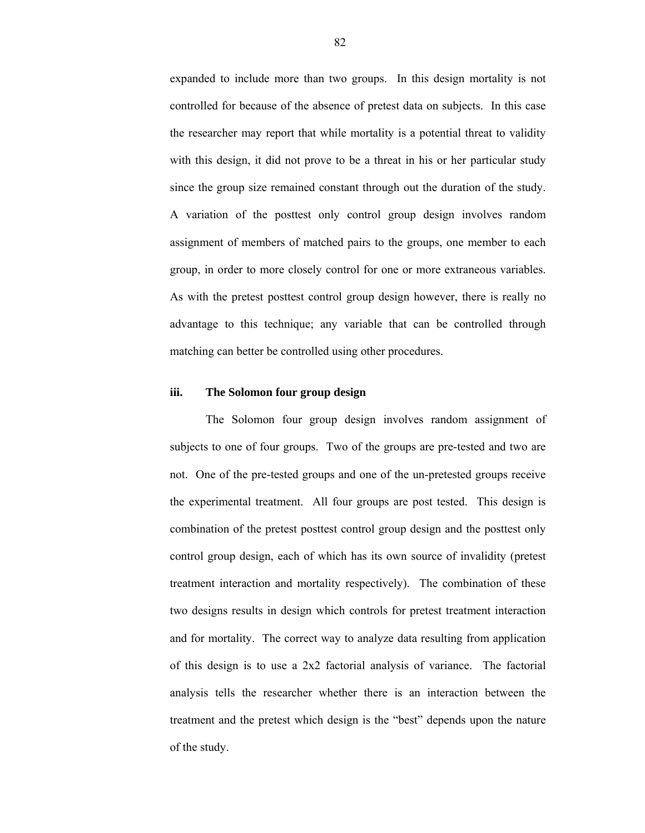expanded to include more than two groups. In this design mortality is not controlled for because of the absence of pretest data on subjects. In this case the researcher may report that while mortality is a potential threat to validity with this design, it did not prove to be a threat in his or her particular study since the group size remained constant through out the duration of the study. A variation of the posttest only control group design involves random assignment of members of matched pairs to the groups, one member to each group, in order to more closely control for one or more extraneous variables. As with the pretest posttest control group design however, there is really no advantage to this technique; any variable that can be controlled through matching can better be controlled using other procedures.

#### **iii. The Solomon four group design**

The Solomon four group design involves random assignment of subjects to one of four groups. Two of the groups are pre-tested and two are not. One of the pre-tested groups and one of the un-pretested groups receive the experimental treatment. All four groups are post tested. This design is combination of the pretest posttest control group design and the posttest only control group design, each of which has its own source of invalidity (pretest treatment interaction and mortality respectively). The combination of these two designs results in design which controls for pretest treatment interaction and for mortality. The correct way to analyze data resulting from application of this design is to use a 2x2 factorial analysis of variance. The factorial analysis tells the researcher whether there is an interaction between the treatment and the pretest which design is the "best" depends upon the nature of the study.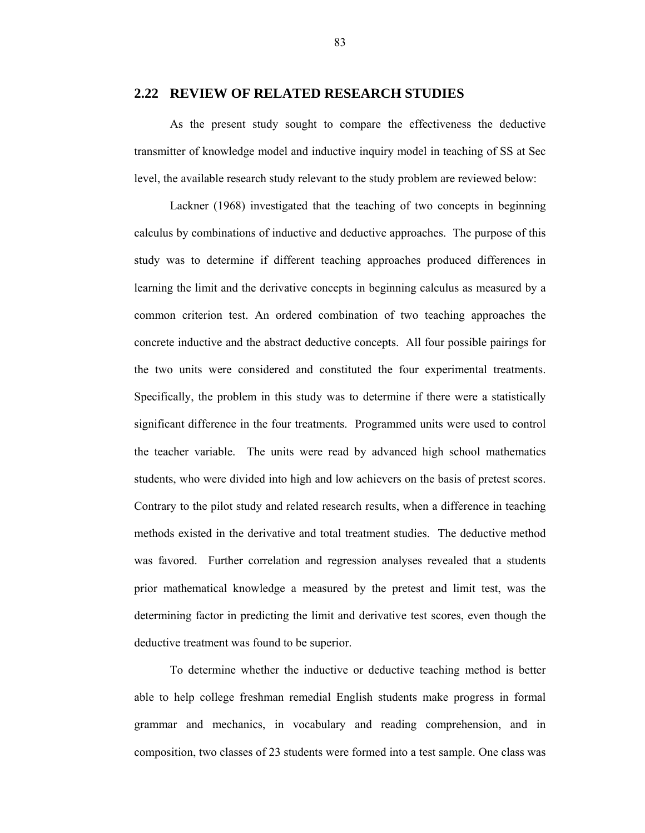## **2.22 REVIEW OF RELATED RESEARCH STUDIES**

As the present study sought to compare the effectiveness the deductive transmitter of knowledge model and inductive inquiry model in teaching of SS at Sec level, the available research study relevant to the study problem are reviewed below:

Lackner (1968) investigated that the teaching of two concepts in beginning calculus by combinations of inductive and deductive approaches. The purpose of this study was to determine if different teaching approaches produced differences in learning the limit and the derivative concepts in beginning calculus as measured by a common criterion test. An ordered combination of two teaching approaches the concrete inductive and the abstract deductive concepts. All four possible pairings for the two units were considered and constituted the four experimental treatments. Specifically, the problem in this study was to determine if there were a statistically significant difference in the four treatments. Programmed units were used to control the teacher variable. The units were read by advanced high school mathematics students, who were divided into high and low achievers on the basis of pretest scores. Contrary to the pilot study and related research results, when a difference in teaching methods existed in the derivative and total treatment studies. The deductive method was favored. Further correlation and regression analyses revealed that a students prior mathematical knowledge a measured by the pretest and limit test, was the determining factor in predicting the limit and derivative test scores, even though the deductive treatment was found to be superior.

To determine whether the inductive or deductive teaching method is better able to help college freshman remedial English students make progress in formal grammar and mechanics, in vocabulary and reading comprehension, and in composition, two classes of 23 students were formed into a test sample. One class was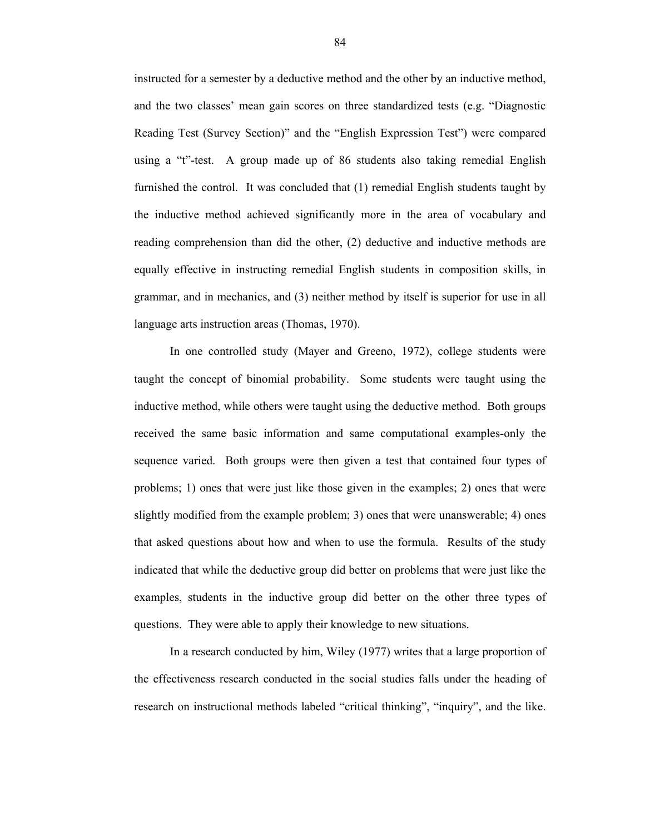instructed for a semester by a deductive method and the other by an inductive method, and the two classes' mean gain scores on three standardized tests (e.g. "Diagnostic Reading Test (Survey Section)" and the "English Expression Test") were compared using a "t"-test. A group made up of 86 students also taking remedial English furnished the control. It was concluded that (1) remedial English students taught by the inductive method achieved significantly more in the area of vocabulary and reading comprehension than did the other, (2) deductive and inductive methods are equally effective in instructing remedial English students in composition skills, in grammar, and in mechanics, and (3) neither method by itself is superior for use in all language arts instruction areas (Thomas, 1970).

In one controlled study (Mayer and Greeno, 1972), college students were taught the concept of binomial probability. Some students were taught using the inductive method, while others were taught using the deductive method. Both groups received the same basic information and same computational examples-only the sequence varied. Both groups were then given a test that contained four types of problems; 1) ones that were just like those given in the examples; 2) ones that were slightly modified from the example problem; 3) ones that were unanswerable; 4) ones that asked questions about how and when to use the formula. Results of the study indicated that while the deductive group did better on problems that were just like the examples, students in the inductive group did better on the other three types of questions. They were able to apply their knowledge to new situations.

In a research conducted by him, Wiley (1977) writes that a large proportion of the effectiveness research conducted in the social studies falls under the heading of research on instructional methods labeled "critical thinking", "inquiry", and the like.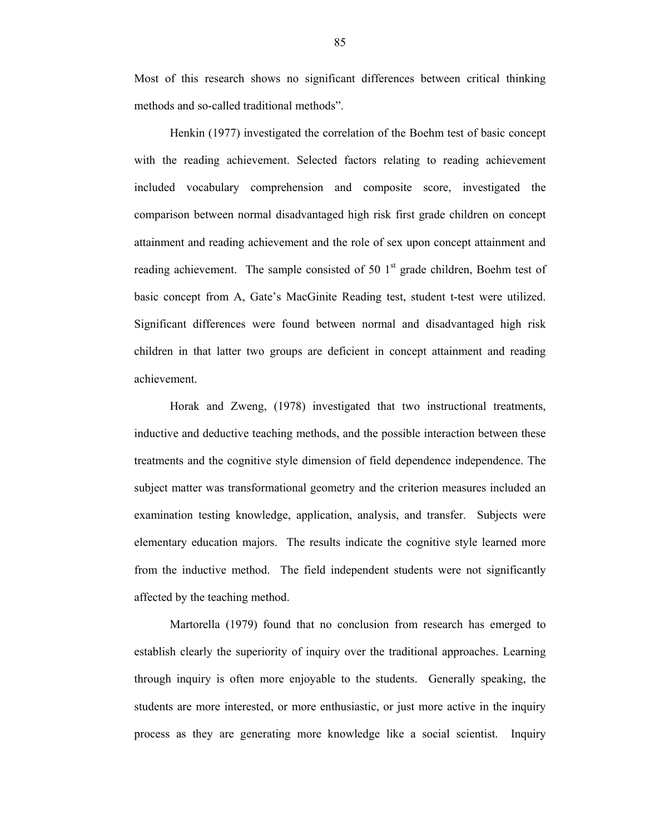Most of this research shows no significant differences between critical thinking methods and so-called traditional methods".

 Henkin (1977) investigated the correlation of the Boehm test of basic concept with the reading achievement. Selected factors relating to reading achievement included vocabulary comprehension and composite score, investigated the comparison between normal disadvantaged high risk first grade children on concept attainment and reading achievement and the role of sex upon concept attainment and reading achievement. The sample consisted of 50  $1<sup>st</sup>$  grade children, Boehm test of basic concept from A, Gate's MacGinite Reading test, student t-test were utilized. Significant differences were found between normal and disadvantaged high risk children in that latter two groups are deficient in concept attainment and reading achievement.

Horak and Zweng, (1978) investigated that two instructional treatments, inductive and deductive teaching methods, and the possible interaction between these treatments and the cognitive style dimension of field dependence independence. The subject matter was transformational geometry and the criterion measures included an examination testing knowledge, application, analysis, and transfer. Subjects were elementary education majors. The results indicate the cognitive style learned more from the inductive method. The field independent students were not significantly affected by the teaching method.

Martorella (1979) found that no conclusion from research has emerged to establish clearly the superiority of inquiry over the traditional approaches. Learning through inquiry is often more enjoyable to the students. Generally speaking, the students are more interested, or more enthusiastic, or just more active in the inquiry process as they are generating more knowledge like a social scientist. Inquiry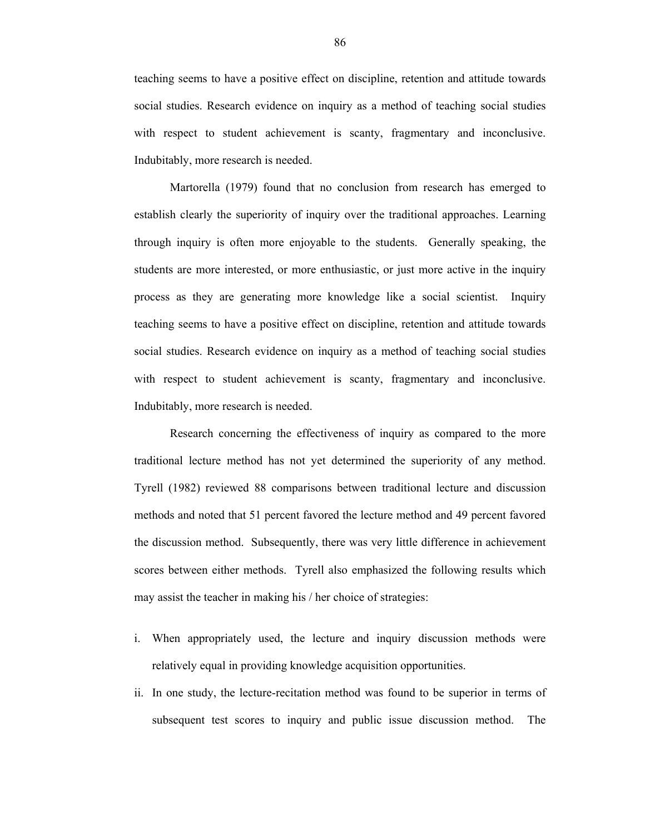teaching seems to have a positive effect on discipline, retention and attitude towards social studies. Research evidence on inquiry as a method of teaching social studies with respect to student achievement is scanty, fragmentary and inconclusive. Indubitably, more research is needed.

Martorella (1979) found that no conclusion from research has emerged to establish clearly the superiority of inquiry over the traditional approaches. Learning through inquiry is often more enjoyable to the students. Generally speaking, the students are more interested, or more enthusiastic, or just more active in the inquiry process as they are generating more knowledge like a social scientist. Inquiry teaching seems to have a positive effect on discipline, retention and attitude towards social studies. Research evidence on inquiry as a method of teaching social studies with respect to student achievement is scanty, fragmentary and inconclusive. Indubitably, more research is needed.

Research concerning the effectiveness of inquiry as compared to the more traditional lecture method has not yet determined the superiority of any method. Tyrell (1982) reviewed 88 comparisons between traditional lecture and discussion methods and noted that 51 percent favored the lecture method and 49 percent favored the discussion method. Subsequently, there was very little difference in achievement scores between either methods. Tyrell also emphasized the following results which may assist the teacher in making his / her choice of strategies:

- i. When appropriately used, the lecture and inquiry discussion methods were relatively equal in providing knowledge acquisition opportunities.
- ii. In one study, the lecture-recitation method was found to be superior in terms of subsequent test scores to inquiry and public issue discussion method. The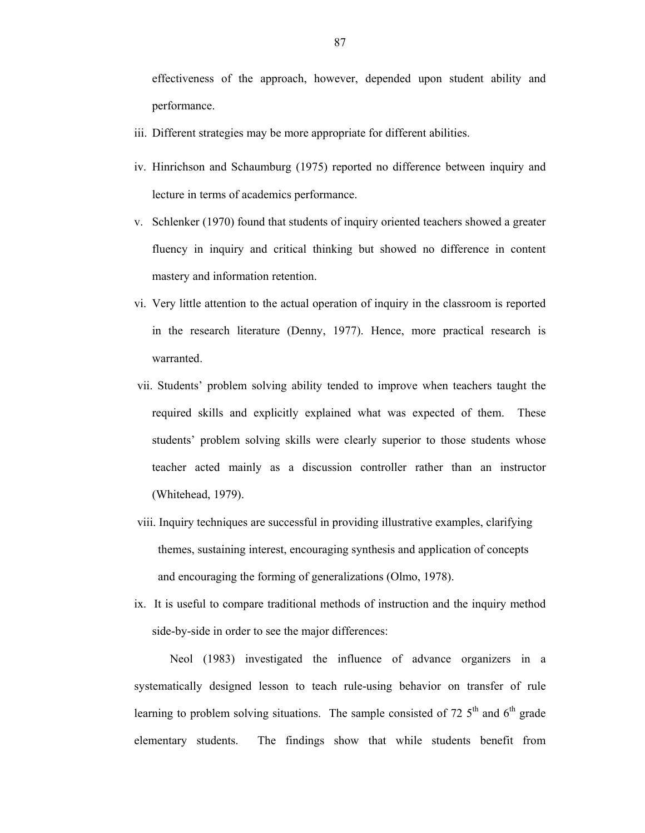effectiveness of the approach, however, depended upon student ability and performance.

- iii. Different strategies may be more appropriate for different abilities.
- iv. Hinrichson and Schaumburg (1975) reported no difference between inquiry and lecture in terms of academics performance.
- v. Schlenker (1970) found that students of inquiry oriented teachers showed a greater fluency in inquiry and critical thinking but showed no difference in content mastery and information retention.
- vi. Very little attention to the actual operation of inquiry in the classroom is reported in the research literature (Denny, 1977). Hence, more practical research is warranted.
- vii. Students' problem solving ability tended to improve when teachers taught the required skills and explicitly explained what was expected of them. These students' problem solving skills were clearly superior to those students whose teacher acted mainly as a discussion controller rather than an instructor (Whitehead, 1979).
- viii. Inquiry techniques are successful in providing illustrative examples, clarifying themes, sustaining interest, encouraging synthesis and application of concepts and encouraging the forming of generalizations (Olmo, 1978).
- ix. It is useful to compare traditional methods of instruction and the inquiry method side-by-side in order to see the major differences:

Neol (1983) investigated the influence of advance organizers in a systematically designed lesson to teach rule-using behavior on transfer of rule learning to problem solving situations. The sample consisted of 72  $5<sup>th</sup>$  and  $6<sup>th</sup>$  grade elementary students. The findings show that while students benefit from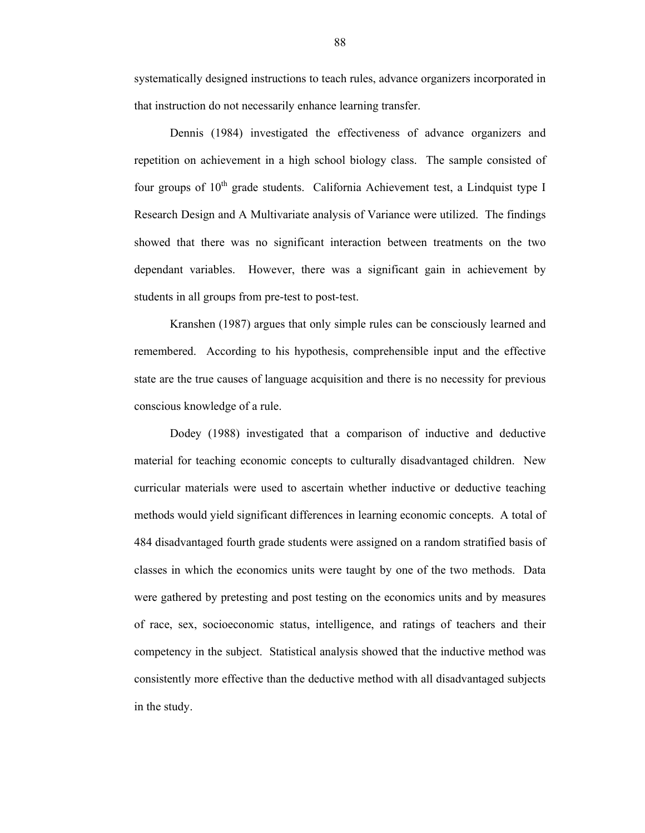systematically designed instructions to teach rules, advance organizers incorporated in that instruction do not necessarily enhance learning transfer.

Dennis (1984) investigated the effectiveness of advance organizers and repetition on achievement in a high school biology class. The sample consisted of four groups of  $10<sup>th</sup>$  grade students. California Achievement test, a Lindquist type I Research Design and A Multivariate analysis of Variance were utilized. The findings showed that there was no significant interaction between treatments on the two dependant variables. However, there was a significant gain in achievement by students in all groups from pre-test to post-test.

 Kranshen (1987) argues that only simple rules can be consciously learned and remembered. According to his hypothesis, comprehensible input and the effective state are the true causes of language acquisition and there is no necessity for previous conscious knowledge of a rule.

Dodey (1988) investigated that a comparison of inductive and deductive material for teaching economic concepts to culturally disadvantaged children. New curricular materials were used to ascertain whether inductive or deductive teaching methods would yield significant differences in learning economic concepts. A total of 484 disadvantaged fourth grade students were assigned on a random stratified basis of classes in which the economics units were taught by one of the two methods. Data were gathered by pretesting and post testing on the economics units and by measures of race, sex, socioeconomic status, intelligence, and ratings of teachers and their competency in the subject. Statistical analysis showed that the inductive method was consistently more effective than the deductive method with all disadvantaged subjects in the study.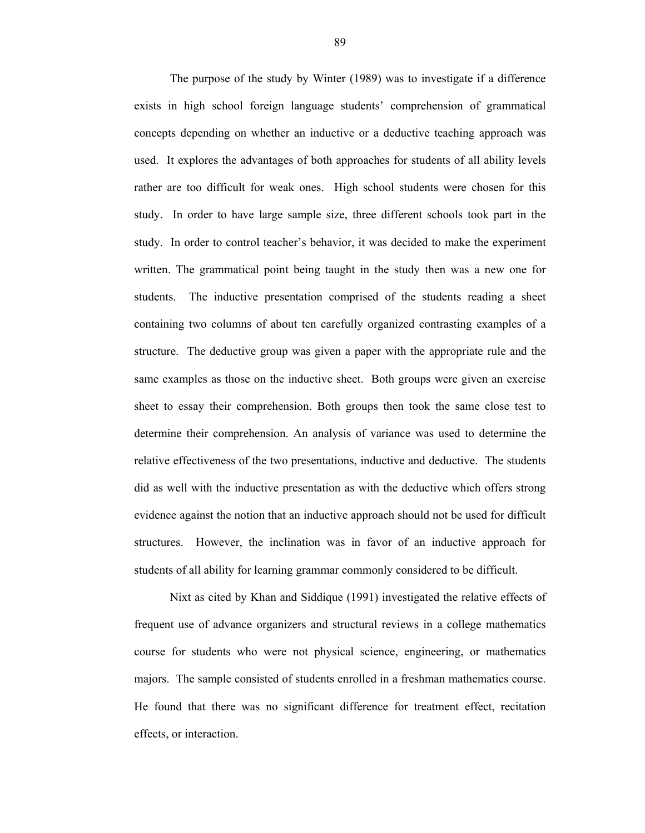The purpose of the study by Winter (1989) was to investigate if a difference exists in high school foreign language students' comprehension of grammatical concepts depending on whether an inductive or a deductive teaching approach was used. It explores the advantages of both approaches for students of all ability levels rather are too difficult for weak ones. High school students were chosen for this study. In order to have large sample size, three different schools took part in the study. In order to control teacher's behavior, it was decided to make the experiment written. The grammatical point being taught in the study then was a new one for students. The inductive presentation comprised of the students reading a sheet containing two columns of about ten carefully organized contrasting examples of a structure. The deductive group was given a paper with the appropriate rule and the same examples as those on the inductive sheet. Both groups were given an exercise sheet to essay their comprehension. Both groups then took the same close test to determine their comprehension. An analysis of variance was used to determine the relative effectiveness of the two presentations, inductive and deductive. The students did as well with the inductive presentation as with the deductive which offers strong evidence against the notion that an inductive approach should not be used for difficult structures. However, the inclination was in favor of an inductive approach for students of all ability for learning grammar commonly considered to be difficult.

Nixt as cited by Khan and Siddique (1991) investigated the relative effects of frequent use of advance organizers and structural reviews in a college mathematics course for students who were not physical science, engineering, or mathematics majors. The sample consisted of students enrolled in a freshman mathematics course. He found that there was no significant difference for treatment effect, recitation effects, or interaction.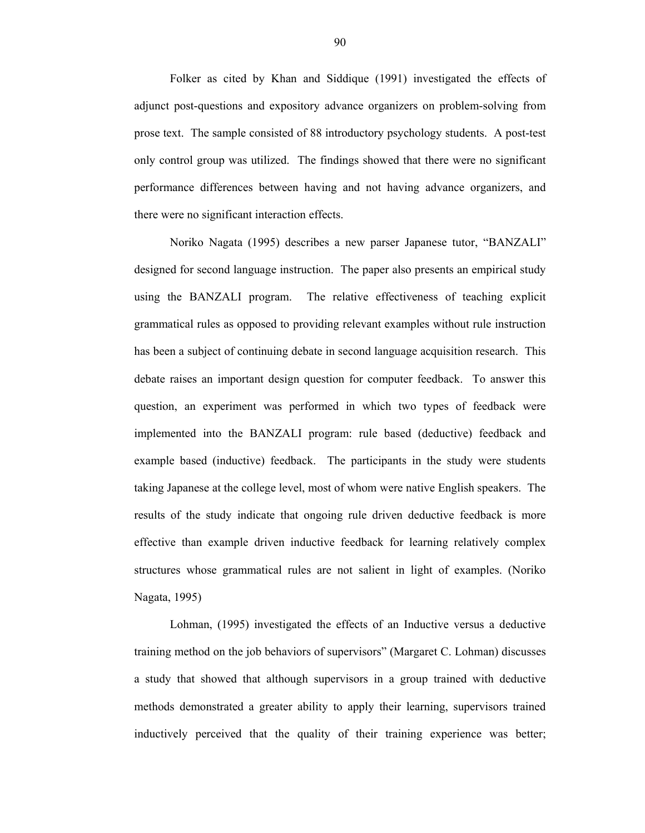Folker as cited by Khan and Siddique (1991) investigated the effects of adjunct post-questions and expository advance organizers on problem-solving from prose text. The sample consisted of 88 introductory psychology students. A post-test only control group was utilized. The findings showed that there were no significant performance differences between having and not having advance organizers, and there were no significant interaction effects.

Noriko Nagata (1995) describes a new parser Japanese tutor, "BANZALI" designed for second language instruction. The paper also presents an empirical study using the BANZALI program. The relative effectiveness of teaching explicit grammatical rules as opposed to providing relevant examples without rule instruction has been a subject of continuing debate in second language acquisition research. This debate raises an important design question for computer feedback. To answer this question, an experiment was performed in which two types of feedback were implemented into the BANZALI program: rule based (deductive) feedback and example based (inductive) feedback. The participants in the study were students taking Japanese at the college level, most of whom were native English speakers. The results of the study indicate that ongoing rule driven deductive feedback is more effective than example driven inductive feedback for learning relatively complex structures whose grammatical rules are not salient in light of examples. (Noriko Nagata, 1995)

Lohman, (1995) investigated the effects of an Inductive versus a deductive training method on the job behaviors of supervisors" (Margaret C. Lohman) discusses a study that showed that although supervisors in a group trained with deductive methods demonstrated a greater ability to apply their learning, supervisors trained inductively perceived that the quality of their training experience was better;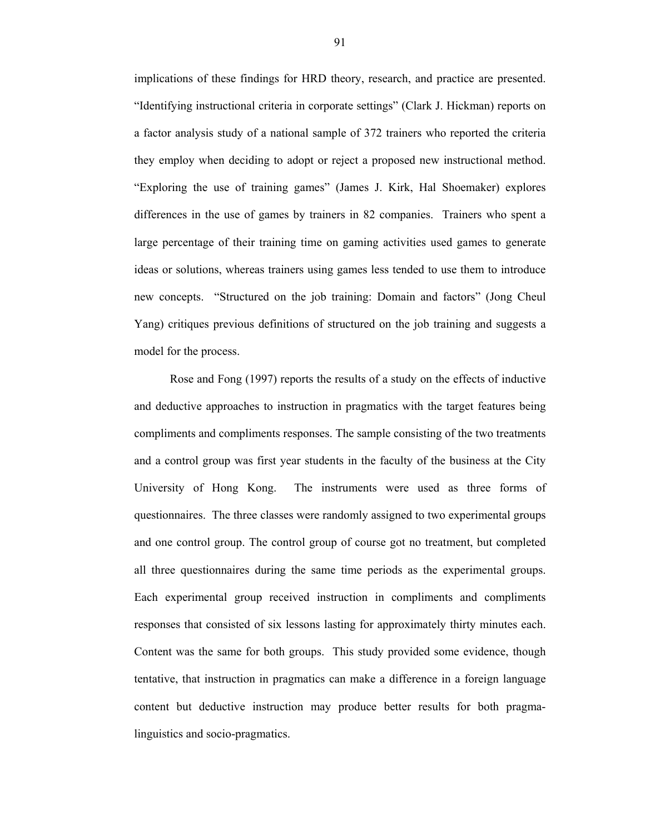implications of these findings for HRD theory, research, and practice are presented. "Identifying instructional criteria in corporate settings" (Clark J. Hickman) reports on a factor analysis study of a national sample of 372 trainers who reported the criteria they employ when deciding to adopt or reject a proposed new instructional method. "Exploring the use of training games" (James J. Kirk, Hal Shoemaker) explores differences in the use of games by trainers in 82 companies. Trainers who spent a large percentage of their training time on gaming activities used games to generate ideas or solutions, whereas trainers using games less tended to use them to introduce new concepts. "Structured on the job training: Domain and factors" (Jong Cheul Yang) critiques previous definitions of structured on the job training and suggests a model for the process.

Rose and Fong (1997) reports the results of a study on the effects of inductive and deductive approaches to instruction in pragmatics with the target features being compliments and compliments responses. The sample consisting of the two treatments and a control group was first year students in the faculty of the business at the City University of Hong Kong. The instruments were used as three forms of questionnaires. The three classes were randomly assigned to two experimental groups and one control group. The control group of course got no treatment, but completed all three questionnaires during the same time periods as the experimental groups. Each experimental group received instruction in compliments and compliments responses that consisted of six lessons lasting for approximately thirty minutes each. Content was the same for both groups. This study provided some evidence, though tentative, that instruction in pragmatics can make a difference in a foreign language content but deductive instruction may produce better results for both pragmalinguistics and socio-pragmatics.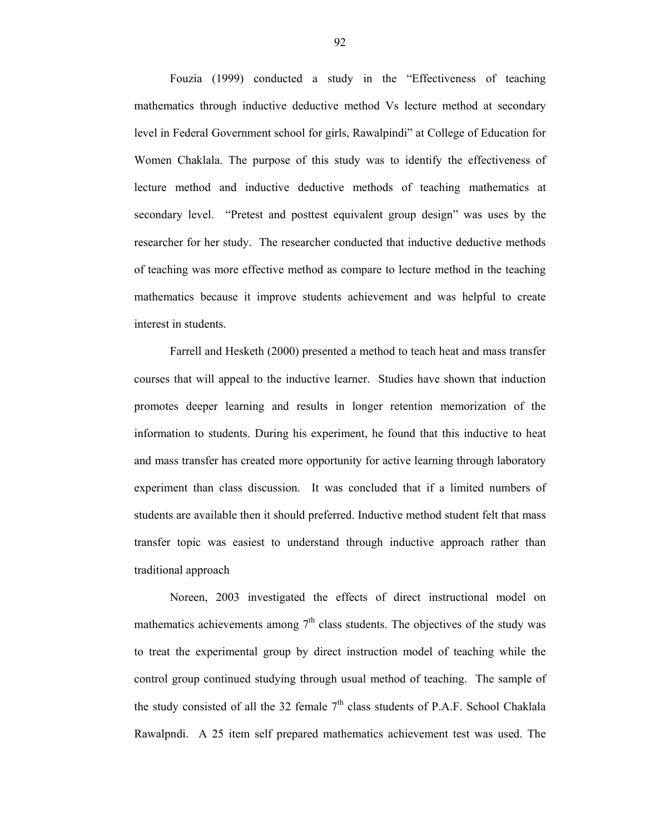Fouzia (1999) conducted a study in the "Effectiveness of teaching mathematics through inductive deductive method Vs lecture method at secondary level in Federal Government school for girls, Rawalpindi" at College of Education for Women Chaklala. The purpose of this study was to identify the effectiveness of lecture method and inductive deductive methods of teaching mathematics at secondary level. "Pretest and posttest equivalent group design" was uses by the researcher for her study. The researcher conducted that inductive deductive methods of teaching was more effective method as compare to lecture method in the teaching mathematics because it improve students achievement and was helpful to create interest in students.

Farrell and Hesketh (2000) presented a method to teach heat and mass transfer courses that will appeal to the inductive learner. Studies have shown that induction promotes deeper learning and results in longer retention memorization of the information to students. During his experiment, he found that this inductive to heat and mass transfer has created more opportunity for active learning through laboratory experiment than class discussion. It was concluded that if a limited numbers of students are available then it should preferred. Inductive method student felt that mass transfer topic was easiest to understand through inductive approach rather than traditional approach

Noreen, 2003 investigated the effects of direct instructional model on mathematics achievements among  $7<sup>th</sup>$  class students. The objectives of the study was to treat the experimental group by direct instruction model of teaching while the control group continued studying through usual method of teaching. The sample of the study consisted of all the 32 female  $7<sup>th</sup>$  class students of P.A.F. School Chaklala Rawalpndi. A 25 item self prepared mathematics achievement test was used. The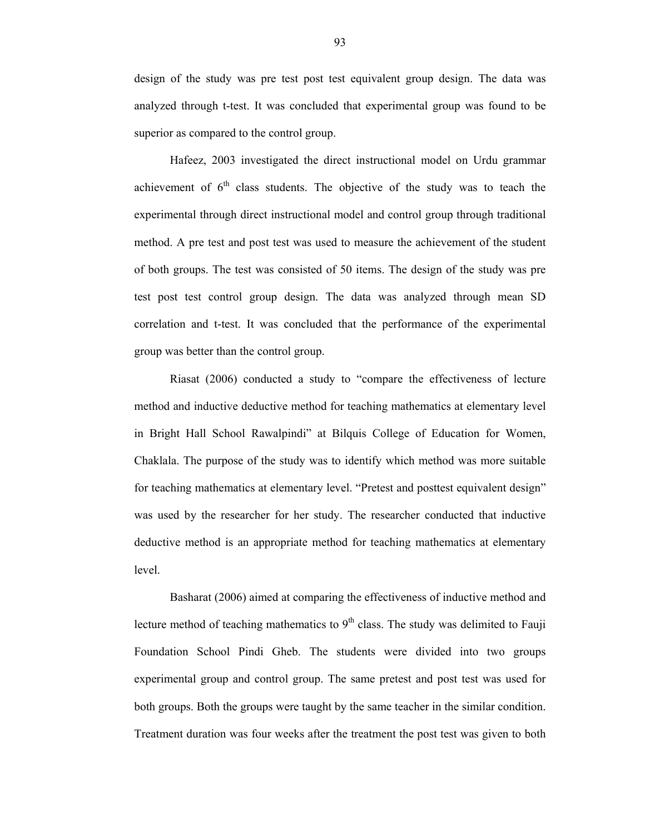design of the study was pre test post test equivalent group design. The data was analyzed through t-test. It was concluded that experimental group was found to be superior as compared to the control group.

Hafeez, 2003 investigated the direct instructional model on Urdu grammar achievement of  $6<sup>th</sup>$  class students. The objective of the study was to teach the experimental through direct instructional model and control group through traditional method. A pre test and post test was used to measure the achievement of the student of both groups. The test was consisted of 50 items. The design of the study was pre test post test control group design. The data was analyzed through mean SD correlation and t-test. It was concluded that the performance of the experimental group was better than the control group.

Riasat (2006) conducted a study to "compare the effectiveness of lecture method and inductive deductive method for teaching mathematics at elementary level in Bright Hall School Rawalpindi" at Bilquis College of Education for Women, Chaklala. The purpose of the study was to identify which method was more suitable for teaching mathematics at elementary level. "Pretest and posttest equivalent design" was used by the researcher for her study. The researcher conducted that inductive deductive method is an appropriate method for teaching mathematics at elementary level.

Basharat (2006) aimed at comparing the effectiveness of inductive method and lecture method of teaching mathematics to  $9<sup>th</sup>$  class. The study was delimited to Fauji Foundation School Pindi Gheb. The students were divided into two groups experimental group and control group. The same pretest and post test was used for both groups. Both the groups were taught by the same teacher in the similar condition. Treatment duration was four weeks after the treatment the post test was given to both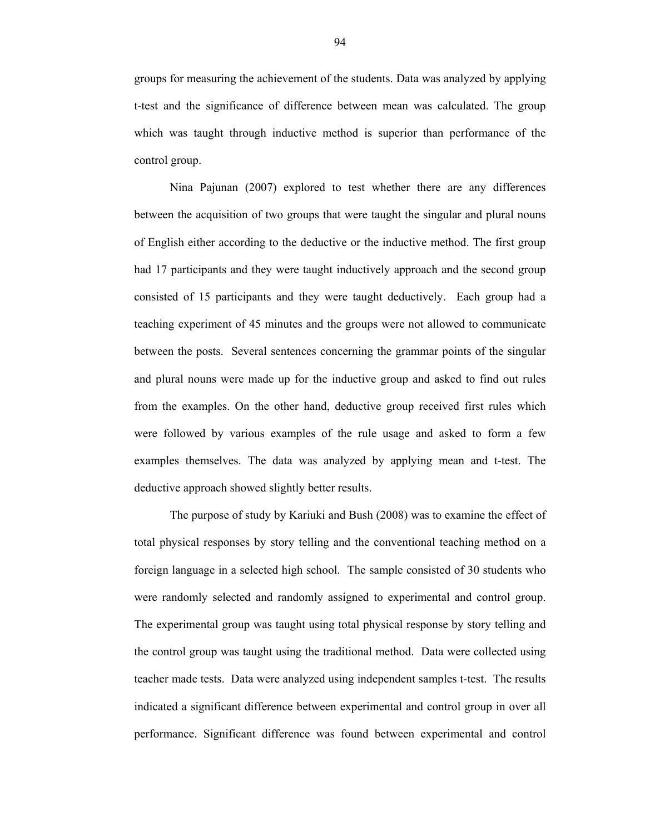groups for measuring the achievement of the students. Data was analyzed by applying t-test and the significance of difference between mean was calculated. The group which was taught through inductive method is superior than performance of the control group.

Nina Pajunan (2007) explored to test whether there are any differences between the acquisition of two groups that were taught the singular and plural nouns of English either according to the deductive or the inductive method. The first group had 17 participants and they were taught inductively approach and the second group consisted of 15 participants and they were taught deductively. Each group had a teaching experiment of 45 minutes and the groups were not allowed to communicate between the posts. Several sentences concerning the grammar points of the singular and plural nouns were made up for the inductive group and asked to find out rules from the examples. On the other hand, deductive group received first rules which were followed by various examples of the rule usage and asked to form a few examples themselves. The data was analyzed by applying mean and t-test. The deductive approach showed slightly better results.

The purpose of study by Kariuki and Bush (2008) was to examine the effect of total physical responses by story telling and the conventional teaching method on a foreign language in a selected high school. The sample consisted of 30 students who were randomly selected and randomly assigned to experimental and control group. The experimental group was taught using total physical response by story telling and the control group was taught using the traditional method. Data were collected using teacher made tests. Data were analyzed using independent samples t-test. The results indicated a significant difference between experimental and control group in over all performance. Significant difference was found between experimental and control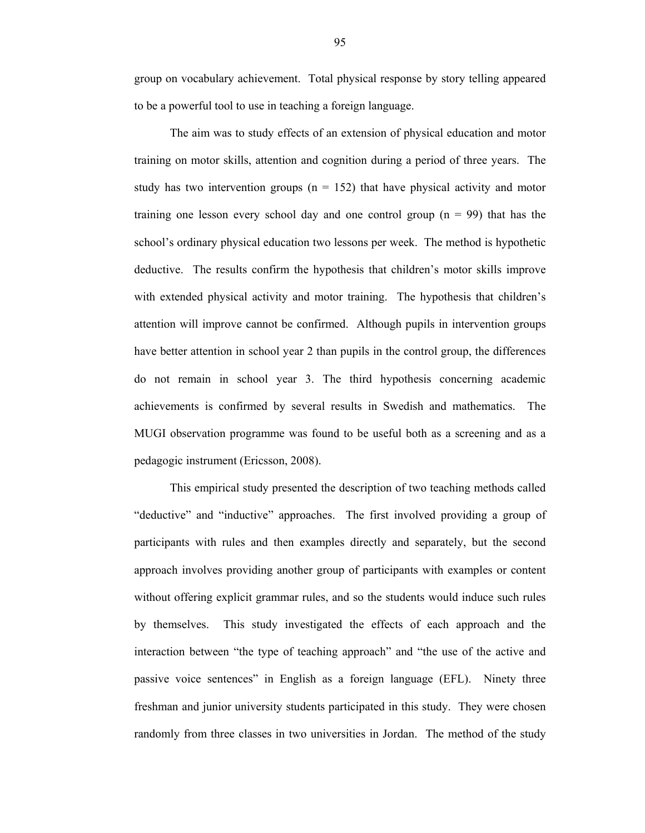group on vocabulary achievement. Total physical response by story telling appeared to be a powerful tool to use in teaching a foreign language.

The aim was to study effects of an extension of physical education and motor training on motor skills, attention and cognition during a period of three years. The study has two intervention groups ( $n = 152$ ) that have physical activity and motor training one lesson every school day and one control group  $(n = 99)$  that has the school's ordinary physical education two lessons per week. The method is hypothetic deductive. The results confirm the hypothesis that children's motor skills improve with extended physical activity and motor training. The hypothesis that children's attention will improve cannot be confirmed. Although pupils in intervention groups have better attention in school year 2 than pupils in the control group, the differences do not remain in school year 3. The third hypothesis concerning academic achievements is confirmed by several results in Swedish and mathematics. The MUGI observation programme was found to be useful both as a screening and as a pedagogic instrument (Ericsson, 2008).

This empirical study presented the description of two teaching methods called "deductive" and "inductive" approaches. The first involved providing a group of participants with rules and then examples directly and separately, but the second approach involves providing another group of participants with examples or content without offering explicit grammar rules, and so the students would induce such rules by themselves. This study investigated the effects of each approach and the interaction between "the type of teaching approach" and "the use of the active and passive voice sentences" in English as a foreign language (EFL). Ninety three freshman and junior university students participated in this study. They were chosen randomly from three classes in two universities in Jordan. The method of the study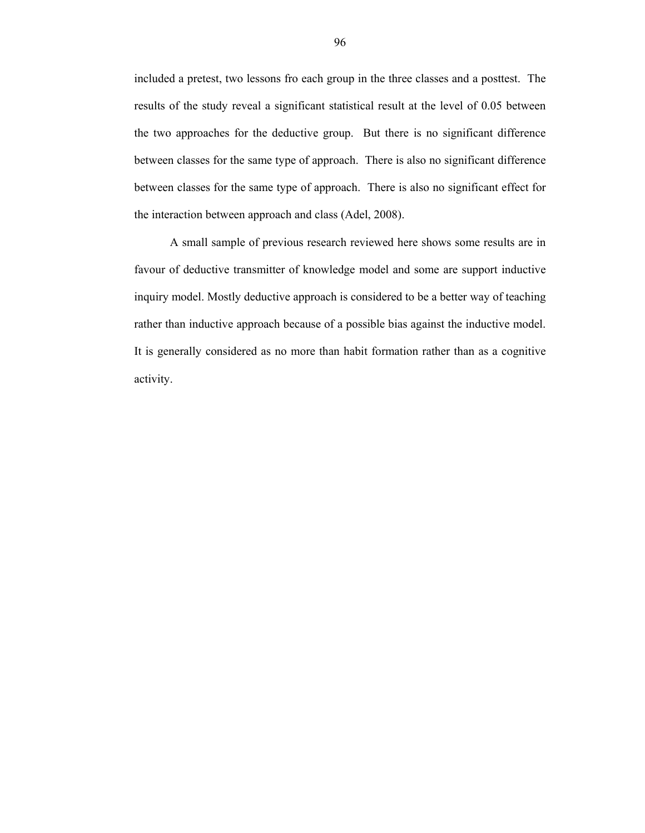included a pretest, two lessons fro each group in the three classes and a posttest. The results of the study reveal a significant statistical result at the level of 0.05 between the two approaches for the deductive group. But there is no significant difference between classes for the same type of approach. There is also no significant difference between classes for the same type of approach. There is also no significant effect for the interaction between approach and class (Adel, 2008).

A small sample of previous research reviewed here shows some results are in favour of deductive transmitter of knowledge model and some are support inductive inquiry model. Mostly deductive approach is considered to be a better way of teaching rather than inductive approach because of a possible bias against the inductive model. It is generally considered as no more than habit formation rather than as a cognitive activity.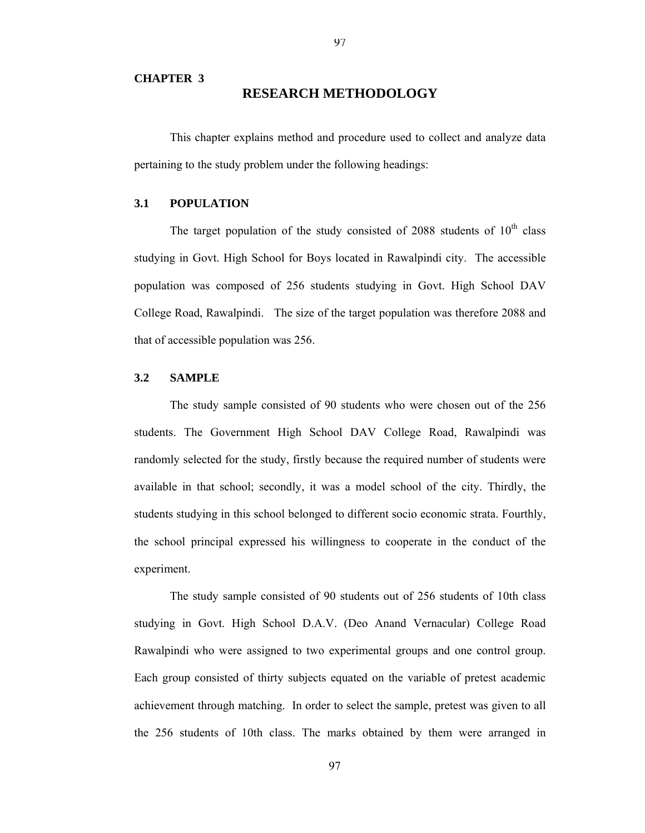#### **CHAPTER 3**

### **RESEARCH METHODOLOGY**

This chapter explains method and procedure used to collect and analyze data pertaining to the study problem under the following headings:

### **3.1 POPULATION**

The target population of the study consisted of 2088 students of  $10<sup>th</sup>$  class studying in Govt. High School for Boys located in Rawalpindi city. The accessible population was composed of 256 students studying in Govt. High School DAV College Road, Rawalpindi. The size of the target population was therefore 2088 and that of accessible population was 256.

### **3.2 SAMPLE**

The study sample consisted of 90 students who were chosen out of the 256 students. The Government High School DAV College Road, Rawalpindi was randomly selected for the study, firstly because the required number of students were available in that school; secondly, it was a model school of the city. Thirdly, the students studying in this school belonged to different socio economic strata. Fourthly, the school principal expressed his willingness to cooperate in the conduct of the experiment.

The study sample consisted of 90 students out of 256 students of 10th class studying in Govt. High School D.A.V. (Deo Anand Vernacular) College Road Rawalpindi who were assigned to two experimental groups and one control group. Each group consisted of thirty subjects equated on the variable of pretest academic achievement through matching. In order to select the sample, pretest was given to all the 256 students of 10th class. The marks obtained by them were arranged in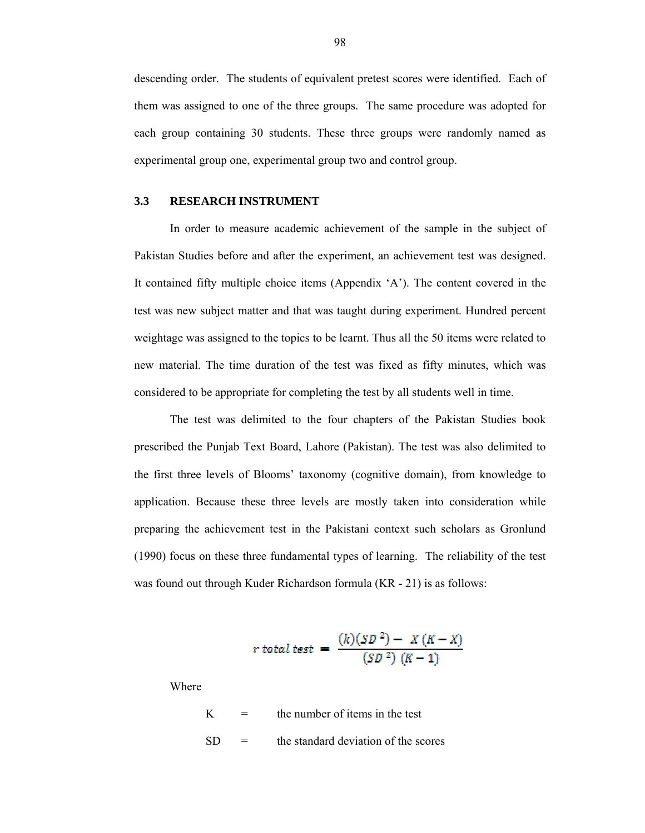descending order. The students of equivalent pretest scores were identified. Each of them was assigned to one of the three groups. The same procedure was adopted for each group containing 30 students. These three groups were randomly named as experimental group one, experimental group two and control group.

#### **3.3 RESEARCH INSTRUMENT**

In order to measure academic achievement of the sample in the subject of Pakistan Studies before and after the experiment, an achievement test was designed. It contained fifty multiple choice items (Appendix 'A'). The content covered in the test was new subject matter and that was taught during experiment. Hundred percent weightage was assigned to the topics to be learnt. Thus all the 50 items were related to new material. The time duration of the test was fixed as fifty minutes, which was considered to be appropriate for completing the test by all students well in time.

The test was delimited to the four chapters of the Pakistan Studies book prescribed the Punjab Text Board, Lahore (Pakistan). The test was also delimited to the first three levels of Blooms' taxonomy (cognitive domain), from knowledge to application. Because these three levels are mostly taken into consideration while preparing the achievement test in the Pakistani context such scholars as Gronlund (1990) focus on these three fundamental types of learning. The reliability of the test was found out through Kuder Richardson formula (KR - 21) is as follows:

$$
r \text{ total test } = \frac{(k)(SD^2) - X(K - X)}{(SD^2)(K - 1)}
$$

Where

 $K =$  the number of items in the test  $SD =$  the standard deviation of the scores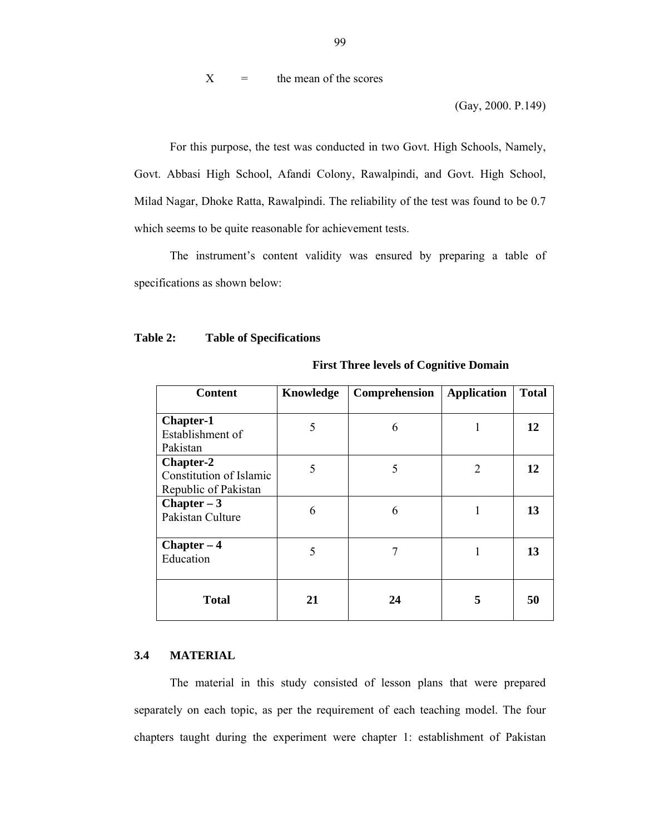$X =$  the mean of the scores

(Gay, 2000. P.149)

For this purpose, the test was conducted in two Govt. High Schools, Namely, Govt. Abbasi High School, Afandi Colony, Rawalpindi, and Govt. High School, Milad Nagar, Dhoke Ratta, Rawalpindi. The reliability of the test was found to be 0.7 which seems to be quite reasonable for achievement tests.

The instrument's content validity was ensured by preparing a table of specifications as shown below:

### **Table 2: Table of Specifications**

| <b>Content</b>                                               | Knowledge | Comprehension | <b>Application</b> | <b>Total</b> |
|--------------------------------------------------------------|-----------|---------------|--------------------|--------------|
| <b>Chapter-1</b><br>Establishment of<br>Pakistan             | 5         | 6             |                    | 12           |
| Chapter-2<br>Constitution of Islamic<br>Republic of Pakistan | 5         | 5             | $\overline{2}$     | 12           |
| $Chapter - 3$<br>Pakistan Culture                            | 6         | 6             |                    | 13           |
| $Chapter - 4$<br>Education                                   | 5         | 7             | 1                  | 13           |
| <b>Total</b>                                                 | 21        | 24            | 5                  | 50           |

 **First Three levels of Cognitive Domain** 

### **3.4 MATERIAL**

The material in this study consisted of lesson plans that were prepared separately on each topic, as per the requirement of each teaching model. The four chapters taught during the experiment were chapter 1: establishment of Pakistan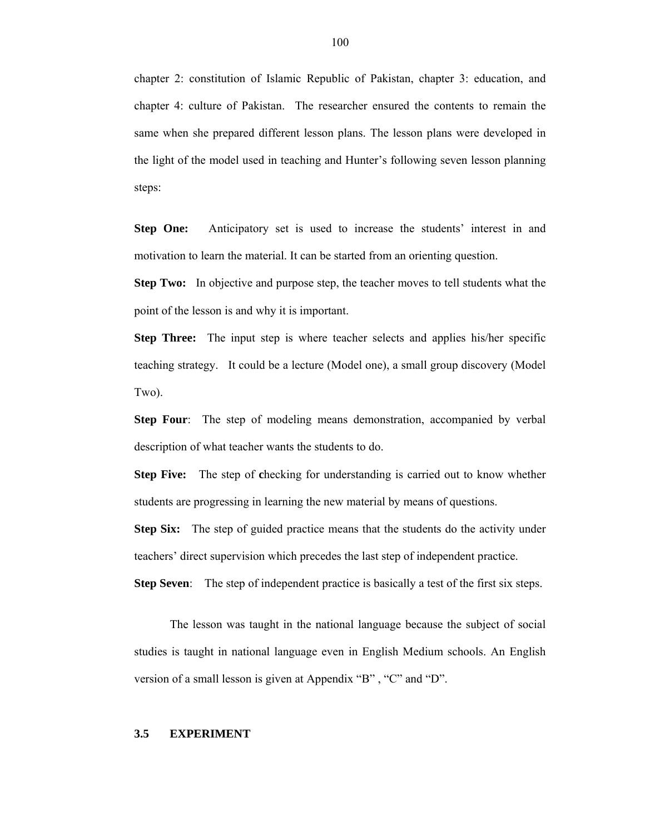chapter 2: constitution of Islamic Republic of Pakistan, chapter 3: education, and chapter 4: culture of Pakistan. The researcher ensured the contents to remain the same when she prepared different lesson plans. The lesson plans were developed in the light of the model used in teaching and Hunter's following seven lesson planning steps:

**Step One:** Anticipatory set is used to increase the students' interest in and motivation to learn the material. It can be started from an orienting question.

**Step Two:** In objective and purpose step, the teacher moves to tell students what the point of the lesson is and why it is important.

**Step Three:** The input step is where teacher selects and applies his/her specific teaching strategy. It could be a lecture (Model one), a small group discovery (Model Two).

**Step Four**: The step of modeling means demonstration, accompanied by verbal description of what teacher wants the students to do.

**Step Five:** The step of checking for understanding is carried out to know whether students are progressing in learning the new material by means of questions.

**Step Six:** The step of guided practice means that the students do the activity under teachers' direct supervision which precedes the last step of independent practice.

**Step Seven**: The step of independent practice is basically a test of the first six steps.

The lesson was taught in the national language because the subject of social studies is taught in national language even in English Medium schools. An English version of a small lesson is given at Appendix "B" , "C" and "D".

#### **3.5 EXPERIMENT**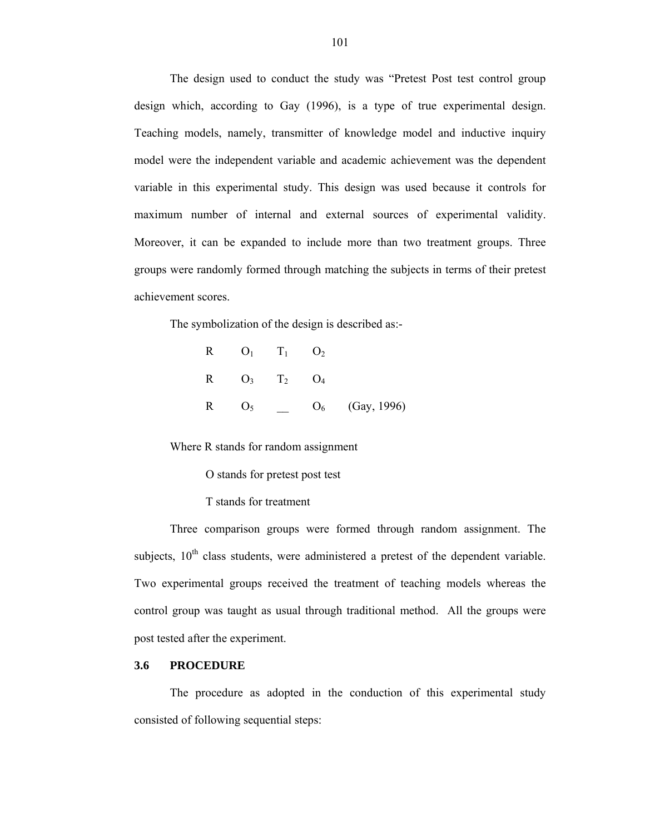The design used to conduct the study was "Pretest Post test control group design which, according to Gay (1996), is a type of true experimental design. Teaching models, namely, transmitter of knowledge model and inductive inquiry model were the independent variable and academic achievement was the dependent variable in this experimental study. This design was used because it controls for maximum number of internal and external sources of experimental validity. Moreover, it can be expanded to include more than two treatment groups. Three groups were randomly formed through matching the subjects in terms of their pretest achievement scores.

The symbolization of the design is described as:-

|  | $R$ $O_1$ $T_1$ $O_2$ |  |                           |
|--|-----------------------|--|---------------------------|
|  | R $O_3$ $T_2$ $O_4$   |  |                           |
|  |                       |  | R $O_5$ $O_6$ (Gay, 1996) |

Where R stands for random assignment

O stands for pretest post test

T stands for treatment

Three comparison groups were formed through random assignment. The subjects,  $10<sup>th</sup>$  class students, were administered a pretest of the dependent variable. Two experimental groups received the treatment of teaching models whereas the control group was taught as usual through traditional method. All the groups were post tested after the experiment.

### **3.6 PROCEDURE**

The procedure as adopted in the conduction of this experimental study consisted of following sequential steps: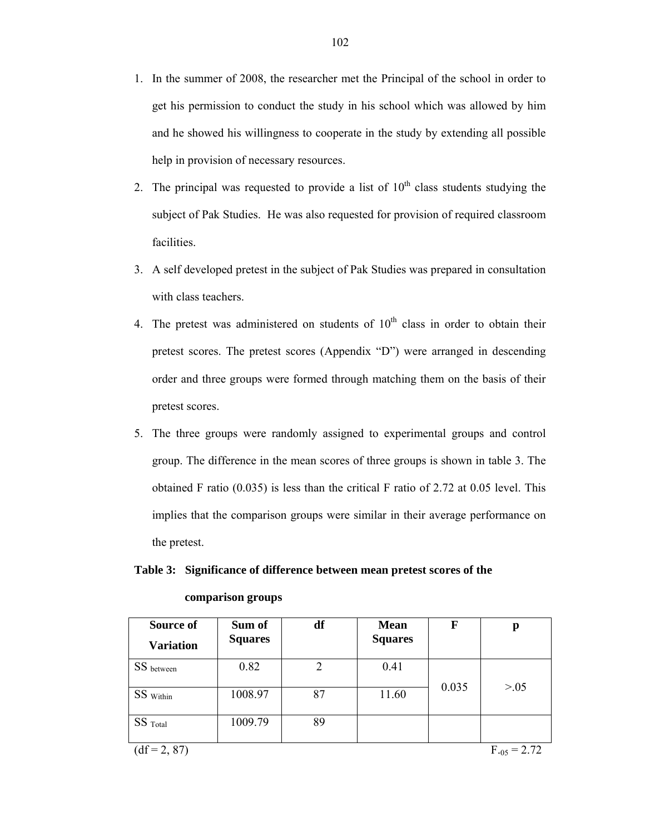- 1. In the summer of 2008, the researcher met the Principal of the school in order to get his permission to conduct the study in his school which was allowed by him and he showed his willingness to cooperate in the study by extending all possible help in provision of necessary resources.
- 2. The principal was requested to provide a list of  $10<sup>th</sup>$  class students studying the subject of Pak Studies. He was also requested for provision of required classroom facilities.
- 3. A self developed pretest in the subject of Pak Studies was prepared in consultation with class teachers.
- 4. The pretest was administered on students of  $10<sup>th</sup>$  class in order to obtain their pretest scores. The pretest scores (Appendix "D") were arranged in descending order and three groups were formed through matching them on the basis of their pretest scores.
- 5. The three groups were randomly assigned to experimental groups and control group. The difference in the mean scores of three groups is shown in table 3. The obtained F ratio  $(0.035)$  is less than the critical F ratio of 2.72 at 0.05 level. This implies that the comparison groups were similar in their average performance on the pretest.

# **Table 3: Significance of difference between mean pretest scores of the comparison groups**

| Source of        | Sum of         | df             | <b>Mean</b>    | F     | p                |
|------------------|----------------|----------------|----------------|-------|------------------|
| <b>Variation</b> | <b>Squares</b> |                | <b>Squares</b> |       |                  |
| SS between       | 0.82           | $\overline{2}$ | 0.41           |       |                  |
| SS within        | 1008.97        | 87             | 11.60          | 0.035 | > 0.05           |
| SS Total         | 1009.79        | 89             |                |       |                  |
| $(df = 2, 87)$   |                |                |                |       | $F_{.05} = 2.72$ |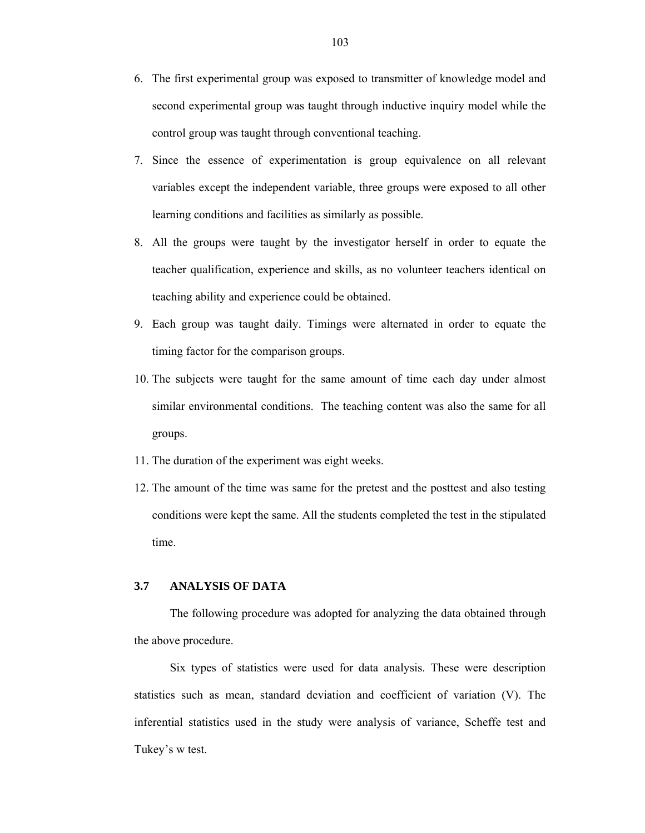- 6. The first experimental group was exposed to transmitter of knowledge model and second experimental group was taught through inductive inquiry model while the control group was taught through conventional teaching.
- 7. Since the essence of experimentation is group equivalence on all relevant variables except the independent variable, three groups were exposed to all other learning conditions and facilities as similarly as possible.
- 8. All the groups were taught by the investigator herself in order to equate the teacher qualification, experience and skills, as no volunteer teachers identical on teaching ability and experience could be obtained.
- 9. Each group was taught daily. Timings were alternated in order to equate the timing factor for the comparison groups.
- 10. The subjects were taught for the same amount of time each day under almost similar environmental conditions. The teaching content was also the same for all groups.
- 11. The duration of the experiment was eight weeks.
- 12. The amount of the time was same for the pretest and the posttest and also testing conditions were kept the same. All the students completed the test in the stipulated time.

### **3.7 ANALYSIS OF DATA**

The following procedure was adopted for analyzing the data obtained through the above procedure.

 Six types of statistics were used for data analysis. These were description statistics such as mean, standard deviation and coefficient of variation (V). The inferential statistics used in the study were analysis of variance, Scheffe test and Tukey's w test.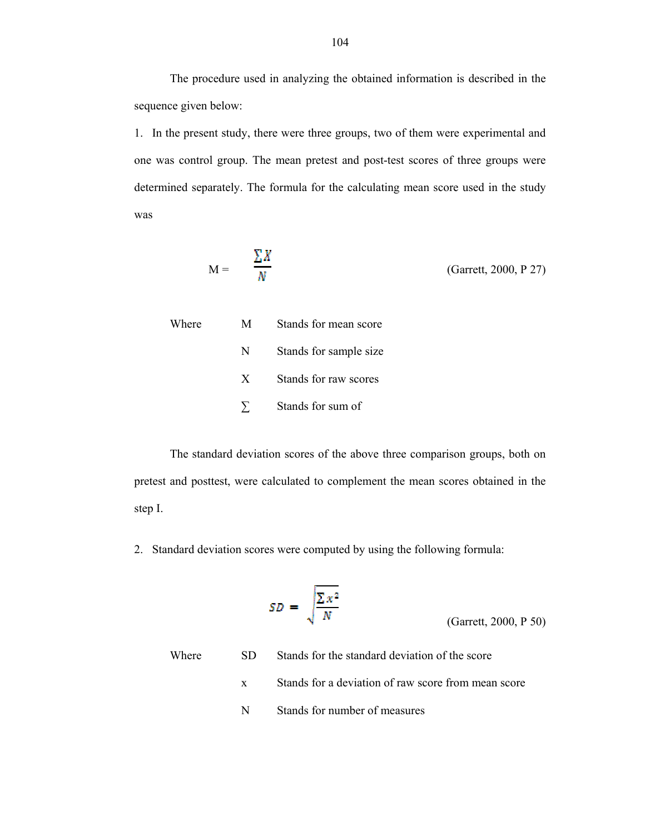The procedure used in analyzing the obtained information is described in the sequence given below:

1. In the present study, there were three groups, two of them were experimental and one was control group. The mean pretest and post-test scores of three groups were determined separately. The formula for the calculating mean score used in the study was

$$
M = \frac{\sum X}{N}
$$
 (Garrett, 2000, P 27)

| Where | M | Stands for mean score  |
|-------|---|------------------------|
|       | N | Stands for sample size |
|       | X | Stands for raw scores  |
|       |   | Stands for sum of      |

The standard deviation scores of the above three comparison groups, both on pretest and posttest, were calculated to complement the mean scores obtained in the step I.

2. Standard deviation scores were computed by using the following formula:

$$
SD = \sqrt{\frac{\sum x^2}{N}}
$$

(Garrett, 2000, P 50)

Where SD Stands for the standard deviation of the score x Stands for a deviation of raw score from mean score N Stands for number of measures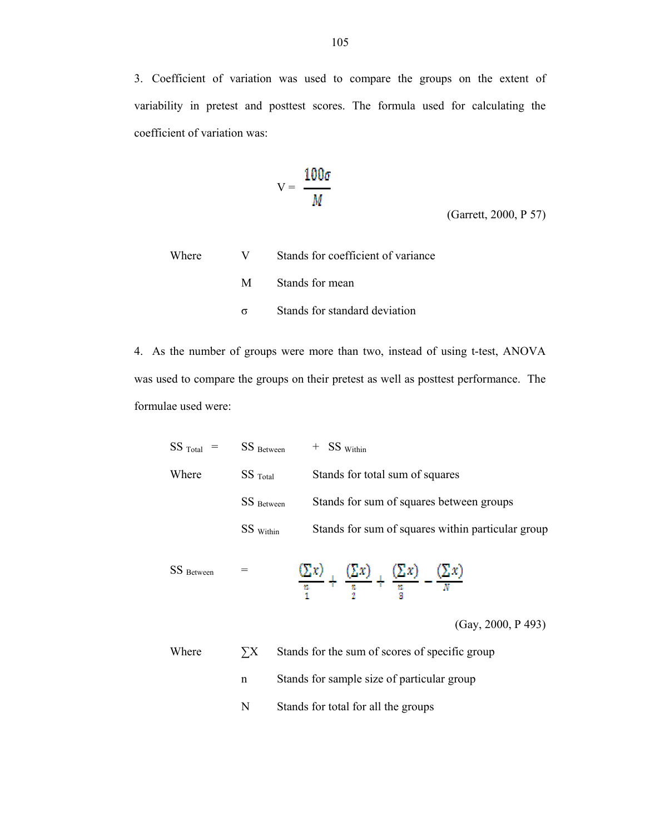3. Coefficient of variation was used to compare the groups on the extent of variability in pretest and posttest scores. The formula used for calculating the coefficient of variation was:

$$
V = \frac{100\sigma}{M}
$$

(Garrett, 2000, P 57)

| Where | V — | Stands for coefficient of variance |
|-------|-----|------------------------------------|
|       | M — | Stands for mean                    |
|       |     | Stands for standard deviation      |

4. As the number of groups were more than two, instead of using t-test, ANOVA was used to compare the groups on their pretest as well as posttest performance. The formulae used were:

| $SS$ Total = | $SS$ Between | $+$ SS within                                     |
|--------------|--------------|---------------------------------------------------|
| Where        | $SS$ Total   | Stands for total sum of squares                   |
|              | SS Between   | Stands for sum of squares between groups          |
|              | SS within    | Stands for sum of squares within particular group |

SS Between 
$$
\frac{(\sum x)}{n} + \frac{(\sum x)}{n} + \frac{(\sum x)}{n} - \frac{(\sum x)}{n}
$$

(Gay, 2000, P 493)

Where  $\Sigma X$  Stands for the sum of scores of specific group n Stands for sample size of particular group N Stands for total for all the groups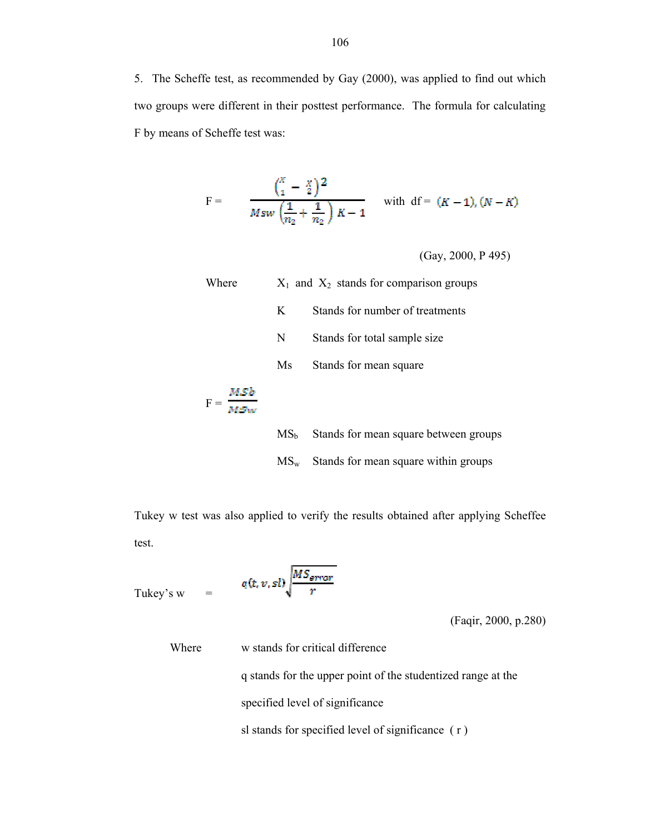5. The Scheffe test, as recommended by Gay (2000), was applied to find out which two groups were different in their posttest performance. The formula for calculating F by means of Scheffe test was:

$$
F = \frac{\binom{X}{1} - \frac{X}{2}^2}{Msw\left(\frac{1}{n_2} + \frac{1}{n_2}\right)K - 1} \text{ with df} = (K - 1), (N - K)
$$

(Gay, 2000, P 495)

| Where                |                 | $X_1$ and $X_2$ stands for comparison groups |
|----------------------|-----------------|----------------------------------------------|
|                      | K               | Stands for number of treatments              |
|                      | N               | Stands for total sample size                 |
|                      | Ms              | Stands for mean square                       |
| MSb<br>$F =$<br>M/2m |                 |                                              |
|                      | MS <sub>b</sub> | Stands for mean square between groups        |
|                      | $MS_{w}$        | Stands for mean square within groups         |

Tukey w test was also applied to verify the results obtained after applying Scheffee test.

$$
Tukey's w = q(t, v, sl) \sqrt{\frac{MS_{error}}{r}}
$$

(Faqir, 2000, p.280)

Where w stands for critical difference q stands for the upper point of the studentized range at the specified level of significance sl stands for specified level of significance ( r )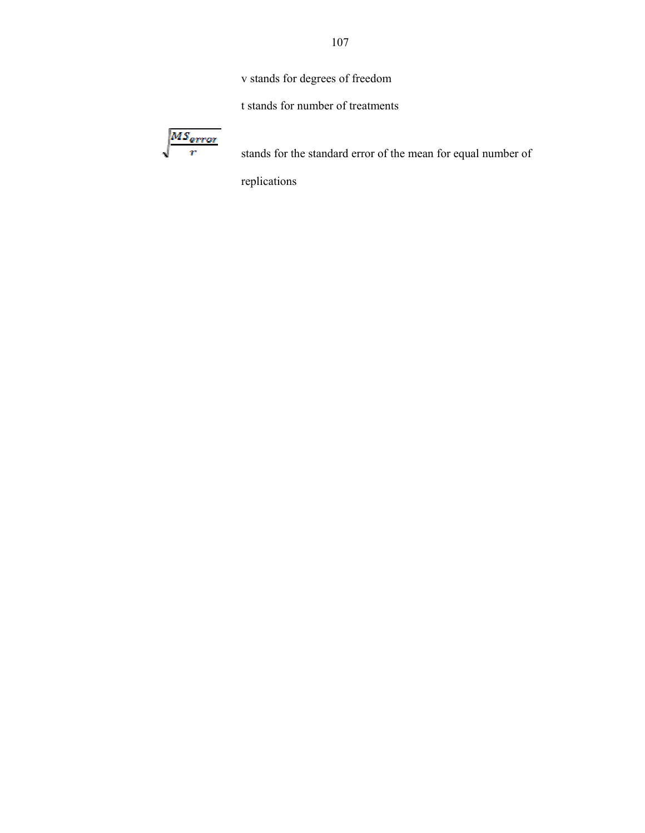v stands for degrees of freedom

t stands for number of treatments



stands for the standard error of the mean for equal number of

replications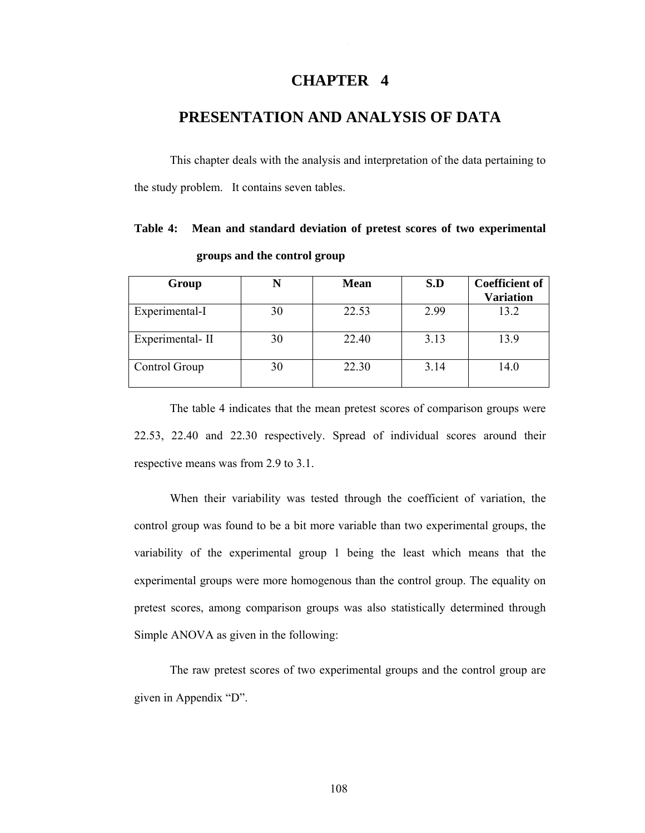### **CHAPTER 4**

### **PRESENTATION AND ANALYSIS OF DATA**

This chapter deals with the analysis and interpretation of the data pertaining to the study problem. It contains seven tables.

|  |                              |  | Table 4: Mean and standard deviation of pretest scores of two experimental |
|--|------------------------------|--|----------------------------------------------------------------------------|
|  | groups and the control group |  |                                                                            |

| Group           | N  | <b>Mean</b> | S.D  | <b>Coefficient of</b><br><b>Variation</b> |
|-----------------|----|-------------|------|-------------------------------------------|
| Experimental-I  | 30 | 22.53       | 2.99 | 13.2                                      |
| Experimental-II | 30 | 22.40       | 3.13 | 13.9                                      |
| Control Group   | 30 | 22.30       | 3.14 | 14.0                                      |

 The table 4 indicates that the mean pretest scores of comparison groups were 22.53, 22.40 and 22.30 respectively. Spread of individual scores around their respective means was from 2.9 to 3.1.

 When their variability was tested through the coefficient of variation, the control group was found to be a bit more variable than two experimental groups, the variability of the experimental group 1 being the least which means that the experimental groups were more homogenous than the control group. The equality on pretest scores, among comparison groups was also statistically determined through Simple ANOVA as given in the following:

The raw pretest scores of two experimental groups and the control group are given in Appendix "D".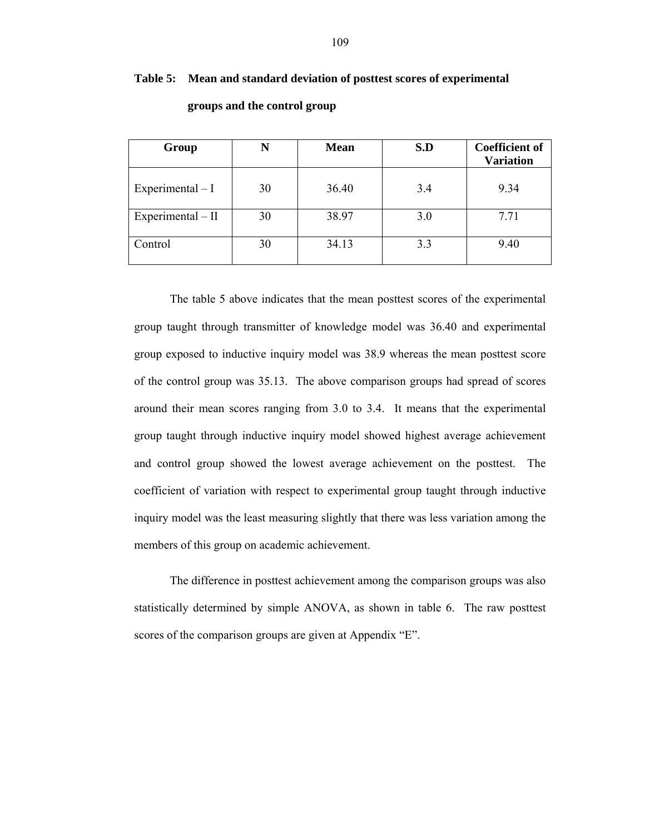| Group               | N  | <b>Mean</b> | S.D | <b>Coefficient of</b><br><b>Variation</b> |
|---------------------|----|-------------|-----|-------------------------------------------|
| Experimental - I    | 30 | 36.40       | 3.4 | 9.34                                      |
| $Experimental - II$ | 30 | 38.97       | 3.0 | 7.71                                      |
| Control             | 30 | 34.13       | 3.3 | 9.40                                      |

### **Table 5: Mean and standard deviation of posttest scores of experimental**

| groups and the control group |  |  |  |
|------------------------------|--|--|--|
|------------------------------|--|--|--|

The table 5 above indicates that the mean posttest scores of the experimental group taught through transmitter of knowledge model was 36.40 and experimental group exposed to inductive inquiry model was 38.9 whereas the mean posttest score of the control group was 35.13. The above comparison groups had spread of scores around their mean scores ranging from 3.0 to 3.4. It means that the experimental group taught through inductive inquiry model showed highest average achievement and control group showed the lowest average achievement on the posttest. The coefficient of variation with respect to experimental group taught through inductive inquiry model was the least measuring slightly that there was less variation among the members of this group on academic achievement.

The difference in posttest achievement among the comparison groups was also statistically determined by simple ANOVA, as shown in table 6. The raw posttest scores of the comparison groups are given at Appendix "E".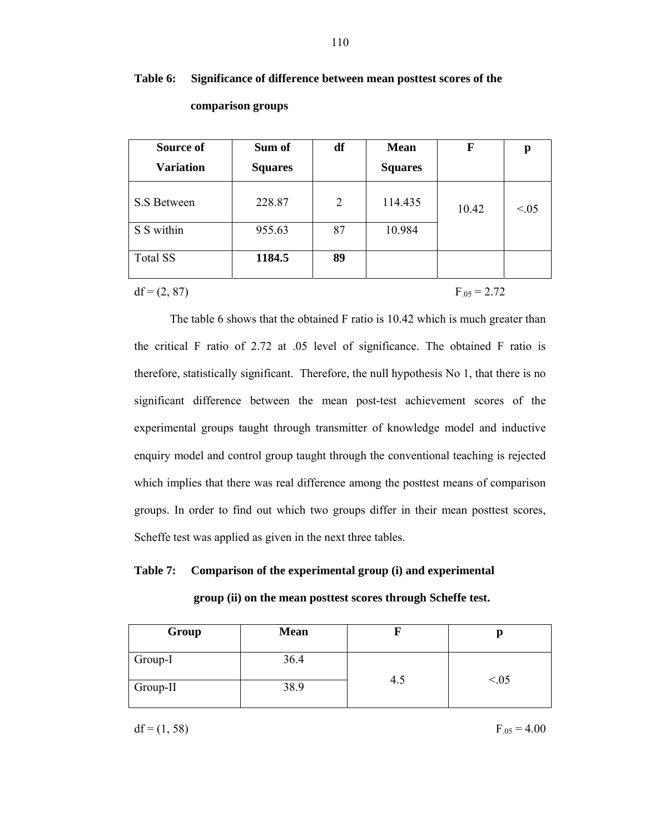| Source of<br><b>Variation</b> | Sum of<br><b>Squares</b> | df             | <b>Mean</b><br><b>Squares</b> | F     | p      |
|-------------------------------|--------------------------|----------------|-------------------------------|-------|--------|
| S.S Between                   | 228.87                   | $\overline{2}$ | 114.435                       | 10.42 | < 0.05 |
| S S within                    | 955.63                   | 87             | 10.984                        |       |        |
| <b>Total SS</b>               | 1184.5                   | 89             |                               |       |        |

## **Table 6: Significance of difference between mean posttest scores of the**

 **comparison groups** 

 $df = (2, 87)$  **F**<sub>.05</sub> = 2.72

 The table 6 shows that the obtained F ratio is 10.42 which is much greater than the critical F ratio of 2.72 at .05 level of significance. The obtained F ratio is therefore, statistically significant. Therefore, the null hypothesis No 1, that there is no significant difference between the mean post-test achievement scores of the experimental groups taught through transmitter of knowledge model and inductive enquiry model and control group taught through the conventional teaching is rejected which implies that there was real difference among the posttest means of comparison groups. In order to find out which two groups differ in their mean posttest scores, Scheffe test was applied as given in the next three tables.

### **Table 7: Comparison of the experimental group (i) and experimental**

 **group (ii) on the mean posttest scores through Scheffe test.** 

| Group    | <b>Mean</b> |     |         |
|----------|-------------|-----|---------|
| Group-I  | 36.4        |     |         |
| Group-II | 38.9        | 4.5 | ${<}05$ |

 $df = (1, 58)$ 

 $F_{.05} = 4.00$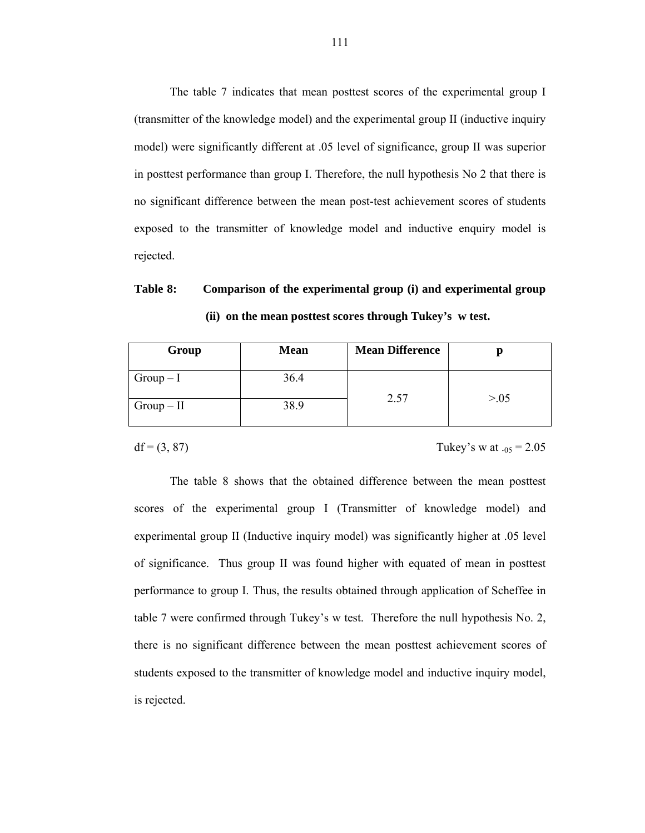The table 7 indicates that mean posttest scores of the experimental group I (transmitter of the knowledge model) and the experimental group II (inductive inquiry model) were significantly different at .05 level of significance, group II was superior in posttest performance than group I. Therefore, the null hypothesis No 2 that there is no significant difference between the mean post-test achievement scores of students exposed to the transmitter of knowledge model and inductive enquiry model is rejected.

**Table 8: Comparison of the experimental group (i) and experimental group (ii) on the mean posttest scores through Tukey's w test.** 

| Group      | <b>Mean</b> | <b>Mean Difference</b> |        |
|------------|-------------|------------------------|--------|
| $Group-I$  | 36.4        | 2.57                   | > 0.05 |
| $Group-II$ | 38.9        |                        |        |

df = (3, 87) Tukey's w at  $.05 = 2.05$ 

The table 8 shows that the obtained difference between the mean posttest scores of the experimental group I (Transmitter of knowledge model) and experimental group II (Inductive inquiry model) was significantly higher at .05 level of significance. Thus group II was found higher with equated of mean in posttest performance to group I. Thus, the results obtained through application of Scheffee in table 7 were confirmed through Tukey's w test. Therefore the null hypothesis No. 2, there is no significant difference between the mean posttest achievement scores of students exposed to the transmitter of knowledge model and inductive inquiry model, is rejected.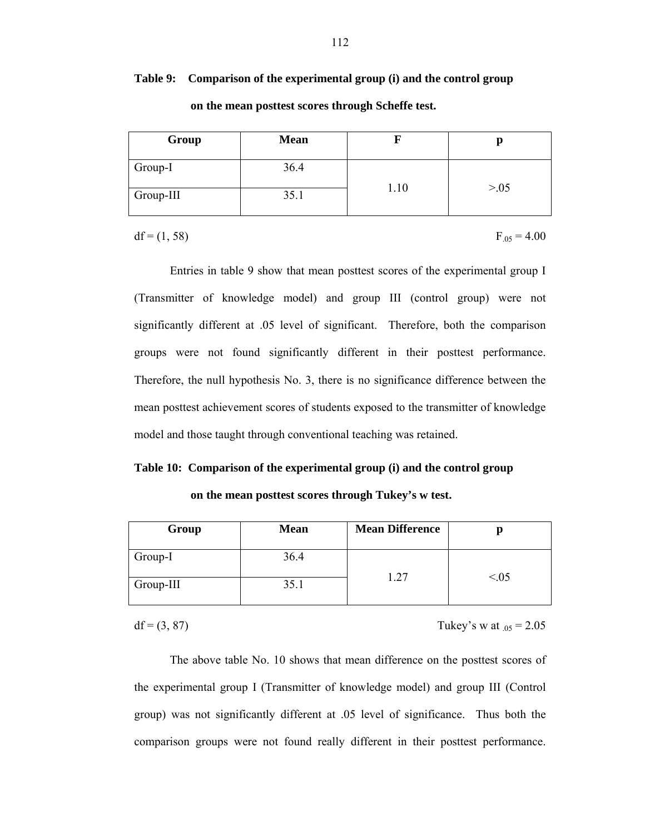### **Table 9: Comparison of the experimental group (i) and the control group**

| Group     | <b>Mean</b> |      | р      |
|-----------|-------------|------|--------|
| Group-I   | 36.4        |      |        |
| Group-III | 35.1        | 1.10 | > 0.05 |

 **on the mean posttest scores through Scheffe test.** 

 $df = (1, 58)$ 

 $F_{.05} = 4.00$ 

 Entries in table 9 show that mean posttest scores of the experimental group I (Transmitter of knowledge model) and group III (control group) were not significantly different at .05 level of significant. Therefore, both the comparison groups were not found significantly different in their posttest performance. Therefore, the null hypothesis No. 3, there is no significance difference between the mean posttest achievement scores of students exposed to the transmitter of knowledge model and those taught through conventional teaching was retained.

**Table 10: Comparison of the experimental group (i) and the control group** 

 **on the mean posttest scores through Tukey's w test.** 

| Group     | <b>Mean</b> | <b>Mean Difference</b> |        |
|-----------|-------------|------------------------|--------|
| Group-I   | 36.4        | 1.27                   | < 0.05 |
| Group-III | 35.1        |                        |        |

df =  $(3, 87)$  Tukey's w at  $_{0.5}$  = 2.05

The above table No. 10 shows that mean difference on the posttest scores of the experimental group I (Transmitter of knowledge model) and group III (Control group) was not significantly different at .05 level of significance. Thus both the comparison groups were not found really different in their posttest performance.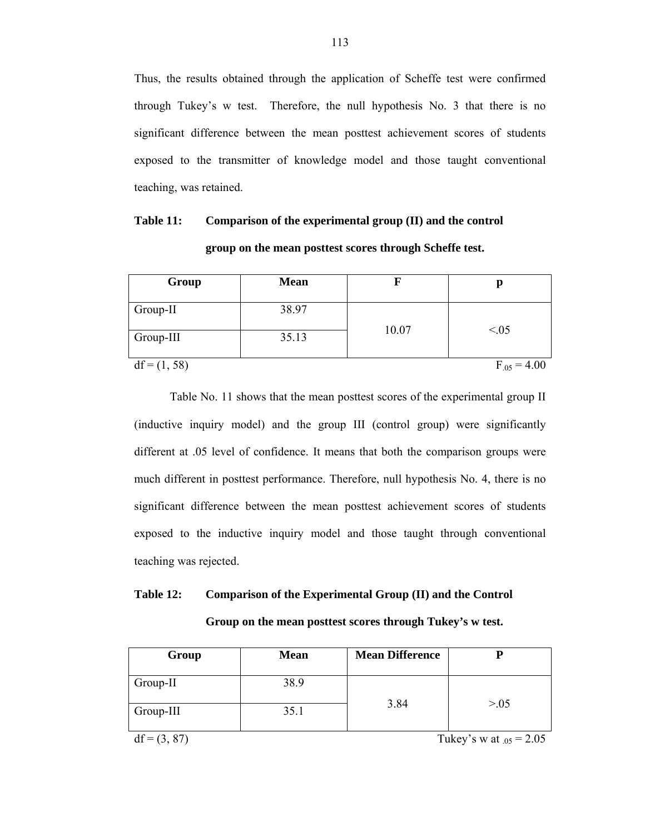Thus, the results obtained through the application of Scheffe test were confirmed through Tukey's w test. Therefore, the null hypothesis No. 3 that there is no significant difference between the mean posttest achievement scores of students exposed to the transmitter of knowledge model and those taught conventional teaching, was retained.

### **Table 11: Comparison of the experimental group (II) and the control**

 **group on the mean posttest scores through Scheffe test.** 

| Group          | <b>Mean</b> |       |                  |
|----------------|-------------|-------|------------------|
| Group-II       | 38.97       |       |                  |
| Group-III      | 35.13       | 10.07 | < 0.05           |
| $df = (1, 58)$ |             |       | $F_{.05} = 4.00$ |

 Table No. 11 shows that the mean posttest scores of the experimental group II (inductive inquiry model) and the group III (control group) were significantly different at .05 level of confidence. It means that both the comparison groups were much different in posttest performance. Therefore, null hypothesis No. 4, there is no significant difference between the mean posttest achievement scores of students exposed to the inductive inquiry model and those taught through conventional teaching was rejected.

### **Table 12: Comparison of the Experimental Group (II) and the Control**

 **Group on the mean posttest scores through Tukey's w test.** 

| Group          | <b>Mean</b> | <b>Mean Difference</b> |                              |
|----------------|-------------|------------------------|------------------------------|
|                |             |                        |                              |
| Group-II       | 38.9        |                        |                              |
|                |             |                        |                              |
| Group-III      | 35.1        | 3.84                   | > 0.05                       |
|                |             |                        |                              |
| $df = (3, 87)$ |             |                        | Tukey's w at $_{.05} = 2.05$ |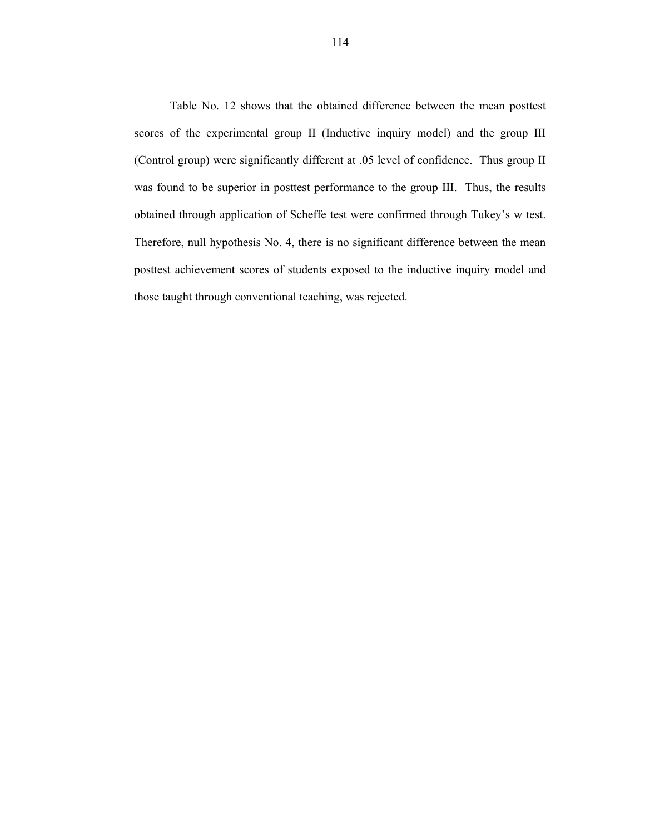Table No. 12 shows that the obtained difference between the mean posttest scores of the experimental group II (Inductive inquiry model) and the group III (Control group) were significantly different at .05 level of confidence. Thus group II was found to be superior in posttest performance to the group III. Thus, the results obtained through application of Scheffe test were confirmed through Tukey's w test. Therefore, null hypothesis No. 4, there is no significant difference between the mean posttest achievement scores of students exposed to the inductive inquiry model and those taught through conventional teaching, was rejected.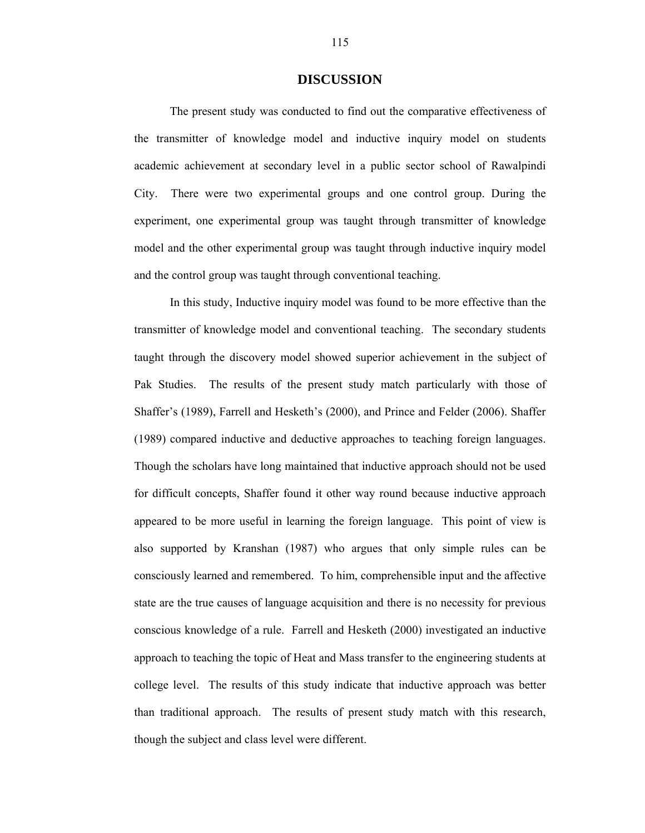#### **DISCUSSION**

The present study was conducted to find out the comparative effectiveness of the transmitter of knowledge model and inductive inquiry model on students academic achievement at secondary level in a public sector school of Rawalpindi City. There were two experimental groups and one control group. During the experiment, one experimental group was taught through transmitter of knowledge model and the other experimental group was taught through inductive inquiry model and the control group was taught through conventional teaching.

In this study, Inductive inquiry model was found to be more effective than the transmitter of knowledge model and conventional teaching. The secondary students taught through the discovery model showed superior achievement in the subject of Pak Studies. The results of the present study match particularly with those of Shaffer's (1989), Farrell and Hesketh's (2000), and Prince and Felder (2006). Shaffer (1989) compared inductive and deductive approaches to teaching foreign languages. Though the scholars have long maintained that inductive approach should not be used for difficult concepts, Shaffer found it other way round because inductive approach appeared to be more useful in learning the foreign language. This point of view is also supported by Kranshan (1987) who argues that only simple rules can be consciously learned and remembered. To him, comprehensible input and the affective state are the true causes of language acquisition and there is no necessity for previous conscious knowledge of a rule. Farrell and Hesketh (2000) investigated an inductive approach to teaching the topic of Heat and Mass transfer to the engineering students at college level. The results of this study indicate that inductive approach was better than traditional approach. The results of present study match with this research, though the subject and class level were different.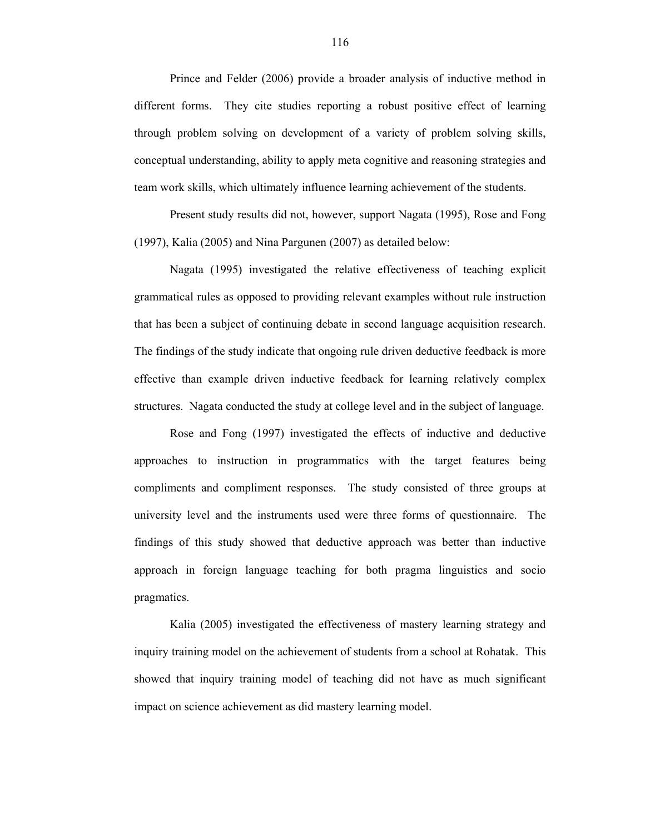Prince and Felder (2006) provide a broader analysis of inductive method in different forms. They cite studies reporting a robust positive effect of learning through problem solving on development of a variety of problem solving skills, conceptual understanding, ability to apply meta cognitive and reasoning strategies and team work skills, which ultimately influence learning achievement of the students.

Present study results did not, however, support Nagata (1995), Rose and Fong (1997), Kalia (2005) and Nina Pargunen (2007) as detailed below:

Nagata (1995) investigated the relative effectiveness of teaching explicit grammatical rules as opposed to providing relevant examples without rule instruction that has been a subject of continuing debate in second language acquisition research. The findings of the study indicate that ongoing rule driven deductive feedback is more effective than example driven inductive feedback for learning relatively complex structures. Nagata conducted the study at college level and in the subject of language.

Rose and Fong (1997) investigated the effects of inductive and deductive approaches to instruction in programmatics with the target features being compliments and compliment responses. The study consisted of three groups at university level and the instruments used were three forms of questionnaire. The findings of this study showed that deductive approach was better than inductive approach in foreign language teaching for both pragma linguistics and socio pragmatics.

Kalia (2005) investigated the effectiveness of mastery learning strategy and inquiry training model on the achievement of students from a school at Rohatak. This showed that inquiry training model of teaching did not have as much significant impact on science achievement as did mastery learning model.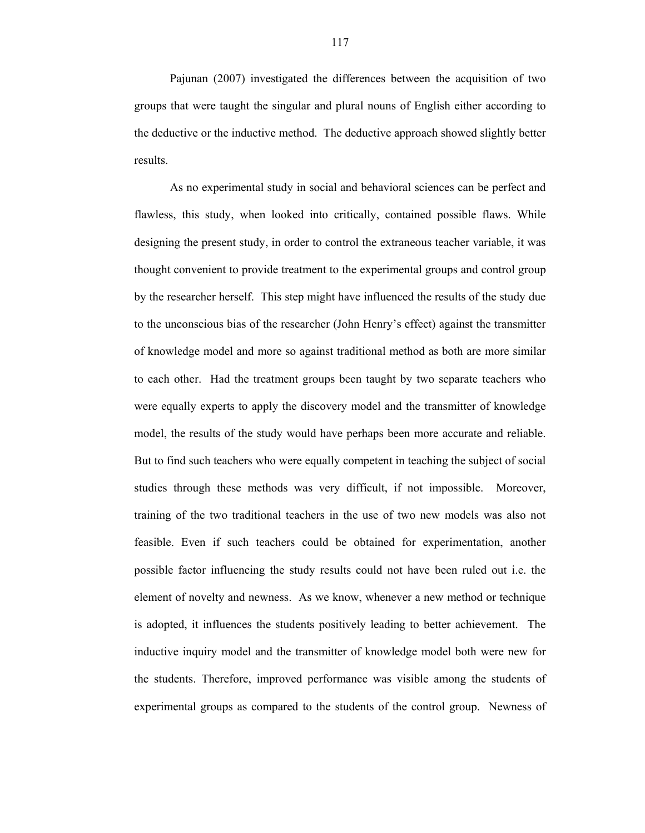Pajunan (2007) investigated the differences between the acquisition of two groups that were taught the singular and plural nouns of English either according to the deductive or the inductive method. The deductive approach showed slightly better results.

As no experimental study in social and behavioral sciences can be perfect and flawless, this study, when looked into critically, contained possible flaws. While designing the present study, in order to control the extraneous teacher variable, it was thought convenient to provide treatment to the experimental groups and control group by the researcher herself. This step might have influenced the results of the study due to the unconscious bias of the researcher (John Henry's effect) against the transmitter of knowledge model and more so against traditional method as both are more similar to each other. Had the treatment groups been taught by two separate teachers who were equally experts to apply the discovery model and the transmitter of knowledge model, the results of the study would have perhaps been more accurate and reliable. But to find such teachers who were equally competent in teaching the subject of social studies through these methods was very difficult, if not impossible. Moreover, training of the two traditional teachers in the use of two new models was also not feasible. Even if such teachers could be obtained for experimentation, another possible factor influencing the study results could not have been ruled out i.e. the element of novelty and newness. As we know, whenever a new method or technique is adopted, it influences the students positively leading to better achievement. The inductive inquiry model and the transmitter of knowledge model both were new for the students. Therefore, improved performance was visible among the students of experimental groups as compared to the students of the control group. Newness of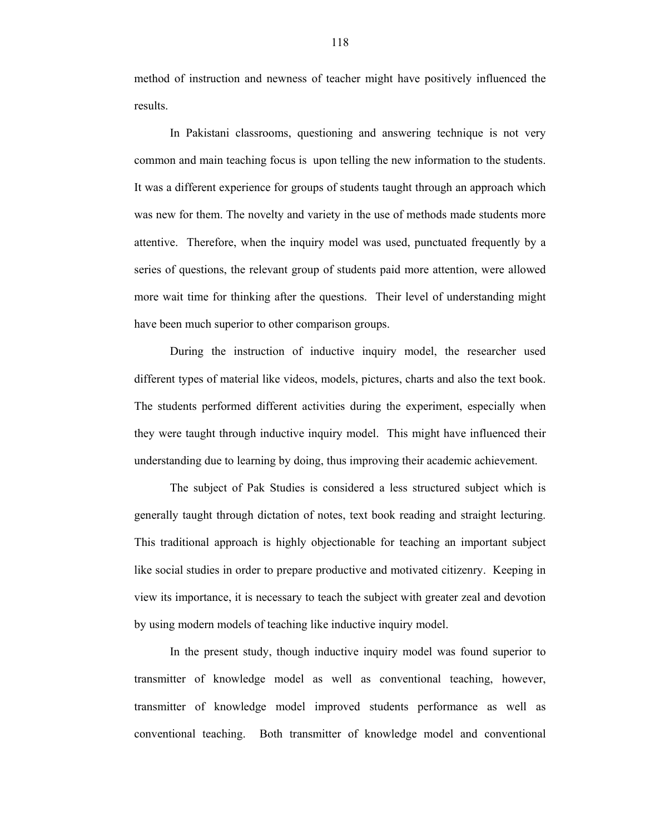method of instruction and newness of teacher might have positively influenced the results.

In Pakistani classrooms, questioning and answering technique is not very common and main teaching focus is upon telling the new information to the students. It was a different experience for groups of students taught through an approach which was new for them. The novelty and variety in the use of methods made students more attentive. Therefore, when the inquiry model was used, punctuated frequently by a series of questions, the relevant group of students paid more attention, were allowed more wait time for thinking after the questions. Their level of understanding might have been much superior to other comparison groups.

During the instruction of inductive inquiry model, the researcher used different types of material like videos, models, pictures, charts and also the text book. The students performed different activities during the experiment, especially when they were taught through inductive inquiry model. This might have influenced their understanding due to learning by doing, thus improving their academic achievement.

The subject of Pak Studies is considered a less structured subject which is generally taught through dictation of notes, text book reading and straight lecturing. This traditional approach is highly objectionable for teaching an important subject like social studies in order to prepare productive and motivated citizenry. Keeping in view its importance, it is necessary to teach the subject with greater zeal and devotion by using modern models of teaching like inductive inquiry model.

In the present study, though inductive inquiry model was found superior to transmitter of knowledge model as well as conventional teaching, however, transmitter of knowledge model improved students performance as well as conventional teaching. Both transmitter of knowledge model and conventional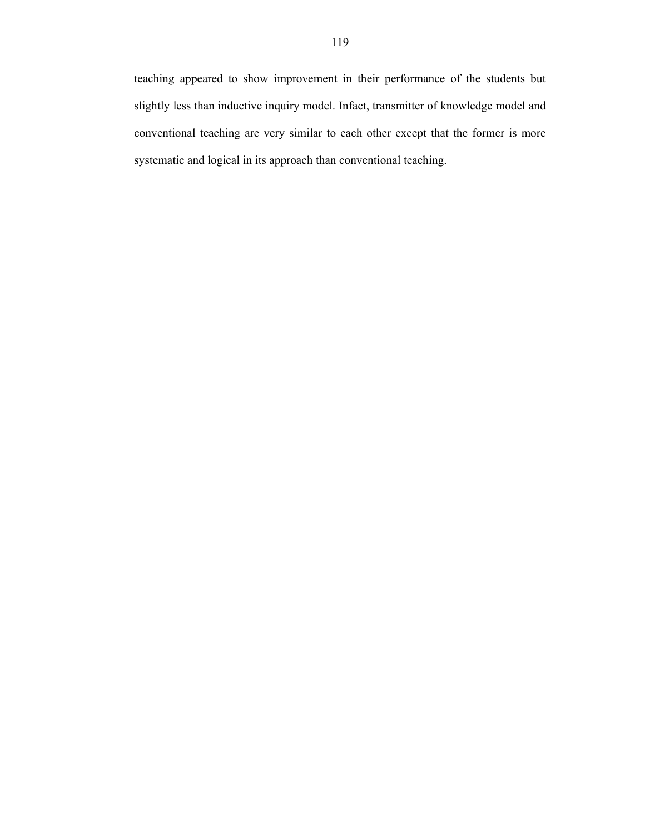teaching appeared to show improvement in their performance of the students but slightly less than inductive inquiry model. Infact, transmitter of knowledge model and conventional teaching are very similar to each other except that the former is more systematic and logical in its approach than conventional teaching.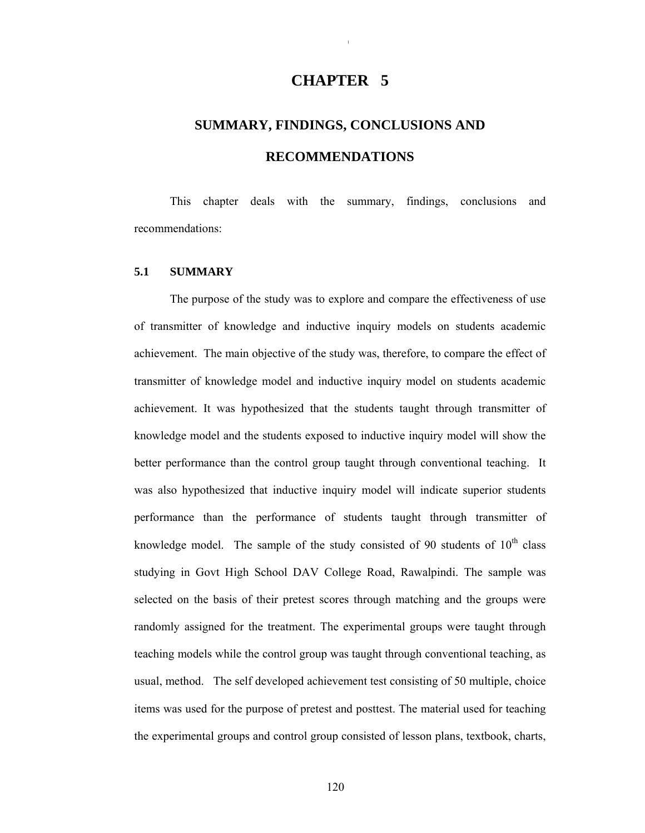### **CHAPTER 5**

 $\sim$ 

# **SUMMARY, FINDINGS, CONCLUSIONS AND RECOMMENDATIONS**

 This chapter deals with the summary, findings, conclusions and recommendations:

### **5.1 SUMMARY**

 The purpose of the study was to explore and compare the effectiveness of use of transmitter of knowledge and inductive inquiry models on students academic achievement. The main objective of the study was, therefore, to compare the effect of transmitter of knowledge model and inductive inquiry model on students academic achievement. It was hypothesized that the students taught through transmitter of knowledge model and the students exposed to inductive inquiry model will show the better performance than the control group taught through conventional teaching. It was also hypothesized that inductive inquiry model will indicate superior students performance than the performance of students taught through transmitter of knowledge model. The sample of the study consisted of 90 students of  $10<sup>th</sup>$  class studying in Govt High School DAV College Road, Rawalpindi. The sample was selected on the basis of their pretest scores through matching and the groups were randomly assigned for the treatment. The experimental groups were taught through teaching models while the control group was taught through conventional teaching, as usual, method. The self developed achievement test consisting of 50 multiple, choice items was used for the purpose of pretest and posttest. The material used for teaching the experimental groups and control group consisted of lesson plans, textbook, charts,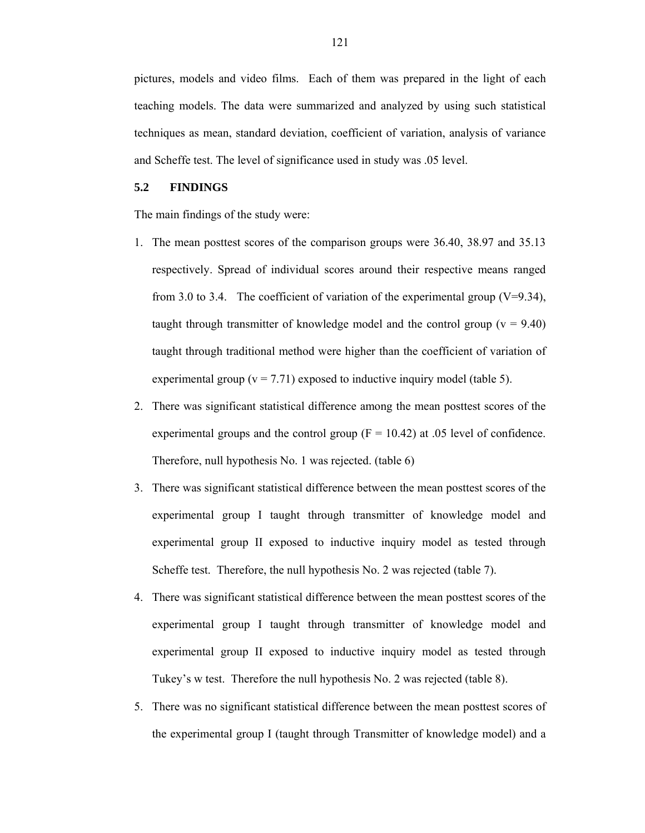pictures, models and video films. Each of them was prepared in the light of each teaching models. The data were summarized and analyzed by using such statistical techniques as mean, standard deviation, coefficient of variation, analysis of variance and Scheffe test. The level of significance used in study was .05 level.

### **5.2 FINDINGS**

The main findings of the study were:

- 1. The mean posttest scores of the comparison groups were 36.40, 38.97 and 35.13 respectively. Spread of individual scores around their respective means ranged from 3.0 to 3.4. The coefficient of variation of the experimental group  $(V=9.34)$ , taught through transmitter of knowledge model and the control group ( $v = 9.40$ ) taught through traditional method were higher than the coefficient of variation of experimental group ( $v = 7.71$ ) exposed to inductive inquiry model (table 5).
- 2. There was significant statistical difference among the mean posttest scores of the experimental groups and the control group  $(F = 10.42)$  at .05 level of confidence. Therefore, null hypothesis No. 1 was rejected. (table 6)
- 3. There was significant statistical difference between the mean posttest scores of the experimental group I taught through transmitter of knowledge model and experimental group II exposed to inductive inquiry model as tested through Scheffe test. Therefore, the null hypothesis No. 2 was rejected (table 7).
- 4. There was significant statistical difference between the mean posttest scores of the experimental group I taught through transmitter of knowledge model and experimental group II exposed to inductive inquiry model as tested through Tukey's w test. Therefore the null hypothesis No. 2 was rejected (table 8).
- 5. There was no significant statistical difference between the mean posttest scores of the experimental group I (taught through Transmitter of knowledge model) and a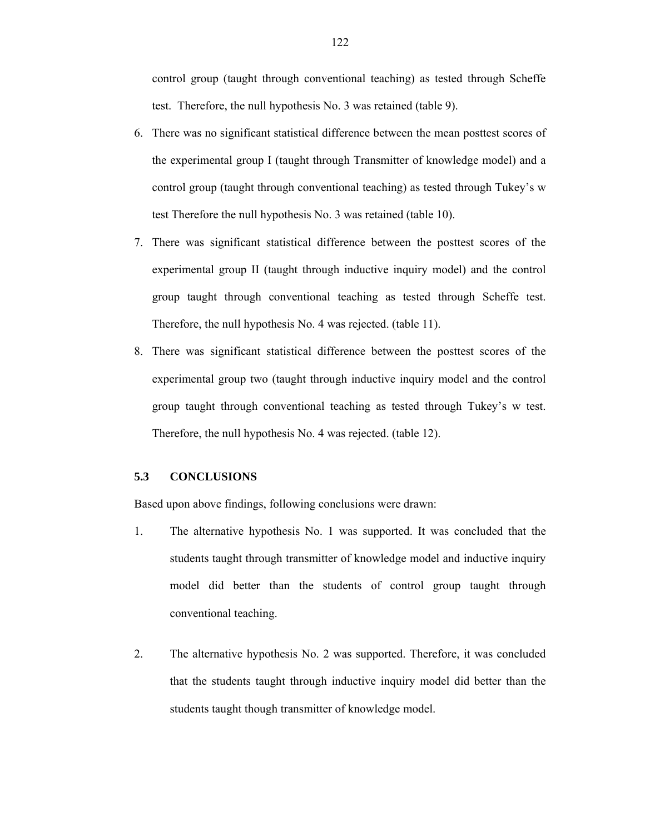control group (taught through conventional teaching) as tested through Scheffe test. Therefore, the null hypothesis No. 3 was retained (table 9).

- 6. There was no significant statistical difference between the mean posttest scores of the experimental group I (taught through Transmitter of knowledge model) and a control group (taught through conventional teaching) as tested through Tukey's w test Therefore the null hypothesis No. 3 was retained (table 10).
- 7. There was significant statistical difference between the posttest scores of the experimental group II (taught through inductive inquiry model) and the control group taught through conventional teaching as tested through Scheffe test. Therefore, the null hypothesis No. 4 was rejected. (table 11).
- 8. There was significant statistical difference between the posttest scores of the experimental group two (taught through inductive inquiry model and the control group taught through conventional teaching as tested through Tukey's w test. Therefore, the null hypothesis No. 4 was rejected. (table 12).

### **5.3 CONCLUSIONS**

Based upon above findings, following conclusions were drawn:

- 1. The alternative hypothesis No. 1 was supported. It was concluded that the students taught through transmitter of knowledge model and inductive inquiry model did better than the students of control group taught through conventional teaching.
- 2. The alternative hypothesis No. 2 was supported. Therefore, it was concluded that the students taught through inductive inquiry model did better than the students taught though transmitter of knowledge model.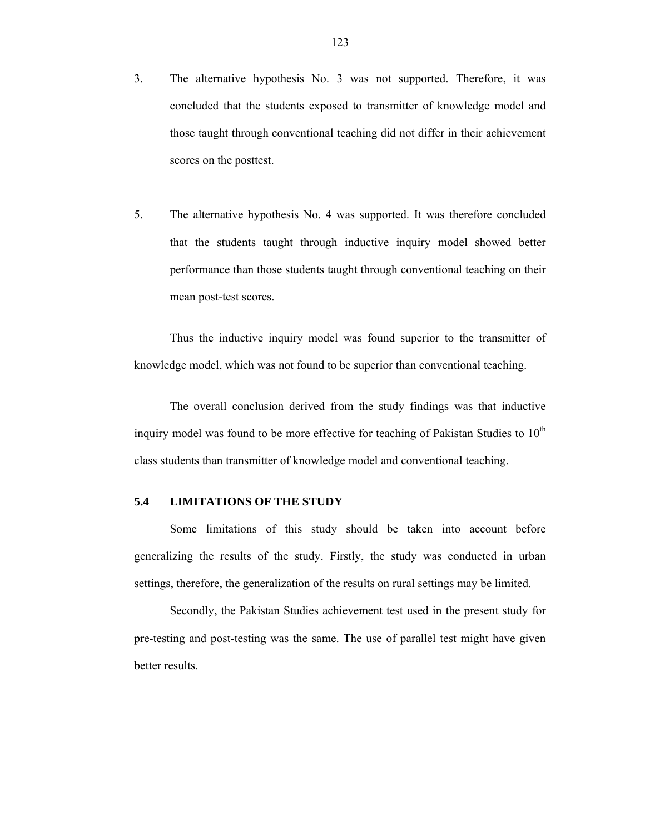- 3. The alternative hypothesis No. 3 was not supported. Therefore, it was concluded that the students exposed to transmitter of knowledge model and those taught through conventional teaching did not differ in their achievement scores on the posttest.
- 5. The alternative hypothesis No. 4 was supported. It was therefore concluded that the students taught through inductive inquiry model showed better performance than those students taught through conventional teaching on their mean post-test scores.

Thus the inductive inquiry model was found superior to the transmitter of knowledge model, which was not found to be superior than conventional teaching.

The overall conclusion derived from the study findings was that inductive inquiry model was found to be more effective for teaching of Pakistan Studies to  $10<sup>th</sup>$ class students than transmitter of knowledge model and conventional teaching.

### **5.4 LIMITATIONS OF THE STUDY**

Some limitations of this study should be taken into account before generalizing the results of the study. Firstly, the study was conducted in urban settings, therefore, the generalization of the results on rural settings may be limited.

Secondly, the Pakistan Studies achievement test used in the present study for pre-testing and post-testing was the same. The use of parallel test might have given better results.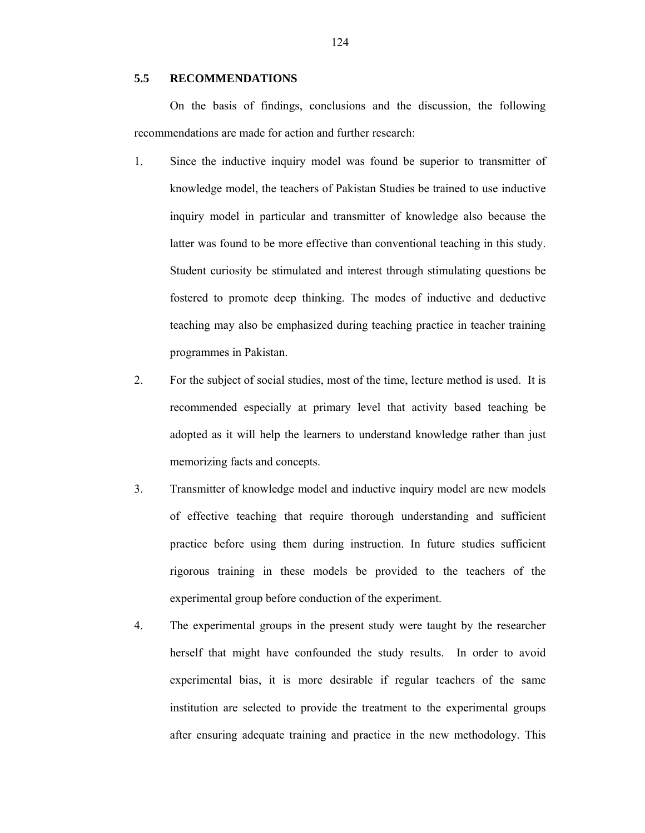### **5.5 RECOMMENDATIONS**

On the basis of findings, conclusions and the discussion, the following recommendations are made for action and further research:

- 1. Since the inductive inquiry model was found be superior to transmitter of knowledge model, the teachers of Pakistan Studies be trained to use inductive inquiry model in particular and transmitter of knowledge also because the latter was found to be more effective than conventional teaching in this study. Student curiosity be stimulated and interest through stimulating questions be fostered to promote deep thinking. The modes of inductive and deductive teaching may also be emphasized during teaching practice in teacher training programmes in Pakistan.
- 2. For the subject of social studies, most of the time, lecture method is used. It is recommended especially at primary level that activity based teaching be adopted as it will help the learners to understand knowledge rather than just memorizing facts and concepts.
- 3. Transmitter of knowledge model and inductive inquiry model are new models of effective teaching that require thorough understanding and sufficient practice before using them during instruction. In future studies sufficient rigorous training in these models be provided to the teachers of the experimental group before conduction of the experiment.
- 4. The experimental groups in the present study were taught by the researcher herself that might have confounded the study results. In order to avoid experimental bias, it is more desirable if regular teachers of the same institution are selected to provide the treatment to the experimental groups after ensuring adequate training and practice in the new methodology. This

124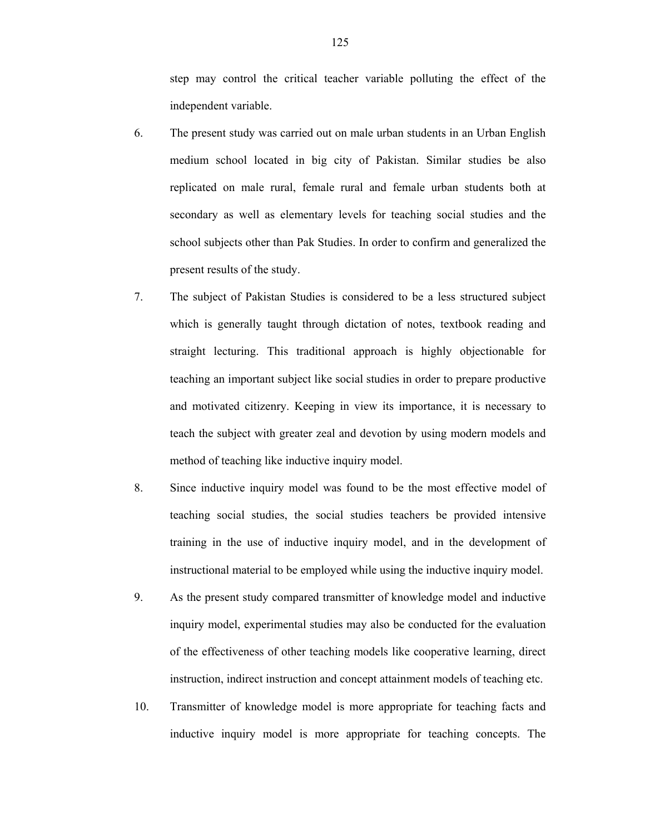step may control the critical teacher variable polluting the effect of the independent variable.

- 6. The present study was carried out on male urban students in an Urban English medium school located in big city of Pakistan. Similar studies be also replicated on male rural, female rural and female urban students both at secondary as well as elementary levels for teaching social studies and the school subjects other than Pak Studies. In order to confirm and generalized the present results of the study.
- 7. The subject of Pakistan Studies is considered to be a less structured subject which is generally taught through dictation of notes, textbook reading and straight lecturing. This traditional approach is highly objectionable for teaching an important subject like social studies in order to prepare productive and motivated citizenry. Keeping in view its importance, it is necessary to teach the subject with greater zeal and devotion by using modern models and method of teaching like inductive inquiry model.
- 8. Since inductive inquiry model was found to be the most effective model of teaching social studies, the social studies teachers be provided intensive training in the use of inductive inquiry model, and in the development of instructional material to be employed while using the inductive inquiry model.
- 9. As the present study compared transmitter of knowledge model and inductive inquiry model, experimental studies may also be conducted for the evaluation of the effectiveness of other teaching models like cooperative learning, direct instruction, indirect instruction and concept attainment models of teaching etc.
- 10. Transmitter of knowledge model is more appropriate for teaching facts and inductive inquiry model is more appropriate for teaching concepts. The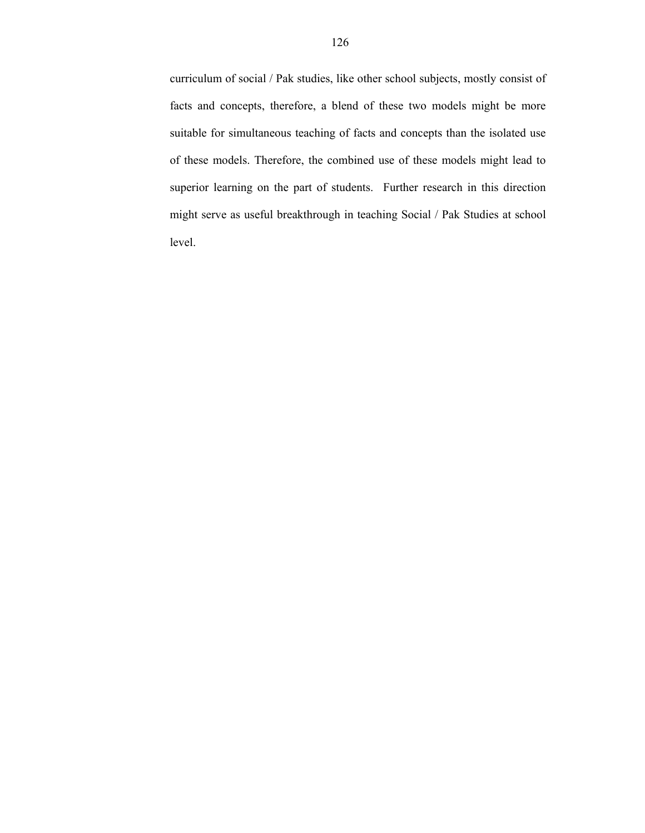curriculum of social / Pak studies, like other school subjects, mostly consist of facts and concepts, therefore, a blend of these two models might be more suitable for simultaneous teaching of facts and concepts than the isolated use of these models. Therefore, the combined use of these models might lead to superior learning on the part of students. Further research in this direction might serve as useful breakthrough in teaching Social / Pak Studies at school level.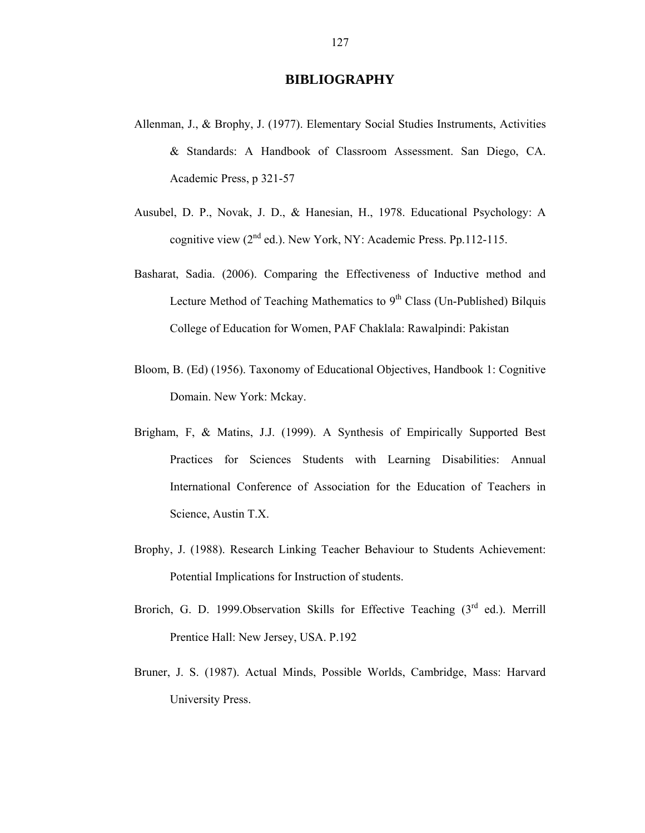### **BIBLIOGRAPHY**

- Allenman, J., & Brophy, J. (1977). Elementary Social Studies Instruments, Activities & Standards: A Handbook of Classroom Assessment. San Diego, CA. Academic Press, p 321-57
- Ausubel, D. P., Novak, J. D., & Hanesian, H., 1978. Educational Psychology: A cognitive view  $(2^{nd}$  ed.). New York, NY: Academic Press. Pp.112-115.
- Basharat, Sadia. (2006). Comparing the Effectiveness of Inductive method and Lecture Method of Teaching Mathematics to  $9<sup>th</sup>$  Class (Un-Published) Bilquis College of Education for Women, PAF Chaklala: Rawalpindi: Pakistan
- Bloom, B. (Ed) (1956). Taxonomy of Educational Objectives, Handbook 1: Cognitive Domain. New York: Mckay.
- Brigham, F, & Matins, J.J. (1999). A Synthesis of Empirically Supported Best Practices for Sciences Students with Learning Disabilities: Annual International Conference of Association for the Education of Teachers in Science, Austin T.X.
- Brophy, J. (1988). Research Linking Teacher Behaviour to Students Achievement: Potential Implications for Instruction of students.
- Brorich, G. D. 1999.Observation Skills for Effective Teaching  $3<sup>rd</sup>$  ed.). Merrill Prentice Hall: New Jersey, USA. P.192
- Bruner, J. S. (1987). Actual Minds, Possible Worlds, Cambridge, Mass: Harvard University Press.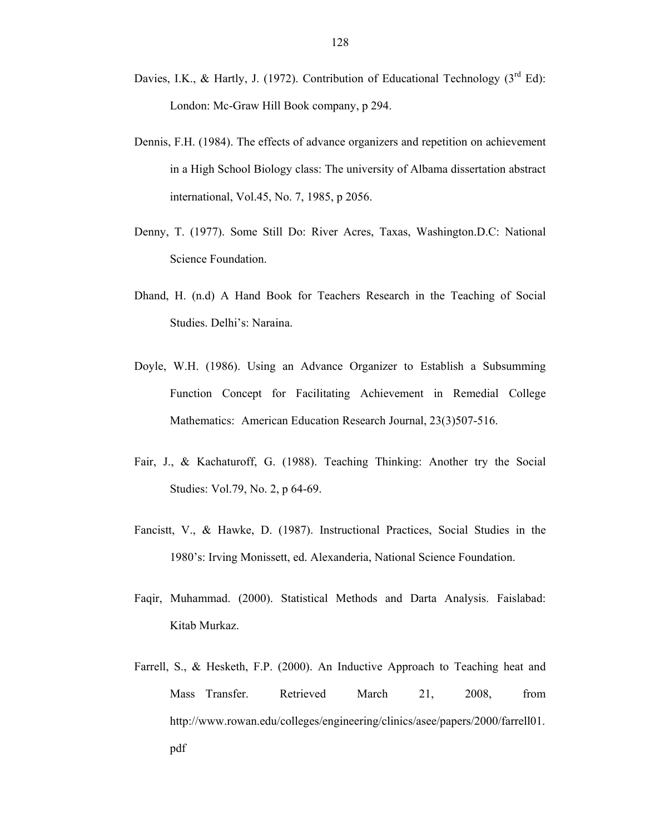- Davies, I.K., & Hartly, J. (1972). Contribution of Educational Technology ( $3<sup>rd</sup> Ed$ ): London: Mc-Graw Hill Book company, p 294.
- Dennis, F.H. (1984). The effects of advance organizers and repetition on achievement in a High School Biology class: The university of Albama dissertation abstract international, Vol.45, No. 7, 1985, p 2056.
- Denny, T. (1977). Some Still Do: River Acres, Taxas, Washington.D.C: National Science Foundation.
- Dhand, H. (n.d) A Hand Book for Teachers Research in the Teaching of Social Studies. Delhi's: Naraina.
- Doyle, W.H. (1986). Using an Advance Organizer to Establish a Subsumming Function Concept for Facilitating Achievement in Remedial College Mathematics: American Education Research Journal, 23(3)507-516.
- Fair, J., & Kachaturoff, G. (1988). Teaching Thinking: Another try the Social Studies: Vol.79, No. 2, p 64-69.
- Fancistt, V., & Hawke, D. (1987). Instructional Practices, Social Studies in the 1980's: Irving Monissett, ed. Alexanderia, National Science Foundation.
- Faqir, Muhammad. (2000). Statistical Methods and Darta Analysis. Faislabad: Kitab Murkaz.
- Farrell, S., & Hesketh, F.P. (2000). An Inductive Approach to Teaching heat and Mass Transfer. Retrieved March 21, 2008, from http://www.rowan.edu/colleges/engineering/clinics/asee/papers/2000/farrell01. pdf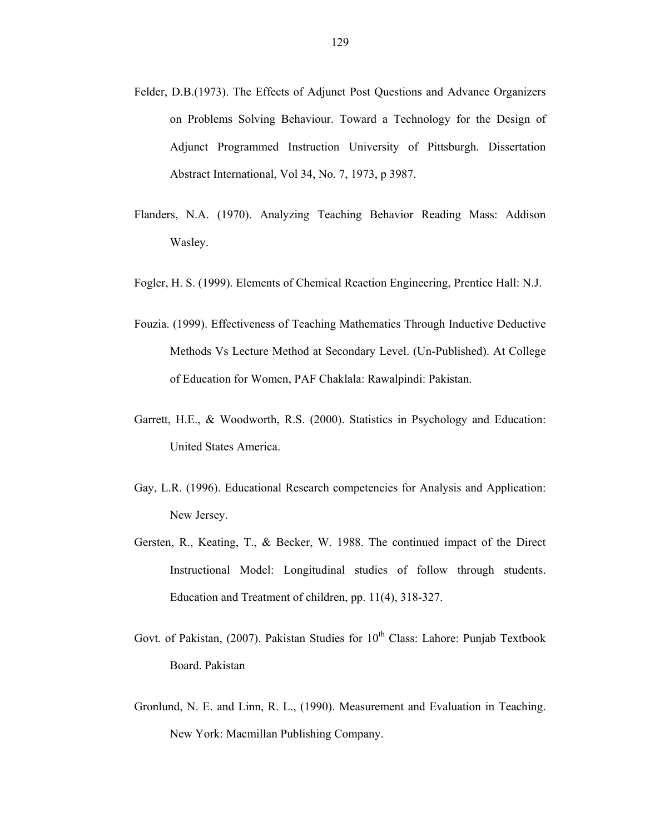- Felder, D.B.(1973). The Effects of Adjunct Post Questions and Advance Organizers on Problems Solving Behaviour. Toward a Technology for the Design of Adjunct Programmed Instruction University of Pittsburgh. Dissertation Abstract International, Vol 34, No. 7, 1973, p 3987.
- Flanders, N.A. (1970). Analyzing Teaching Behavior Reading Mass: Addison Wasley.
- Fogler, H. S. (1999). Elements of Chemical Reaction Engineering, Prentice Hall: N.J.
- Fouzia. (1999). Effectiveness of Teaching Mathematics Through Inductive Deductive Methods Vs Lecture Method at Secondary Level. (Un-Published). At College of Education for Women, PAF Chaklala: Rawalpindi: Pakistan.
- Garrett, H.E., & Woodworth, R.S. (2000). Statistics in Psychology and Education: United States America.
- Gay, L.R. (1996). Educational Research competencies for Analysis and Application: New Jersey.
- Gersten, R., Keating, T., & Becker, W. 1988. The continued impact of the Direct Instructional Model: Longitudinal studies of follow through students. Education and Treatment of children, pp. 11(4), 318-327.
- Govt. of Pakistan, (2007). Pakistan Studies for  $10^{th}$  Class: Lahore: Punjab Textbook Board. Pakistan
- Gronlund, N. E. and Linn, R. L., (1990). Measurement and Evaluation in Teaching. New York: Macmillan Publishing Company.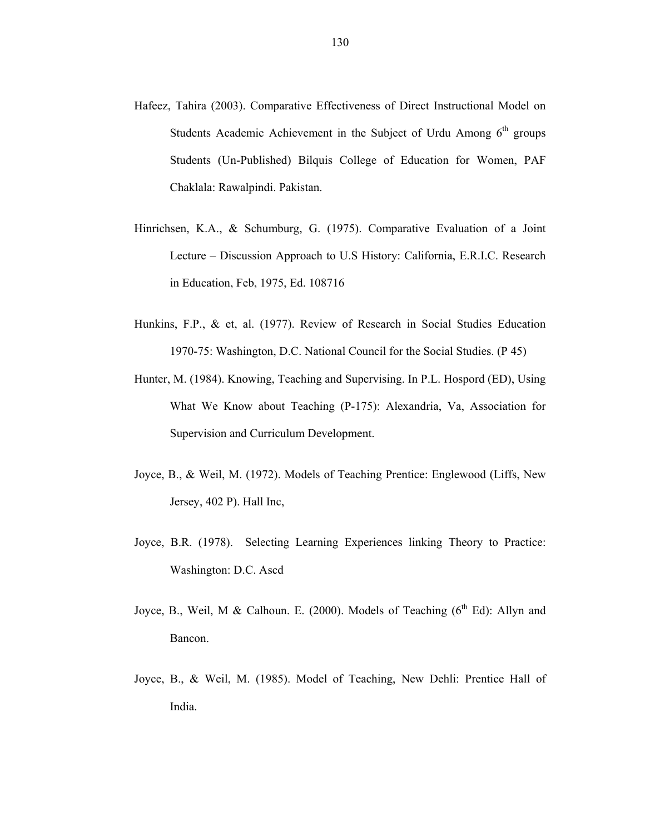- Hafeez, Tahira (2003). Comparative Effectiveness of Direct Instructional Model on Students Academic Achievement in the Subject of Urdu Among  $6<sup>th</sup>$  groups Students (Un-Published) Bilquis College of Education for Women, PAF Chaklala: Rawalpindi. Pakistan.
- Hinrichsen, K.A., & Schumburg, G. (1975). Comparative Evaluation of a Joint Lecture – Discussion Approach to U.S History: California, E.R.I.C. Research in Education, Feb, 1975, Ed. 108716
- Hunkins, F.P., & et, al. (1977). Review of Research in Social Studies Education 1970-75: Washington, D.C. National Council for the Social Studies. (P 45)
- Hunter, M. (1984). Knowing, Teaching and Supervising. In P.L. Hospord (ED), Using What We Know about Teaching (P-175): Alexandria, Va, Association for Supervision and Curriculum Development.
- Joyce, B., & Weil, M. (1972). Models of Teaching Prentice: Englewood (Liffs, New Jersey, 402 P). Hall Inc,
- Joyce, B.R. (1978). Selecting Learning Experiences linking Theory to Practice: Washington: D.C. Ascd
- Joyce, B., Weil, M & Calhoun. E. (2000). Models of Teaching  $(6^{th} Ed)$ : Allyn and Bancon.
- Joyce, B., & Weil, M. (1985). Model of Teaching, New Dehli: Prentice Hall of India.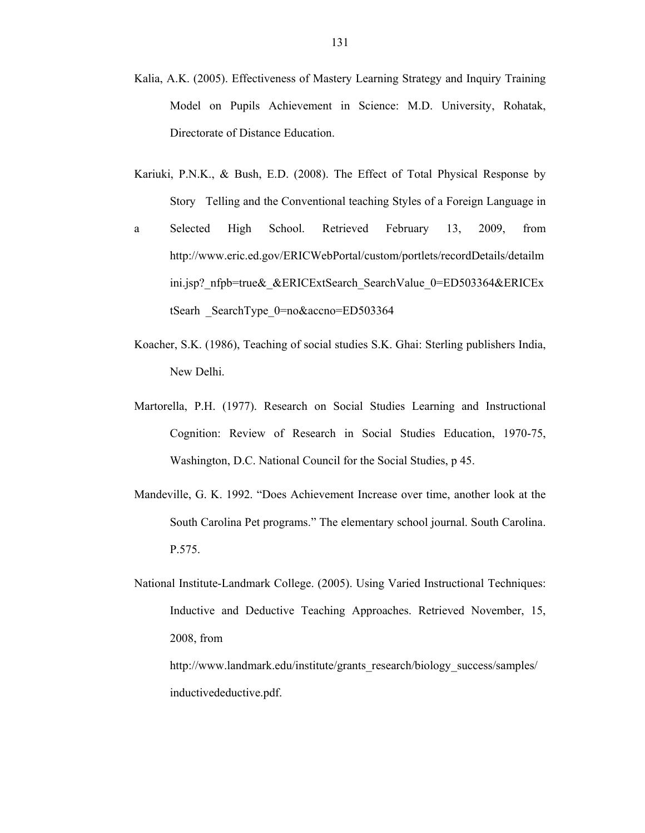- Kalia, A.K. (2005). Effectiveness of Mastery Learning Strategy and Inquiry Training Model on Pupils Achievement in Science: M.D. University, Rohatak, Directorate of Distance Education.
- Kariuki, P.N.K., & Bush, E.D. (2008). The Effect of Total Physical Response by Story Telling and the Conventional teaching Styles of a Foreign Language in
- a Selected High School. Retrieved February 13, 2009, from http://www.eric.ed.gov/ERICWebPortal/custom/portlets/recordDetails/detailm ini.jsp? nfpb=true& &ERICExtSearch\_SearchValue\_0=ED503364&ERICEx tSearh SearchType 0=no&accno=ED503364
- Koacher, S.K. (1986), Teaching of social studies S.K. Ghai: Sterling publishers India, New Delhi.
- Martorella, P.H. (1977). Research on Social Studies Learning and Instructional Cognition: Review of Research in Social Studies Education, 1970-75, Washington, D.C. National Council for the Social Studies, p 45.
- Mandeville, G. K. 1992. "Does Achievement Increase over time, another look at the South Carolina Pet programs." The elementary school journal. South Carolina. P.575.
- National Institute-Landmark College. (2005). Using Varied Instructional Techniques: Inductive and Deductive Teaching Approaches. Retrieved November, 15, 2008, from

http://www.landmark.edu/institute/grants\_research/biology\_success/samples/ inductivedeductive.pdf.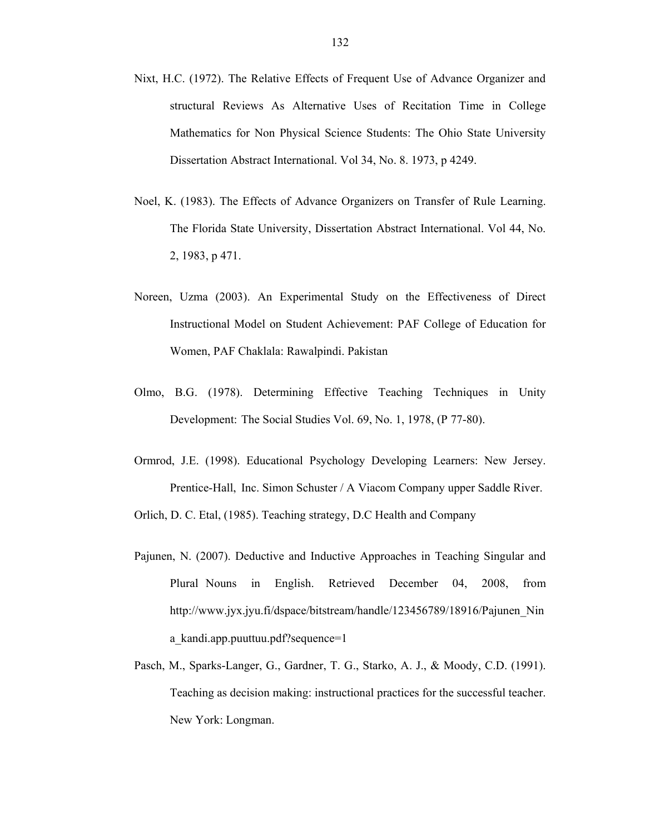- Nixt, H.C. (1972). The Relative Effects of Frequent Use of Advance Organizer and structural Reviews As Alternative Uses of Recitation Time in College Mathematics for Non Physical Science Students: The Ohio State University Dissertation Abstract International. Vol 34, No. 8. 1973, p 4249.
- Noel, K. (1983). The Effects of Advance Organizers on Transfer of Rule Learning. The Florida State University, Dissertation Abstract International. Vol 44, No. 2, 1983, p 471.
- Noreen, Uzma (2003). An Experimental Study on the Effectiveness of Direct Instructional Model on Student Achievement: PAF College of Education for Women, PAF Chaklala: Rawalpindi. Pakistan
- Olmo, B.G. (1978). Determining Effective Teaching Techniques in Unity Development: The Social Studies Vol. 69, No. 1, 1978, (P 77-80).
- Ormrod, J.E. (1998). Educational Psychology Developing Learners: New Jersey. Prentice-Hall, Inc. Simon Schuster / A Viacom Company upper Saddle River.

Orlich, D. C. Etal, (1985). Teaching strategy, D.C Health and Company

- Pajunen, N. (2007). Deductive and Inductive Approaches in Teaching Singular and Plural Nouns in English. Retrieved December 04, 2008, from http://www.jyx.jyu.fi/dspace/bitstream/handle/123456789/18916/Pajunen\_Nin a\_kandi.app.puuttuu.pdf?sequence=1
- Pasch, M., Sparks-Langer, G., Gardner, T. G., Starko, A. J., & Moody, C.D. (1991). Teaching as decision making: instructional practices for the successful teacher. New York: Longman.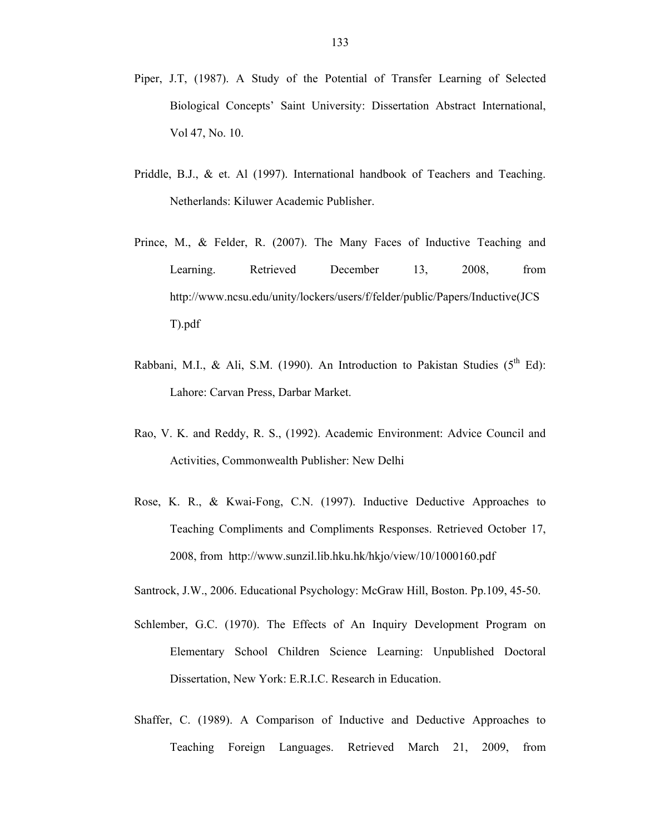- Piper, J.T, (1987). A Study of the Potential of Transfer Learning of Selected Biological Concepts' Saint University: Dissertation Abstract International, Vol 47, No. 10.
- Priddle, B.J., & et. Al (1997). International handbook of Teachers and Teaching. Netherlands: Kiluwer Academic Publisher.
- Prince, M., & Felder, R. (2007). The Many Faces of Inductive Teaching and Learning. Retrieved December 13, 2008, from http://www.ncsu.edu/unity/lockers/users/f/felder/public/Papers/Inductive(JCS T).pdf
- Rabbani, M.I., & Ali, S.M. (1990). An Introduction to Pakistan Studies ( $5<sup>th</sup> Ed$ ): Lahore: Carvan Press, Darbar Market.
- Rao, V. K. and Reddy, R. S., (1992). Academic Environment: Advice Council and Activities, Commonwealth Publisher: New Delhi
- Rose, K. R., & Kwai-Fong, C.N. (1997). Inductive Deductive Approaches to Teaching Compliments and Compliments Responses. Retrieved October 17, 2008, from http://www.sunzil.lib.hku.hk/hkjo/view/10/1000160.pdf

Santrock, J.W., 2006. Educational Psychology: McGraw Hill, Boston. Pp.109, 45-50.

- Schlember, G.C. (1970). The Effects of An Inquiry Development Program on Elementary School Children Science Learning: Unpublished Doctoral Dissertation, New York: E.R.I.C. Research in Education.
- Shaffer, C. (1989). A Comparison of Inductive and Deductive Approaches to Teaching Foreign Languages. Retrieved March 21, 2009, from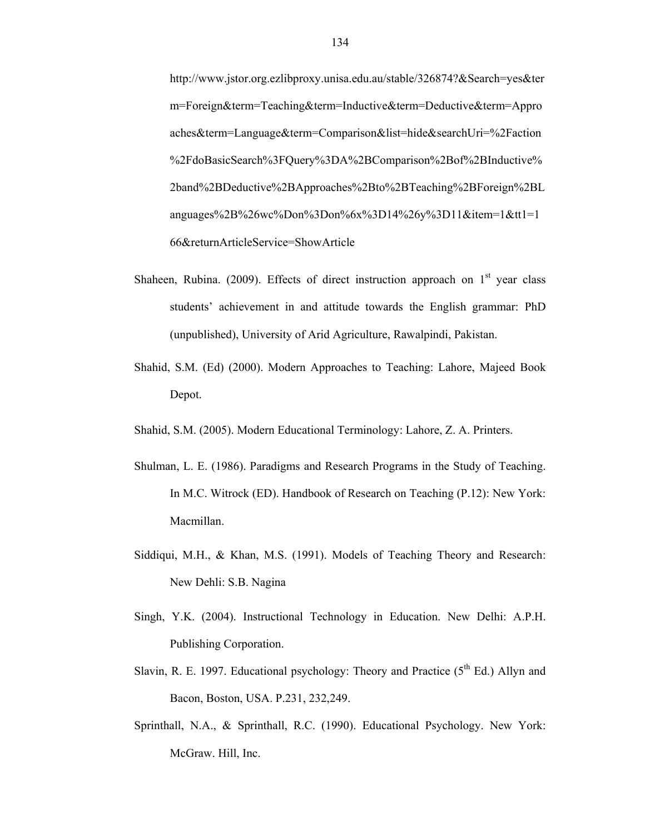http://www.jstor.org.ezlibproxy.unisa.edu.au/stable/326874?&Search=yes&ter m=Foreign&term=Teaching&term=Inductive&term=Deductive&term=Appro aches&term=Language&term=Comparison&list=hide&searchUri=%2Faction %2FdoBasicSearch%3FQuery%3DA%2BComparison%2Bof%2BInductive% 2band%2BDeductive%2BApproaches%2Bto%2BTeaching%2BForeign%2BL anguages%2B%26wc%Don%3Don%6x%3D14%26y%3D11&item=1&tt1=1 66&returnArticleService=ShowArticle

- Shaheen, Rubina. (2009). Effects of direct instruction approach on  $1<sup>st</sup>$  year class students' achievement in and attitude towards the English grammar: PhD (unpublished), University of Arid Agriculture, Rawalpindi, Pakistan.
- Shahid, S.M. (Ed) (2000). Modern Approaches to Teaching: Lahore, Majeed Book Depot.
- Shahid, S.M. (2005). Modern Educational Terminology: Lahore, Z. A. Printers.
- Shulman, L. E. (1986). Paradigms and Research Programs in the Study of Teaching. In M.C. Witrock (ED). Handbook of Research on Teaching (P.12): New York: Macmillan.
- Siddiqui, M.H., & Khan, M.S. (1991). Models of Teaching Theory and Research: New Dehli: S.B. Nagina
- Singh, Y.K. (2004). Instructional Technology in Education. New Delhi: A.P.H. Publishing Corporation.
- Slavin, R. E. 1997. Educational psychology: Theory and Practice  $(5<sup>th</sup> Ed.)$  Allyn and Bacon, Boston, USA. P.231, 232,249.
- Sprinthall, N.A., & Sprinthall, R.C. (1990). Educational Psychology. New York: McGraw. Hill, Inc.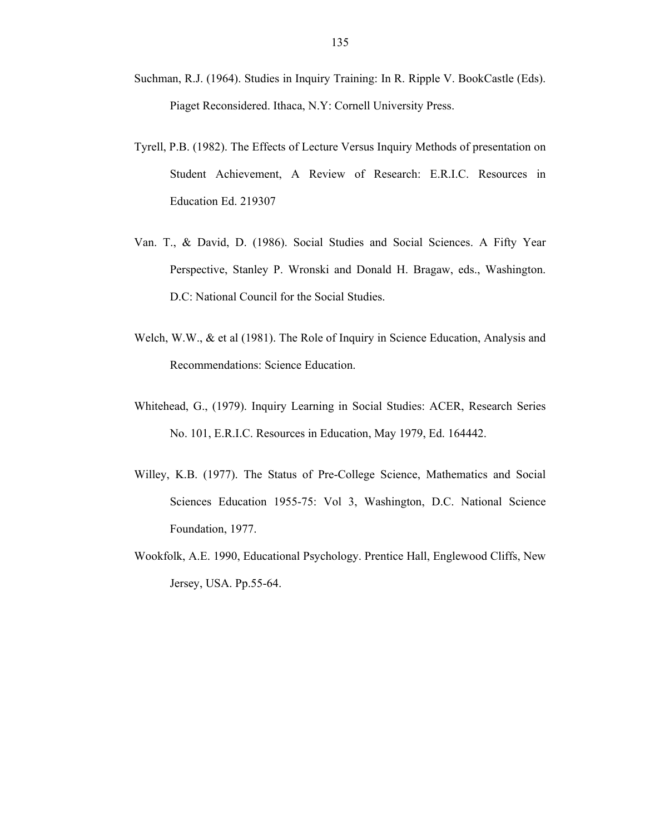- Suchman, R.J. (1964). Studies in Inquiry Training: In R. Ripple V. BookCastle (Eds). Piaget Reconsidered. Ithaca, N.Y: Cornell University Press.
- Tyrell, P.B. (1982). The Effects of Lecture Versus Inquiry Methods of presentation on Student Achievement, A Review of Research: E.R.I.C. Resources in Education Ed. 219307
- Van. T., & David, D. (1986). Social Studies and Social Sciences. A Fifty Year Perspective, Stanley P. Wronski and Donald H. Bragaw, eds., Washington. D.C: National Council for the Social Studies.
- Welch, W.W., & et al (1981). The Role of Inquiry in Science Education, Analysis and Recommendations: Science Education.
- Whitehead, G., (1979). Inquiry Learning in Social Studies: ACER, Research Series No. 101, E.R.I.C. Resources in Education, May 1979, Ed. 164442.
- Willey, K.B. (1977). The Status of Pre-College Science, Mathematics and Social Sciences Education 1955-75: Vol 3, Washington, D.C. National Science Foundation, 1977.
- Wookfolk, A.E. 1990, Educational Psychology. Prentice Hall, Englewood Cliffs, New Jersey, USA. Pp.55-64.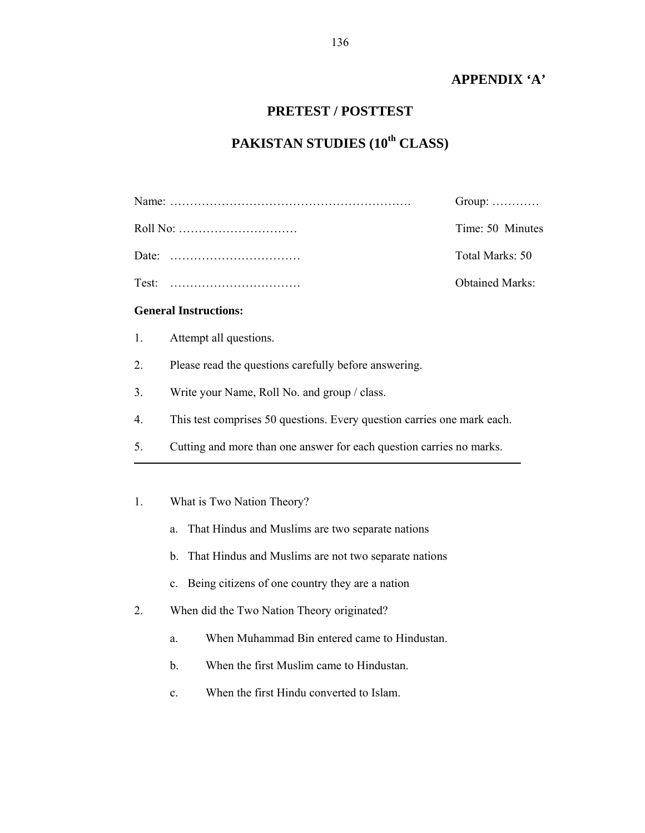### **APPENDIX 'A'**

## **PRETEST / POSTTEST**

# **PAKISTAN STUDIES (10th CLASS)**

| Group: $\dots$         |
|------------------------|
| Time: 50 Minutes       |
| Total Marks: 50        |
| <b>Obtained Marks:</b> |

### **General Instructions:**

- 1. Attempt all questions.
- 2. Please read the questions carefully before answering.
- 3. Write your Name, Roll No. and group / class.
- 4. This test comprises 50 questions. Every question carries one mark each.
- 5. Cutting and more than one answer for each question carries no marks.
- 1. What is Two Nation Theory?
	- a. That Hindus and Muslims are two separate nations
	- b. That Hindus and Muslims are not two separate nations
	- c. Being citizens of one country they are a nation
- 2. When did the Two Nation Theory originated?
	- a. When Muhammad Bin entered came to Hindustan.
	- b. When the first Muslim came to Hindustan.
	- c. When the first Hindu converted to Islam.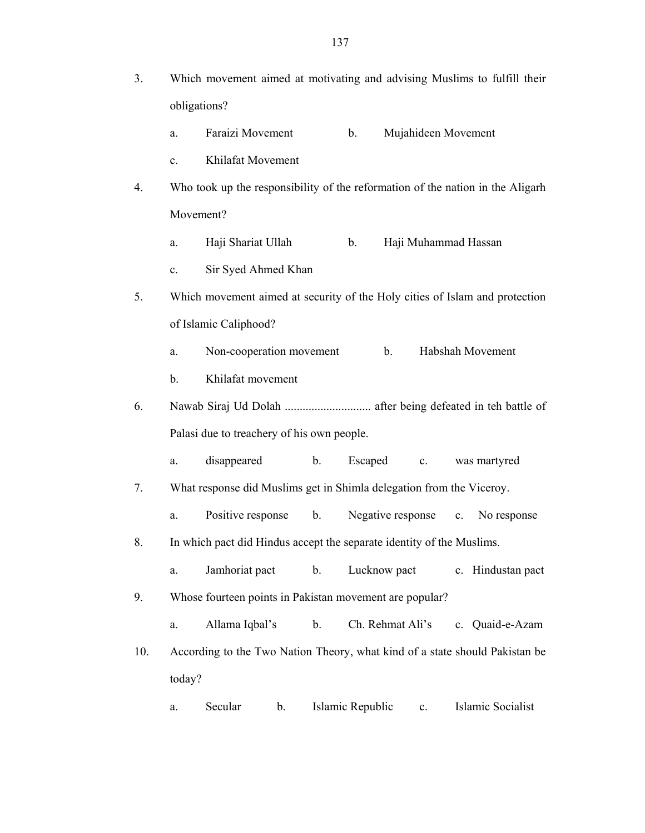3. Which movement aimed at motivating and advising Muslims to fulfill their obligations?

| Faraizi Movement |  | Mujahideen Movement |
|------------------|--|---------------------|
|------------------|--|---------------------|

- c. Khilafat Movement
- 4. Who took up the responsibility of the reformation of the nation in the Aligarh Movement?
	- a. Haji Shariat Ullah b. Haji Muhammad Hassan
	- c. Sir Syed Ahmed Khan
- 5. Which movement aimed at security of the Holy cities of Islam and protection of Islamic Caliphood?
	- a. Non-cooperation movement b. Habshah Movement
	- b. Khilafat movement
- 6. Nawab Siraj Ud Dolah ............................. after being defeated in teh battle of Palasi due to treachery of his own people.
	- a. disappeared b. Escaped c. was martyred

7. What response did Muslims get in Shimla delegation from the Viceroy.

a. Positive response b. Negative response c. No response

8. In which pact did Hindus accept the separate identity of the Muslims.

- a. Jamhoriat pact b. Lucknow pact c. Hindustan pact
- 9. Whose fourteen points in Pakistan movement are popular?
- a. Allama Iqbal's b. Ch. Rehmat Ali's c. Quaid-e-Azam 10. According to the Two Nation Theory, what kind of a state should Pakistan be today?
	- a. Secular b. Islamic Republic c. Islamic Socialist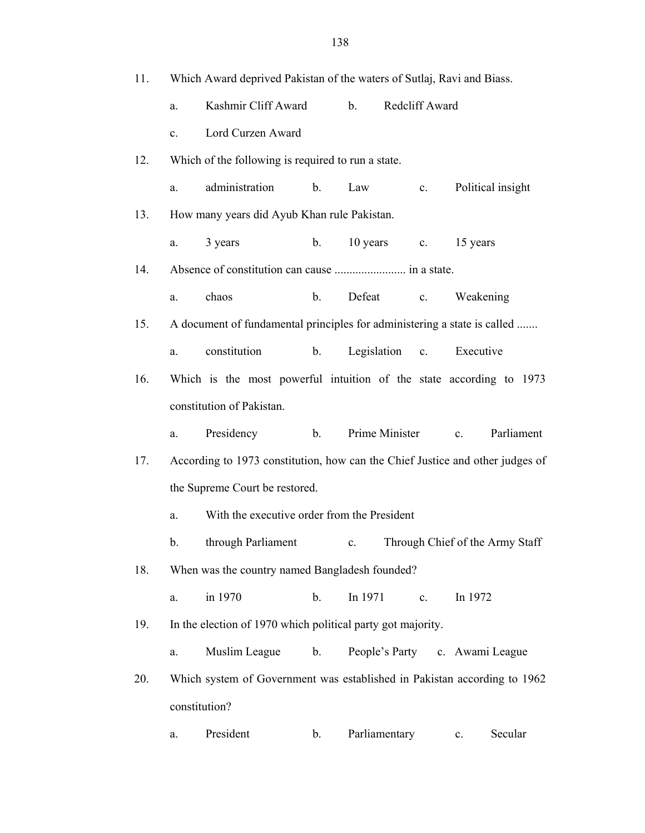| 11. |                | Which Award deprived Pakistan of the waters of Sutlaj, Ravi and Biass.        |                |                |               |                |             |                                |  |
|-----|----------------|-------------------------------------------------------------------------------|----------------|----------------|---------------|----------------|-------------|--------------------------------|--|
|     | a.             | Kashmir Cliff Award                                                           |                | b.             |               | Redcliff Award |             |                                |  |
|     | $\mathbf{c}$ . | Lord Curzen Award                                                             |                |                |               |                |             |                                |  |
| 12. |                | Which of the following is required to run a state.                            |                |                |               |                |             |                                |  |
|     | a.             | administration                                                                | b.             | Law            |               | $c_{\cdot}$    |             | Political insight              |  |
| 13. |                | How many years did Ayub Khan rule Pakistan.                                   |                |                |               |                |             |                                |  |
|     | a.             | 3 years                                                                       | b.             | 10 years       |               | $c_{\cdot}$    | 15 years    |                                |  |
| 14. |                |                                                                               |                |                |               |                |             |                                |  |
|     | a.             | chaos                                                                         | b.             | Defeat         |               | $c_{\cdot}$    | Weakening   |                                |  |
| 15. |                | A document of fundamental principles for administering a state is called      |                |                |               |                |             |                                |  |
|     | a.             | constitution                                                                  | b.             |                |               | Legislation c. | Executive   |                                |  |
| 16. |                | Which is the most powerful intuition of the state according to 1973           |                |                |               |                |             |                                |  |
|     |                | constitution of Pakistan.                                                     |                |                |               |                |             |                                |  |
|     | a.             | Presidency                                                                    | $\mathbf{b}$ . | Prime Minister |               |                | $c_{-}$     | Parliament                     |  |
| 17. |                | According to 1973 constitution, how can the Chief Justice and other judges of |                |                |               |                |             |                                |  |
|     |                | the Supreme Court be restored.                                                |                |                |               |                |             |                                |  |
|     | a.             | With the executive order from the President                                   |                |                |               |                |             |                                |  |
|     | b.             | through Parliament c. Through Chief of the Army Staff                         |                |                |               |                |             |                                |  |
| 18. |                | When was the country named Bangladesh founded?                                |                |                |               |                |             |                                |  |
|     | a.             | in 1970                                                                       | b.             | In 1971        |               | $\mathbf{c}$ . | In 1972     |                                |  |
| 19. |                | In the election of 1970 which political party got majority.                   |                |                |               |                |             |                                |  |
|     | a.             | Muslim League                                                                 | b.             |                |               |                |             | People's Party c. Awami League |  |
| 20. |                | Which system of Government was established in Pakistan according to 1962      |                |                |               |                |             |                                |  |
|     |                | constitution?                                                                 |                |                |               |                |             |                                |  |
|     | a.             | President                                                                     | b.             |                | Parliamentary |                | $c_{\cdot}$ | Secular                        |  |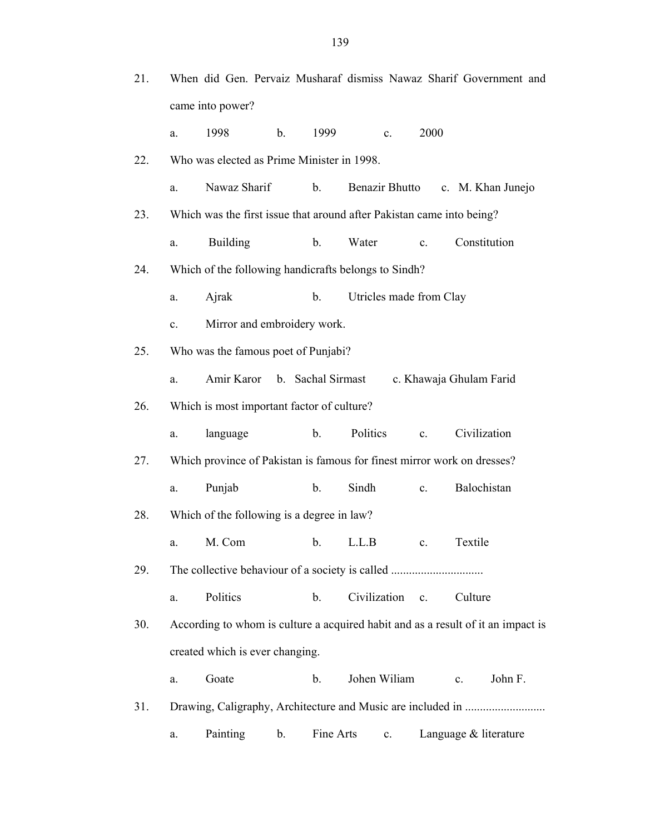| 21. |         | When did Gen. Pervaiz Musharaf dismiss Nawaz Sharif Government and               |                             |                   |                |                |                         |              |                         |  |
|-----|---------|----------------------------------------------------------------------------------|-----------------------------|-------------------|----------------|----------------|-------------------------|--------------|-------------------------|--|
|     |         | came into power?                                                                 |                             |                   |                |                |                         |              |                         |  |
|     | a.      | 1998                                                                             | $b_{\cdot}$                 | 1999              |                | $\mathbf{c}$ . | 2000                    |              |                         |  |
| 22. |         | Who was elected as Prime Minister in 1998.                                       |                             |                   |                |                |                         |              |                         |  |
|     | a.      | Nawaz Sharif                                                                     |                             | $\mathbf{b}$ .    | Benazir Bhutto |                |                         |              | c. M. Khan Junejo       |  |
| 23. |         | Which was the first issue that around after Pakistan came into being?            |                             |                   |                |                |                         |              |                         |  |
|     | a.      | <b>Building</b>                                                                  |                             | $\mathbf b$ .     | Water          |                | C <sub>1</sub>          | Constitution |                         |  |
| 24. |         | Which of the following handicrafts belongs to Sindh?                             |                             |                   |                |                |                         |              |                         |  |
|     | a.      | Ajrak                                                                            |                             | b.                |                |                | Utricles made from Clay |              |                         |  |
|     | $c_{-}$ |                                                                                  | Mirror and embroidery work. |                   |                |                |                         |              |                         |  |
| 25. |         | Who was the famous poet of Punjabi?                                              |                             |                   |                |                |                         |              |                         |  |
|     | a.      | Amir Karor                                                                       |                             | b. Sachal Sirmast |                |                | c. Khawaja Ghulam Farid |              |                         |  |
| 26. |         | Which is most important factor of culture?                                       |                             |                   |                |                |                         |              |                         |  |
|     | a.      | language                                                                         |                             | $\mathbf{b}$ .    | Politics       |                | $c_{\cdot}$             | Civilization |                         |  |
| 27. |         | Which province of Pakistan is famous for finest mirror work on dresses?          |                             |                   |                |                |                         |              |                         |  |
|     | a.      | Punjab                                                                           |                             | $\mathbf b$ .     | Sindh          |                | $c_{\cdot}$             | Balochistan  |                         |  |
| 28. |         | Which of the following is a degree in law?                                       |                             |                   |                |                |                         |              |                         |  |
|     |         | a. M. Com                                                                        |                             |                   | $b.$ $L.L.B.$  |                |                         | Textile      |                         |  |
| 29. |         | The collective behaviour of a society is called                                  |                             |                   |                |                |                         |              |                         |  |
|     | a.      | Politics                                                                         |                             | $\mathbf{b}$ .    | Civilization   |                | $\mathbf{c}$ .          | Culture      |                         |  |
| 30. |         | According to whom is culture a acquired habit and as a result of it an impact is |                             |                   |                |                |                         |              |                         |  |
|     |         | created which is ever changing.                                                  |                             |                   |                |                |                         |              |                         |  |
|     | a.      | Goate                                                                            |                             | $\mathbf{b}$ .    | Johen Wiliam   |                |                         | $c_{\cdot}$  | John F.                 |  |
| 31. |         |                                                                                  |                             |                   |                |                |                         |              |                         |  |
|     | a.      | Painting                                                                         | b.                          | Fine Arts         |                | c.             |                         |              | Language $&$ literature |  |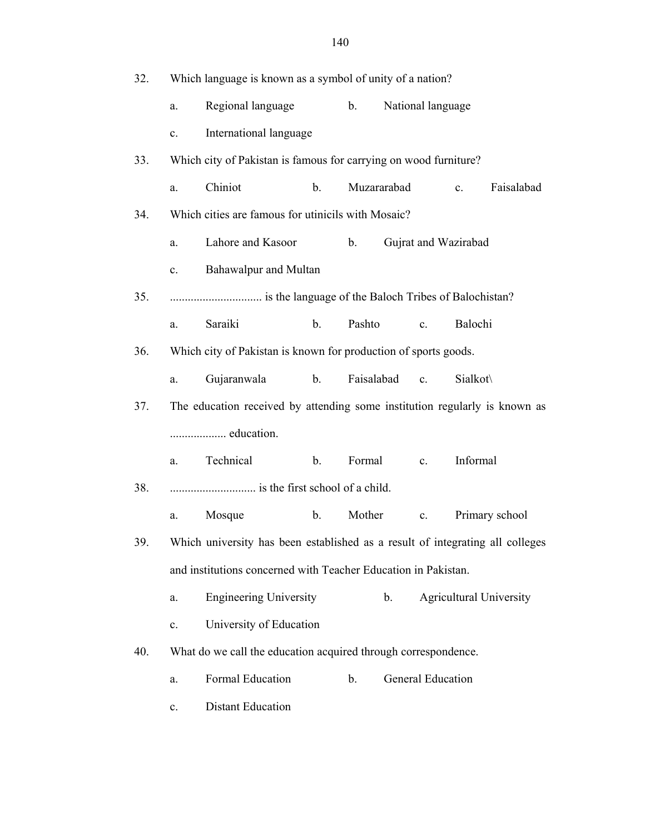| 32. |                |                                                                               |                | Which language is known as a symbol of unity of a nation? |             |                          |          |                                |
|-----|----------------|-------------------------------------------------------------------------------|----------------|-----------------------------------------------------------|-------------|--------------------------|----------|--------------------------------|
|     | a.             | Regional language                                                             |                | b.                                                        |             | National language        |          |                                |
|     | $\mathbf{c}$ . | International language                                                        |                |                                                           |             |                          |          |                                |
| 33. |                | Which city of Pakistan is famous for carrying on wood furniture?              |                |                                                           |             |                          |          |                                |
|     | a.             | Chiniot                                                                       | $\mathbf b$ .  |                                                           | Muzararabad |                          | c.       | Faisalabad                     |
| 34. |                | Which cities are famous for utinicils with Mosaic?                            |                |                                                           |             |                          |          |                                |
|     | a.             | Lahore and Kasoor                                                             |                | b.                                                        |             | Gujrat and Wazirabad     |          |                                |
|     | $c_{-}$        | Bahawalpur and Multan                                                         |                |                                                           |             |                          |          |                                |
| 35. |                |                                                                               |                |                                                           |             |                          |          |                                |
|     | a.             | Saraiki                                                                       | b.             | Pashto                                                    |             | c.                       | Balochi  |                                |
| 36. |                | Which city of Pakistan is known for production of sports goods.               |                |                                                           |             |                          |          |                                |
|     | a.             | Gujaranwala                                                                   | $\mathbf{b}$ . | Faisalabad                                                |             | $c$ .                    | Sialkot\ |                                |
| 37. |                | The education received by attending some institution regularly is known as    |                |                                                           |             |                          |          |                                |
|     |                |                                                                               |                |                                                           |             |                          |          |                                |
|     | a.             | Technical                                                                     | $\mathbf{b}$ . | Formal                                                    |             | $\mathbf{c}$ .           | Informal |                                |
| 38. |                |                                                                               |                |                                                           |             |                          |          |                                |
|     | a.             | Mosque                                                                        | $\mathbf b$ .  | Mother                                                    |             | $\mathbf{c}$ .           |          | Primary school                 |
| 39. |                | Which university has been established as a result of integrating all colleges |                |                                                           |             |                          |          |                                |
|     |                | and institutions concerned with Teacher Education in Pakistan.                |                |                                                           |             |                          |          |                                |
|     | a.             | <b>Engineering University</b>                                                 |                |                                                           | b.          |                          |          | <b>Agricultural University</b> |
|     | $\mathbf{c}.$  | University of Education                                                       |                |                                                           |             |                          |          |                                |
| 40. |                | What do we call the education acquired through correspondence.                |                |                                                           |             |                          |          |                                |
|     | a.             | Formal Education                                                              |                | b.                                                        |             | <b>General Education</b> |          |                                |
|     | c.             | <b>Distant Education</b>                                                      |                |                                                           |             |                          |          |                                |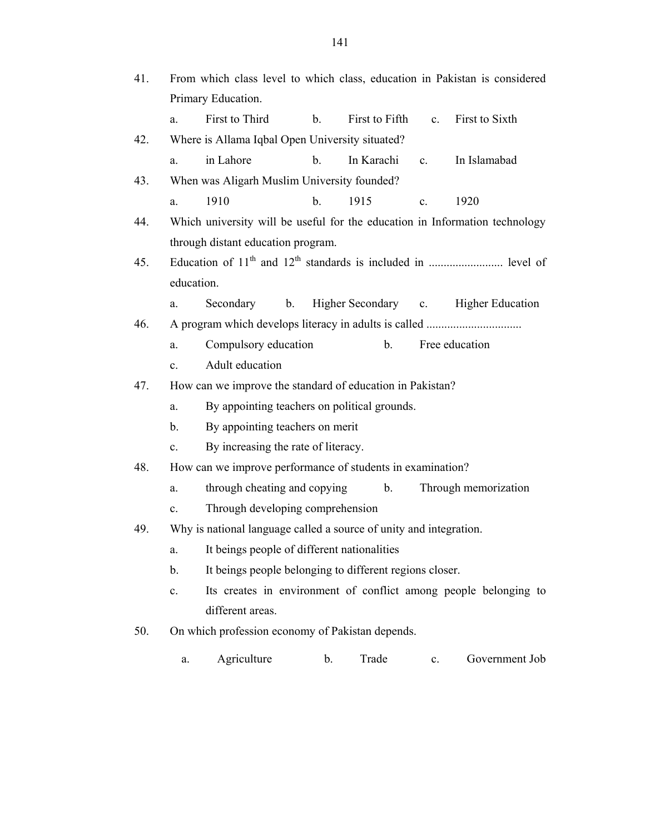| 41. |                |                                                                    |               |                |             | From which class level to which class, education in Pakistan is considered  |
|-----|----------------|--------------------------------------------------------------------|---------------|----------------|-------------|-----------------------------------------------------------------------------|
|     |                | Primary Education.                                                 |               |                |             |                                                                             |
|     | a.             | First to Third                                                     | b.            | First to Fifth | $c_{\cdot}$ | First to Sixth                                                              |
| 42. |                | Where is Allama Iqbal Open University situated?                    |               |                |             |                                                                             |
|     | a.             | in Lahore                                                          | $\mathbf b$ . | In Karachi     | $c_{\cdot}$ | In Islamabad                                                                |
| 43. |                | When was Aligarh Muslim University founded?                        |               |                |             |                                                                             |
|     | a.             | 1910                                                               | $\mathbf b$ . | 1915           | $c_{\cdot}$ | 1920                                                                        |
| 44. |                |                                                                    |               |                |             | Which university will be useful for the education in Information technology |
|     |                | through distant education program.                                 |               |                |             |                                                                             |
| 45. |                |                                                                    |               |                |             | Education of $11th$ and $12th$ standards is included in  level of           |
|     | education.     |                                                                    |               |                |             |                                                                             |
|     | a.             | Secondary                                                          | b.            |                |             | Higher Secondary c. Higher Education                                        |
| 46. |                |                                                                    |               |                |             |                                                                             |
|     | a.             | Compulsory education                                               |               | b.             |             | Free education                                                              |
|     | c.             | Adult education                                                    |               |                |             |                                                                             |
| 47. |                | How can we improve the standard of education in Pakistan?          |               |                |             |                                                                             |
|     | a.             | By appointing teachers on political grounds.                       |               |                |             |                                                                             |
|     | b.             | By appointing teachers on merit                                    |               |                |             |                                                                             |
|     | $\mathbf{c}$ . | By increasing the rate of literacy.                                |               |                |             |                                                                             |
| 48. |                | How can we improve performance of students in examination?         |               |                |             |                                                                             |
|     | a.             | through cheating and copying                                       |               | b <sub>1</sub> |             | Through memorization                                                        |
|     | $\mathbf{c}$ . | Through developing comprehension                                   |               |                |             |                                                                             |
| 49. |                | Why is national language called a source of unity and integration. |               |                |             |                                                                             |
|     | a.             | It beings people of different nationalities                        |               |                |             |                                                                             |
|     | b.             | It beings people belonging to different regions closer.            |               |                |             |                                                                             |
|     | c.             |                                                                    |               |                |             | Its creates in environment of conflict among people belonging to            |
|     |                | different areas.                                                   |               |                |             |                                                                             |
| 50. |                | On which profession economy of Pakistan depends.                   |               |                |             |                                                                             |
|     | a.             | Agriculture                                                        | $\mathbf b$ . | Trade          | c.          | Government Job                                                              |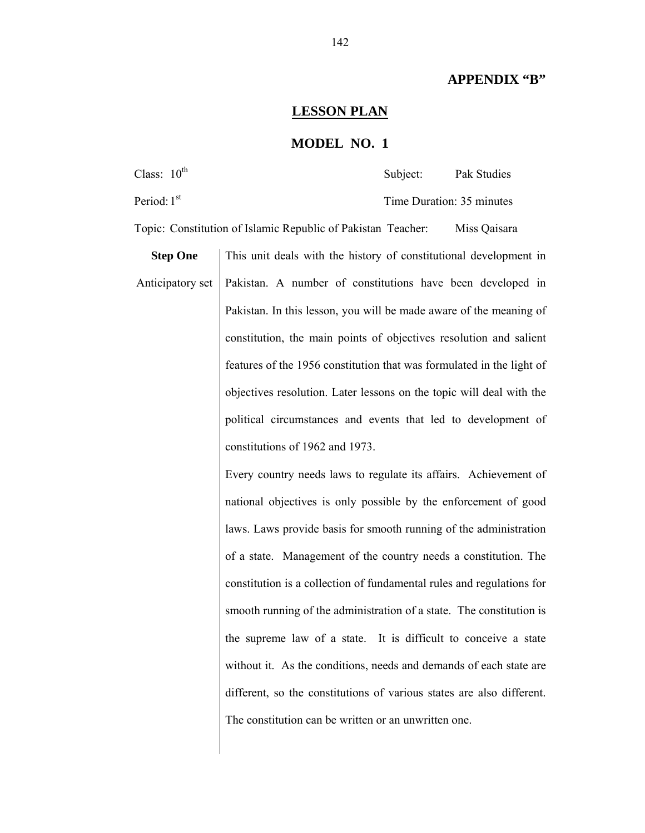#### **APPENDIX "B"**

### **LESSON PLAN**

#### **MODEL NO. 1**

| Class: $10^{\text{th}}$ | Subject: | Pak Studies               |
|-------------------------|----------|---------------------------|
| Period: $1st$           |          | Time Duration: 35 minutes |

Topic: Constitution of Islamic Republic of Pakistan Teacher: Miss Qaisara

**Step One**  Anticipatory set This unit deals with the history of constitutional development in Pakistan. A number of constitutions have been developed in Pakistan. In this lesson, you will be made aware of the meaning of constitution, the main points of objectives resolution and salient features of the 1956 constitution that was formulated in the light of objectives resolution. Later lessons on the topic will deal with the political circumstances and events that led to development of constitutions of 1962 and 1973.

> Every country needs laws to regulate its affairs. Achievement of national objectives is only possible by the enforcement of good laws. Laws provide basis for smooth running of the administration of a state. Management of the country needs a constitution. The constitution is a collection of fundamental rules and regulations for smooth running of the administration of a state. The constitution is the supreme law of a state. It is difficult to conceive a state without it. As the conditions, needs and demands of each state are different, so the constitutions of various states are also different. The constitution can be written or an unwritten one.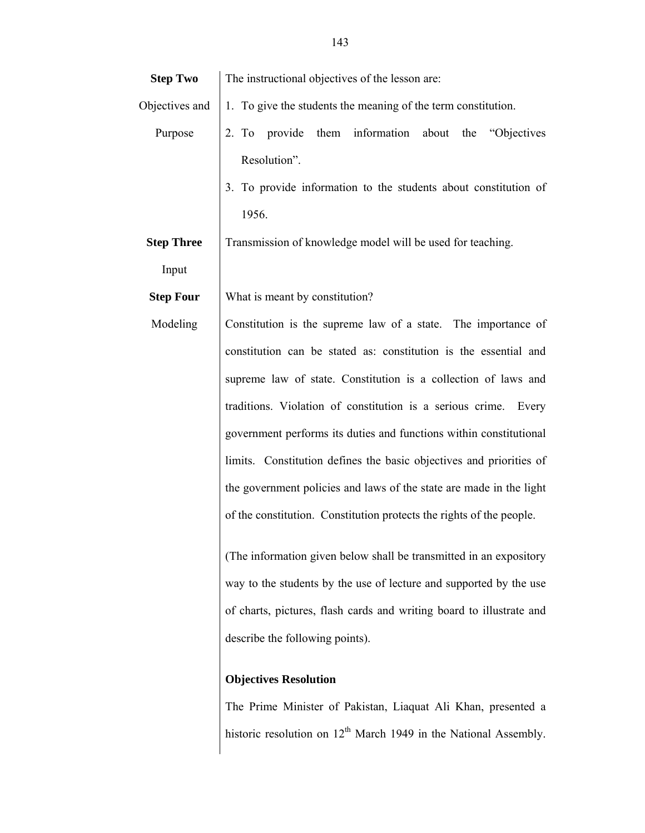| <b>Step Two</b>   | The instructional objectives of the lesson are:                      |  |  |  |
|-------------------|----------------------------------------------------------------------|--|--|--|
| Objectives and    | 1. To give the students the meaning of the term constitution.        |  |  |  |
| Purpose           | 2. To provide<br>them information<br>about<br>"Objectives<br>the     |  |  |  |
|                   | Resolution".                                                         |  |  |  |
|                   | 3. To provide information to the students about constitution of      |  |  |  |
|                   | 1956.                                                                |  |  |  |
| <b>Step Three</b> | Transmission of knowledge model will be used for teaching.           |  |  |  |
| Input             |                                                                      |  |  |  |
| <b>Step Four</b>  | What is meant by constitution?                                       |  |  |  |
| Modeling          | Constitution is the supreme law of a state. The importance of        |  |  |  |
|                   | constitution can be stated as: constitution is the essential and     |  |  |  |
|                   | supreme law of state. Constitution is a collection of laws and       |  |  |  |
|                   | traditions. Violation of constitution is a serious crime.<br>Every   |  |  |  |
|                   | government performs its duties and functions within constitutional   |  |  |  |
|                   | limits. Constitution defines the basic objectives and priorities of  |  |  |  |
|                   | the government policies and laws of the state are made in the light  |  |  |  |
|                   | of the constitution. Constitution protects the rights of the people. |  |  |  |
|                   | (The information given below shall be transmitted in an expository   |  |  |  |
|                   | way to the students by the use of lecture and supported by the use   |  |  |  |
|                   | of charts, pictures, flash cards and writing board to illustrate and |  |  |  |
|                   | describe the following points).                                      |  |  |  |
|                   | <b>Objectives Resolution</b>                                         |  |  |  |
|                   | The Prime Minister of Pakistan, Liaquat Ali Khan, presented a        |  |  |  |
|                   | historic resolution on $12th$ March 1949 in the National Assembly.   |  |  |  |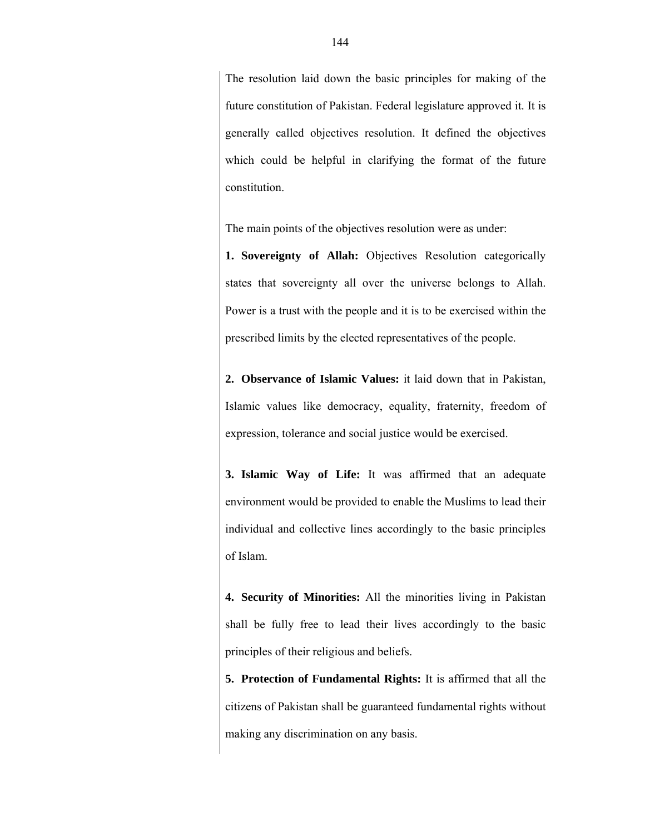The resolution laid down the basic principles for making of the future constitution of Pakistan. Federal legislature approved it. It is generally called objectives resolution. It defined the objectives which could be helpful in clarifying the format of the future constitution.

The main points of the objectives resolution were as under:

**1. Sovereignty of Allah:** Objectives Resolution categorically states that sovereignty all over the universe belongs to Allah. Power is a trust with the people and it is to be exercised within the prescribed limits by the elected representatives of the people.

**2. Observance of Islamic Values:** it laid down that in Pakistan, Islamic values like democracy, equality, fraternity, freedom of expression, tolerance and social justice would be exercised.

**3. Islamic Way of Life:** It was affirmed that an adequate environment would be provided to enable the Muslims to lead their individual and collective lines accordingly to the basic principles of Islam.

**4. Security of Minorities:** All the minorities living in Pakistan shall be fully free to lead their lives accordingly to the basic principles of their religious and beliefs.

**5. Protection of Fundamental Rights:** It is affirmed that all the citizens of Pakistan shall be guaranteed fundamental rights without making any discrimination on any basis.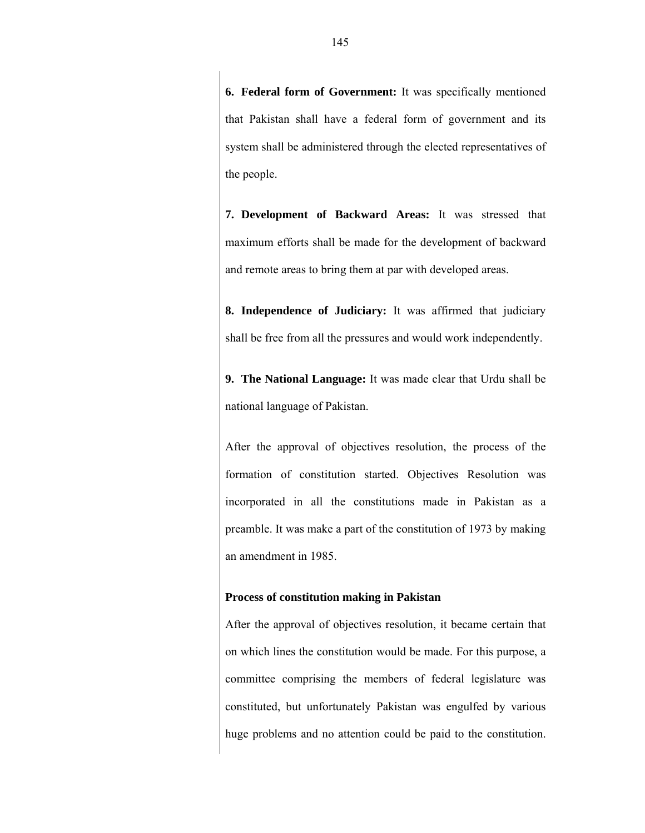**6. Federal form of Government:** It was specifically mentioned that Pakistan shall have a federal form of government and its system shall be administered through the elected representatives of the people.

**7. Development of Backward Areas:** It was stressed that maximum efforts shall be made for the development of backward and remote areas to bring them at par with developed areas.

**8. Independence of Judiciary:** It was affirmed that judiciary shall be free from all the pressures and would work independently.

**9. The National Language:** It was made clear that Urdu shall be national language of Pakistan.

After the approval of objectives resolution, the process of the formation of constitution started. Objectives Resolution was incorporated in all the constitutions made in Pakistan as a preamble. It was make a part of the constitution of 1973 by making an amendment in 1985.

#### **Process of constitution making in Pakistan**

After the approval of objectives resolution, it became certain that on which lines the constitution would be made. For this purpose, a committee comprising the members of federal legislature was constituted, but unfortunately Pakistan was engulfed by various huge problems and no attention could be paid to the constitution.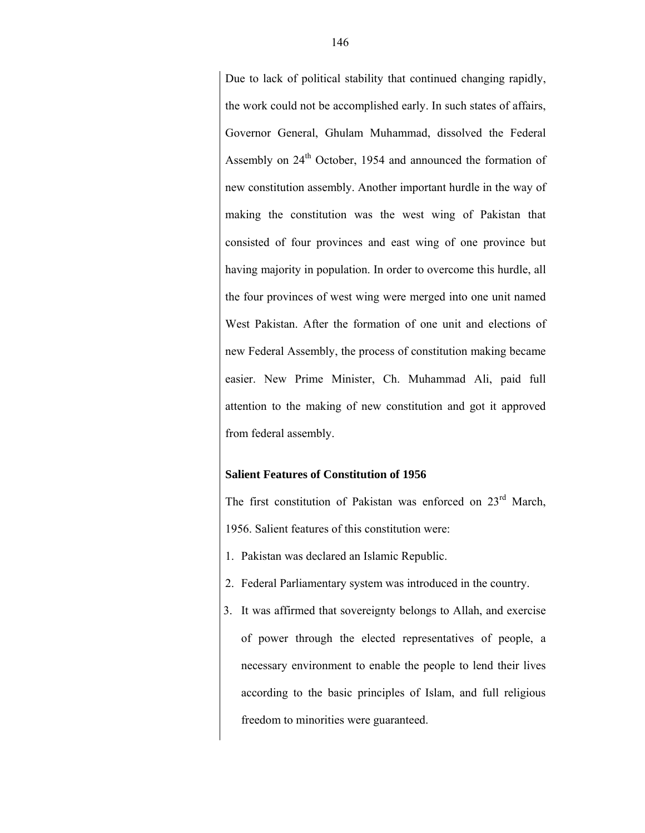Due to lack of political stability that continued changing rapidly, the work could not be accomplished early. In such states of affairs, Governor General, Ghulam Muhammad, dissolved the Federal Assembly on  $24<sup>th</sup>$  October, 1954 and announced the formation of new constitution assembly. Another important hurdle in the way of making the constitution was the west wing of Pakistan that consisted of four provinces and east wing of one province but having majority in population. In order to overcome this hurdle, all the four provinces of west wing were merged into one unit named West Pakistan. After the formation of one unit and elections of new Federal Assembly, the process of constitution making became easier. New Prime Minister, Ch. Muhammad Ali, paid full attention to the making of new constitution and got it approved from federal assembly.

### **Salient Features of Constitution of 1956**

The first constitution of Pakistan was enforced on  $23<sup>rd</sup>$  March, 1956. Salient features of this constitution were:

- 1. Pakistan was declared an Islamic Republic.
- 2. Federal Parliamentary system was introduced in the country.
- 3. It was affirmed that sovereignty belongs to Allah, and exercise of power through the elected representatives of people, a necessary environment to enable the people to lend their lives according to the basic principles of Islam, and full religious freedom to minorities were guaranteed.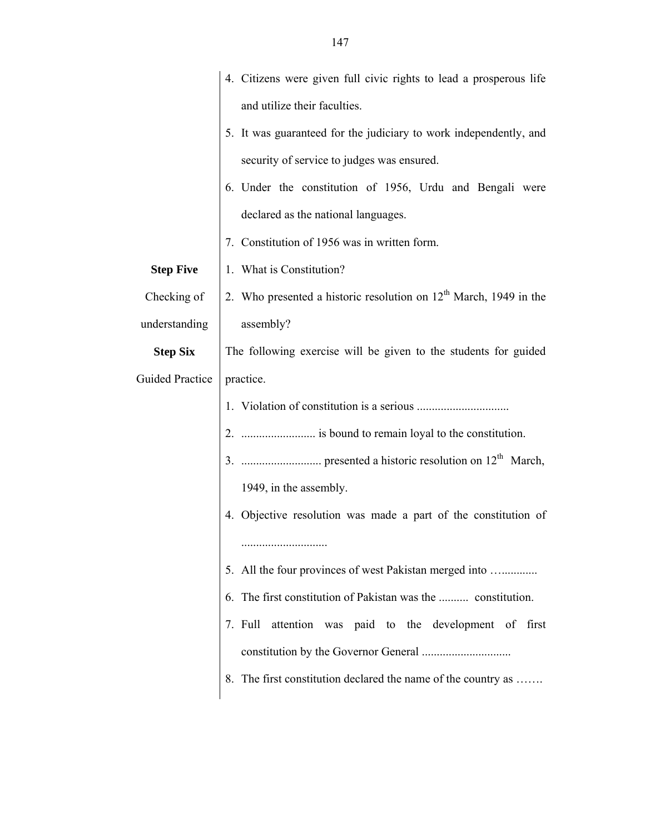|                        | 4. Citizens were given full civic rights to lead a prosperous life  |
|------------------------|---------------------------------------------------------------------|
|                        | and utilize their faculties.                                        |
|                        | 5. It was guaranteed for the judiciary to work independently, and   |
|                        | security of service to judges was ensured.                          |
|                        | 6. Under the constitution of 1956, Urdu and Bengali were            |
|                        | declared as the national languages.                                 |
|                        | 7. Constitution of 1956 was in written form.                        |
| <b>Step Five</b>       | 1. What is Constitution?                                            |
| Checking of            | 2. Who presented a historic resolution on $12th$ March, 1949 in the |
| understanding          | assembly?                                                           |
| <b>Step Six</b>        | The following exercise will be given to the students for guided     |
| <b>Guided Practice</b> | practice.                                                           |
|                        | 1. Violation of constitution is a serious                           |
|                        |                                                                     |
|                        | $3_{-}$                                                             |
|                        | 1949, in the assembly.                                              |
|                        | 4. Objective resolution was made a part of the constitution of      |
|                        |                                                                     |
|                        | 5. All the four provinces of west Pakistan merged into              |
|                        | The first constitution of Pakistan was the  constitution.<br>6.     |
|                        | 7. Full attention was paid to the development of first              |
|                        |                                                                     |
|                        | The first constitution declared the name of the country as<br>8.    |
|                        |                                                                     |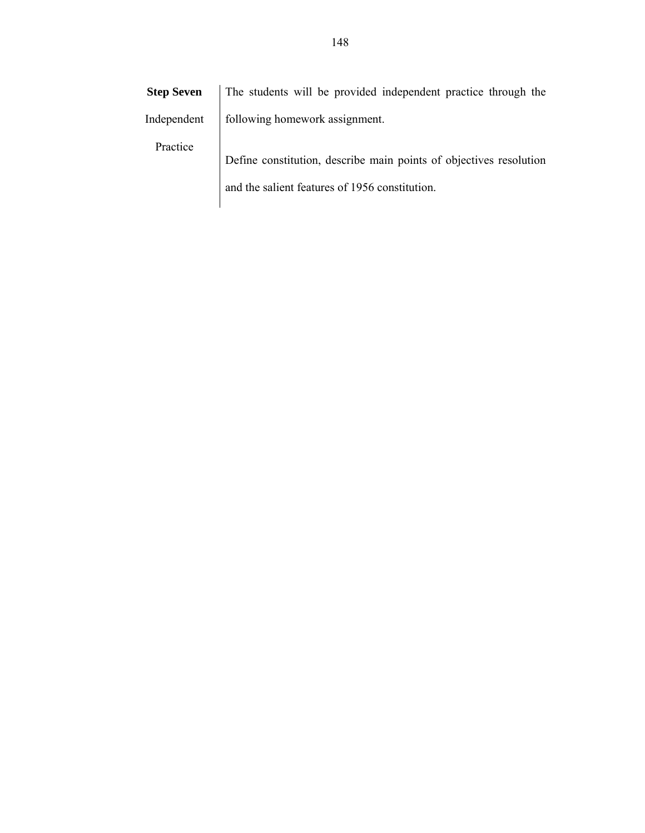|          | Step Seven   The students will be provided independent practice through the |
|----------|-----------------------------------------------------------------------------|
|          | Independent   following homework assignment.                                |
| Practice | Define constitution, describe main points of objectives resolution          |

and the salient features of 1956 constitution.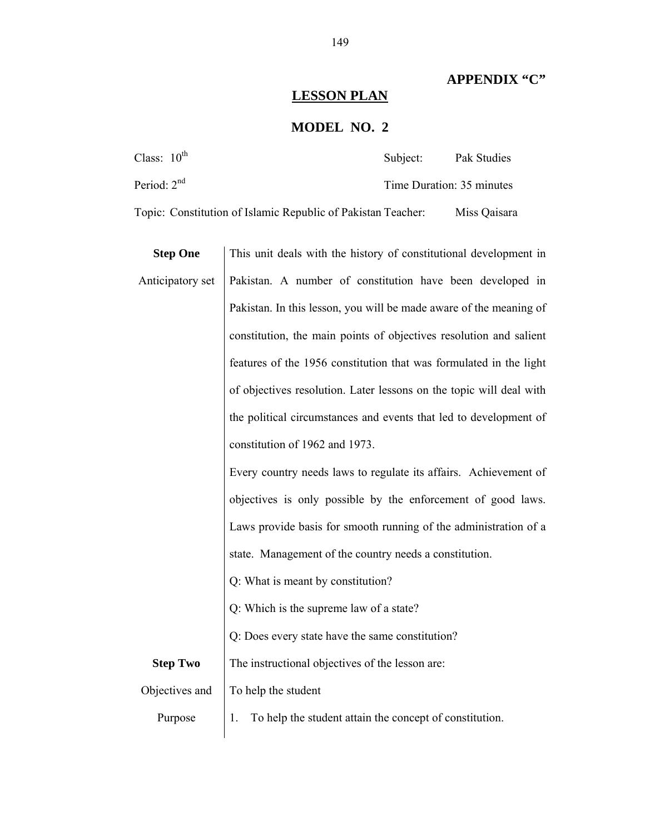### **APPENDIX "C"**

# **LESSON PLAN**

### **MODEL NO. 2**

| Class: $10^{\text{th}}$                                      | Subject: | Pak Studies               |
|--------------------------------------------------------------|----------|---------------------------|
| Period: $2nd$                                                |          | Time Duration: 35 minutes |
| Topic: Constitution of Islamic Republic of Pakistan Teacher: |          | Miss Qaisara              |

| <b>Step One</b>  | This unit deals with the history of constitutional development in   |
|------------------|---------------------------------------------------------------------|
| Anticipatory set | Pakistan. A number of constitution have been developed in           |
|                  | Pakistan. In this lesson, you will be made aware of the meaning of  |
|                  | constitution, the main points of objectives resolution and salient  |
|                  | features of the 1956 constitution that was formulated in the light  |
|                  | of objectives resolution. Later lessons on the topic will deal with |
|                  | the political circumstances and events that led to development of   |
|                  | constitution of 1962 and 1973.                                      |
|                  | Every country needs laws to regulate its affairs. Achievement of    |
|                  | objectives is only possible by the enforcement of good laws.        |
|                  | Laws provide basis for smooth running of the administration of a    |
|                  | state. Management of the country needs a constitution.              |
|                  | Q: What is meant by constitution?                                   |
|                  | Q: Which is the supreme law of a state?                             |
|                  | Q: Does every state have the same constitution?                     |
| <b>Step Two</b>  | The instructional objectives of the lesson are:                     |
| Objectives and   | To help the student                                                 |
| Purpose          | To help the student attain the concept of constitution.<br>1.       |
|                  |                                                                     |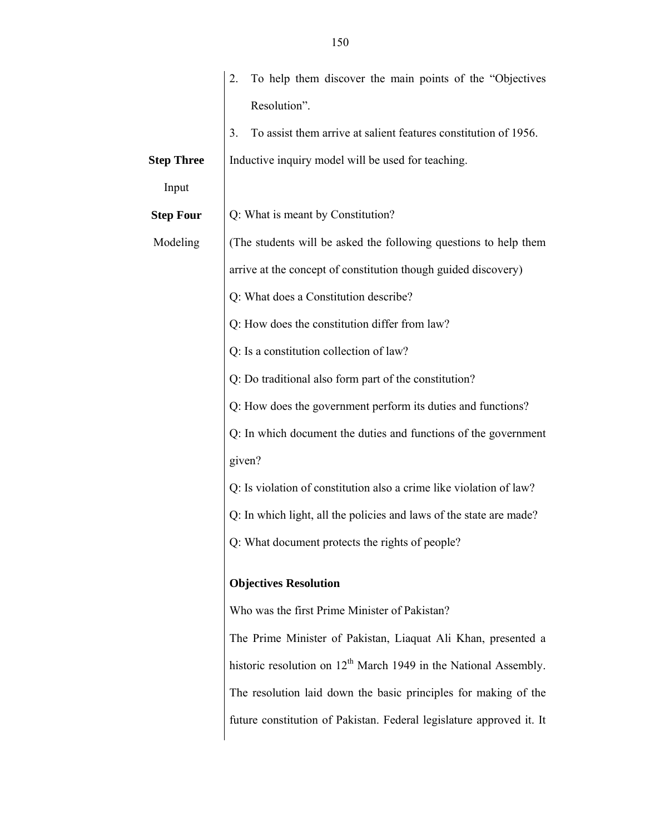|                   | To help them discover the main points of the "Objectives"                    |
|-------------------|------------------------------------------------------------------------------|
|                   | Resolution".                                                                 |
|                   | 3.<br>To assist them arrive at salient features constitution of 1956.        |
| <b>Step Three</b> | Inductive inquiry model will be used for teaching.                           |
| Input             |                                                                              |
| <b>Step Four</b>  | Q: What is meant by Constitution?                                            |
| Modeling          | (The students will be asked the following questions to help them             |
|                   | arrive at the concept of constitution though guided discovery)               |
|                   | Q: What does a Constitution describe?                                        |
|                   | Q: How does the constitution differ from law?                                |
|                   | Q: Is a constitution collection of law?                                      |
|                   | Q: Do traditional also form part of the constitution?                        |
|                   | Q: How does the government perform its duties and functions?                 |
|                   | Q: In which document the duties and functions of the government              |
|                   | given?                                                                       |
|                   | Q: Is violation of constitution also a crime like violation of law?          |
|                   | Q: In which light, all the policies and laws of the state are made?          |
|                   | Q: What document protects the rights of people?                              |
|                   | <b>Objectives Resolution</b>                                                 |
|                   | Who was the first Prime Minister of Pakistan?                                |
|                   | The Prime Minister of Pakistan, Liaquat Ali Khan, presented a                |
|                   | historic resolution on 12 <sup>th</sup> March 1949 in the National Assembly. |
|                   | The resolution laid down the basic principles for making of the              |
|                   | future constitution of Pakistan. Federal legislature approved it. It         |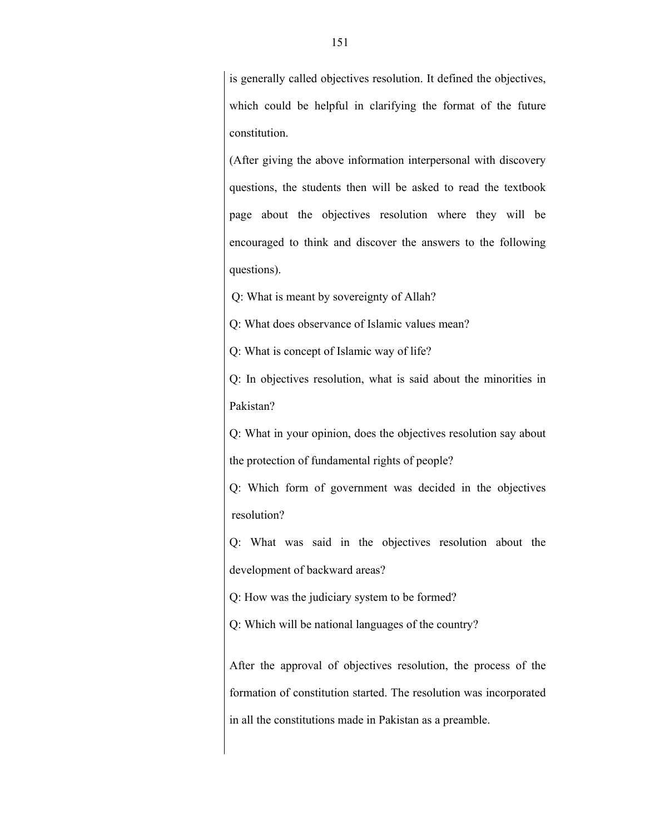is generally called objectives resolution. It defined the objectives, which could be helpful in clarifying the format of the future constitution.

(After giving the above information interpersonal with discovery questions, the students then will be asked to read the textbook page about the objectives resolution where they will be encouraged to think and discover the answers to the following questions).

Q: What is meant by sovereignty of Allah?

Q: What does observance of Islamic values mean?

Q: What is concept of Islamic way of life?

Q: In objectives resolution, what is said about the minorities in Pakistan?

Q: What in your opinion, does the objectives resolution say about the protection of fundamental rights of people?

Q: Which form of government was decided in the objectives resolution?

Q: What was said in the objectives resolution about the development of backward areas?

Q: How was the judiciary system to be formed?

Q: Which will be national languages of the country?

After the approval of objectives resolution, the process of the formation of constitution started. The resolution was incorporated in all the constitutions made in Pakistan as a preamble.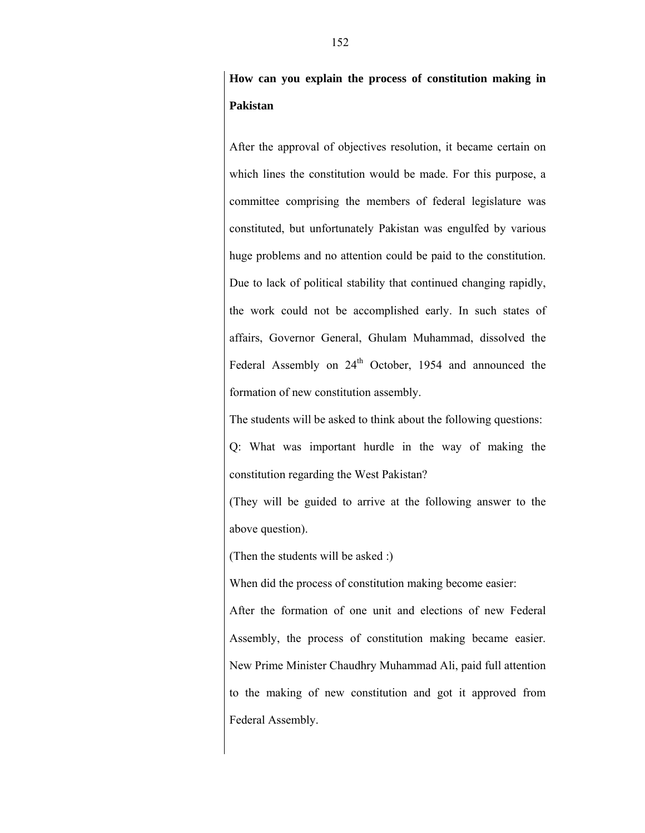**How can you explain the process of constitution making in Pakistan** 

After the approval of objectives resolution, it became certain on which lines the constitution would be made. For this purpose, a committee comprising the members of federal legislature was constituted, but unfortunately Pakistan was engulfed by various huge problems and no attention could be paid to the constitution. Due to lack of political stability that continued changing rapidly, the work could not be accomplished early. In such states of affairs, Governor General, Ghulam Muhammad, dissolved the Federal Assembly on  $24<sup>th</sup>$  October, 1954 and announced the formation of new constitution assembly.

The students will be asked to think about the following questions:

Q: What was important hurdle in the way of making the constitution regarding the West Pakistan?

(They will be guided to arrive at the following answer to the above question).

(Then the students will be asked :)

When did the process of constitution making become easier:

After the formation of one unit and elections of new Federal Assembly, the process of constitution making became easier. New Prime Minister Chaudhry Muhammad Ali, paid full attention to the making of new constitution and got it approved from Federal Assembly.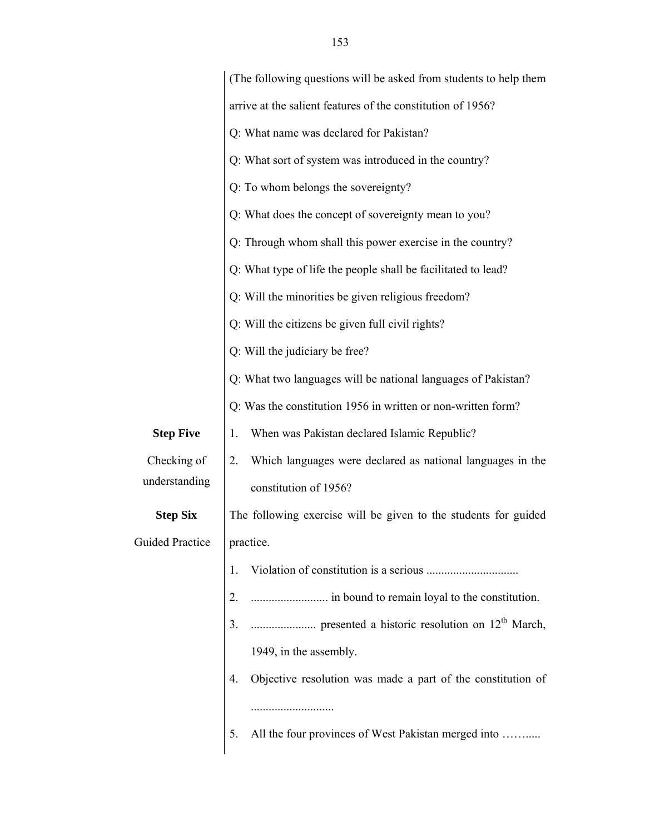|                        | (The following questions will be asked from students to help them |  |  |  |  |
|------------------------|-------------------------------------------------------------------|--|--|--|--|
|                        | arrive at the salient features of the constitution of 1956?       |  |  |  |  |
|                        | Q: What name was declared for Pakistan?                           |  |  |  |  |
|                        | Q: What sort of system was introduced in the country?             |  |  |  |  |
|                        | Q: To whom belongs the sovereignty?                               |  |  |  |  |
|                        | Q: What does the concept of sovereignty mean to you?              |  |  |  |  |
|                        | Q: Through whom shall this power exercise in the country?         |  |  |  |  |
|                        | Q: What type of life the people shall be facilitated to lead?     |  |  |  |  |
|                        | Q: Will the minorities be given religious freedom?                |  |  |  |  |
|                        | Q: Will the citizens be given full civil rights?                  |  |  |  |  |
|                        | Q: Will the judiciary be free?                                    |  |  |  |  |
|                        | Q: What two languages will be national languages of Pakistan?     |  |  |  |  |
|                        | Q: Was the constitution 1956 in written or non-written form?      |  |  |  |  |
| <b>Step Five</b>       | When was Pakistan declared Islamic Republic?<br>1.                |  |  |  |  |
| Checking of            | Which languages were declared as national languages in the<br>2.  |  |  |  |  |
| understanding          | constitution of 1956?                                             |  |  |  |  |
| <b>Step Six</b>        | The following exercise will be given to the students for guided   |  |  |  |  |
| <b>Guided Practice</b> | practice.                                                         |  |  |  |  |
|                        | 1.                                                                |  |  |  |  |
|                        | 2.                                                                |  |  |  |  |
|                        | 3.                                                                |  |  |  |  |
|                        | 1949, in the assembly.                                            |  |  |  |  |
|                        | Objective resolution was made a part of the constitution of<br>4. |  |  |  |  |
|                        |                                                                   |  |  |  |  |
|                        | All the four provinces of West Pakistan merged into<br>5.         |  |  |  |  |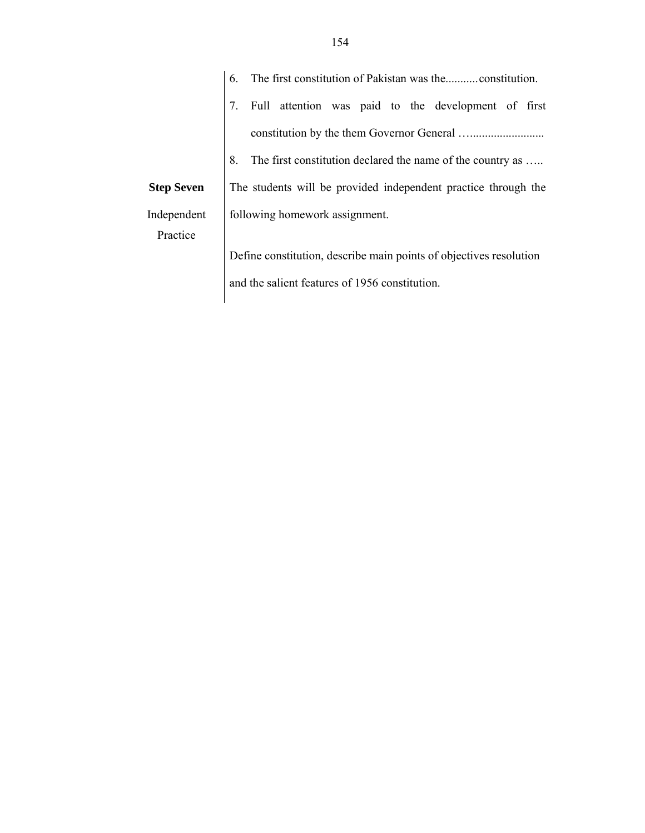|                   | The first constitution of Pakistan was the  constitution.<br>6.    |  |  |  |  |  |
|-------------------|--------------------------------------------------------------------|--|--|--|--|--|
|                   | Full attention was paid to the development of first                |  |  |  |  |  |
|                   |                                                                    |  |  |  |  |  |
|                   | The first constitution declared the name of the country as         |  |  |  |  |  |
| <b>Step Seven</b> | The students will be provided independent practice through the     |  |  |  |  |  |
| Independent       | following homework assignment.                                     |  |  |  |  |  |
| Practice          |                                                                    |  |  |  |  |  |
|                   | Define constitution, describe main points of objectives resolution |  |  |  |  |  |
|                   | and the salient features of 1956 constitution.                     |  |  |  |  |  |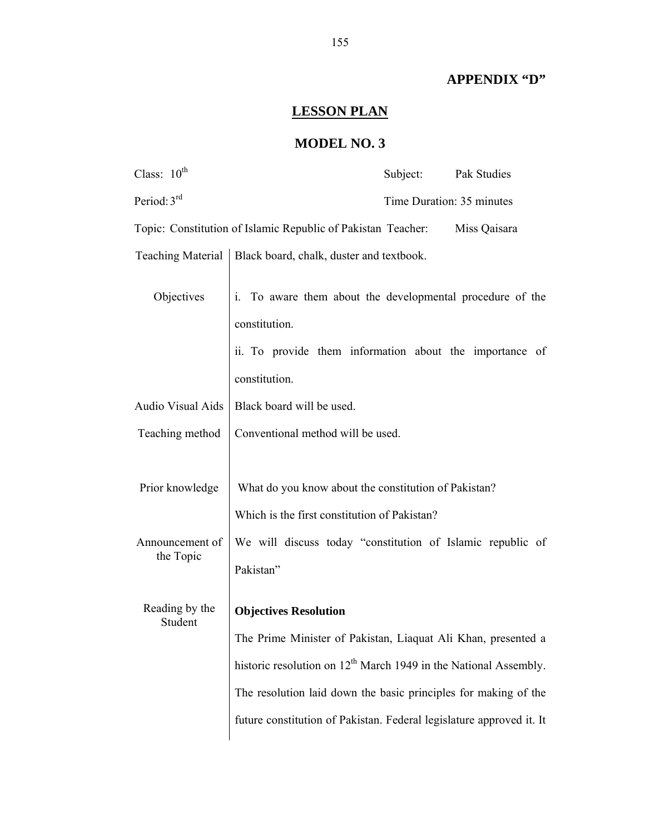# **APPENDIX "D"**

# **LESSON PLAN**

## **MODEL NO. 3**

| Class: 10 <sup>th</sup>                                                      | Subject:<br>Pak Studies                                                                              |  |  |  |  |
|------------------------------------------------------------------------------|------------------------------------------------------------------------------------------------------|--|--|--|--|
| Period: 3rd                                                                  | Time Duration: 35 minutes                                                                            |  |  |  |  |
| Topic: Constitution of Islamic Republic of Pakistan Teacher:<br>Miss Qaisara |                                                                                                      |  |  |  |  |
|                                                                              | Teaching Material   Black board, chalk, duster and textbook.                                         |  |  |  |  |
| Objectives                                                                   | i. To aware them about the developmental procedure of the<br>constitution.                           |  |  |  |  |
|                                                                              | ii. To provide them information about the importance of<br>constitution.                             |  |  |  |  |
| <b>Audio Visual Aids</b>                                                     | Black board will be used.                                                                            |  |  |  |  |
| Teaching method                                                              | Conventional method will be used.                                                                    |  |  |  |  |
| Prior knowledge                                                              | What do you know about the constitution of Pakistan?<br>Which is the first constitution of Pakistan? |  |  |  |  |
| Announcement of<br>the Topic                                                 | We will discuss today "constitution of Islamic republic of                                           |  |  |  |  |
|                                                                              | Pakistan"                                                                                            |  |  |  |  |
| Reading by the<br>Student                                                    | <b>Objectives Resolution</b>                                                                         |  |  |  |  |
|                                                                              | The Prime Minister of Pakistan, Liaquat Ali Khan, presented a                                        |  |  |  |  |
|                                                                              | historic resolution on $12th$ March 1949 in the National Assembly.                                   |  |  |  |  |
|                                                                              | The resolution laid down the basic principles for making of the                                      |  |  |  |  |
|                                                                              | future constitution of Pakistan. Federal legislature approved it. It                                 |  |  |  |  |
|                                                                              |                                                                                                      |  |  |  |  |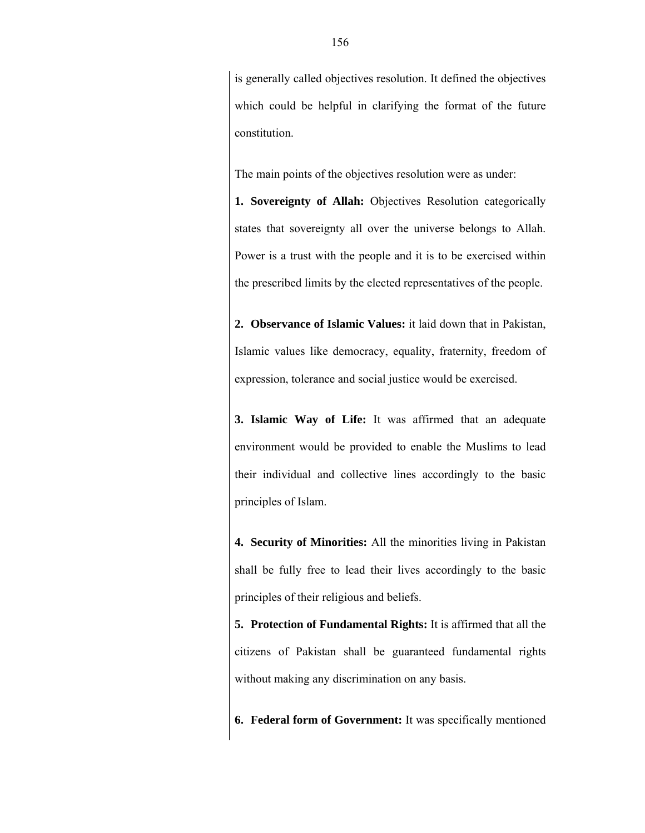is generally called objectives resolution. It defined the objectives which could be helpful in clarifying the format of the future constitution.

The main points of the objectives resolution were as under:

**1. Sovereignty of Allah:** Objectives Resolution categorically states that sovereignty all over the universe belongs to Allah. Power is a trust with the people and it is to be exercised within the prescribed limits by the elected representatives of the people.

**2. Observance of Islamic Values:** it laid down that in Pakistan, Islamic values like democracy, equality, fraternity, freedom of expression, tolerance and social justice would be exercised.

**3. Islamic Way of Life:** It was affirmed that an adequate environment would be provided to enable the Muslims to lead their individual and collective lines accordingly to the basic principles of Islam.

**4. Security of Minorities:** All the minorities living in Pakistan shall be fully free to lead their lives accordingly to the basic principles of their religious and beliefs.

**5. Protection of Fundamental Rights:** It is affirmed that all the citizens of Pakistan shall be guaranteed fundamental rights without making any discrimination on any basis.

**6. Federal form of Government:** It was specifically mentioned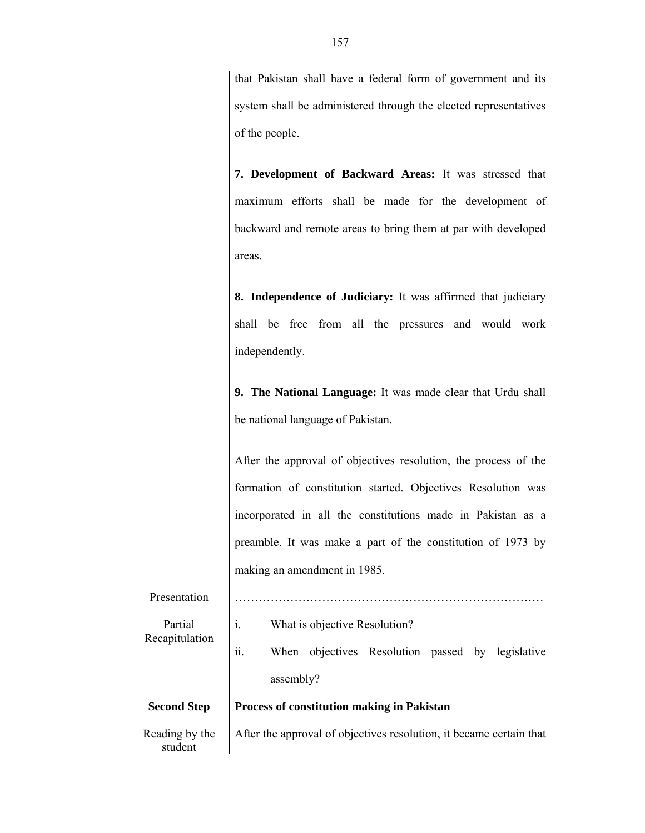that Pakistan shall have a federal form of government and its system shall be administered through the elected representatives of the people.

**7. Development of Backward Areas:** It was stressed that maximum efforts shall be made for the development of backward and remote areas to bring them at par with developed areas.

**8. Independence of Judiciary:** It was affirmed that judiciary shall be free from all the pressures and would work independently.

**9. The National Language:** It was made clear that Urdu shall be national language of Pakistan.

After the approval of objectives resolution, the process of the formation of constitution started. Objectives Resolution was incorporated in all the constitutions made in Pakistan as a preamble. It was make a part of the constitution of 1973 by making an amendment in 1985.

| Presentation              |                                                                                        |  |  |  |  |  |
|---------------------------|----------------------------------------------------------------------------------------|--|--|--|--|--|
| Partial<br>Recapitulation | What is objective Resolution?<br>$\mathbf{1}$ .                                        |  |  |  |  |  |
|                           | $\dddot{\mathbf{u}}$ .<br>objectives Resolution<br>When<br>legislative<br>passed<br>by |  |  |  |  |  |
|                           | assembly?                                                                              |  |  |  |  |  |
| <b>Second Step</b>        | <b>Process of constitution making in Pakistan</b>                                      |  |  |  |  |  |
| Reading by the<br>student | After the approval of objectives resolution, it became certain that                    |  |  |  |  |  |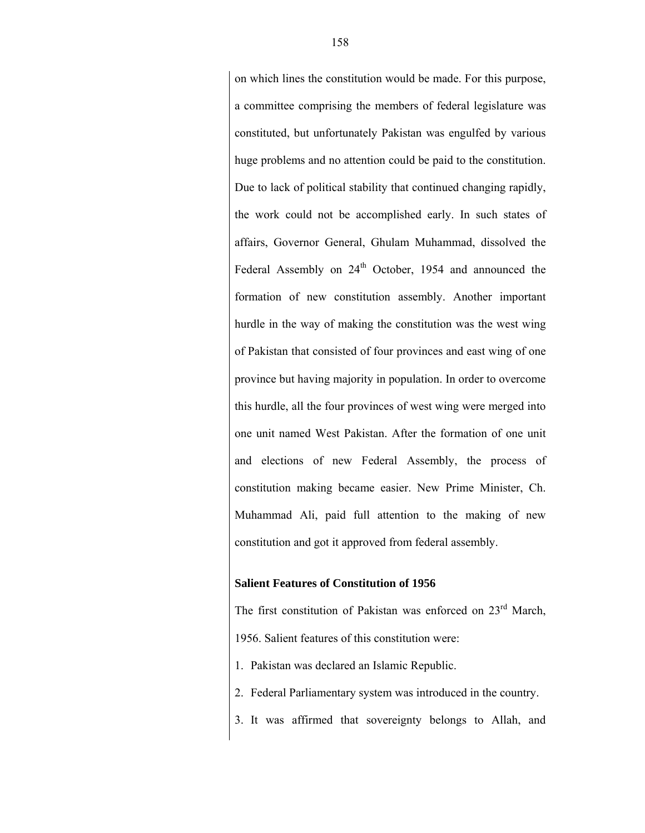on which lines the constitution would be made. For this purpose, a committee comprising the members of federal legislature was constituted, but unfortunately Pakistan was engulfed by various huge problems and no attention could be paid to the constitution. Due to lack of political stability that continued changing rapidly, the work could not be accomplished early. In such states of affairs, Governor General, Ghulam Muhammad, dissolved the Federal Assembly on  $24<sup>th</sup>$  October, 1954 and announced the formation of new constitution assembly. Another important hurdle in the way of making the constitution was the west wing of Pakistan that consisted of four provinces and east wing of one province but having majority in population. In order to overcome this hurdle, all the four provinces of west wing were merged into one unit named West Pakistan. After the formation of one unit and elections of new Federal Assembly, the process of constitution making became easier. New Prime Minister, Ch. Muhammad Ali, paid full attention to the making of new constitution and got it approved from federal assembly.

#### **Salient Features of Constitution of 1956**

The first constitution of Pakistan was enforced on  $23<sup>rd</sup>$  March, 1956. Salient features of this constitution were:

- 1. Pakistan was declared an Islamic Republic.
- 2. Federal Parliamentary system was introduced in the country.
- 3. It was affirmed that sovereignty belongs to Allah, and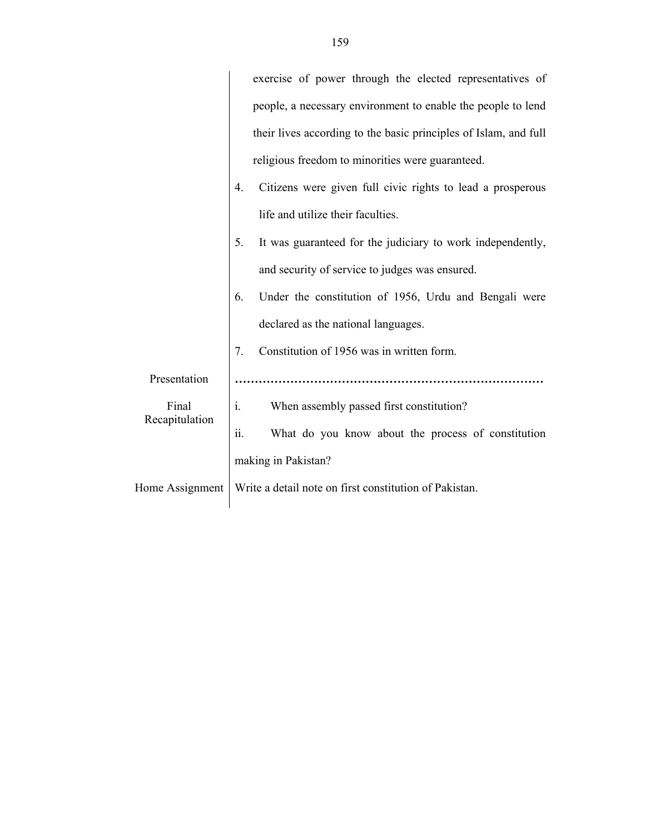|                 | exercise of power through the elected representatives of         |
|-----------------|------------------------------------------------------------------|
|                 | people, a necessary environment to enable the people to lend     |
|                 | their lives according to the basic principles of Islam, and full |
|                 | religious freedom to minorities were guaranteed.                 |
|                 | Citizens were given full civic rights to lead a prosperous<br>4. |
|                 | life and utilize their faculties.                                |
|                 | It was guaranteed for the judiciary to work independently,<br>5. |
|                 | and security of service to judges was ensured.                   |
|                 | Under the constitution of 1956, Urdu and Bengali were<br>6.      |
|                 | declared as the national languages.                              |
|                 | Constitution of 1956 was in written form.<br>7 <sub>1</sub>      |
| Presentation    |                                                                  |
| Final           | When assembly passed first constitution?<br>1.                   |
| Recapitulation  | ii.<br>What do you know about the process of constitution        |
|                 | making in Pakistan?                                              |
| Home Assignment | Write a detail note on first constitution of Pakistan.           |
|                 |                                                                  |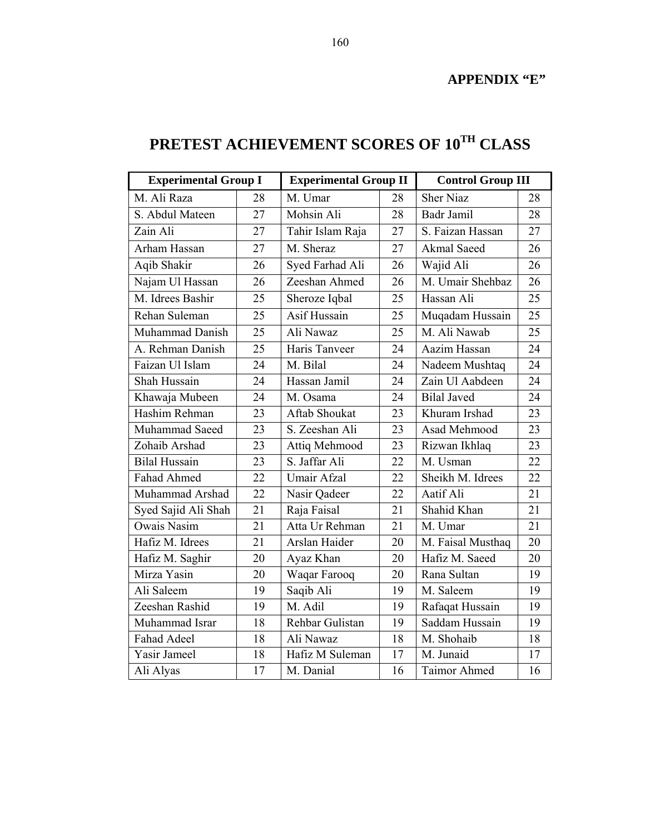### **APPENDIX "E"**

| <b>Experimental Group I</b> |    | <b>Experimental Group II</b> |    | <b>Control Group III</b> |                 |
|-----------------------------|----|------------------------------|----|--------------------------|-----------------|
| M. Ali Raza                 | 28 | M. Umar                      | 28 | <b>Sher Niaz</b>         | 28              |
| S. Abdul Mateen             | 27 | Mohsin Ali                   | 28 | <b>Badr Jamil</b>        | 28              |
| Zain Ali                    | 27 | Tahir Islam Raja             | 27 | S. Faizan Hassan         | 27              |
| Arham Hassan                | 27 | M. Sheraz                    | 27 | <b>Akmal Saeed</b>       | 26              |
| Aqib Shakir                 | 26 | Syed Farhad Ali              | 26 | Wajid Ali                | 26              |
| Najam Ul Hassan             | 26 | Zeeshan Ahmed                | 26 | M. Umair Shehbaz         | 26              |
| M. Idrees Bashir            | 25 | Sheroze Iqbal                | 25 | Hassan Ali               | 25              |
| Rehan Suleman               | 25 | Asif Hussain                 | 25 | Muqadam Hussain          | 25              |
| Muhammad Danish             | 25 | Ali Nawaz                    | 25 | M. Ali Nawab             | $\overline{25}$ |
| A. Rehman Danish            | 25 | Haris Tanveer                | 24 | Aazim Hassan             | 24              |
| Faizan Ul Islam             | 24 | M. Bilal                     | 24 | Nadeem Mushtaq           | 24              |
| Shah Hussain                | 24 | Hassan Jamil                 | 24 | Zain Ul Aabdeen          | 24              |
| Khawaja Mubeen              | 24 | M. Osama                     | 24 | <b>Bilal Javed</b>       | 24              |
| Hashim Rehman               | 23 | Aftab Shoukat                | 23 | Khuram Irshad            | 23              |
| Muhammad Saeed              | 23 | S. Zeeshan Ali               | 23 | Asad Mehmood             | 23              |
| Zohaib Arshad               | 23 | Attiq Mehmood                | 23 | Rizwan Ikhlaq            | 23              |
| <b>Bilal Hussain</b>        | 23 | S. Jaffar Ali                | 22 | M. Usman                 | 22              |
| <b>Fahad Ahmed</b>          | 22 | <b>Umair Afzal</b>           | 22 | Sheikh M. Idrees         | 22              |
| Muhammad Arshad             | 22 | Nasir Qadeer                 | 22 | Aatif Ali                | 21              |
| Syed Sajid Ali Shah         | 21 | Raja Faisal                  | 21 | Shahid Khan              | 21              |
| <b>Owais Nasim</b>          | 21 | Atta Ur Rehman               | 21 | M. Umar                  | 21              |
| Hafiz M. Idrees             | 21 | Arslan Haider                | 20 | M. Faisal Musthaq        | 20              |
| Hafiz M. Saghir             | 20 | Ayaz Khan                    | 20 | Hafiz M. Saeed           | 20              |
| Mirza Yasin                 | 20 | Waqar Farooq                 | 20 | Rana Sultan              | 19              |
| Ali Saleem                  | 19 | Saqib Ali                    | 19 | M. Saleem                | 19              |
| Zeeshan Rashid              | 19 | M. Adil                      | 19 | Rafaqat Hussain          | 19              |
| Muhammad Israr              | 18 | Rehbar Gulistan              | 19 | Saddam Hussain           | 19              |
| <b>Fahad Adeel</b>          | 18 | Ali Nawaz                    | 18 | M. Shohaib               | 18              |
| Yasir Jameel                | 18 | Hafiz M Suleman              | 17 | M. Junaid                | 17              |
| Ali Alyas                   | 17 | M. Danial                    | 16 | <b>Taimor Ahmed</b>      | 16              |

# **PRETEST ACHIEVEMENT SCORES OF 10TH CLASS**